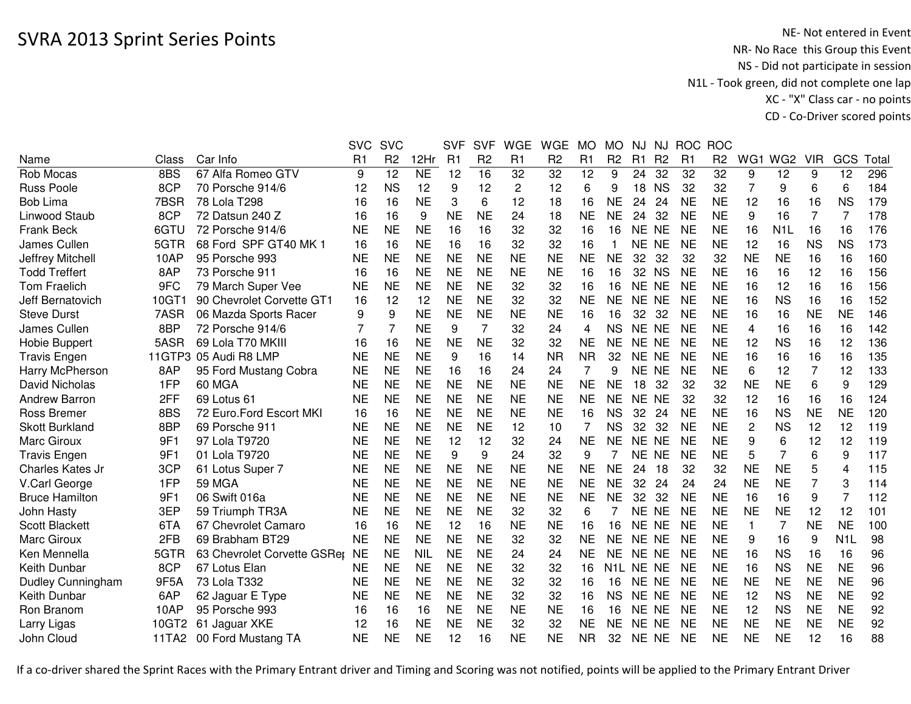|                          |       |                             | <b>SVC</b>     | <b>SVC</b>     |            | <b>SVF</b>     | <b>SVF</b>     | <b>WGE</b>     | <b>WGE</b>     | <b>MO</b>      | <b>MO</b>      | NJ             | <b>NJ</b>      | <b>ROC</b>     | <b>ROC</b>     |           |                  |                |                  |      |
|--------------------------|-------|-----------------------------|----------------|----------------|------------|----------------|----------------|----------------|----------------|----------------|----------------|----------------|----------------|----------------|----------------|-----------|------------------|----------------|------------------|------|
| Name                     | Class | Car Info                    | R <sub>1</sub> | R <sub>2</sub> | 12Hr       | R <sub>1</sub> | R <sub>2</sub> | R <sub>1</sub> | R <sub>2</sub> | R <sub>1</sub> | R <sub>2</sub> | R <sub>1</sub> | R <sub>2</sub> | R <sub>1</sub> | R <sub>2</sub> | WG1       | WG <sub>2</sub>  | <b>VIR</b>     | GCS              | Tota |
| Rob Mocas                | 8BS   | 67 Alfa Romeo GTV           | 9              | 12             | <b>NE</b>  | 12             | 16             | 32             | 32             | 12             | 9              | 24             | 32             | 32             | 32             | 9         | 12               | 9              | 12               | 296  |
| <b>Russ Poole</b>        | 8CP   | 70 Porsche 914/6            | 12             | <b>NS</b>      | 12         | 9              | 12             | $\overline{2}$ | 12             | 6              | 9              | 18             | <b>NS</b>      | 32             | 32             | 7         | 9                | 6              | 6                | 184  |
| <b>Bob Lima</b>          | 7BSR  | 78 Lola T298                | 16             | 16             | <b>NE</b>  | 3              | 6              | 12             | 18             | 16             | <b>NE</b>      | 24             | 24             | <b>NE</b>      | <b>NE</b>      | 12        | 16               | 16             | <b>NS</b>        | 179  |
| Linwood Staub            | 8CP   | 72 Datsun 240 Z             | 16             | 16             | 9          | <b>NE</b>      | <b>NE</b>      | 24             | 18             | <b>NE</b>      | <b>NE</b>      | 24             | 32             | <b>NE</b>      | <b>NE</b>      | 9         | 16               | $\overline{7}$ | 7                | 178  |
| <b>Frank Beck</b>        | 6GTU  | 72 Porsche 914/6            | <b>NE</b>      | <b>NE</b>      | <b>NE</b>  | 16             | 16             | 32             | 32             | 16             | 16             | NE NE          |                | <b>NE</b>      | <b>NE</b>      | 16        | N <sub>1</sub> L | 16             | 16               | 176  |
| James Cullen             | 5GTR  | 68 Ford SPF GT40 MK 1       | 16             | 16             | <b>NE</b>  | 16             | 16             | 32             | 32             | 16             |                | NE NE          |                | NE             | <b>NE</b>      | 12        | 16               | <b>NS</b>      | <b>NS</b>        | 173  |
| Jeffrey Mitchell         | 10AP  | 95 Porsche 993              | <b>NE</b>      | <b>NE</b>      | <b>NE</b>  | <b>NE</b>      | <b>NE</b>      | <b>NE</b>      | <b>NE</b>      | <b>NE</b>      | <b>NE</b>      | 32             | 32             | 32             | 32             | <b>NE</b> | <b>NE</b>        | 16             | 16               | 160  |
| <b>Todd Treffert</b>     | 8AP   | 73 Porsche 911              | 16             | 16             | <b>NE</b>  | <b>NE</b>      | <b>NE</b>      | <b>NE</b>      | <b>NE</b>      | 16             | 16             | 32             | <b>NS</b>      | <b>NE</b>      | <b>NE</b>      | 16        | 16               | 12             | 16               | 156  |
| <b>Tom Fraelich</b>      | 9FC   | 79 March Super Vee          | <b>NE</b>      | <b>NE</b>      | <b>NE</b>  | <b>NE</b>      | <b>NE</b>      | 32             | 32             | 16             | 16             | <b>NE</b>      | <b>NE</b>      | <b>NE</b>      | <b>NE</b>      | 16        | 12               | 16             | 16               | 156  |
| Jeff Bernatovich         | 10GT1 | 90 Chevrolet Corvette GT1   | 16             | 12             | 12         | <b>NE</b>      | <b>NE</b>      | 32             | 32             | <b>NE</b>      | <b>NE</b>      | NE NE          |                | <b>NE</b>      | <b>NE</b>      | 16        | <b>NS</b>        | 16             | 16               | 152  |
| <b>Steve Durst</b>       | 7ASR  | 06 Mazda Sports Racer       | 9              | 9              | <b>NE</b>  | <b>NE</b>      | <b>NE</b>      | <b>NE</b>      | <b>NE</b>      | 16             | 16             | 32             | 32             | <b>NE</b>      | <b>NE</b>      | 16        | 16               | <b>NE</b>      | <b>NE</b>        | 146  |
| James Cullen             | 8BP   | 72 Porsche 914/6            |                | $\overline{7}$ | <b>NE</b>  | 9              | $\overline{7}$ | 32             | 24             | 4              | <b>NS</b>      | <b>NE</b>      | <b>NE</b>      | <b>NE</b>      | <b>NE</b>      | 4         | 16               | 16             | 16               | 142  |
| <b>Hobie Buppert</b>     | 5ASR  | 69 Lola T70 MKIII           | 16             | 16             | <b>NE</b>  | <b>NE</b>      | <b>NE</b>      | 32             | 32             | <b>NE</b>      | NE             | NE             | <b>NE</b>      | <b>NE</b>      | <b>NE</b>      | 12        | <b>NS</b>        | 16             | 12               | 136  |
| <b>Travis Engen</b>      |       | 11GTP3 05 Audi R8 LMP       | <b>NE</b>      | <b>NE</b>      | <b>NE</b>  | 9              | 16             | 14             | <b>NR</b>      | <b>NR</b>      | 32             | NE NE          |                | <b>NE</b>      | <b>NE</b>      | 16        | 16               | 16             | 16               | 135  |
| Harry McPherson          | 8AP   | 95 Ford Mustang Cobra       | <b>NE</b>      | <b>NE</b>      | <b>NE</b>  | 16             | 16             | 24             | 24             | 7              | 9              | <b>NE</b>      | <b>NE</b>      | <b>NE</b>      | <b>NE</b>      | 6         | 12               | $\overline{7}$ | 12               | 133  |
| David Nicholas           | 1FP   | 60 MGA                      | <b>NE</b>      | <b>NE</b>      | <b>NE</b>  | <b>NE</b>      | <b>NE</b>      | <b>NE</b>      | <b>NE</b>      | <b>NE</b>      | <b>NE</b>      | 18             | 32             | 32             | 32             | <b>NE</b> | <b>NE</b>        | 6              | 9                | 129  |
| Andrew Barron            | 2FF   | 69 Lotus 61                 | <b>NE</b>      | <b>NE</b>      | <b>NE</b>  | <b>NE</b>      | <b>NE</b>      | <b>NE</b>      | <b>NE</b>      | <b>NE</b>      | <b>NE</b>      | NE NE          |                | 32             | 32             | 12        | 16               | 16             | 16               | 124  |
| <b>Ross Bremer</b>       | 8BS   | 72 Euro.Ford Escort MKI     | 16             | 16             | <b>NE</b>  | <b>NE</b>      | <b>NE</b>      | <b>NE</b>      | <b>NE</b>      | 16             | <b>NS</b>      | 32             | 24             | <b>NE</b>      | <b>NE</b>      | 16        | <b>NS</b>        | <b>NE</b>      | <b>NE</b>        | 120  |
| <b>Skott Burkland</b>    | 8BP   | 69 Porsche 911              | <b>NE</b>      | <b>NE</b>      | <b>NE</b>  | <b>NE</b>      | <b>NE</b>      | 12             | 10             |                | <b>NS</b>      | 32             | 32             | <b>NE</b>      | <b>NE</b>      | 2         | <b>NS</b>        | 12             | 12               | 119  |
| <b>Marc Giroux</b>       | 9F1   | 97 Lola T9720               | <b>NE</b>      | <b>NE</b>      | <b>NE</b>  | 12             | 12             | 32             | 24             | <b>NE</b>      | <b>NE</b>      | NE NE          |                | <b>NE</b>      | <b>NE</b>      | 9         | 6                | 12             | 12               | 119  |
| <b>Travis Engen</b>      | 9F1   | 01 Lola T9720               | <b>NE</b>      | <b>NE</b>      | <b>NE</b>  | 9              | 9              | 24             | 32             | 9              | 7              | NE NE          |                | <b>NE</b>      | <b>NE</b>      | 5         | $\overline{7}$   | 6              | 9                | 117  |
| Charles Kates Jr         | 3CP   | 61 Lotus Super 7            | <b>NE</b>      | <b>NE</b>      | <b>NE</b>  | <b>NE</b>      | <b>NE</b>      | <b>NE</b>      | <b>NE</b>      | <b>NE</b>      | <b>NE</b>      | 24             | 18             | 32             | 32             | <b>NE</b> | <b>NE</b>        | 5              | 4                | 115  |
| V.Carl George            | 1FP   | <b>59 MGA</b>               | <b>NE</b>      | <b>NE</b>      | <b>NE</b>  | <b>NE</b>      | <b>NE</b>      | <b>NE</b>      | <b>NE</b>      | <b>NE</b>      | <b>NE</b>      | 32             | 24             | 24             | 24             | <b>NE</b> | <b>NE</b>        | 7              | 3                | 114  |
| <b>Bruce Hamilton</b>    | 9F1   | 06 Swift 016a               | <b>NE</b>      | <b>NE</b>      | <b>NE</b>  | <b>NE</b>      | <b>NE</b>      | <b>NE</b>      | <b>NE</b>      | <b>NE</b>      | <b>NE</b>      | 32             | 32             | <b>NE</b>      | <b>NE</b>      | 16        | 16               | 9              | $\overline{7}$   | 112  |
| John Hasty               | 3EP   | 59 Triumph TR3A             | <b>NE</b>      | <b>NE</b>      | <b>NE</b>  | <b>NE</b>      | <b>NE</b>      | 32             | 32             | 6              |                | NE NE          |                | <b>NE</b>      | <b>NE</b>      | <b>NE</b> | <b>NE</b>        | 12             | 12               | 101  |
| <b>Scott Blackett</b>    | 6TA   | 67 Chevrolet Camaro         | 16             | 16             | <b>NE</b>  | 12             | 16             | <b>NE</b>      | <b>NE</b>      | 16             | 16             | NE NE          |                | <b>NE</b>      | <b>NE</b>      | 1         | $\overline{7}$   | <b>NE</b>      | <b>NE</b>        | 100  |
| Marc Giroux              | 2FB   | 69 Brabham BT29             | <b>NE</b>      | <b>NE</b>      | <b>NE</b>  | <b>NE</b>      | <b>NE</b>      | 32             | 32             | <b>NE</b>      | <b>NE</b>      | NE NE          |                | <b>NE</b>      | <b>NE</b>      | 9         | 16               | 9              | N <sub>1</sub> L | 98   |
| Ken Mennella             | 5GTR  | 63 Chevrolet Corvette GSRer | <b>NE</b>      | <b>NE</b>      | <b>NIL</b> | <b>NE</b>      | <b>NE</b>      | 24             | 24             | <b>NE</b>      | <b>NE</b>      | NE NE          |                | <b>NE</b>      | <b>NE</b>      | 16        | <b>NS</b>        | 16             | 16               | 96   |
| Keith Dunbar             | 8CP   | 67 Lotus Elan               | <b>NE</b>      | <b>NE</b>      | <b>NE</b>  | <b>NE</b>      | <b>NE</b>      | 32             | 32             | 16             | N1L            | NE NE          |                | <b>NE</b>      | <b>NE</b>      | 16        | <b>NS</b>        | <b>NE</b>      | <b>NE</b>        | 96   |
| <b>Dudley Cunningham</b> | 9F5A  | 73 Lola T332                | <b>NE</b>      | <b>NE</b>      | <b>NE</b>  | <b>NE</b>      | <b>NE</b>      | 32             | 32             | 16             | 16             | NE NE          |                | <b>NE</b>      | <b>NE</b>      | <b>NE</b> | <b>NE</b>        | <b>NE</b>      | <b>NE</b>        | 96   |
| Keith Dunbar             | 6AP   | 62 Jaguar E Type            | <b>NE</b>      | <b>NE</b>      | <b>NE</b>  | <b>NE</b>      | <b>NE</b>      | 32             | 32             | 16             | <b>NS</b>      | NE NE          |                | <b>NE</b>      | <b>NE</b>      | 12        | <b>NS</b>        | <b>NE</b>      | <b>NE</b>        | 92   |
| Ron Branom               | 10AP  | 95 Porsche 993              | 16             | 16             | 16         | <b>NE</b>      | <b>NE</b>      | <b>NE</b>      | <b>NE</b>      | 16             | 16             | NE NE          |                | <b>NE</b>      | <b>NE</b>      | 12        | <b>NS</b>        | <b>NE</b>      | <b>NE</b>        | 92   |
| Larry Ligas              | 10GT2 | 61 Jaguar XKE               | 12             | 16             | <b>NE</b>  | <b>NE</b>      | <b>NE</b>      | 32             | 32             | <b>NE</b>      | NE.            | NE NE          |                | <b>NE</b>      | <b>NE</b>      | <b>NE</b> | <b>NE</b>        | <b>NE</b>      | <b>NE</b>        | 92   |
| John Cloud               | 11TA2 | 00 Ford Mustang TA          | <b>NE</b>      | <b>NE</b>      | <b>NE</b>  | 12             | 16             | <b>NE</b>      | <b>NE</b>      | <b>NR</b>      | 32             | NE NE          |                | <b>NE</b>      | <b>NE</b>      | <b>NE</b> | <b>NE</b>        | 12             | 16               | 88   |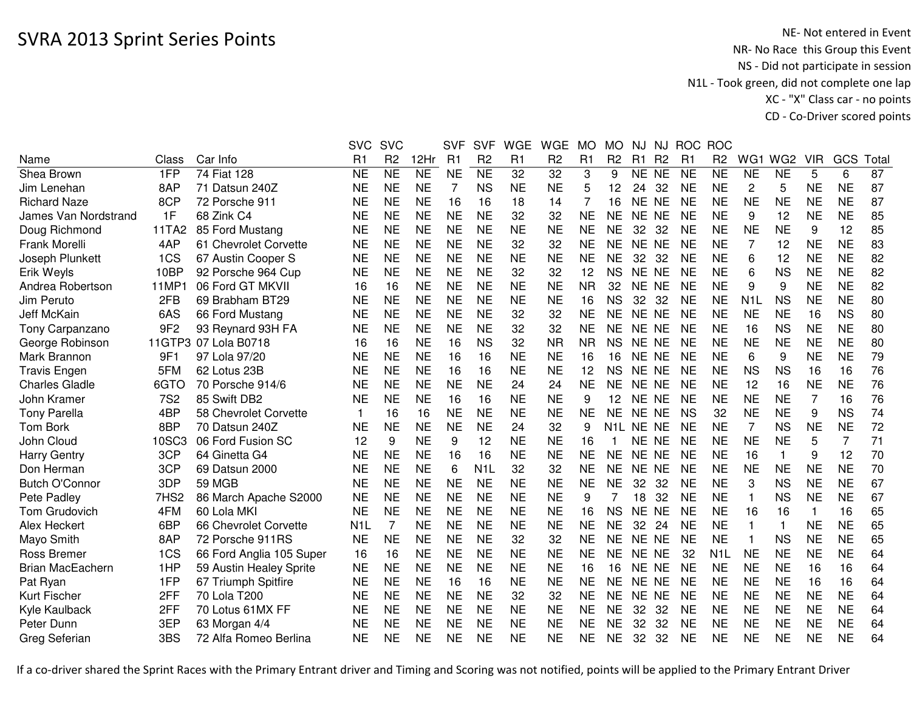|                         |                  |                          | <b>SVC</b>       | <b>SVC</b>     |                        | <b>SVF</b>     | <b>SVF</b>       | <b>WGE</b>      | <b>WGE</b>      | <b>MO</b> | <b>MO</b>              | NJ             | NJ             | <b>ROC</b>     | <b>ROC</b>       |                  |                 |              |           |       |
|-------------------------|------------------|--------------------------|------------------|----------------|------------------------|----------------|------------------|-----------------|-----------------|-----------|------------------------|----------------|----------------|----------------|------------------|------------------|-----------------|--------------|-----------|-------|
| Name                    | Class            | Car Info                 | R1               | R <sub>2</sub> | 12Hr                   | R <sub>1</sub> | R <sub>2</sub>   | R1              | R <sub>2</sub>  | R1        | R <sub>2</sub>         | R <sub>1</sub> | R <sub>2</sub> | R <sub>1</sub> | R <sub>2</sub>   | WG1              | WG <sub>2</sub> | <b>VIR</b>   | GCS       | Total |
| Shea Brown              | 1FP              | 74 Fiat 128              | <b>NE</b>        | <b>NE</b>      | $\overline{\text{NE}}$ | <b>NE</b>      | <b>NE</b>        | $\overline{32}$ | $\overline{32}$ | 3         | 9                      | NE NE          |                | <b>NE</b>      | <b>NE</b>        | <b>NE</b>        | <b>NE</b>       | 5            | 6         | 87    |
| Jim Lenehan             | 8AP              | 71 Datsun 240Z           | NE               | <b>NE</b>      | <b>NE</b>              | 7              | <b>NS</b>        | <b>NE</b>       | <b>NE</b>       | 5         | 12                     | 24             | 32             | <b>NE</b>      | <b>NE</b>        | $\overline{c}$   | 5               | <b>NE</b>    | <b>NE</b> | 87    |
| <b>Richard Naze</b>     | 8CP              | 72 Porsche 911           | <b>NE</b>        | <b>NE</b>      | <b>NE</b>              | 16             | 16               | 18              | 14              | 7         | 16                     | NE.            | <b>NE</b>      | <b>NE</b>      | <b>NE</b>        | <b>NE</b>        | <b>NE</b>       | <b>NE</b>    | <b>NE</b> | 87    |
| James Van Nordstrand    | 1F               | 68 Zink C4               | NE               | <b>NE</b>      | <b>NE</b>              | <b>NE</b>      | <b>NE</b>        | 32              | 32              | <b>NE</b> | <b>NE</b>              | NE NE          |                | <b>NE</b>      | <b>NE</b>        | 9                | 12              | <b>NE</b>    | <b>NE</b> | 85    |
| Doug Richmond           | 11TA2            | 85 Ford Mustang          | NE               | <b>NE</b>      | <b>NE</b>              | <b>NE</b>      | <b>NE</b>        | <b>NE</b>       | <b>NE</b>       | <b>NE</b> | <b>NE</b>              | 32             | 32             | <b>NE</b>      | <b>NE</b>        | NE               | <b>NE</b>       | 9            | 12        | 85    |
| Frank Morelli           | 4AP              | 61 Chevrolet Corvette    | <b>NE</b>        | <b>NE</b>      | <b>NE</b>              | <b>NE</b>      | <b>NE</b>        | 32              | 32              | <b>NE</b> | <b>NE</b>              | NE NE          |                | <b>NE</b>      | <b>NE</b>        | 7                | 12              | <b>NE</b>    | <b>NE</b> | 83    |
| Joseph Plunkett         | 1CS              | 67 Austin Cooper S       | <b>NE</b>        | <b>NE</b>      | <b>NE</b>              | <b>NE</b>      | <b>NE</b>        | <b>NE</b>       | <b>NE</b>       | <b>NE</b> | <b>NE</b>              | 32             | 32             | <b>NE</b>      | <b>NE</b>        | 6                | 12              | <b>NE</b>    | <b>NE</b> | 82    |
| Erik Weyls              | 10BP             | 92 Porsche 964 Cup       | <b>NE</b>        | <b>NE</b>      | <b>NE</b>              | <b>NE</b>      | <b>NE</b>        | 32              | 32              | 12        | <b>NS</b>              | <b>NE</b>      | <b>NE</b>      | <b>NE</b>      | <b>NE</b>        | 6                | <b>NS</b>       | <b>NE</b>    | <b>NE</b> | 82    |
| Andrea Robertson        | 11MP             | 06 Ford GT MKVII         | 16               | 16             | <b>NE</b>              | <b>NE</b>      | <b>NE</b>        | <b>NE</b>       | <b>NE</b>       | <b>NR</b> | 32                     | <b>NE</b>      | <b>NE</b>      | <b>NE</b>      | <b>NE</b>        | 9                | 9               | <b>NE</b>    | <b>NE</b> | 82    |
| Jim Peruto              | 2FB              | 69 Brabham BT29          | <b>NE</b>        | <b>NE</b>      | <b>NE</b>              | <b>NE</b>      | <b>NE</b>        | <b>NE</b>       | <b>NE</b>       | 16        | <b>NS</b>              | 32             | 32             | <b>NE</b>      | <b>NE</b>        | N <sub>1</sub> L | <b>NS</b>       | <b>NE</b>    | <b>NE</b> | 80    |
| Jeff McKain             | 6AS              | 66 Ford Mustang          | <b>NE</b>        | <b>NE</b>      | <b>NE</b>              | <b>NE</b>      | <b>NE</b>        | 32              | 32              | <b>NE</b> | <b>NE</b>              | NE NE          |                | <b>NE</b>      | <b>NE</b>        | <b>NE</b>        | <b>NE</b>       | 16           | <b>NS</b> | 80    |
| Tony Carpanzano         | 9F <sub>2</sub>  | 93 Reynard 93H FA        | <b>NE</b>        | <b>NE</b>      | <b>NE</b>              | <b>NE</b>      | <b>NE</b>        | 32              | 32              | <b>NE</b> | <b>NE</b>              | NE.            | <b>NE</b>      | <b>NE</b>      | <b>NE</b>        | 16               | <b>NS</b>       | <b>NE</b>    | <b>NE</b> | 80    |
| George Robinson         |                  | 11GTP3 07 Lola B0718     | 16               | 16             | <b>NE</b>              | 16             | <b>NS</b>        | 32              | <b>NR</b>       | <b>NR</b> | <b>NS</b>              | <b>NE</b>      | <b>NE</b>      | <b>NE</b>      | <b>NE</b>        | <b>NE</b>        | <b>NE</b>       | <b>NE</b>    | <b>NE</b> | 80    |
| Mark Brannon            | 9F1              | 97 Lola 97/20            | NE               | <b>NE</b>      | <b>NE</b>              | 16             | 16               | <b>NE</b>       | <b>NE</b>       | 16        | 16                     | NE NE          |                | <b>NE</b>      | <b>NE</b>        | 6                | 9               | <b>NE</b>    | <b>NE</b> | 79    |
| <b>Travis Engen</b>     | 5FM              | 62 Lotus 23B             | NE               | <b>NE</b>      | <b>NE</b>              | 16             | 16               | <b>NE</b>       | <b>NE</b>       | 12        | <b>NS</b>              | <b>NE</b>      | <b>NE</b>      | <b>NE</b>      | <b>NE</b>        | <b>NS</b>        | <b>NS</b>       | 16           | 16        | 76    |
| <b>Charles Gladle</b>   | 6GTO             | 70 Porsche 914/6         | <b>NE</b>        | <b>NE</b>      | <b>NE</b>              | <b>NE</b>      | <b>NE</b>        | 24              | 24              | <b>NE</b> | <b>NE</b>              | <b>NE</b>      | <b>NE</b>      | <b>NE</b>      | <b>NE</b>        | 12               | 16              | <b>NE</b>    | <b>NE</b> | 76    |
| John Kramer             | <b>7S2</b>       | 85 Swift DB2             | <b>NE</b>        | <b>NE</b>      | <b>NE</b>              | 16             | 16               | <b>NE</b>       | <b>NE</b>       | 9         | 12                     | NE NE          |                | <b>NE</b>      | <b>NE</b>        | <b>NE</b>        | <b>NE</b>       | 7            | 16        | 76    |
| <b>Tony Parella</b>     | 4BP              | 58 Chevrolet Corvette    | $\mathbf 1$      | 16             | 16                     | <b>NE</b>      | <b>NE</b>        | <b>NE</b>       | <b>NE</b>       | <b>NE</b> | <b>NE</b>              | NE NE          |                | <b>NS</b>      | 32               | <b>NE</b>        | <b>NE</b>       | 9            | <b>NS</b> | 74    |
| <b>Tom Bork</b>         | 8BP              | 70 Datsun 240Z           | <b>NE</b>        | <b>NE</b>      | <b>NE</b>              | <b>NE</b>      | <b>NE</b>        | 24              | 32              | 9         | N <sub>1</sub> L NE NE |                |                | <b>NE</b>      | <b>NE</b>        | 7                | <b>NS</b>       | <b>NE</b>    | <b>NE</b> | 72    |
| John Cloud              | 10SC3            | 06 Ford Fusion SC        | 12               | 9              | <b>NE</b>              | 9              | 12               | <b>NE</b>       | <b>NE</b>       | 16        |                        | NE NE          |                | <b>NE</b>      | <b>NE</b>        | <b>NE</b>        | <b>NE</b>       | 5            | 7         | 71    |
| Harry Gentry            | 3CP              | 64 Ginetta G4            | NE               | <b>NE</b>      | <b>NE</b>              | 16             | 16               | <b>NE</b>       | <b>NE</b>       | <b>NE</b> | <b>NE</b>              | NE NE          |                | <b>NE</b>      | <b>NE</b>        | 16               | 1               | 9            | 12        | 70    |
| Don Herman              | 3CP              | 69 Datsun 2000           | <b>NE</b>        | <b>NE</b>      | <b>NE</b>              | 6              | N <sub>1</sub> L | 32              | 32              | <b>NE</b> | <b>NE</b>              | NE NE          |                | <b>NE</b>      | <b>NE</b>        | <b>NE</b>        | <b>NE</b>       | <b>NE</b>    | <b>NE</b> | 70    |
| <b>Butch O'Connor</b>   | 3DP              | <b>59 MGB</b>            | <b>NE</b>        | <b>NE</b>      | <b>NE</b>              | <b>NE</b>      | <b>NE</b>        | <b>NE</b>       | <b>NE</b>       | <b>NE</b> | <b>NE</b>              | 32             | 32             | <b>NE</b>      | <b>NE</b>        | 3                | <b>NS</b>       | <b>NE</b>    | <b>NE</b> | 67    |
| Pete Padley             | 7HS <sub>2</sub> | 86 March Apache S2000    | <b>NE</b>        | <b>NE</b>      | <b>NE</b>              | <b>NE</b>      | <b>NE</b>        | <b>NE</b>       | <b>NE</b>       | 9         |                        | 18             | 32             | <b>NE</b>      | <b>NE</b>        | 1                | <b>NS</b>       | <b>NE</b>    | <b>NE</b> | 67    |
| Tom Grudovich           | 4FM              | 60 Lola MKI              | <b>NE</b>        | <b>NE</b>      | <b>NE</b>              | <b>NE</b>      | <b>NE</b>        | <b>NE</b>       | <b>NE</b>       | 16        | <b>NS</b>              | <b>NE</b>      | <b>NE</b>      | <b>NE</b>      | <b>NE</b>        | 16               | 16              | $\mathbf{1}$ | 16        | 65    |
| Alex Heckert            | 6BP              | 66 Chevrolet Corvette    | N <sub>1</sub> L | $\overline{7}$ | <b>NE</b>              | <b>NE</b>      | <b>NE</b>        | <b>NE</b>       | <b>NE</b>       | <b>NE</b> | <b>NE</b>              | 32             | 24             | <b>NE</b>      | <b>NE</b>        | $\mathbf{1}$     | $\mathbf{1}$    | <b>NE</b>    | <b>NE</b> | 65    |
| Mayo Smith              | 8AP              | 72 Porsche 911RS         | <b>NE</b>        | <b>NE</b>      | <b>NE</b>              | <b>NE</b>      | <b>NE</b>        | 32              | 32              | <b>NE</b> | <b>NE</b>              | <b>NE</b>      | <b>NE</b>      | <b>NE</b>      | <b>NE</b>        | 1                | <b>NS</b>       | <b>NE</b>    | <b>NE</b> | 65    |
| Ross Bremer             | 1CS              | 66 Ford Anglia 105 Super | 16               | 16             | <b>NE</b>              | <b>NE</b>      | <b>NE</b>        | <b>NE</b>       | <b>NE</b>       | <b>NE</b> | <b>NE</b>              | NE NE          |                | 32             | N <sub>1</sub> L | <b>NE</b>        | <b>NE</b>       | <b>NE</b>    | <b>NE</b> | 64    |
| <b>Brian MacEachern</b> | 1HP              | 59 Austin Healey Sprite  | <b>NE</b>        | <b>NE</b>      | <b>NE</b>              | <b>NE</b>      | <b>NE</b>        | <b>NE</b>       | <b>NE</b>       | 16        | 16                     | <b>NE</b>      | <b>NE</b>      | <b>NE</b>      | <b>NE</b>        | <b>NE</b>        | <b>NE</b>       | 16           | 16        | 64    |
| Pat Ryan                | 1FP              | 67 Triumph Spitfire      | <b>NE</b>        | <b>NE</b>      | <b>NE</b>              | 16             | 16               | <b>NE</b>       | <b>NE</b>       | <b>NE</b> | <b>NE</b>              | <b>NE</b>      | <b>NE</b>      | <b>NE</b>      | <b>NE</b>        | <b>NE</b>        | <b>NE</b>       | 16           | 16        | 64    |
| Kurt Fischer            | 2FF              | 70 Lola T200             | NE               | <b>NE</b>      | <b>NE</b>              | <b>NE</b>      | <b>NE</b>        | 32              | 32              | <b>NE</b> | <b>NE</b>              | NE NE          |                | <b>NE</b>      | <b>NE</b>        | <b>NE</b>        | <b>NE</b>       | <b>NE</b>    | <b>NE</b> | 64    |
| Kyle Kaulback           | 2FF              | 70 Lotus 61MX FF         | <b>NE</b>        | <b>NE</b>      | <b>NE</b>              | <b>NE</b>      | <b>NE</b>        | <b>NE</b>       | <b>NE</b>       | <b>NE</b> | <b>NE</b>              | 32             | 32             | <b>NE</b>      | <b>NE</b>        | <b>NE</b>        | <b>NE</b>       | <b>NE</b>    | <b>NE</b> | 64    |
| Peter Dunn              | 3EP              | 63 Morgan 4/4            | NE               | <b>NE</b>      | <b>NE</b>              | <b>NE</b>      | <b>NE</b>        | <b>NE</b>       | <b>NE</b>       | <b>NE</b> | <b>NE</b>              | 32             | 32             | <b>NE</b>      | <b>NE</b>        | <b>NE</b>        | <b>NE</b>       | <b>NE</b>    | <b>NE</b> | 64    |
| Greg Seferian           | 3BS              | 72 Alfa Romeo Berlina    | NE               | <b>NE</b>      | <b>NE</b>              | <b>NE</b>      | <b>NE</b>        | <b>NE</b>       | <b>NE</b>       | <b>NE</b> | <b>NE</b>              | 32             | 32             | <b>NE</b>      | <b>NE</b>        | <b>NE</b>        | <b>NE</b>       | <b>NE</b>    | <b>NE</b> | 64    |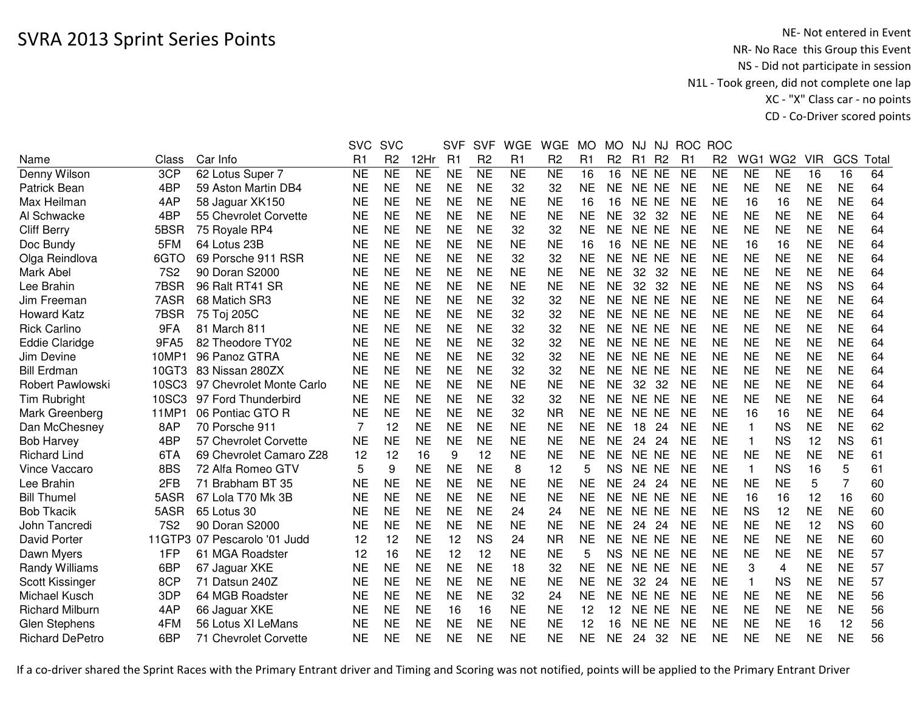|                        |            |                              | <b>SVC</b> | <b>SVC</b>             |                | <b>SVF</b> | <b>SVF</b>     | <b>WGE</b> | <b>WGE</b>          | <b>MO</b>      | <b>MO</b>      | <b>NJ</b> | <b>NJ</b>      |                | ROC ROC        |              |                 |            |           |       |
|------------------------|------------|------------------------------|------------|------------------------|----------------|------------|----------------|------------|---------------------|----------------|----------------|-----------|----------------|----------------|----------------|--------------|-----------------|------------|-----------|-------|
| Name                   | Class      | Car Info                     | R1         | R <sub>2</sub>         | 12Hr           | R1         | R <sub>2</sub> | R1         | R <sub>2</sub>      | R <sub>1</sub> | R <sub>2</sub> | R1        | R <sub>2</sub> | R <sub>1</sub> | R <sub>2</sub> | WG1          | WG <sub>2</sub> | <b>VIR</b> | GCS       | Total |
| Denny Wilson           | 3CP        | 62 Lotus Super 7             | <b>NE</b>  | $\overline{\text{NE}}$ | N <sub>E</sub> | <b>NE</b>  | N <sub>E</sub> | <b>NE</b>  | $\overline{\sf NE}$ | 16             | 16             | NE NE     |                | <b>NE</b>      | <b>NE</b>      | <b>NE</b>    | <b>NE</b>       | 16         | 16        | 64    |
| Patrick Bean           | 4BP        | 59 Aston Martin DB4          | <b>NE</b>  | <b>NE</b>              | <b>NE</b>      | <b>NE</b>  | <b>NE</b>      | 32         | 32                  | <b>NE</b>      | <b>NE</b>      | NE NE     |                | <b>NE</b>      | <b>NE</b>      | <b>NE</b>    | <b>NE</b>       | <b>NE</b>  | <b>NE</b> | 64    |
| Max Heilman            | 4AP        | 58 Jaguar XK150              | <b>NE</b>  | <b>NE</b>              | <b>NE</b>      | <b>NE</b>  | <b>NE</b>      | <b>NE</b>  | <b>NE</b>           | 16             | 16             | NE NE     |                | <b>NE</b>      | <b>NE</b>      | 16           | 16              | <b>NE</b>  | <b>NE</b> | 64    |
| Al Schwacke            | 4BP        | 55 Chevrolet Corvette        | <b>NE</b>  | <b>NE</b>              | <b>NE</b>      | <b>NE</b>  | <b>NE</b>      | <b>NE</b>  | <b>NE</b>           | <b>NE</b>      | <b>NE</b>      | 32        | 32             | <b>NE</b>      | <b>NE</b>      | <b>NE</b>    | <b>NE</b>       | <b>NE</b>  | <b>NE</b> | 64    |
| <b>Cliff Berry</b>     | 5BSR       | 75 Royale RP4                | <b>NE</b>  | <b>NE</b>              | <b>NE</b>      | <b>NE</b>  | <b>NE</b>      | 32         | 32                  | NE             | <b>NE</b>      | NE NE     |                | <b>NE</b>      | <b>NE</b>      | <b>NE</b>    | <b>NE</b>       | <b>NE</b>  | <b>NE</b> | 64    |
| Doc Bundy              | 5FM        | 64 Lotus 23B                 | NE         | <b>NE</b>              | <b>NE</b>      | <b>NE</b>  | <b>NE</b>      | <b>NE</b>  | <b>NE</b>           | 16             | 16             | NE NE     |                | <b>NE</b>      | NE             | 16           | 16              | <b>NE</b>  | <b>NE</b> | 64    |
| Olga Reindlova         | 6GTO       | 69 Porsche 911 RSR           | <b>NE</b>  | <b>NE</b>              | <b>NE</b>      | <b>NE</b>  | <b>NE</b>      | 32         | 32                  | <b>NE</b>      | <b>NE</b>      | NE NE     |                | <b>NE</b>      | <b>NE</b>      | <b>NE</b>    | <b>NE</b>       | <b>NE</b>  | <b>NE</b> | 64    |
| Mark Abel              | <b>7S2</b> | 90 Doran S2000               | <b>NE</b>  | <b>NE</b>              | <b>NE</b>      | <b>NE</b>  | <b>NE</b>      | <b>NE</b>  | <b>NE</b>           | <b>NE</b>      | <b>NE</b>      | 32        | 32             | <b>NE</b>      | <b>NE</b>      | <b>NE</b>    | <b>NE</b>       | <b>NE</b>  | <b>NE</b> | 64    |
| Lee Brahin             | 7BSR       | 96 Ralt RT41 SR              | <b>NE</b>  | <b>NE</b>              | <b>NE</b>      | <b>NE</b>  | <b>NE</b>      | <b>NE</b>  | <b>NE</b>           | <b>NE</b>      | <b>NE</b>      | 32        | 32             | <b>NE</b>      | <b>NE</b>      | <b>NE</b>    | <b>NE</b>       | <b>NS</b>  | <b>NS</b> | 64    |
| Jim Freeman            | 7ASR       | 68 Matich SR3                | <b>NE</b>  | <b>NE</b>              | <b>NE</b>      | <b>NE</b>  | <b>NE</b>      | 32         | 32                  | <b>NE</b>      | <b>NE</b>      | <b>NE</b> | <b>NE</b>      | <b>NE</b>      | <b>NE</b>      | <b>NE</b>    | <b>NE</b>       | <b>NE</b>  | <b>NE</b> | 64    |
| <b>Howard Katz</b>     | 7BSR       | 75 Toj 205C                  | <b>NE</b>  | <b>NE</b>              | <b>NE</b>      | <b>NE</b>  | <b>NE</b>      | 32         | 32                  | <b>NE</b>      | <b>NE</b>      | <b>NE</b> | <b>NE</b>      | <b>NE</b>      | <b>NE</b>      | <b>NE</b>    | <b>NE</b>       | <b>NE</b>  | <b>NE</b> | 64    |
| <b>Rick Carlino</b>    | 9FA        | 81 March 811                 | <b>NE</b>  | <b>NE</b>              | <b>NE</b>      | <b>NE</b>  | <b>NE</b>      | 32         | 32                  | <b>NE</b>      | <b>NE</b>      | <b>NE</b> | <b>NE</b>      | <b>NE</b>      | <b>NE</b>      | <b>NE</b>    | <b>NE</b>       | <b>NE</b>  | <b>NE</b> | 64    |
| <b>Eddie Claridge</b>  | 9FA5       | 82 Theodore TY02             | <b>NE</b>  | <b>NE</b>              | <b>NE</b>      | <b>NE</b>  | <b>NE</b>      | 32         | 32                  | <b>NE</b>      | <b>NE</b>      | NE.       | <b>NE</b>      | <b>NE</b>      | <b>NE</b>      | <b>NE</b>    | <b>NE</b>       | <b>NE</b>  | <b>NE</b> | 64    |
| Jim Devine             | 10MP1      | 96 Panoz GTRA                | <b>NE</b>  | <b>NE</b>              | <b>NE</b>      | <b>NE</b>  | <b>NE</b>      | 32         | 32                  | <b>NE</b>      | <b>NE</b>      | <b>NE</b> | <b>NE</b>      | <b>NE</b>      | <b>NE</b>      | <b>NE</b>    | <b>NE</b>       | <b>NE</b>  | <b>NE</b> | 64    |
| <b>Bill Erdman</b>     | 10GT3      | 83 Nissan 280ZX              | <b>NE</b>  | <b>NE</b>              | <b>NE</b>      | <b>NE</b>  | <b>NE</b>      | 32         | 32                  | <b>NE</b>      | <b>NE</b>      | <b>NE</b> | <b>NE</b>      | <b>NE</b>      | <b>NE</b>      | <b>NE</b>    | <b>NE</b>       | <b>NE</b>  | <b>NE</b> | 64    |
| Robert Pawlowski       | 10SC3      | 97 Chevrolet Monte Carlo     | <b>NE</b>  | <b>NE</b>              | <b>NE</b>      | <b>NE</b>  | <b>NE</b>      | <b>NE</b>  | <b>NE</b>           | <b>NE</b>      | <b>NE</b>      | 32        | 32             | <b>NE</b>      | <b>NE</b>      | <b>NE</b>    | <b>NE</b>       | <b>NE</b>  | <b>NE</b> | 64    |
| Tim Rubright           | 10SC3      | 97 Ford Thunderbird          | <b>NE</b>  | <b>NE</b>              | <b>NE</b>      | <b>NE</b>  | <b>NE</b>      | 32         | 32                  | <b>NE</b>      | <b>NE</b>      | NE NE     |                | <b>NE</b>      | <b>NE</b>      | <b>NE</b>    | <b>NE</b>       | <b>NE</b>  | <b>NE</b> | 64    |
| Mark Greenberg         | 11MP1      | 06 Pontiac GTO R             | <b>NE</b>  | <b>NE</b>              | <b>NE</b>      | <b>NE</b>  | <b>NE</b>      | 32         | <b>NR</b>           | <b>NE</b>      | <b>NE</b>      | NE NE     |                | <b>NE</b>      | <b>NE</b>      | 16           | 16              | <b>NE</b>  | <b>NE</b> | 64    |
| Dan McChesney          | 8AP        | 70 Porsche 911               | 7          | 12                     | <b>NE</b>      | <b>NE</b>  | <b>NE</b>      | <b>NE</b>  | <b>NE</b>           | <b>NE</b>      | <b>NE</b>      | 18        | 24             | <b>NE</b>      | <b>NE</b>      | $\mathbf{1}$ | <b>NS</b>       | <b>NE</b>  | <b>NE</b> | 62    |
| <b>Bob Harvey</b>      | 4BP        | 57 Chevrolet Corvette        | <b>NE</b>  | <b>NE</b>              | <b>NE</b>      | <b>NE</b>  | <b>NE</b>      | <b>NE</b>  | <b>NE</b>           | <b>NE</b>      | <b>NE</b>      | 24        | 24             | <b>NE</b>      | <b>NE</b>      | -1           | <b>NS</b>       | 12         | <b>NS</b> | 61    |
| <b>Richard Lind</b>    | 6TA        | 69 Chevrolet Camaro Z28      | 12         | 12                     | 16             | 9          | 12             | <b>NE</b>  | <b>NE</b>           | <b>NE</b>      | <b>NE</b>      | NE NE     |                | <b>NE</b>      | <b>NE</b>      | <b>NE</b>    | <b>NE</b>       | <b>NE</b>  | <b>NE</b> | 61    |
| Vince Vaccaro          | 8BS        | 72 Alfa Romeo GTV            | 5          | 9                      | <b>NE</b>      | <b>NE</b>  | <b>NE</b>      | 8          | 12                  | 5              | <b>NS</b>      | NE NE     |                | <b>NE</b>      | NE             | -1           | <b>NS</b>       | 16         | 5         | 61    |
| Lee Brahin             | 2FB        | 71 Brabham BT 35             | <b>NE</b>  | <b>NE</b>              | <b>NE</b>      | <b>NE</b>  | <b>NE</b>      | <b>NE</b>  | <b>NE</b>           | <b>NE</b>      | <b>NE</b>      | 24        | 24             | <b>NE</b>      | <b>NE</b>      | <b>NE</b>    | <b>NE</b>       | 5          | 7         | 60    |
| <b>Bill Thumel</b>     | 5ASR       | 67 Lola T70 Mk 3B            | <b>NE</b>  | <b>NE</b>              | <b>NE</b>      | <b>NE</b>  | <b>NE</b>      | <b>NE</b>  | <b>NE</b>           | <b>NE</b>      | <b>NE</b>      | NE NE     |                | <b>NE</b>      | <b>NE</b>      | 16           | 16              | 12         | 16        | 60    |
| <b>Bob Tkacik</b>      | 5ASR       | 65 Lotus 30                  | <b>NE</b>  | <b>NE</b>              | <b>NE</b>      | <b>NE</b>  | <b>NE</b>      | 24         | 24                  | <b>NE</b>      | <b>NE</b>      | NE NE     |                | <b>NE</b>      | <b>NE</b>      | <b>NS</b>    | 12              | <b>NE</b>  | <b>NE</b> | 60    |
| John Tancredi          | <b>7S2</b> | 90 Doran S2000               | <b>NE</b>  | <b>NE</b>              | <b>NE</b>      | <b>NE</b>  | <b>NE</b>      | <b>NE</b>  | <b>NE</b>           | <b>NE</b>      | <b>NE</b>      | 24        | 24             | <b>NE</b>      | <b>NE</b>      | <b>NE</b>    | <b>NE</b>       | 12         | <b>NS</b> | 60    |
| David Porter           |            | 11GTP3 07 Pescarolo '01 Judd | 12         | 12                     | <b>NE</b>      | 12         | <b>NS</b>      | 24         | <b>NR</b>           | <b>NE</b>      | <b>NE</b>      | NE NE     |                | <b>NE</b>      | <b>NE</b>      | <b>NE</b>    | <b>NE</b>       | <b>NE</b>  | <b>NE</b> | 60    |
| Dawn Myers             | 1FP        | 61 MGA Roadster              | 12         | 16                     | <b>NE</b>      | 12         | 12             | <b>NE</b>  | <b>NE</b>           | 5              | <b>NS</b>      | NE NE     |                | <b>NE</b>      | <b>NE</b>      | <b>NE</b>    | <b>NE</b>       | <b>NE</b>  | <b>NE</b> | 57    |
| Randy Williams         | 6BP        | 67 Jaguar XKE                | <b>NE</b>  | <b>NE</b>              | <b>NE</b>      | <b>NE</b>  | <b>NE</b>      | 18         | 32                  | <b>NE</b>      | <b>NE</b>      | <b>NE</b> | <b>NE</b>      | <b>NE</b>      | <b>NE</b>      | 3            | 4               | <b>NE</b>  | <b>NE</b> | 57    |
| Scott Kissinger        | 8CP        | 71 Datsun 240Z               | <b>NE</b>  | <b>NE</b>              | <b>NE</b>      | <b>NE</b>  | <b>NE</b>      | <b>NE</b>  | <b>NE</b>           | <b>NE</b>      | <b>NE</b>      | 32        | 24             | <b>NE</b>      | <b>NE</b>      | $\mathbf{1}$ | <b>NS</b>       | <b>NE</b>  | <b>NE</b> | 57    |
| Michael Kusch          | 3DP        | 64 MGB Roadster              | <b>NE</b>  | <b>NE</b>              | <b>NE</b>      | <b>NE</b>  | <b>NE</b>      | 32         | 24                  | NE             | <b>NE</b>      | NE NE     |                | <b>NE</b>      | <b>NE</b>      | NE           | <b>NE</b>       | <b>NE</b>  | <b>NE</b> | 56    |
| <b>Richard Milburn</b> | 4AP        | 66 Jaguar XKE                | <b>NE</b>  | <b>NE</b>              | <b>NE</b>      | 16         | 16             | <b>NE</b>  | <b>NE</b>           | 12             | 12             | <b>NE</b> | <b>NE</b>      | <b>NE</b>      | <b>NE</b>      | <b>NE</b>    | <b>NE</b>       | <b>NE</b>  | <b>NE</b> | 56    |
| <b>Glen Stephens</b>   | 4FM        | 56 Lotus XI LeMans           | <b>NE</b>  | <b>NE</b>              | <b>NE</b>      | <b>NE</b>  | <b>NE</b>      | <b>NE</b>  | <b>NE</b>           | 12             | 16             | <b>NE</b> | <b>NE</b>      | <b>NE</b>      | <b>NE</b>      | <b>NE</b>    | <b>NE</b>       | 16         | 12        | 56    |
| <b>Richard DePetro</b> | 6BP        | 71 Chevrolet Corvette        | NE         | <b>NE</b>              | <b>NE</b>      | <b>NE</b>  | <b>NE</b>      | <b>NE</b>  | <b>NE</b>           | <b>NE</b>      | <b>NE</b>      | 24        | 32             | <b>NE</b>      | <b>NE</b>      | <b>NE</b>    | <b>NE</b>       | <b>NE</b>  | <b>NE</b> | 56    |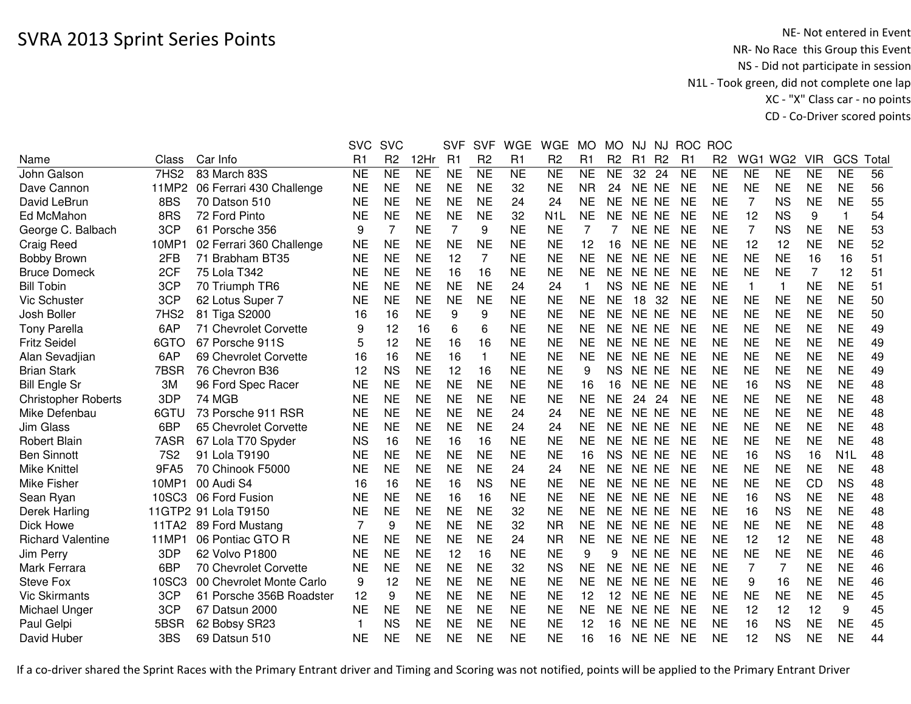|                            |                  |                          | <b>SVC</b>  | <b>SVC</b>     |           | <b>SVF</b>     | <b>SVF</b>     | <b>WGE</b>     | <b>WGE</b>     | <b>MO</b>    | <b>MO</b>      | <b>NJ</b> | <b>NJ</b>      | <b>ROC</b>     | <b>ROC</b>     |                |                 |            |                  |      |
|----------------------------|------------------|--------------------------|-------------|----------------|-----------|----------------|----------------|----------------|----------------|--------------|----------------|-----------|----------------|----------------|----------------|----------------|-----------------|------------|------------------|------|
| Name                       | Class            | Car Info                 | R1          | R <sub>2</sub> | 12Hr      | R <sub>1</sub> | R <sub>2</sub> | R <sub>1</sub> | R <sub>2</sub> | R1           | R <sub>2</sub> | R1        | R <sub>2</sub> | R <sub>1</sub> | R <sub>2</sub> | WG1            | WG <sub>2</sub> | <b>VIR</b> | GCS              | Tota |
| John Galson                | 7HS <sub>2</sub> | 83 March 83S             | <b>NE</b>   | <b>NE</b>      | NE        | <b>NE</b>      | <b>NE</b>      | <b>NE</b>      | <b>NE</b>      | <b>NE</b>    | <b>NE</b>      | 32        | 24             | <b>NE</b>      | <b>NE</b>      | <b>NE</b>      | <b>NE</b>       | <b>NE</b>  | <b>NE</b>        | 56   |
| Dave Cannon                | 11MP2            | 06 Ferrari 430 Challenge | <b>NE</b>   | <b>NE</b>      | <b>NE</b> | <b>NE</b>      | <b>NE</b>      | 32             | <b>NE</b>      | <b>NR</b>    | 24             | NE NE     |                | <b>NE</b>      | <b>NE</b>      | <b>NE</b>      | <b>NE</b>       | <b>NE</b>  | <b>NE</b>        | 56   |
| David LeBrun               | 8BS              | 70 Datson 510            | <b>NE</b>   | <b>NE</b>      | <b>NE</b> | <b>NE</b>      | <b>NE</b>      | 24             | 24             | <b>NE</b>    | <b>NE</b>      | NE NE     |                | <b>NE</b>      | <b>NE</b>      | 7              | <b>NS</b>       | <b>NE</b>  | <b>NE</b>        | 55   |
| Ed McMahon                 | 8RS              | 72 Ford Pinto            | <b>NE</b>   | <b>NE</b>      | <b>NE</b> | <b>NE</b>      | <b>NE</b>      | 32             | N <sub>1</sub> | <b>NE</b>    | NE             | NE NE     |                | <b>NE</b>      | <b>NE</b>      | 12             | <b>NS</b>       | 9          |                  | 54   |
| George C. Balbach          | 3CP              | 61 Porsche 356           | 9           | 7              | <b>NE</b> | $\overline{7}$ | 9              | <b>NE</b>      | <b>NE</b>      | 7            | 7              | NE NE     |                | <b>NE</b>      | <b>NE</b>      | $\overline{7}$ | <b>NS</b>       | <b>NE</b>  | <b>NE</b>        | 53   |
| <b>Craig Reed</b>          | 10MP1            | 02 Ferrari 360 Challenge | <b>NE</b>   | <b>NE</b>      | <b>NE</b> | <b>NE</b>      | <b>NE</b>      | <b>NE</b>      | <b>NE</b>      | 12           | 16             | NE NE     |                | <b>NE</b>      | <b>NE</b>      | 12             | 12              | <b>NE</b>  | <b>NE</b>        | 52   |
| <b>Bobby Brown</b>         | 2FB              | 71 Brabham BT35          | <b>NE</b>   | <b>NE</b>      | <b>NE</b> | 12             | $\overline{7}$ | <b>NE</b>      | <b>NE</b>      | <b>NE</b>    | <b>NE</b>      | NE NE     |                | <b>NE</b>      | <b>NE</b>      | <b>NE</b>      | <b>NE</b>       | 16         | 16               | 51   |
| <b>Bruce Domeck</b>        | 2CF              | 75 Lola T342             | <b>NE</b>   | <b>NE</b>      | <b>NE</b> | 16             | 16             | <b>NE</b>      | <b>NE</b>      | <b>NE</b>    | <b>NE</b>      | NE NE     |                | <b>NE</b>      | <b>NE</b>      | <b>NE</b>      | <b>NE</b>       | 7          | 12               | 51   |
| <b>Bill Tobin</b>          | 3CP              | 70 Triumph TR6           | <b>NE</b>   | <b>NE</b>      | <b>NE</b> | <b>NE</b>      | <b>NE</b>      | 24             | 24             | $\mathbf{1}$ | <b>NS</b>      | NE NE     |                | <b>NE</b>      | <b>NE</b>      | $\overline{1}$ | $\mathbf{1}$    | <b>NE</b>  | <b>NE</b>        | 51   |
| Vic Schuster               | 3CP              | 62 Lotus Super 7         | <b>NE</b>   | <b>NE</b>      | <b>NE</b> | <b>NE</b>      | <b>NE</b>      | <b>NE</b>      | <b>NE</b>      | <b>NE</b>    | NE             | 18        | 32             | <b>NE</b>      | <b>NE</b>      | <b>NE</b>      | <b>NE</b>       | <b>NE</b>  | <b>NE</b>        | 50   |
| Josh Boller                | 7HS <sub>2</sub> | 81 Tiga S2000            | 16          | 16             | <b>NE</b> | 9              | 9              | <b>NE</b>      | <b>NE</b>      | <b>NE</b>    | <b>NE</b>      | NE NE     |                | <b>NE</b>      | <b>NE</b>      | <b>NE</b>      | <b>NE</b>       | <b>NE</b>  | <b>NE</b>        | 50   |
| <b>Tony Parella</b>        | 6AP              | 71 Chevrolet Corvette    | 9           | 12             | 16        | 6              | 6              | <b>NE</b>      | <b>NE</b>      | <b>NE</b>    | <b>NE</b>      | NE NE     |                | <b>NE</b>      | <b>NE</b>      | <b>NE</b>      | <b>NE</b>       | <b>NE</b>  | <b>NE</b>        | 49   |
| <b>Fritz Seidel</b>        | 6GTO             | 67 Porsche 911S          | 5           | 12             | <b>NE</b> | 16             | 16             | <b>NE</b>      | <b>NE</b>      | <b>NE</b>    | <b>NE</b>      | NE NE     |                | <b>NE</b>      | <b>NE</b>      | <b>NE</b>      | <b>NE</b>       | <b>NE</b>  | <b>NE</b>        | 49   |
| Alan Sevadjian             | 6AP              | 69 Chevrolet Corvette    | 16          | 16             | <b>NE</b> | 16             | $\mathbf{1}$   | <b>NE</b>      | <b>NE</b>      | <b>NE</b>    | <b>NE</b>      | NE NE     |                | <b>NE</b>      | <b>NE</b>      | <b>NE</b>      | <b>NE</b>       | <b>NE</b>  | <b>NE</b>        | 49   |
| <b>Brian Stark</b>         | 7BSR             | 76 Chevron B36           | 12          | <b>NS</b>      | <b>NE</b> | 12             | 16             | <b>NE</b>      | <b>NE</b>      | 9            | <b>NS</b>      | NE NE     |                | <b>NE</b>      | <b>NE</b>      | <b>NE</b>      | <b>NE</b>       | <b>NE</b>  | <b>NE</b>        | 49   |
| <b>Bill Engle Sr</b>       | 3M               | 96 Ford Spec Racer       | <b>NE</b>   | <b>NE</b>      | <b>NE</b> | <b>NE</b>      | <b>NE</b>      | <b>NE</b>      | <b>NE</b>      | 16           | 16             | NE NE     |                | <b>NE</b>      | <b>NE</b>      | 16             | <b>NS</b>       | <b>NE</b>  | <b>NE</b>        | 48   |
| <b>Christopher Roberts</b> | 3DP              | <b>74 MGB</b>            | <b>NE</b>   | <b>NE</b>      | <b>NE</b> | <b>NE</b>      | <b>NE</b>      | <b>NE</b>      | <b>NE</b>      | <b>NE</b>    | <b>NE</b>      | 24        | 24             | <b>NE</b>      | <b>NE</b>      | <b>NE</b>      | <b>NE</b>       | <b>NE</b>  | <b>NE</b>        | 48   |
| Mike Defenbau              | 6GTU             | 73 Porsche 911 RSR       | <b>NE</b>   | <b>NE</b>      | <b>NE</b> | <b>NE</b>      | <b>NE</b>      | 24             | 24             | <b>NE</b>    | <b>NE</b>      | NE NE     |                | <b>NE</b>      | <b>NE</b>      | <b>NE</b>      | <b>NE</b>       | <b>NE</b>  | <b>NE</b>        | 48   |
| Jim Glass                  | 6BP              | 65 Chevrolet Corvette    | <b>NE</b>   | <b>NE</b>      | <b>NE</b> | <b>NE</b>      | <b>NE</b>      | 24             | 24             | <b>NE</b>    | <b>NE</b>      | NE NE     |                | <b>NE</b>      | <b>NE</b>      | <b>NE</b>      | <b>NE</b>       | <b>NE</b>  | <b>NE</b>        | 48   |
| <b>Robert Blain</b>        | 7ASR             | 67 Lola T70 Spyder       | <b>NS</b>   | 16             | <b>NE</b> | 16             | 16             | <b>NE</b>      | <b>NE</b>      | <b>NE</b>    | <b>NE</b>      | NE NE     |                | <b>NE</b>      | <b>NE</b>      | <b>NE</b>      | <b>NE</b>       | <b>NE</b>  | <b>NE</b>        | 48   |
| <b>Ben Sinnott</b>         | <b>7S2</b>       | 91 Lola T9190            | <b>NE</b>   | <b>NE</b>      | <b>NE</b> | <b>NE</b>      | <b>NE</b>      | <b>NE</b>      | <b>NE</b>      | 16           | <b>NS</b>      | NE NE     |                | <b>NE</b>      | <b>NE</b>      | 16             | <b>NS</b>       | 16         | N <sub>1</sub> L | 48   |
| <b>Mike Knittel</b>        | 9FA5             | 70 Chinook F5000         | <b>NE</b>   | <b>NE</b>      | <b>NE</b> | <b>NE</b>      | <b>NE</b>      | 24             | 24             | <b>NE</b>    | NE             | NE NE     |                | <b>NE</b>      | <b>NE</b>      | <b>NE</b>      | <b>NE</b>       | <b>NE</b>  | <b>NE</b>        | 48   |
| Mike Fisher                | 10MP1            | 00 Audi S4               | 16          | 16             | <b>NE</b> | 16             | <b>NS</b>      | <b>NE</b>      | NE             | <b>NE</b>    | <b>NE</b>      | NE NE     |                | <b>NE</b>      | <b>NE</b>      | <b>NE</b>      | <b>NE</b>       | CD         | <b>NS</b>        | 48   |
| Sean Ryan                  | 10SC3            | 06 Ford Fusion           | <b>NE</b>   | <b>NE</b>      | <b>NE</b> | 16             | 16             | <b>NE</b>      | <b>NE</b>      | <b>NE</b>    | <b>NE</b>      | NE NE     |                | <b>NE</b>      | <b>NE</b>      | 16             | <b>NS</b>       | <b>NE</b>  | <b>NE</b>        | 48   |
| Derek Harling              |                  | 11GTP2 91 Lola T9150     | <b>NE</b>   | <b>NE</b>      | <b>NE</b> | <b>NE</b>      | <b>NE</b>      | 32             | <b>NE</b>      | <b>NE</b>    | <b>NE</b>      | NE NE     |                | <b>NE</b>      | <b>NE</b>      | 16             | <b>NS</b>       | <b>NE</b>  | <b>NE</b>        | 48   |
| Dick Howe                  | 11TA2            | 89 Ford Mustang          | 7           | 9              | <b>NE</b> | <b>NE</b>      | <b>NE</b>      | 32             | <b>NR</b>      | <b>NE</b>    | <b>NE</b>      | NE NE     |                | <b>NE</b>      | <b>NE</b>      | <b>NE</b>      | <b>NE</b>       | <b>NE</b>  | <b>NE</b>        | 48   |
| <b>Richard Valentine</b>   | 11MP1            | 06 Pontiac GTO R         | <b>NE</b>   | <b>NE</b>      | <b>NE</b> | <b>NE</b>      | <b>NE</b>      | 24             | <b>NR</b>      | <b>NE</b>    | <b>NE</b>      | NE NE     |                | <b>NE</b>      | <b>NE</b>      | 12             | 12              | <b>NE</b>  | <b>NE</b>        | 48   |
| Jim Perry                  | 3DP              | 62 Volvo P1800           | <b>NE</b>   | <b>NE</b>      | <b>NE</b> | 12             | 16             | <b>NE</b>      | <b>NE</b>      | 9            | 9              | NE NE     |                | <b>NE</b>      | <b>NE</b>      | <b>NE</b>      | <b>NE</b>       | <b>NE</b>  | <b>NE</b>        | 46   |
| Mark Ferrara               | 6BP              | 70 Chevrolet Corvette    | <b>NE</b>   | <b>NE</b>      | <b>NE</b> | <b>NE</b>      | <b>NE</b>      | 32             | <b>NS</b>      | <b>NE</b>    | <b>NE</b>      | NE NE     |                | <b>NE</b>      | <b>NE</b>      | 7              | 7               | <b>NE</b>  | <b>NE</b>        | 46   |
| <b>Steve Fox</b>           | 10SC3            | 00 Chevrolet Monte Carlo | 9           | 12             | <b>NE</b> | <b>NE</b>      | <b>NE</b>      | <b>NE</b>      | <b>NE</b>      | <b>NE</b>    | NE             | NE NE     |                | <b>NE</b>      | <b>NE</b>      | 9              | 16              | <b>NE</b>  | <b>NE</b>        | 46   |
| <b>Vic Skirmants</b>       | 3CP              | 61 Porsche 356B Roadster | 12          | 9              | <b>NE</b> | <b>NE</b>      | <b>NE</b>      | <b>NE</b>      | <b>NE</b>      | 12           | 12             | NE NE     |                | <b>NE</b>      | <b>NE</b>      | <b>NE</b>      | <b>NE</b>       | <b>NE</b>  | <b>NE</b>        | 45   |
| Michael Unger              | 3CP              | 67 Datsun 2000           | <b>NE</b>   | <b>NE</b>      | <b>NE</b> | <b>NE</b>      | <b>NE</b>      | <b>NE</b>      | <b>NE</b>      | <b>NE</b>    | <b>NE</b>      | NE NE     |                | <b>NE</b>      | <b>NE</b>      | 12             | 12              | 12         | 9                | 45   |
| Paul Gelpi                 | 5BSR             | 62 Bobsy SR23            | $\mathbf 1$ | <b>NS</b>      | <b>NE</b> | <b>NE</b>      | <b>NE</b>      | <b>NE</b>      | <b>NE</b>      | 12           | 16             | NE        | <b>NE</b>      | <b>NE</b>      | <b>NE</b>      | 16             | <b>NS</b>       | <b>NE</b>  | <b>NE</b>        | 45   |
| David Huber                | 3BS              | 69 Datsun 510            | <b>NE</b>   | <b>NE</b>      | <b>NE</b> | <b>NE</b>      | <b>NE</b>      | <b>NE</b>      | <b>NE</b>      | 16           | 16             | NE NE     |                | <b>NE</b>      | <b>NE</b>      | 12             | <b>NS</b>       | <b>NE</b>  | <b>NE</b>        | 44   |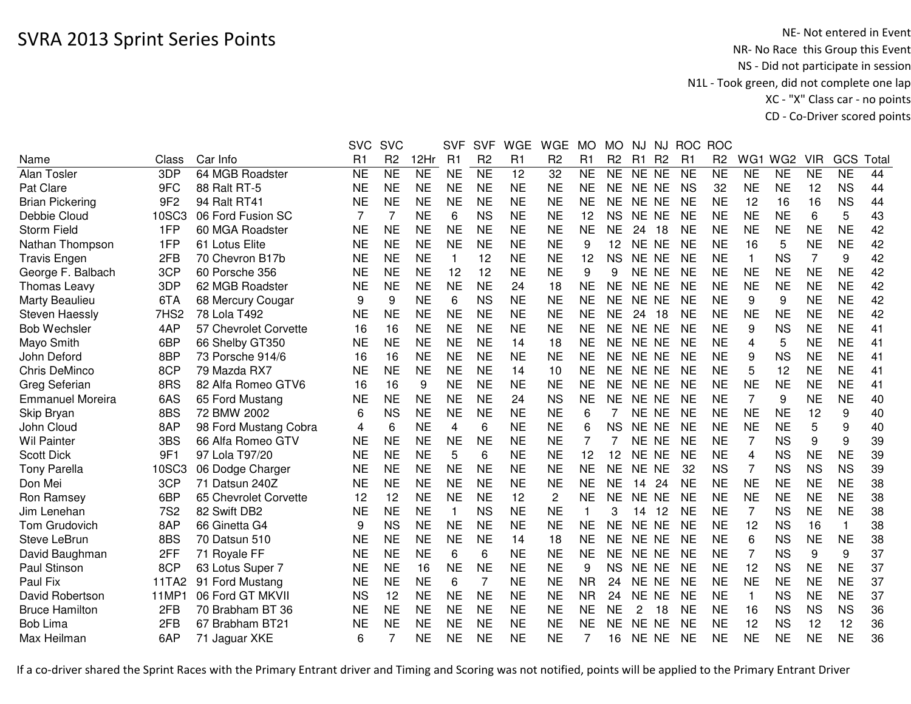|                         |                 |                       | <b>SVC</b> | <b>SVC</b>          |                        | <b>SVF</b>     | <b>SVF</b>     | <b>WGE</b> | <b>WGE</b>      | <b>MO</b>              | <b>MO</b>      | NJ.            | NJ             | <b>ROC</b>     | <b>ROC</b>     |                |                        |                     |                |                 |
|-------------------------|-----------------|-----------------------|------------|---------------------|------------------------|----------------|----------------|------------|-----------------|------------------------|----------------|----------------|----------------|----------------|----------------|----------------|------------------------|---------------------|----------------|-----------------|
| Name                    | Class           | Car Info              | R1         | R <sub>2</sub>      | 12Hr                   | R <sub>1</sub> | R <sub>2</sub> | R1         | R <sub>2</sub>  | R <sub>1</sub>         | R <sub>2</sub> | R1             | R <sub>2</sub> | R <sub>1</sub> | R <sub>2</sub> | WG1            | WG <sub>2</sub>        | <b>VIR</b>          | GCS            | Tota            |
| Alan Tosler             | 3DP             | 64 MGB Roadster       | <b>NE</b>  | $\overline{\sf NE}$ | $\overline{\text{NE}}$ | <b>NE</b>      | N <sub>E</sub> | 12         | $\overline{32}$ | $\overline{\text{NE}}$ | <b>NE</b>      | NE NE          |                | <b>NE</b>      | <b>NE</b>      | <b>NE</b>      | $\overline{\text{NE}}$ | $\overline{\sf NE}$ | N <sub>E</sub> | $\overline{44}$ |
| Pat Clare               | 9FC             | 88 Ralt RT-5          | <b>NE</b>  | <b>NE</b>           | <b>NE</b>              | <b>NE</b>      | <b>NE</b>      | <b>NE</b>  | <b>NE</b>       | <b>NE</b>              | <b>NE</b>      | NE NE          |                | <b>NS</b>      | 32             | <b>NE</b>      | <b>NE</b>              | 12                  | <b>NS</b>      | 44              |
| <b>Brian Pickering</b>  | 9F <sub>2</sub> | 94 Ralt RT41          | <b>NE</b>  | <b>NE</b>           | <b>NE</b>              | <b>NE</b>      | <b>NE</b>      | <b>NE</b>  | <b>NE</b>       | <b>NE</b>              | <b>NE</b>      | NE NE          |                | <b>NE</b>      | <b>NE</b>      | 12             | 16                     | 16                  | <b>NS</b>      | 44              |
| Debbie Cloud            | 10SC3           | 06 Ford Fusion SC     | 7          | 7                   | <b>NE</b>              | 6              | <b>NS</b>      | <b>NE</b>  | <b>NE</b>       | 12                     | <b>NS</b>      | NE NE          |                | <b>NE</b>      | <b>NE</b>      | <b>NE</b>      | <b>NE</b>              | 6                   | 5              | 43              |
| <b>Storm Field</b>      | 1FP             | 60 MGA Roadster       | <b>NE</b>  | <b>NE</b>           | <b>NE</b>              | <b>NE</b>      | <b>NE</b>      | <b>NE</b>  | <b>NE</b>       | <b>NE</b>              | <b>NE</b>      | 24             | 18             | <b>NE</b>      | <b>NE</b>      | <b>NE</b>      | <b>NE</b>              | <b>NE</b>           | <b>NE</b>      | 42              |
| Nathan Thompson         | 1FP             | 61 Lotus Elite        | <b>NE</b>  | <b>NE</b>           | <b>NE</b>              | <b>NE</b>      | <b>NE</b>      | <b>NE</b>  | <b>NE</b>       | 9                      | 12             | NE NE          |                | <b>NE</b>      | <b>NE</b>      | 16             | 5                      | <b>NE</b>           | <b>NE</b>      | 42              |
| <b>Travis Engen</b>     | 2FB             | 70 Chevron B17b       | <b>NE</b>  | <b>NE</b>           | <b>NE</b>              | $\mathbf{1}$   | 12             | <b>NE</b>  | <b>NE</b>       | 12                     | <b>NS</b>      | NE NE          |                | <b>NE</b>      | <b>NE</b>      | $\overline{1}$ | <b>NS</b>              | 7                   | 9              | 42              |
| George F. Balbach       | 3CP             | 60 Porsche 356        | <b>NE</b>  | <b>NE</b>           | <b>NE</b>              | 12             | 12             | <b>NE</b>  | <b>NE</b>       | 9                      | 9              | NE NE          |                | <b>NE</b>      | <b>NE</b>      | <b>NE</b>      | <b>NE</b>              | <b>NE</b>           | <b>NE</b>      | 42              |
| Thomas Leavy            | 3DP             | 62 MGB Roadster       | <b>NE</b>  | <b>NE</b>           | <b>NE</b>              | <b>NE</b>      | <b>NE</b>      | 24         | 18              | <b>NE</b>              | <b>NE</b>      | NE NE          |                | <b>NE</b>      | <b>NE</b>      | <b>NE</b>      | <b>NE</b>              | <b>NE</b>           | <b>NE</b>      | 42              |
| Marty Beaulieu          | 6TA             | 68 Mercury Cougar     | 9          | 9                   | <b>NE</b>              | 6              | <b>NS</b>      | <b>NE</b>  | <b>NE</b>       | <b>NE</b>              | <b>NE</b>      | NE NE          |                | <b>NE</b>      | <b>NE</b>      | 9              | 9                      | <b>NE</b>           | <b>NE</b>      | 42              |
| <b>Steven Haessly</b>   | 7HS2            | 78 Lola T492          | <b>NE</b>  | <b>NE</b>           | <b>NE</b>              | <b>NE</b>      | <b>NE</b>      | <b>NE</b>  | <b>NE</b>       | <b>NE</b>              | <b>NE</b>      | 24             | 18             | <b>NE</b>      | <b>NE</b>      | <b>NE</b>      | <b>NE</b>              | <b>NE</b>           | <b>NE</b>      | 42              |
| <b>Bob Wechsler</b>     | 4AP             | 57 Chevrolet Corvette | 16         | 16                  | <b>NE</b>              | <b>NE</b>      | <b>NE</b>      | <b>NE</b>  | <b>NE</b>       | <b>NE</b>              | <b>NE</b>      | NE.            | <b>NE</b>      | <b>NE</b>      | <b>NE</b>      | 9              | <b>NS</b>              | <b>NE</b>           | <b>NE</b>      | 41              |
| Mayo Smith              | 6BP             | 66 Shelby GT350       | <b>NE</b>  | <b>NE</b>           | <b>NE</b>              | <b>NE</b>      | <b>NE</b>      | 14         | 18              | <b>NE</b>              | <b>NE</b>      | <b>NE</b>      | <b>NE</b>      | <b>NE</b>      | <b>NE</b>      | 4              | 5                      | <b>NE</b>           | <b>NE</b>      | 41              |
| John Deford             | 8BP             | 73 Porsche 914/6      | 16         | 16                  | <b>NE</b>              | <b>NE</b>      | <b>NE</b>      | <b>NE</b>  | <b>NE</b>       | <b>NE</b>              | <b>NE</b>      | NE NE          |                | <b>NE</b>      | <b>NE</b>      | 9              | <b>NS</b>              | <b>NE</b>           | <b>NE</b>      | 41              |
| Chris DeMinco           | 8CP             | 79 Mazda RX7          | <b>NE</b>  | <b>NE</b>           | <b>NE</b>              | <b>NE</b>      | <b>NE</b>      | 14         | 10              | <b>NE</b>              | <b>NE</b>      | NE NE          |                | <b>NE</b>      | <b>NE</b>      | 5              | 12                     | <b>NE</b>           | <b>NE</b>      | 41              |
| Greg Seferian           | 8RS             | 82 Alfa Romeo GTV6    | 16         | 16                  | 9                      | <b>NE</b>      | <b>NE</b>      | <b>NE</b>  | <b>NE</b>       | <b>NE</b>              | <b>NE</b>      | NE NE          |                | <b>NE</b>      | <b>NE</b>      | <b>NE</b>      | <b>NE</b>              | <b>NE</b>           | <b>NE</b>      | 41              |
| <b>Emmanuel Moreira</b> | 6AS             | 65 Ford Mustang       | <b>NE</b>  | <b>NE</b>           | <b>NE</b>              | <b>NE</b>      | <b>NE</b>      | 24         | <b>NS</b>       | <b>NE</b>              | <b>NE</b>      | NE NE          |                | <b>NE</b>      | <b>NE</b>      | $\overline{7}$ | 9                      | <b>NE</b>           | <b>NE</b>      | 40              |
| Skip Bryan              | 8BS             | 72 BMW 2002           | 6          | <b>NS</b>           | <b>NE</b>              | <b>NE</b>      | <b>NE</b>      | <b>NE</b>  | <b>NE</b>       | 6                      |                | NE NE          |                | <b>NE</b>      | <b>NE</b>      | <b>NE</b>      | <b>NE</b>              | 12                  | 9              | 40              |
| John Cloud              | 8AP             | 98 Ford Mustang Cobra | 4          | 6                   | <b>NE</b>              | 4              | 6              | <b>NE</b>  | <b>NE</b>       | 6                      | <b>NS</b>      | <b>NE</b>      | <b>NE</b>      | <b>NE</b>      | <b>NE</b>      | <b>NE</b>      | <b>NE</b>              | 5                   | 9              | 40              |
| <b>Wil Painter</b>      | 3BS             | 66 Alfa Romeo GTV     | <b>NE</b>  | <b>NE</b>           | <b>NE</b>              | <b>NE</b>      | <b>NE</b>      | <b>NE</b>  | <b>NE</b>       | 7                      |                | NE             | <b>NE</b>      | <b>NE</b>      | <b>NE</b>      | 7              | <b>NS</b>              | 9                   | 9              | 39              |
| <b>Scott Dick</b>       | 9F1             | 97 Lola T97/20        | <b>NE</b>  | <b>NE</b>           | <b>NE</b>              | 5              | 6              | <b>NE</b>  | <b>NE</b>       | 12                     | 12             | NE NE          |                | <b>NE</b>      | <b>NE</b>      | 4              | <b>NS</b>              | <b>NE</b>           | <b>NE</b>      | 39              |
| <b>Tony Parella</b>     | 10SC3           | 06 Dodge Charger      | <b>NE</b>  | <b>NE</b>           | <b>NE</b>              | <b>NE</b>      | <b>NE</b>      | <b>NE</b>  | <b>NE</b>       | <b>NE</b>              | <b>NE</b>      | NE NE          |                | 32             | <b>NS</b>      | 7              | <b>NS</b>              | <b>NS</b>           | <b>NS</b>      | 39              |
| Don Mei                 | 3CP             | 71 Datsun 240Z        | <b>NE</b>  | <b>NE</b>           | <b>NE</b>              | <b>NE</b>      | <b>NE</b>      | <b>NE</b>  | <b>NE</b>       | <b>NE</b>              | <b>NE</b>      | 14             | 24             | <b>NE</b>      | <b>NE</b>      | <b>NE</b>      | <b>NE</b>              | <b>NE</b>           | <b>NE</b>      | 38              |
| Ron Ramsey              | 6BP             | 65 Chevrolet Corvette | 12         | 12                  | <b>NE</b>              | <b>NE</b>      | <b>NE</b>      | 12         | $\overline{c}$  | <b>NE</b>              | <b>NE</b>      | NE NE          |                | <b>NE</b>      | <b>NE</b>      | <b>NE</b>      | <b>NE</b>              | <b>NE</b>           | <b>NE</b>      | 38              |
| Jim Lenehan             | <b>7S2</b>      | 82 Swift DB2          | <b>NE</b>  | <b>NE</b>           | <b>NE</b>              | $\mathbf{1}$   | <b>NS</b>      | <b>NE</b>  | <b>NE</b>       | $\mathbf{1}$           | 3              | 14             | 12             | <b>NE</b>      | <b>NE</b>      | $\overline{7}$ | <b>NS</b>              | <b>NE</b>           | <b>NE</b>      | 38              |
| Tom Grudovich           | 8AP             | 66 Ginetta G4         | 9          | <b>NS</b>           | <b>NE</b>              | <b>NE</b>      | <b>NE</b>      | <b>NE</b>  | <b>NE</b>       | <b>NE</b>              | <b>NE</b>      | <b>NE</b>      | <b>NE</b>      | <b>NE</b>      | <b>NE</b>      | 12             | <b>NS</b>              | 16                  |                | 38              |
| Steve LeBrun            | 8BS             | 70 Datsun 510         | <b>NE</b>  | <b>NE</b>           | <b>NE</b>              | <b>NE</b>      | <b>NE</b>      | 14         | 18              | <b>NE</b>              | <b>NE</b>      | <b>NE</b>      | <b>NE</b>      | <b>NE</b>      | <b>NE</b>      | 6              | <b>NS</b>              | <b>NE</b>           | <b>NE</b>      | 38              |
| David Baughman          | 2FF             | 71 Royale FF          | <b>NE</b>  | <b>NE</b>           | <b>NE</b>              | 6              | 6              | <b>NE</b>  | <b>NE</b>       | <b>NE</b>              | <b>NE</b>      | NE NE          |                | <b>NE</b>      | <b>NE</b>      | $\overline{7}$ | <b>NS</b>              | 9                   | 9              | 37              |
| Paul Stinson            | 8CP             | 63 Lotus Super 7      | <b>NE</b>  | <b>NE</b>           | 16                     | <b>NE</b>      | <b>NE</b>      | <b>NE</b>  | <b>NE</b>       | 9                      | <b>NS</b>      | NE NE          |                | <b>NE</b>      | <b>NE</b>      | 12             | <b>NS</b>              | <b>NE</b>           | <b>NE</b>      | 37              |
| Paul Fix                | 11TA2           | 91 Ford Mustang       | <b>NE</b>  | <b>NE</b>           | <b>NE</b>              | 6              | $\overline{7}$ | <b>NE</b>  | <b>NE</b>       | <b>NR</b>              | 24             | NE NE          |                | <b>NE</b>      | <b>NE</b>      | <b>NE</b>      | <b>NE</b>              | <b>NE</b>           | <b>NE</b>      | 37              |
| David Robertson         | 11MP1           | 06 Ford GT MKVII      | <b>NS</b>  | 12                  | <b>NE</b>              | <b>NE</b>      | <b>NE</b>      | <b>NE</b>  | <b>NE</b>       | <b>NR</b>              | 24             | NE NE          |                | <b>NE</b>      | <b>NE</b>      | $\overline{1}$ | <b>NS</b>              | <b>NE</b>           | <b>NE</b>      | 37              |
| <b>Bruce Hamilton</b>   | 2FB             | 70 Brabham BT 36      | <b>NE</b>  | <b>NE</b>           | <b>NE</b>              | <b>NE</b>      | <b>NE</b>      | <b>NE</b>  | <b>NE</b>       | <b>NE</b>              | <b>NE</b>      | $\overline{2}$ | 18             | <b>NE</b>      | <b>NE</b>      | 16             | <b>NS</b>              | <b>NS</b>           | <b>NS</b>      | 36              |
| <b>Bob Lima</b>         | 2FB             | 67 Brabham BT21       | NE         | <b>NE</b>           | <b>NE</b>              | <b>NE</b>      | <b>NE</b>      | <b>NE</b>  | <b>NE</b>       | <b>NE</b>              | <b>NE</b>      | NE             | <b>NE</b>      | <b>NE</b>      | <b>NE</b>      | 12             | <b>NS</b>              | 12                  | 12             | 36              |
| Max Heilman             | 6AP             | 71 Jaguar XKE         | 6          | 7                   | NE                     | <b>NE</b>      | <b>NE</b>      | <b>NE</b>  | <b>NE</b>       |                        | 16             | NE NE          |                | <b>NE</b>      | <b>NE</b>      | <b>NE</b>      | <b>NE</b>              | <b>NE</b>           | <b>NE</b>      | 36              |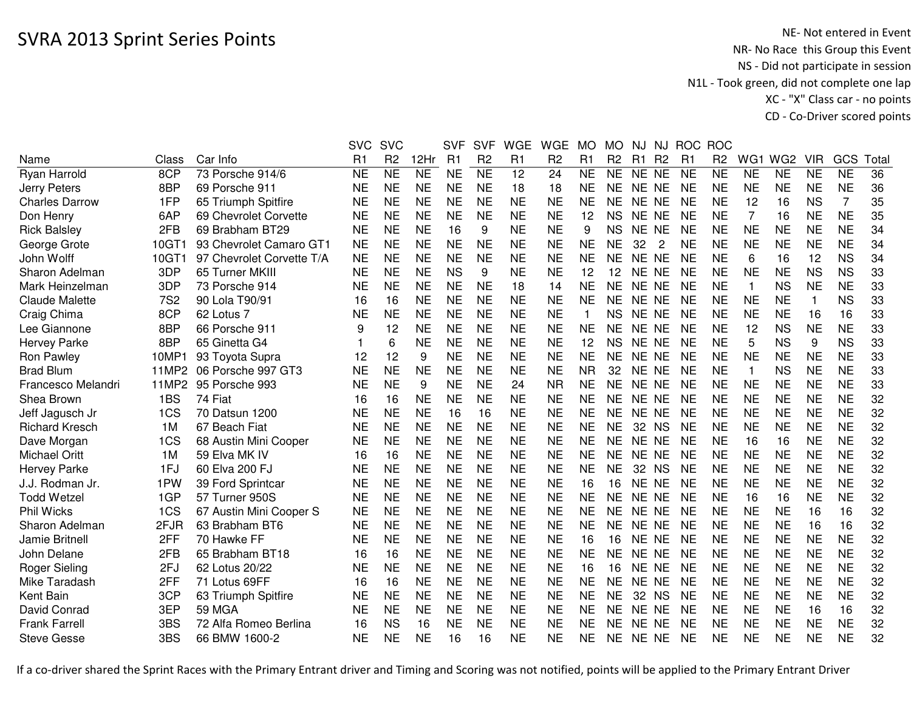|            |                           |           | <b>SVC</b>     |            | <b>SVF</b>     | <b>SVF</b>     | <b>WGE</b> | <b>WGE</b>             | <b>MO</b>   | <b>MO</b>      | NJ.       | NJ |                                                                                                                                                                                                                                                                                                                                                 | <b>ROC</b>     |                |           |              |           |                        |
|------------|---------------------------|-----------|----------------|------------|----------------|----------------|------------|------------------------|-------------|----------------|-----------|----|-------------------------------------------------------------------------------------------------------------------------------------------------------------------------------------------------------------------------------------------------------------------------------------------------------------------------------------------------|----------------|----------------|-----------|--------------|-----------|------------------------|
| Class      | Car Info                  | R1        | R <sub>2</sub> | 12Hr       | R <sub>1</sub> | R <sub>2</sub> | R1         | R <sub>2</sub>         | R1          | R <sub>2</sub> | R1        |    | R <sub>1</sub>                                                                                                                                                                                                                                                                                                                                  | R <sub>2</sub> |                |           | <b>VIR</b>   | GCS       | Tota                   |
| 8CP        | 73 Porsche 914/6          | <b>NE</b> | <b>NE</b>      | <b>NE</b>  | <b>NE</b>      | <b>NE</b>      | 12         | 24                     | <b>NE</b>   | <b>NE</b>      |           |    | <b>NE</b>                                                                                                                                                                                                                                                                                                                                       | <b>NE</b>      | <b>NE</b>      | <b>NE</b> | <b>NE</b>    | <b>NE</b> | 36                     |
| 8BP        | 69 Porsche 911            | <b>NE</b> | <b>NE</b>      | <b>NE</b>  | <b>NE</b>      | <b>NE</b>      | 18         | 18                     | <b>NE</b>   | <b>NE</b>      |           |    | <b>NE</b>                                                                                                                                                                                                                                                                                                                                       | <b>NE</b>      | <b>NE</b>      | <b>NE</b> | <b>NE</b>    | <b>NE</b> | 36                     |
| 1FP        | 65 Triumph Spitfire       | <b>NE</b> | <b>NE</b>      | <b>NE</b>  | <b>NE</b>      | <b>NE</b>      | <b>NE</b>  | <b>NE</b>              | <b>NE</b>   | <b>NE</b>      |           |    | <b>NE</b>                                                                                                                                                                                                                                                                                                                                       | <b>NE</b>      | 12             | 16        | <b>NS</b>    | 7         | 35                     |
| 6AP        | 69 Chevrolet Corvette     | <b>NE</b> | <b>NE</b>      | <b>NE</b>  | <b>NE</b>      | <b>NE</b>      | <b>NE</b>  | <b>NE</b>              | 12          | <b>NS</b>      |           |    | <b>NE</b>                                                                                                                                                                                                                                                                                                                                       | <b>NE</b>      | 7              | 16        | <b>NE</b>    | <b>NE</b> | 35                     |
| 2FB        | 69 Brabham BT29           | <b>NE</b> | <b>NE</b>      | <b>NE</b>  | 16             | 9              |            | <b>NE</b>              | 9           | <b>NS</b>      |           |    | <b>NE</b>                                                                                                                                                                                                                                                                                                                                       | <b>NE</b>      | <b>NE</b>      | <b>NE</b> | <b>NE</b>    |           | 34                     |
| 10GT1      | 93 Chevrolet Camaro GT1   | <b>NE</b> | <b>NE</b>      | <b>NE</b>  | <b>NE</b>      | <b>NE</b>      | <b>NE</b>  | <b>NE</b>              | <b>NE</b>   | NE             | 32        | 2  | <b>NE</b>                                                                                                                                                                                                                                                                                                                                       | <b>NE</b>      | <b>NE</b>      | <b>NE</b> | <b>NE</b>    | <b>NE</b> | 34                     |
| 10GT1      | 97 Chevrolet Corvette T/A | <b>NE</b> | <b>NE</b>      | <b>NE</b>  | <b>NE</b>      | <b>NE</b>      | <b>NE</b>  | <b>NE</b>              | <b>NE</b>   | <b>NE</b>      |           |    | <b>NE</b>                                                                                                                                                                                                                                                                                                                                       | <b>NE</b>      | 6              | 16        | 12           | <b>NS</b> | 34                     |
| 3DP        | 65 Turner MKIII           | <b>NE</b> | <b>NE</b>      | <b>NE</b>  | <b>NS</b>      | 9              | <b>NE</b>  | <b>NE</b>              | 12          | 12             |           |    | <b>NE</b>                                                                                                                                                                                                                                                                                                                                       | <b>NE</b>      | <b>NE</b>      | <b>NE</b> | <b>NS</b>    | <b>NS</b> | 33                     |
| 3DP        | 73 Porsche 914            | <b>NE</b> | <b>NE</b>      | <b>NE</b>  | <b>NE</b>      | <b>NE</b>      | 18         | 14                     | <b>NE</b>   | <b>NE</b>      |           |    | <b>NE</b>                                                                                                                                                                                                                                                                                                                                       | <b>NE</b>      | $\overline{1}$ | <b>NS</b> | <b>NE</b>    | <b>NE</b> | 33                     |
| <b>7S2</b> | 90 Lola T90/91            | 16        | 16             | <b>NE</b>  | <b>NE</b>      | <b>NE</b>      | <b>NE</b>  | <b>NE</b>              | <b>NE</b>   | <b>NE</b>      |           |    | <b>NE</b>                                                                                                                                                                                                                                                                                                                                       | <b>NE</b>      | <b>NE</b>      | <b>NE</b> | $\mathbf{1}$ | <b>NS</b> | 33                     |
| 8CP        | 62 Lotus 7                | <b>NE</b> | <b>NE</b>      | <b>NE</b>  | <b>NE</b>      | <b>NE</b>      | <b>NE</b>  | <b>NE</b>              | $\mathbf 1$ | <b>NS</b>      |           |    | <b>NE</b>                                                                                                                                                                                                                                                                                                                                       | <b>NE</b>      | <b>NE</b>      | <b>NE</b> | 16           | 16        | 33                     |
| 8BP        | 66 Porsche 911            | 9         | 12             | <b>NE</b>  | <b>NE</b>      | <b>NE</b>      | <b>NE</b>  | <b>NE</b>              | <b>NE</b>   | <b>NE</b>      |           |    | <b>NE</b>                                                                                                                                                                                                                                                                                                                                       | <b>NE</b>      | 12             | <b>NS</b> | <b>NE</b>    | <b>NE</b> | 33                     |
| 8BP        | 65 Ginetta G4             |           | 6              | <b>NE</b>  | <b>NE</b>      | <b>NE</b>      | <b>NE</b>  | <b>NE</b>              | 12          | <b>NS</b>      |           |    | <b>NE</b>                                                                                                                                                                                                                                                                                                                                       | <b>NE</b>      | 5              | <b>NS</b> | 9            | <b>NS</b> | 33                     |
| 10MP1      | 93 Toyota Supra           | 12        | 12             | 9          | <b>NE</b>      | <b>NE</b>      | <b>NE</b>  | <b>NE</b>              | <b>NE</b>   | NE.            | NE.       |    | <b>NE</b>                                                                                                                                                                                                                                                                                                                                       | <b>NE</b>      | <b>NE</b>      | <b>NE</b> | <b>NE</b>    | <b>NE</b> | 33                     |
| 11MP2      | 06 Porsche 997 GT3        | <b>NE</b> | <b>NE</b>      | <b>NE</b>  | <b>NE</b>      | <b>NE</b>      | <b>NE</b>  | <b>NE</b>              | <b>NR</b>   | 32             | NE.       |    | <b>NE</b>                                                                                                                                                                                                                                                                                                                                       | <b>NE</b>      | $\overline{1}$ | <b>NS</b> | <b>NE</b>    | <b>NE</b> | 33                     |
| 11MP2      | 95 Porsche 993            | <b>NE</b> | <b>NE</b>      | 9          | <b>NE</b>      | <b>NE</b>      | 24         | <b>NR</b>              | <b>NE</b>   | <b>NE</b>      | <b>NE</b> |    | <b>NE</b>                                                                                                                                                                                                                                                                                                                                       | <b>NE</b>      | <b>NE</b>      | <b>NE</b> | <b>NE</b>    | <b>NE</b> | 33                     |
| 1BS        | 74 Fiat                   | 16        | 16             | <b>NE</b>  | <b>NE</b>      | <b>NE</b>      | <b>NE</b>  | <b>NE</b>              | <b>NE</b>   | NE.            |           |    | <b>NE</b>                                                                                                                                                                                                                                                                                                                                       | <b>NE</b>      | <b>NE</b>      | <b>NE</b> | <b>NE</b>    | <b>NE</b> | 32                     |
| 1CS        | 70 Datsun 1200            | <b>NE</b> | <b>NE</b>      | <b>NE</b>  | 16             | 16             | <b>NE</b>  | <b>NE</b>              | <b>NE</b>   | <b>NE</b>      |           |    | <b>NE</b>                                                                                                                                                                                                                                                                                                                                       | <b>NE</b>      | <b>NE</b>      | <b>NE</b> | <b>NE</b>    | <b>NE</b> | 32                     |
| 1M         | 67 Beach Fiat             | <b>NE</b> | <b>NE</b>      | <b>NE</b>  | <b>NE</b>      | <b>NE</b>      | <b>NE</b>  | <b>NE</b>              | <b>NE</b>   | <b>NE</b>      | 32        |    | <b>NE</b>                                                                                                                                                                                                                                                                                                                                       | <b>NE</b>      | <b>NE</b>      | <b>NE</b> | <b>NE</b>    | <b>NE</b> | 32                     |
| 1CS        | 68 Austin Mini Cooper     | <b>NE</b> | <b>NE</b>      | <b>NE</b>  |                | <b>NE</b>      |            | <b>NE</b>              | <b>NE</b>   | <b>NE</b>      |           |    | <b>NE</b>                                                                                                                                                                                                                                                                                                                                       | <b>NE</b>      | 16             | 16        | <b>NE</b>    |           | 32                     |
| 1M         | 59 Elva MK IV             | 16        | 16             | <b>NE</b>  | <b>NE</b>      | <b>NE</b>      | <b>NE</b>  | <b>NE</b>              | <b>NE</b>   | <b>NE</b>      |           |    | <b>NE</b>                                                                                                                                                                                                                                                                                                                                       | <b>NE</b>      | <b>NE</b>      | <b>NE</b> | <b>NE</b>    | <b>NE</b> | 32                     |
| 1FJ        | 60 Elva 200 FJ            | <b>NE</b> | <b>NE</b>      | <b>NE</b>  | <b>NE</b>      | <b>NE</b>      | <b>NE</b>  | <b>NE</b>              | <b>NE</b>   | NE             |           |    | <b>NE</b>                                                                                                                                                                                                                                                                                                                                       | <b>NE</b>      | <b>NE</b>      | <b>NE</b> | <b>NE</b>    | <b>NE</b> | 32                     |
| 1PW        | 39 Ford Sprintcar         | <b>NE</b> | <b>NE</b>      | <b>NE</b>  | <b>NE</b>      | <b>NE</b>      | <b>NE</b>  | <b>NE</b>              | 16          | 16             |           |    | <b>NE</b>                                                                                                                                                                                                                                                                                                                                       | <b>NE</b>      | <b>NE</b>      | <b>NE</b> | <b>NE</b>    | <b>NE</b> | 32                     |
| 1GP        | 57 Turner 950S            | <b>NE</b> | <b>NE</b>      | <b>NE</b>  | <b>NE</b>      | <b>NE</b>      | <b>NE</b>  | <b>NE</b>              | <b>NE</b>   | <b>NE</b>      |           |    | <b>NE</b>                                                                                                                                                                                                                                                                                                                                       | <b>NE</b>      | 16             | 16        | <b>NE</b>    | <b>NE</b> | 32                     |
| 1CS        | 67 Austin Mini Cooper S   | <b>NE</b> | <b>NE</b>      | <b>NE</b>  | <b>NE</b>      | <b>NE</b>      | <b>NE</b>  | <b>NE</b>              | <b>NE</b>   | <b>NE</b>      |           |    | <b>NE</b>                                                                                                                                                                                                                                                                                                                                       | <b>NE</b>      | <b>NE</b>      | <b>NE</b> | 16           | 16        | 32                     |
| 2FJR       | 63 Brabham BT6            | <b>NE</b> | <b>NE</b>      | <b>NE</b>  | <b>NE</b>      | <b>NE</b>      | <b>NE</b>  | <b>NE</b>              | <b>NE</b>   | <b>NE</b>      |           |    | <b>NE</b>                                                                                                                                                                                                                                                                                                                                       | <b>NE</b>      | <b>NE</b>      | <b>NE</b> | 16           | 16        | 32                     |
| 2FF        | 70 Hawke FF               | <b>NE</b> | <b>NE</b>      | <b>NE</b>  | <b>NE</b>      | <b>NE</b>      | <b>NE</b>  | <b>NE</b>              | 16          | 16             |           |    | <b>NE</b>                                                                                                                                                                                                                                                                                                                                       | <b>NE</b>      | <b>NE</b>      | <b>NE</b> | <b>NE</b>    | <b>NE</b> | 32                     |
| 2FB        | 65 Brabham BT18           | 16        | 16             | <b>NE</b>  | <b>NE</b>      | <b>NE</b>      | <b>NE</b>  | <b>NE</b>              | <b>NE</b>   | <b>NE</b>      |           |    | <b>NE</b>                                                                                                                                                                                                                                                                                                                                       | <b>NE</b>      | <b>NE</b>      | <b>NE</b> | <b>NE</b>    | <b>NE</b> | 32                     |
| 2FJ        | 62 Lotus 20/22            | <b>NE</b> | <b>NE</b>      | <b>NE</b>  | <b>NE</b>      | <b>NE</b>      | <b>NE</b>  | <b>NE</b>              | 16          | 16             |           |    | <b>NE</b>                                                                                                                                                                                                                                                                                                                                       | <b>NE</b>      | <b>NE</b>      | <b>NE</b> | <b>NE</b>    | <b>NE</b> | 32                     |
| 2FF        | 71 Lotus 69FF             | 16        | 16             | <b>NE</b>  | <b>NE</b>      | <b>NE</b>      | <b>NE</b>  | <b>NE</b>              | <b>NE</b>   | <b>NE</b>      |           |    | <b>NE</b>                                                                                                                                                                                                                                                                                                                                       | <b>NE</b>      | <b>NE</b>      | <b>NE</b> | <b>NE</b>    | <b>NE</b> | 32                     |
| 3CP        | 63 Triumph Spitfire       | <b>NE</b> | <b>NE</b>      | <b>NE</b>  | <b>NE</b>      | <b>NE</b>      | <b>NE</b>  | <b>NE</b>              | <b>NE</b>   | <b>NE</b>      | 32        |    | <b>NE</b>                                                                                                                                                                                                                                                                                                                                       | <b>NE</b>      | <b>NE</b>      | <b>NE</b> | <b>NE</b>    | <b>NE</b> | 32                     |
| 3EP        | <b>59 MGA</b>             | <b>NE</b> | <b>NE</b>      | <b>NE</b>  | <b>NE</b>      | <b>NE</b>      | <b>NE</b>  | <b>NE</b>              | <b>NE</b>   | <b>NE</b>      |           |    | <b>NE</b>                                                                                                                                                                                                                                                                                                                                       | <b>NE</b>      | <b>NE</b>      | <b>NE</b> | 16           | 16        | 32                     |
| 3BS        | 72 Alfa Romeo Berlina     | 16        | <b>NS</b>      | 16         | <b>NE</b>      | <b>NE</b>      | <b>NE</b>  | <b>NE</b>              | <b>NE</b>   | <b>NE</b>      | NE        |    | <b>NE</b>                                                                                                                                                                                                                                                                                                                                       | <b>NE</b>      | <b>NE</b>      | <b>NE</b> | <b>NE</b>    | <b>NE</b> | 32                     |
| 3BS        | 66 BMW 1600-2             | <b>NE</b> | <b>NE</b>      | <b>NE</b>  | 16             | 16             | <b>NE</b>  | <b>NE</b>              | <b>NE</b>   | <b>NE</b>      |           |    | <b>NE</b>                                                                                                                                                                                                                                                                                                                                       | <b>NE</b>      | <b>NE</b>      | <b>NE</b> | <b>NE</b>    | <b>NE</b> | 32                     |
|            |                           |           |                | <b>SVC</b> |                | <b>NE</b>      |            | <b>NE</b><br><b>NE</b> |             |                |           |    | R <sub>2</sub><br>NE NE<br>NE NE<br>NE NE<br>NE NE<br>NE NE<br>NE NE<br>NE NE<br>NE NE<br>NE NE<br>NE NE<br>NE NE<br>NE NE<br><b>NE</b><br><b>NE</b><br><b>NE</b><br>NE NE<br>NE NE<br><b>NS</b><br>NE NE<br>NE NE<br>32 NS<br>NE NE<br>NE NE<br>NE NE<br>NE NE<br>NE NE<br>NE NE<br>NE NE<br>NE NE<br><b>NS</b><br>NE NE<br><b>NE</b><br>NE NE |                | <b>ROC</b>     |           | WG1 WG2      |           | <b>NE</b><br><b>NE</b> |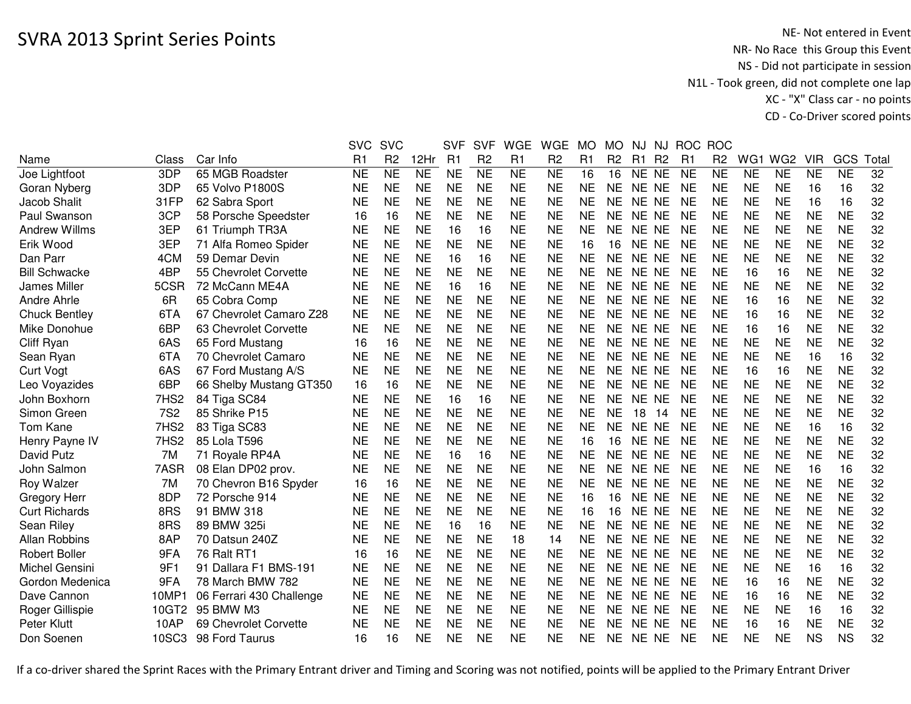|                  |                                                                      | <b>SVC</b>                                                                                                | <b>SVC</b>                                                                                                        |                                                                                                                   | <b>SVF</b>                                                                                                                                                                                                   | <b>SVF</b>                                                                                                                                                                                                                             | <b>WGE</b>                                                                                                                                               | <b>WGE</b>                                                                                                                                                                                                                             | <b>MO</b>                                                                                                               | <b>MO</b>                                                                                                                                                                                                    | <b>NJ</b>              | <b>NJ</b> |                                                                                                                                                                                                                                                                                                                                    | <b>ROC</b>                                                                                                                                  |                                                                                                                                                                                                                                         |                                                                                                                                                                                   |                                                                                                                                                                                                                                                                |                                                                                                                                                                                          |                                                                                                                                                                                                                                              |
|------------------|----------------------------------------------------------------------|-----------------------------------------------------------------------------------------------------------|-------------------------------------------------------------------------------------------------------------------|-------------------------------------------------------------------------------------------------------------------|--------------------------------------------------------------------------------------------------------------------------------------------------------------------------------------------------------------|----------------------------------------------------------------------------------------------------------------------------------------------------------------------------------------------------------------------------------------|----------------------------------------------------------------------------------------------------------------------------------------------------------|----------------------------------------------------------------------------------------------------------------------------------------------------------------------------------------------------------------------------------------|-------------------------------------------------------------------------------------------------------------------------|--------------------------------------------------------------------------------------------------------------------------------------------------------------------------------------------------------------|------------------------|-----------|------------------------------------------------------------------------------------------------------------------------------------------------------------------------------------------------------------------------------------------------------------------------------------------------------------------------------------|---------------------------------------------------------------------------------------------------------------------------------------------|-----------------------------------------------------------------------------------------------------------------------------------------------------------------------------------------------------------------------------------------|-----------------------------------------------------------------------------------------------------------------------------------------------------------------------------------|----------------------------------------------------------------------------------------------------------------------------------------------------------------------------------------------------------------------------------------------------------------|------------------------------------------------------------------------------------------------------------------------------------------------------------------------------------------|----------------------------------------------------------------------------------------------------------------------------------------------------------------------------------------------------------------------------------------------|
| Class            | Car Info                                                             | R <sub>1</sub>                                                                                            | R <sub>2</sub>                                                                                                    | 12Hr                                                                                                              | R1                                                                                                                                                                                                           | R <sub>2</sub>                                                                                                                                                                                                                         | R1                                                                                                                                                       | R <sub>2</sub>                                                                                                                                                                                                                         | R1                                                                                                                      | R <sub>2</sub>                                                                                                                                                                                               | R1                     |           | R <sub>1</sub>                                                                                                                                                                                                                                                                                                                     | R <sub>2</sub>                                                                                                                              | WG1                                                                                                                                                                                                                                     | WG <sub>2</sub>                                                                                                                                                                   | <b>VIR</b>                                                                                                                                                                                                                                                     | GCS                                                                                                                                                                                      | Tota                                                                                                                                                                                                                                         |
| 3DP              | 65 MGB Roadster                                                      | <b>NE</b>                                                                                                 | <b>NE</b>                                                                                                         | <b>NE</b>                                                                                                         | <b>NE</b>                                                                                                                                                                                                    | <b>NE</b>                                                                                                                                                                                                                              | <b>NE</b>                                                                                                                                                | <b>NE</b>                                                                                                                                                                                                                              | 16                                                                                                                      | 16                                                                                                                                                                                                           |                        |           | <b>NE</b>                                                                                                                                                                                                                                                                                                                          | <b>NE</b>                                                                                                                                   | <b>NE</b>                                                                                                                                                                                                                               | <b>NE</b>                                                                                                                                                                         | <b>NE</b>                                                                                                                                                                                                                                                      | <b>NE</b>                                                                                                                                                                                | 32                                                                                                                                                                                                                                           |
| 3DP              | 65 Volvo P1800S                                                      | <b>NE</b>                                                                                                 | <b>NE</b>                                                                                                         |                                                                                                                   |                                                                                                                                                                                                              | <b>NE</b>                                                                                                                                                                                                                              |                                                                                                                                                          | <b>NE</b>                                                                                                                                                                                                                              | <b>NE</b>                                                                                                               | <b>NE</b>                                                                                                                                                                                                    |                        |           | <b>NE</b>                                                                                                                                                                                                                                                                                                                          | <b>NE</b>                                                                                                                                   | <b>NE</b>                                                                                                                                                                                                                               |                                                                                                                                                                                   | 16                                                                                                                                                                                                                                                             | 16                                                                                                                                                                                       | 32                                                                                                                                                                                                                                           |
| 31FP             | 62 Sabra Sport                                                       | <b>NE</b>                                                                                                 | <b>NE</b>                                                                                                         | <b>NE</b>                                                                                                         |                                                                                                                                                                                                              | <b>NE</b>                                                                                                                                                                                                                              | <b>NE</b>                                                                                                                                                | <b>NE</b>                                                                                                                                                                                                                              | <b>NE</b>                                                                                                               | <b>NE</b>                                                                                                                                                                                                    |                        |           | <b>NE</b>                                                                                                                                                                                                                                                                                                                          | <b>NE</b>                                                                                                                                   | <b>NE</b>                                                                                                                                                                                                                               | <b>NE</b>                                                                                                                                                                         | 16                                                                                                                                                                                                                                                             | 16                                                                                                                                                                                       | 32                                                                                                                                                                                                                                           |
| 3CP              | 58 Porsche Speedster                                                 | 16                                                                                                        | 16                                                                                                                | <b>NE</b>                                                                                                         | <b>NE</b>                                                                                                                                                                                                    | <b>NE</b>                                                                                                                                                                                                                              | <b>NE</b>                                                                                                                                                | <b>NE</b>                                                                                                                                                                                                                              | <b>NE</b>                                                                                                               | NE                                                                                                                                                                                                           |                        |           | <b>NE</b>                                                                                                                                                                                                                                                                                                                          | <b>NE</b>                                                                                                                                   | <b>NE</b>                                                                                                                                                                                                                               | <b>NE</b>                                                                                                                                                                         | <b>NE</b>                                                                                                                                                                                                                                                      | <b>NE</b>                                                                                                                                                                                | 32                                                                                                                                                                                                                                           |
|                  | 61 Triumph TR3A                                                      | <b>NE</b>                                                                                                 | <b>NE</b>                                                                                                         |                                                                                                                   | 16                                                                                                                                                                                                           | 16                                                                                                                                                                                                                                     |                                                                                                                                                          | <b>NE</b>                                                                                                                                                                                                                              |                                                                                                                         | NE.                                                                                                                                                                                                          |                        |           |                                                                                                                                                                                                                                                                                                                                    |                                                                                                                                             |                                                                                                                                                                                                                                         |                                                                                                                                                                                   |                                                                                                                                                                                                                                                                |                                                                                                                                                                                          | 32                                                                                                                                                                                                                                           |
| 3EP              | 71 Alfa Romeo Spider                                                 | <b>NE</b>                                                                                                 | <b>NE</b>                                                                                                         | <b>NE</b>                                                                                                         | <b>NE</b>                                                                                                                                                                                                    | <b>NE</b>                                                                                                                                                                                                                              | <b>NE</b>                                                                                                                                                | <b>NE</b>                                                                                                                                                                                                                              | 16                                                                                                                      | 16                                                                                                                                                                                                           |                        |           | <b>NE</b>                                                                                                                                                                                                                                                                                                                          | <b>NE</b>                                                                                                                                   | <b>NE</b>                                                                                                                                                                                                                               | <b>NE</b>                                                                                                                                                                         | <b>NE</b>                                                                                                                                                                                                                                                      | <b>NE</b>                                                                                                                                                                                | 32                                                                                                                                                                                                                                           |
| 4CM              | 59 Demar Devin                                                       | <b>NE</b>                                                                                                 | <b>NE</b>                                                                                                         | <b>NE</b>                                                                                                         | 16                                                                                                                                                                                                           | 16                                                                                                                                                                                                                                     | <b>NE</b>                                                                                                                                                | <b>NE</b>                                                                                                                                                                                                                              | <b>NE</b>                                                                                                               | <b>NE</b>                                                                                                                                                                                                    |                        |           | <b>NE</b>                                                                                                                                                                                                                                                                                                                          |                                                                                                                                             | <b>NE</b>                                                                                                                                                                                                                               |                                                                                                                                                                                   | <b>NE</b>                                                                                                                                                                                                                                                      |                                                                                                                                                                                          | 32                                                                                                                                                                                                                                           |
|                  |                                                                      |                                                                                                           |                                                                                                                   |                                                                                                                   |                                                                                                                                                                                                              |                                                                                                                                                                                                                                        |                                                                                                                                                          |                                                                                                                                                                                                                                        |                                                                                                                         |                                                                                                                                                                                                              |                        |           | <b>NE</b>                                                                                                                                                                                                                                                                                                                          |                                                                                                                                             | 16                                                                                                                                                                                                                                      |                                                                                                                                                                                   |                                                                                                                                                                                                                                                                |                                                                                                                                                                                          | 32                                                                                                                                                                                                                                           |
|                  | 72 McCann ME4A                                                       | <b>NE</b>                                                                                                 |                                                                                                                   | <b>NE</b>                                                                                                         | 16                                                                                                                                                                                                           | 16                                                                                                                                                                                                                                     |                                                                                                                                                          | <b>NE</b>                                                                                                                                                                                                                              |                                                                                                                         | <b>NE</b>                                                                                                                                                                                                    |                        |           | <b>NE</b>                                                                                                                                                                                                                                                                                                                          |                                                                                                                                             |                                                                                                                                                                                                                                         |                                                                                                                                                                                   |                                                                                                                                                                                                                                                                |                                                                                                                                                                                          | 32                                                                                                                                                                                                                                           |
| 6R               | 65 Cobra Comp                                                        | <b>NE</b>                                                                                                 | <b>NE</b>                                                                                                         | <b>NE</b>                                                                                                         | <b>NE</b>                                                                                                                                                                                                    | <b>NE</b>                                                                                                                                                                                                                              | <b>NE</b>                                                                                                                                                | <b>NE</b>                                                                                                                                                                                                                              | <b>NE</b>                                                                                                               | <b>NE</b>                                                                                                                                                                                                    |                        |           | <b>NE</b>                                                                                                                                                                                                                                                                                                                          | <b>NE</b>                                                                                                                                   | 16                                                                                                                                                                                                                                      | 16                                                                                                                                                                                | <b>NE</b>                                                                                                                                                                                                                                                      | <b>NE</b>                                                                                                                                                                                | 32                                                                                                                                                                                                                                           |
| 6TA              | 67 Chevrolet Camaro Z28                                              |                                                                                                           |                                                                                                                   |                                                                                                                   |                                                                                                                                                                                                              |                                                                                                                                                                                                                                        |                                                                                                                                                          |                                                                                                                                                                                                                                        |                                                                                                                         | <b>NE</b>                                                                                                                                                                                                    |                        |           |                                                                                                                                                                                                                                                                                                                                    |                                                                                                                                             |                                                                                                                                                                                                                                         |                                                                                                                                                                                   |                                                                                                                                                                                                                                                                |                                                                                                                                                                                          | 32                                                                                                                                                                                                                                           |
|                  | 63 Chevrolet Corvette                                                |                                                                                                           |                                                                                                                   |                                                                                                                   |                                                                                                                                                                                                              |                                                                                                                                                                                                                                        |                                                                                                                                                          |                                                                                                                                                                                                                                        |                                                                                                                         | <b>NE</b>                                                                                                                                                                                                    |                        |           |                                                                                                                                                                                                                                                                                                                                    |                                                                                                                                             | 16                                                                                                                                                                                                                                      | 16                                                                                                                                                                                |                                                                                                                                                                                                                                                                |                                                                                                                                                                                          | 32                                                                                                                                                                                                                                           |
|                  |                                                                      | 16                                                                                                        | 16                                                                                                                |                                                                                                                   |                                                                                                                                                                                                              |                                                                                                                                                                                                                                        |                                                                                                                                                          |                                                                                                                                                                                                                                        |                                                                                                                         | NE                                                                                                                                                                                                           |                        |           |                                                                                                                                                                                                                                                                                                                                    |                                                                                                                                             |                                                                                                                                                                                                                                         |                                                                                                                                                                                   |                                                                                                                                                                                                                                                                |                                                                                                                                                                                          | 32                                                                                                                                                                                                                                           |
| 6TA              | 70 Chevrolet Camaro                                                  | <b>NE</b>                                                                                                 | <b>NE</b>                                                                                                         |                                                                                                                   |                                                                                                                                                                                                              | <b>NE</b>                                                                                                                                                                                                                              |                                                                                                                                                          | <b>NE</b>                                                                                                                                                                                                                              |                                                                                                                         | <b>NE</b>                                                                                                                                                                                                    |                        |           | <b>NE</b>                                                                                                                                                                                                                                                                                                                          | <b>NE</b>                                                                                                                                   |                                                                                                                                                                                                                                         |                                                                                                                                                                                   | 16                                                                                                                                                                                                                                                             | 16                                                                                                                                                                                       | 32                                                                                                                                                                                                                                           |
|                  | 67 Ford Mustang A/S                                                  |                                                                                                           |                                                                                                                   |                                                                                                                   |                                                                                                                                                                                                              |                                                                                                                                                                                                                                        |                                                                                                                                                          |                                                                                                                                                                                                                                        |                                                                                                                         | <b>NE</b>                                                                                                                                                                                                    |                        |           | <b>NE</b>                                                                                                                                                                                                                                                                                                                          |                                                                                                                                             |                                                                                                                                                                                                                                         |                                                                                                                                                                                   |                                                                                                                                                                                                                                                                |                                                                                                                                                                                          | 32                                                                                                                                                                                                                                           |
| 6BP              |                                                                      | 16                                                                                                        | 16                                                                                                                |                                                                                                                   |                                                                                                                                                                                                              |                                                                                                                                                                                                                                        |                                                                                                                                                          | <b>NE</b>                                                                                                                                                                                                                              |                                                                                                                         | <b>NE</b>                                                                                                                                                                                                    |                        |           | <b>NE</b>                                                                                                                                                                                                                                                                                                                          |                                                                                                                                             |                                                                                                                                                                                                                                         |                                                                                                                                                                                   |                                                                                                                                                                                                                                                                |                                                                                                                                                                                          | 32                                                                                                                                                                                                                                           |
| 7HS <sub>2</sub> | 84 Tiga SC84                                                         | <b>NE</b>                                                                                                 | <b>NE</b>                                                                                                         | <b>NE</b>                                                                                                         | 16                                                                                                                                                                                                           | 16                                                                                                                                                                                                                                     | <b>NE</b>                                                                                                                                                | <b>NE</b>                                                                                                                                                                                                                              | <b>NE</b>                                                                                                               | <b>NE</b>                                                                                                                                                                                                    |                        |           | <b>NE</b>                                                                                                                                                                                                                                                                                                                          | <b>NE</b>                                                                                                                                   | <b>NE</b>                                                                                                                                                                                                                               |                                                                                                                                                                                   | <b>NE</b>                                                                                                                                                                                                                                                      |                                                                                                                                                                                          | 32                                                                                                                                                                                                                                           |
|                  | 85 Shrike P15                                                        |                                                                                                           |                                                                                                                   |                                                                                                                   |                                                                                                                                                                                                              |                                                                                                                                                                                                                                        |                                                                                                                                                          |                                                                                                                                                                                                                                        |                                                                                                                         | <b>NE</b>                                                                                                                                                                                                    | 18                     |           |                                                                                                                                                                                                                                                                                                                                    |                                                                                                                                             |                                                                                                                                                                                                                                         |                                                                                                                                                                                   |                                                                                                                                                                                                                                                                |                                                                                                                                                                                          | 32                                                                                                                                                                                                                                           |
|                  | 83 Tiga SC83                                                         |                                                                                                           |                                                                                                                   |                                                                                                                   |                                                                                                                                                                                                              |                                                                                                                                                                                                                                        |                                                                                                                                                          |                                                                                                                                                                                                                                        |                                                                                                                         |                                                                                                                                                                                                              |                        |           |                                                                                                                                                                                                                                                                                                                                    |                                                                                                                                             |                                                                                                                                                                                                                                         |                                                                                                                                                                                   |                                                                                                                                                                                                                                                                |                                                                                                                                                                                          | 32                                                                                                                                                                                                                                           |
| 7HS <sub>2</sub> | 85 Lola T596                                                         | <b>NE</b>                                                                                                 | <b>NE</b>                                                                                                         |                                                                                                                   |                                                                                                                                                                                                              | <b>NE</b>                                                                                                                                                                                                                              |                                                                                                                                                          | <b>NE</b>                                                                                                                                                                                                                              | 16                                                                                                                      | 16                                                                                                                                                                                                           |                        |           | <b>NE</b>                                                                                                                                                                                                                                                                                                                          | <b>NE</b>                                                                                                                                   | <b>NE</b>                                                                                                                                                                                                                               |                                                                                                                                                                                   |                                                                                                                                                                                                                                                                |                                                                                                                                                                                          | 32                                                                                                                                                                                                                                           |
| 7M               | 71 Royale RP4A                                                       | <b>NE</b>                                                                                                 | <b>NE</b>                                                                                                         | <b>NE</b>                                                                                                         | 16                                                                                                                                                                                                           | 16                                                                                                                                                                                                                                     |                                                                                                                                                          | <b>NE</b>                                                                                                                                                                                                                              |                                                                                                                         | <b>NE</b>                                                                                                                                                                                                    |                        |           |                                                                                                                                                                                                                                                                                                                                    |                                                                                                                                             |                                                                                                                                                                                                                                         |                                                                                                                                                                                   |                                                                                                                                                                                                                                                                |                                                                                                                                                                                          | 32                                                                                                                                                                                                                                           |
| 7ASR             | 08 Elan DP02 prov.                                                   | <b>NE</b>                                                                                                 | <b>NE</b>                                                                                                         | <b>NE</b>                                                                                                         |                                                                                                                                                                                                              | <b>NE</b>                                                                                                                                                                                                                              | <b>NE</b>                                                                                                                                                | <b>NE</b>                                                                                                                                                                                                                              | <b>NE</b>                                                                                                               | ΝE                                                                                                                                                                                                           |                        |           | <b>NE</b>                                                                                                                                                                                                                                                                                                                          | <b>NE</b>                                                                                                                                   | <b>NE</b>                                                                                                                                                                                                                               |                                                                                                                                                                                   | 16                                                                                                                                                                                                                                                             | 16                                                                                                                                                                                       | 32                                                                                                                                                                                                                                           |
| 7M               | 70 Chevron B16 Spyder                                                | 16                                                                                                        | 16                                                                                                                | NE                                                                                                                | <b>NE</b>                                                                                                                                                                                                    | <b>NE</b>                                                                                                                                                                                                                              | <b>NE</b>                                                                                                                                                | <b>NE</b>                                                                                                                                                                                                                              | <b>NE</b>                                                                                                               | NE.                                                                                                                                                                                                          |                        |           | <b>NE</b>                                                                                                                                                                                                                                                                                                                          | <b>NE</b>                                                                                                                                   | <b>NE</b>                                                                                                                                                                                                                               | <b>NE</b>                                                                                                                                                                         | <b>NE</b>                                                                                                                                                                                                                                                      | <b>NE</b>                                                                                                                                                                                | 32                                                                                                                                                                                                                                           |
| 8DP              | 72 Porsche 914                                                       | <b>NE</b>                                                                                                 | <b>NE</b>                                                                                                         | <b>NE</b>                                                                                                         | <b>NE</b>                                                                                                                                                                                                    | <b>NE</b>                                                                                                                                                                                                                              | <b>NE</b>                                                                                                                                                | <b>NE</b>                                                                                                                                                                                                                              | 16                                                                                                                      | 16                                                                                                                                                                                                           |                        |           | <b>NE</b>                                                                                                                                                                                                                                                                                                                          | <b>NE</b>                                                                                                                                   | <b>NE</b>                                                                                                                                                                                                                               | <b>NE</b>                                                                                                                                                                         | <b>NE</b>                                                                                                                                                                                                                                                      | <b>NE</b>                                                                                                                                                                                | 32                                                                                                                                                                                                                                           |
| 8RS              | 91 BMW 318                                                           | <b>NE</b>                                                                                                 | <b>NE</b>                                                                                                         | <b>NE</b>                                                                                                         |                                                                                                                                                                                                              | <b>NE</b>                                                                                                                                                                                                                              |                                                                                                                                                          | <b>NE</b>                                                                                                                                                                                                                              | 16                                                                                                                      | 16                                                                                                                                                                                                           |                        |           | <b>NE</b>                                                                                                                                                                                                                                                                                                                          |                                                                                                                                             |                                                                                                                                                                                                                                         |                                                                                                                                                                                   | <b>NE</b>                                                                                                                                                                                                                                                      |                                                                                                                                                                                          | 32                                                                                                                                                                                                                                           |
| 8RS              | 89 BMW 325i                                                          | <b>NE</b>                                                                                                 | <b>NE</b>                                                                                                         | <b>NE</b>                                                                                                         | 16                                                                                                                                                                                                           | 16                                                                                                                                                                                                                                     | <b>NE</b>                                                                                                                                                | <b>NE</b>                                                                                                                                                                                                                              | <b>NE</b>                                                                                                               | <b>NE</b>                                                                                                                                                                                                    |                        |           | <b>NE</b>                                                                                                                                                                                                                                                                                                                          | <b>NE</b>                                                                                                                                   |                                                                                                                                                                                                                                         |                                                                                                                                                                                   | <b>NE</b>                                                                                                                                                                                                                                                      |                                                                                                                                                                                          | 32                                                                                                                                                                                                                                           |
|                  |                                                                      |                                                                                                           |                                                                                                                   |                                                                                                                   |                                                                                                                                                                                                              |                                                                                                                                                                                                                                        | 18                                                                                                                                                       |                                                                                                                                                                                                                                        |                                                                                                                         | <b>NE</b>                                                                                                                                                                                                    |                        |           |                                                                                                                                                                                                                                                                                                                                    |                                                                                                                                             |                                                                                                                                                                                                                                         |                                                                                                                                                                                   |                                                                                                                                                                                                                                                                |                                                                                                                                                                                          | 32                                                                                                                                                                                                                                           |
| 9FA              | 76 Ralt RT1                                                          | 16                                                                                                        | 16                                                                                                                |                                                                                                                   |                                                                                                                                                                                                              |                                                                                                                                                                                                                                        |                                                                                                                                                          |                                                                                                                                                                                                                                        |                                                                                                                         | <b>NE</b>                                                                                                                                                                                                    |                        |           |                                                                                                                                                                                                                                                                                                                                    |                                                                                                                                             |                                                                                                                                                                                                                                         |                                                                                                                                                                                   |                                                                                                                                                                                                                                                                |                                                                                                                                                                                          | 32                                                                                                                                                                                                                                           |
| 9F1              | 91 Dallara F1 BMS-191                                                |                                                                                                           | <b>NE</b>                                                                                                         |                                                                                                                   |                                                                                                                                                                                                              |                                                                                                                                                                                                                                        |                                                                                                                                                          | <b>NE</b>                                                                                                                                                                                                                              |                                                                                                                         | <b>NE</b>                                                                                                                                                                                                    |                        |           |                                                                                                                                                                                                                                                                                                                                    |                                                                                                                                             |                                                                                                                                                                                                                                         |                                                                                                                                                                                   | 16                                                                                                                                                                                                                                                             | 16                                                                                                                                                                                       | 32                                                                                                                                                                                                                                           |
| 9FA              |                                                                      |                                                                                                           |                                                                                                                   |                                                                                                                   |                                                                                                                                                                                                              |                                                                                                                                                                                                                                        |                                                                                                                                                          |                                                                                                                                                                                                                                        |                                                                                                                         | <b>NE</b>                                                                                                                                                                                                    |                        |           |                                                                                                                                                                                                                                                                                                                                    |                                                                                                                                             | 16                                                                                                                                                                                                                                      |                                                                                                                                                                                   |                                                                                                                                                                                                                                                                |                                                                                                                                                                                          | 32                                                                                                                                                                                                                                           |
| 10MP1            | 06 Ferrari 430 Challenge                                             | <b>NE</b>                                                                                                 | <b>NE</b>                                                                                                         | <b>NE</b>                                                                                                         | <b>NE</b>                                                                                                                                                                                                    | <b>NE</b>                                                                                                                                                                                                                              | <b>NE</b>                                                                                                                                                | <b>NE</b>                                                                                                                                                                                                                              | <b>NE</b>                                                                                                               | NE                                                                                                                                                                                                           |                        |           | <b>NE</b>                                                                                                                                                                                                                                                                                                                          | <b>NE</b>                                                                                                                                   | 16                                                                                                                                                                                                                                      | 16                                                                                                                                                                                | <b>NE</b>                                                                                                                                                                                                                                                      | <b>NE</b>                                                                                                                                                                                | 32                                                                                                                                                                                                                                           |
| 10GT2            | 95 BMW M3                                                            | <b>NE</b>                                                                                                 | <b>NE</b>                                                                                                         | <b>NE</b>                                                                                                         | <b>NE</b>                                                                                                                                                                                                    | <b>NE</b>                                                                                                                                                                                                                              | <b>NE</b>                                                                                                                                                | <b>NE</b>                                                                                                                                                                                                                              | <b>NE</b>                                                                                                               | <b>NE</b>                                                                                                                                                                                                    |                        |           | <b>NE</b>                                                                                                                                                                                                                                                                                                                          | <b>NE</b>                                                                                                                                   | <b>NE</b>                                                                                                                                                                                                                               | <b>NE</b>                                                                                                                                                                         | 16                                                                                                                                                                                                                                                             | 16                                                                                                                                                                                       | 32                                                                                                                                                                                                                                           |
| 10AP             | 69 Chevrolet Corvette                                                | <b>NE</b>                                                                                                 | <b>NE</b>                                                                                                         | <b>NE</b>                                                                                                         | <b>NE</b>                                                                                                                                                                                                    | <b>NE</b>                                                                                                                                                                                                                              | <b>NE</b>                                                                                                                                                | <b>NE</b>                                                                                                                                                                                                                              | <b>NE</b>                                                                                                               | <b>NE</b>                                                                                                                                                                                                    | NE                     |           | <b>NE</b>                                                                                                                                                                                                                                                                                                                          | <b>NE</b>                                                                                                                                   | 16                                                                                                                                                                                                                                      | 16                                                                                                                                                                                | <b>NE</b>                                                                                                                                                                                                                                                      | <b>NE</b>                                                                                                                                                                                | 32                                                                                                                                                                                                                                           |
| 10SC3            | 98 Ford Taurus                                                       | 16                                                                                                        | 16                                                                                                                | <b>NE</b>                                                                                                         | <b>NE</b>                                                                                                                                                                                                    | <b>NE</b>                                                                                                                                                                                                                              | <b>NE</b>                                                                                                                                                | <b>NE</b>                                                                                                                                                                                                                              | <b>NE</b>                                                                                                               | NE                                                                                                                                                                                                           |                        |           | <b>NE</b>                                                                                                                                                                                                                                                                                                                          | <b>NE</b>                                                                                                                                   | <b>NE</b>                                                                                                                                                                                                                               | <b>NE</b>                                                                                                                                                                         | <b>NS</b>                                                                                                                                                                                                                                                      | <b>NS</b>                                                                                                                                                                                | 32                                                                                                                                                                                                                                           |
|                  | 3EP<br>4BP<br>5CSR<br>6BP<br>6AS<br>6AS<br><b>7S2</b><br>7HS2<br>8AP | 55 Chevrolet Corvette<br>65 Ford Mustang<br>66 Shelby Mustang GT350<br>70 Datsun 240Z<br>78 March BMW 782 | <b>NE</b><br><b>NE</b><br><b>NE</b><br><b>NE</b><br><b>NE</b><br><b>NE</b><br><b>NE</b><br><b>NE</b><br><b>NE</b> | <b>NE</b><br><b>NE</b><br><b>NE</b><br><b>NE</b><br><b>NE</b><br><b>NE</b><br><b>NE</b><br><b>NE</b><br><b>NE</b> | <b>NE</b><br><b>NE</b><br><b>NE</b><br><b>NE</b><br><b>NE</b><br><b>NE</b><br><b>NE</b><br><b>NE</b><br><b>NE</b><br><b>NE</b><br><b>NE</b><br><b>NE</b><br><b>NE</b><br><b>NE</b><br><b>NE</b><br><b>NE</b> | <b>NE</b><br><b>NE</b><br><b>NE</b><br><b>NE</b><br><b>NE</b><br><b>NE</b><br><b>NE</b><br><b>NE</b><br><b>NE</b><br><b>NE</b><br><b>NE</b><br><b>NE</b><br><b>NE</b><br><b>NE</b><br><b>NE</b><br><b>NE</b><br><b>NE</b><br><b>NE</b> | <b>NE</b><br><b>NE</b><br><b>NE</b><br><b>NE</b><br><b>NE</b><br><b>NE</b><br><b>NE</b><br><b>NE</b><br><b>NE</b><br><b>NE</b><br><b>NE</b><br><b>NE</b> | <b>NE</b><br><b>NE</b><br><b>NE</b><br><b>NE</b><br><b>NE</b><br><b>NE</b><br><b>NE</b><br><b>NE</b><br><b>NE</b><br><b>NE</b><br><b>NE</b><br><b>NE</b><br><b>NE</b><br><b>NE</b><br><b>NE</b><br><b>NE</b><br><b>NE</b><br><b>NE</b> | <b>NE</b><br><b>NE</b><br><b>NE</b><br><b>NE</b><br><b>NE</b><br><b>NE</b><br><b>NE</b><br>14<br><b>NE</b><br><b>NE</b> | <b>NE</b><br><b>NE</b><br><b>NE</b><br><b>NE</b><br><b>NE</b><br><b>NE</b><br><b>NE</b><br><b>NE</b><br><b>NE</b><br><b>NE</b><br><b>NE</b><br><b>NE</b><br><b>NE</b><br><b>NE</b><br><b>NE</b><br><b>NE</b> | <b>NE</b><br><b>NE</b> |           | R <sub>2</sub><br>NE NE<br>NE NE<br>NE NE<br>NE NE<br>NE NE<br>NE NE<br>NE NE<br>NE NE<br>NE NE<br>NE NE<br>NE NE<br>NE NE<br>NE NE<br>NE NE<br>NE NE<br>NE NE<br>NE NE<br>-14<br>NE NE<br>NE NE<br>NE NE<br>NE NE<br>NE NE<br>NE NE<br>NE NE<br>NE NE<br>NE NE<br>NE NE<br>NE NE<br>NE NE<br>NE NE<br>NE NE<br><b>NE</b><br>NE NE | <b>NE</b><br><b>NE</b><br><b>NE</b><br><b>NE</b><br><b>NE</b><br><b>NE</b><br><b>NE</b><br><b>NE</b><br><b>NE</b><br><b>NE</b><br><b>NE</b> | <b>ROC</b><br><b>NE</b><br><b>NE</b><br><b>NE</b><br><b>NE</b><br><b>NE</b><br><b>NE</b><br><b>NE</b><br><b>NE</b><br><b>NE</b><br><b>NE</b><br><b>NE</b><br><b>NE</b><br><b>NE</b><br><b>NE</b><br><b>NE</b><br><b>NE</b><br><b>NE</b> | <b>NE</b><br><b>NE</b><br>16<br><b>NE</b><br><b>NE</b><br>16<br><b>NE</b><br><b>NE</b><br><b>NE</b><br><b>NE</b><br><b>NE</b><br><b>NE</b><br><b>NE</b><br><b>NE</b><br><b>NE</b> | <b>NE</b><br><b>NE</b><br><b>NE</b><br>16<br><b>NE</b><br>16<br><b>NE</b><br><b>NE</b><br>16<br><b>NE</b><br><b>NE</b><br><b>NE</b><br><b>NE</b><br><b>NE</b><br><b>NE</b><br><b>NE</b><br><b>NE</b><br><b>NE</b><br><b>NE</b><br><b>NE</b><br><b>NE</b><br>16 | <b>NE</b><br><b>NE</b><br><b>NE</b><br><b>NE</b><br><b>NE</b><br><b>NE</b><br><b>NE</b><br><b>NE</b><br><b>NE</b><br>16<br><b>NE</b><br><b>NE</b><br><b>NE</b><br><b>NE</b><br><b>NE</b> | <b>NE</b><br><b>NE</b><br><b>NE</b><br><b>NE</b><br><b>NE</b><br><b>NE</b><br><b>NE</b><br><b>NE</b><br><b>NE</b><br><b>NE</b><br><b>NE</b><br>16<br><b>NE</b><br><b>NE</b><br><b>NE</b><br><b>NE</b><br><b>NE</b><br><b>NE</b><br><b>NE</b> |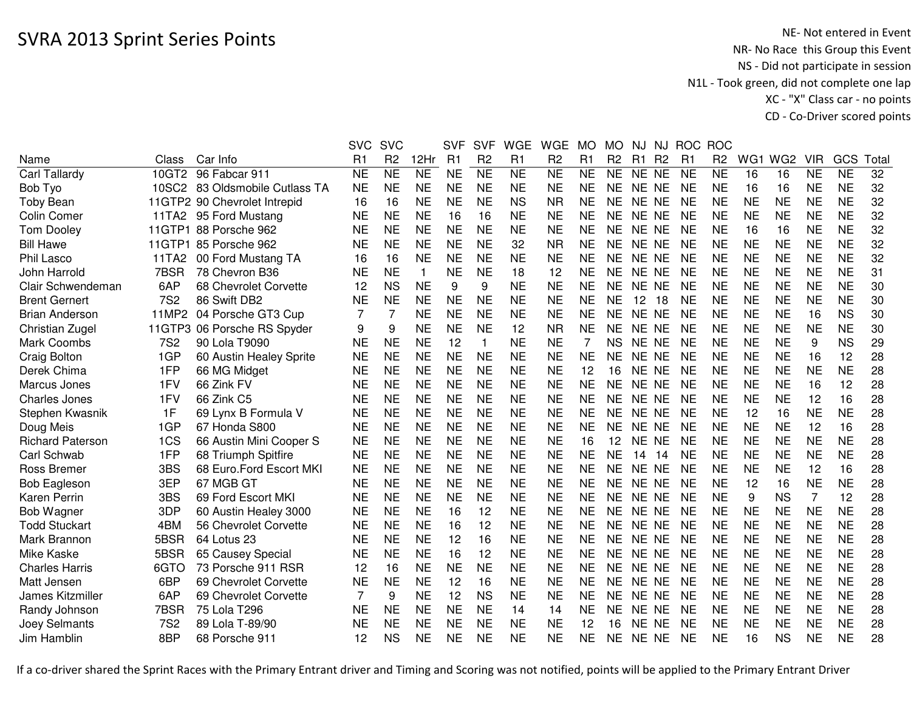|                         |            |                                | <b>SVC</b>     | <b>SVC</b>      |              | <b>SVF</b>     | <b>SVF</b>     | <b>WGE</b>     | <b>WGE</b>      | <b>MO</b>      | <b>MO</b>      | NJ.            | NJ             | <b>ROC</b>     | <b>ROC</b>      |           |                 |            |                 |                 |
|-------------------------|------------|--------------------------------|----------------|-----------------|--------------|----------------|----------------|----------------|-----------------|----------------|----------------|----------------|----------------|----------------|-----------------|-----------|-----------------|------------|-----------------|-----------------|
| Name                    | Class      | Car Info                       | R <sub>1</sub> | R <sub>2</sub>  | 12Hr         | R <sub>1</sub> | R <sub>2</sub> | R1             | R <sub>2</sub>  | R1             | R <sub>2</sub> | R <sub>1</sub> | R <sub>2</sub> | R <sub>1</sub> | R <sub>2</sub>  | WG1       | WG <sub>2</sub> | <b>VIR</b> | GCS             | Tota            |
| <b>Carl Tallardy</b>    |            | 10GT2 96 Fabcar 911            | <b>NE</b>      | $\overline{NE}$ | <b>NE</b>    | <b>NE</b>      | N <sub>E</sub> | N <sub>E</sub> | $\overline{NE}$ | N <sub>E</sub> | <b>NE</b>      | NE NE          |                | <b>NE</b>      | $\overline{NE}$ | 16        | 16              | <b>NE</b>  | $\overline{NE}$ | $\overline{32}$ |
| Bob Tyo                 |            | 10SC2 83 Oldsmobile Cutlass TA | <b>NE</b>      | <b>NE</b>       | <b>NE</b>    | <b>NE</b>      | <b>NE</b>      | <b>NE</b>      | <b>NE</b>       | <b>NE</b>      | <b>NE</b>      | NE NE          |                | <b>NE</b>      | <b>NE</b>       | 16        | 16              | <b>NE</b>  | <b>NE</b>       | 32              |
| <b>Toby Bean</b>        |            | 11GTP2 90 Chevrolet Intrepid   | 16             | 16              | <b>NE</b>    | <b>NE</b>      | <b>NE</b>      | <b>NS</b>      | <b>NR</b>       | <b>NE</b>      | <b>NE</b>      | NE NE          |                | <b>NE</b>      | <b>NE</b>       | <b>NE</b> | <b>NE</b>       | <b>NE</b>  | <b>NE</b>       | 32              |
| Colin Comer             |            | 11TA2 95 Ford Mustang          | <b>NE</b>      | <b>NE</b>       | <b>NE</b>    | 16             | 16             | <b>NE</b>      | <b>NE</b>       | <b>NE</b>      | <b>NE</b>      | NE NE          |                | <b>NE</b>      | <b>NE</b>       | <b>NE</b> | <b>NE</b>       | <b>NE</b>  | <b>NE</b>       | 32              |
| <b>Tom Dooley</b>       |            | 11GTP1 88 Porsche 962          | <b>NE</b>      | <b>NE</b>       | <b>NE</b>    | <b>NE</b>      | <b>NE</b>      | <b>NE</b>      | NE              | <b>NE</b>      | NE.            | NE NE          |                | <b>NE</b>      | <b>NE</b>       | 16        | 16              | <b>NE</b>  | <b>NE</b>       | 32              |
| <b>Bill Hawe</b>        | 11GTP1     | 85 Porsche 962                 | <b>NE</b>      | <b>NE</b>       | <b>NE</b>    | <b>NE</b>      | <b>NE</b>      | 32             | <b>NR</b>       | <b>NE</b>      | <b>NE</b>      | NE NE          |                | <b>NE</b>      | <b>NE</b>       | <b>NE</b> | <b>NE</b>       | <b>NE</b>  | <b>NE</b>       | 32              |
| Phil Lasco              | 11TA2      | 00 Ford Mustang TA             | 16             | 16              | <b>NE</b>    | <b>NE</b>      | <b>NE</b>      | <b>NE</b>      | <b>NE</b>       | <b>NE</b>      | <b>NE</b>      | NE NE          |                | <b>NE</b>      | <b>NE</b>       | <b>NE</b> | <b>NE</b>       | <b>NE</b>  | <b>NE</b>       | 32              |
| John Harrold            | 7BSR       | 78 Chevron B36                 | <b>NE</b>      | <b>NE</b>       | $\mathbf{1}$ | <b>NE</b>      | <b>NE</b>      | 18             | 12              | <b>NE</b>      | <b>NE</b>      | NE NE          |                | <b>NE</b>      | <b>NE</b>       | <b>NE</b> | <b>NE</b>       | <b>NE</b>  | <b>NE</b>       | 31              |
| Clair Schwendeman       | 6AP        | 68 Chevrolet Corvette          | 12             | <b>NS</b>       | <b>NE</b>    | 9              | 9              | <b>NE</b>      | <b>NE</b>       | <b>NE</b>      | NE.            | NE NE          |                | <b>NE</b>      | <b>NE</b>       | <b>NE</b> | <b>NE</b>       | <b>NE</b>  | <b>NE</b>       | 30              |
| <b>Brent Gernert</b>    | <b>7S2</b> | 86 Swift DB2                   | <b>NE</b>      | <b>NE</b>       | <b>NE</b>    | <b>NE</b>      | <b>NE</b>      | <b>NE</b>      | <b>NE</b>       | <b>NE</b>      | <b>NE</b>      | 12             | 18             | <b>NE</b>      | <b>NE</b>       | <b>NE</b> | <b>NE</b>       | <b>NE</b>  | <b>NE</b>       | 30              |
| <b>Brian Anderson</b>   | 11MP2      | 04 Porsche GT3 Cup             | 7              | 7               | <b>NE</b>    | <b>NE</b>      | <b>NE</b>      | <b>NE</b>      | <b>NE</b>       | <b>NE</b>      | <b>NE</b>      | NE NE          |                | <b>NE</b>      | <b>NE</b>       | <b>NE</b> | <b>NE</b>       | 16         | <b>NS</b>       | 30              |
| Christian Zugel         |            | 11GTP3 06 Porsche RS Spyder    | 9              | 9               | <b>NE</b>    | <b>NE</b>      | <b>NE</b>      | 12             | <b>NR</b>       | <b>NE</b>      | <b>NE</b>      | NE NE          |                | <b>NE</b>      | <b>NE</b>       | <b>NE</b> | <b>NE</b>       | <b>NE</b>  | <b>NE</b>       | 30              |
| Mark Coombs             | <b>7S2</b> | 90 Lola T9090                  | <b>NE</b>      | <b>NE</b>       | <b>NE</b>    | 12             | $\mathbf{1}$   | <b>NE</b>      | <b>NE</b>       | 7              | NS.            | NE NE          |                | <b>NE</b>      | <b>NE</b>       | <b>NE</b> | <b>NE</b>       | 9          | <b>NS</b>       | 29              |
| Craig Bolton            | 1GP        | 60 Austin Healey Sprite        | <b>NE</b>      | <b>NE</b>       | <b>NE</b>    | <b>NE</b>      | <b>NE</b>      | <b>NE</b>      | <b>NE</b>       | <b>NE</b>      | <b>NE</b>      | <b>NE</b>      | <b>NE</b>      | <b>NE</b>      | <b>NE</b>       | <b>NE</b> | <b>NE</b>       | 16         | 12              | 28              |
| Derek Chima             | 1FP        | 66 MG Midget                   | <b>NE</b>      | <b>NE</b>       | <b>NE</b>    | <b>NE</b>      | <b>NE</b>      | <b>NE</b>      | <b>NE</b>       | 12             | 16             | NE NE          |                | <b>NE</b>      | <b>NE</b>       | <b>NE</b> | <b>NE</b>       | <b>NE</b>  | <b>NE</b>       | 28              |
| Marcus Jones            | 1FV        | 66 Zink FV                     | <b>NE</b>      | <b>NE</b>       | <b>NE</b>    | <b>NE</b>      | <b>NE</b>      | <b>NE</b>      | <b>NE</b>       | <b>NE</b>      | <b>NE</b>      | NE NE          |                | <b>NE</b>      | <b>NE</b>       | <b>NE</b> | <b>NE</b>       | 16         | 12              | 28              |
| <b>Charles Jones</b>    | 1FV        | 66 Zink C5                     | <b>NE</b>      | <b>NE</b>       | <b>NE</b>    | <b>NE</b>      | <b>NE</b>      | <b>NE</b>      | <b>NE</b>       | <b>NE</b>      | <b>NE</b>      | NE NE          |                | <b>NE</b>      | <b>NE</b>       | <b>NE</b> | <b>NE</b>       | 12         | 16              | 28              |
| Stephen Kwasnik         | 1F         | 69 Lynx B Formula V            | <b>NE</b>      | <b>NE</b>       | <b>NE</b>    | <b>NE</b>      | <b>NE</b>      | <b>NE</b>      | <b>NE</b>       | <b>NE</b>      | <b>NE</b>      | NE NE          |                | <b>NE</b>      | <b>NE</b>       | 12        | 16              | <b>NE</b>  | <b>NE</b>       | 28              |
| Doug Meis               | 1GP        | 67 Honda S800                  | <b>NE</b>      | <b>NE</b>       | <b>NE</b>    | <b>NE</b>      | <b>NE</b>      | <b>NE</b>      | <b>NE</b>       | <b>NE</b>      | <b>NE</b>      | NE NE          |                | <b>NE</b>      | <b>NE</b>       | <b>NE</b> | <b>NE</b>       | 12         | 16              | 28              |
| <b>Richard Paterson</b> | 1CS        | 66 Austin Mini Cooper S        | <b>NE</b>      | NE              | <b>NE</b>    | <b>NE</b>      | NE             | <b>NE</b>      | NE              | 16             | 12             | NE NE          |                | <b>NE</b>      | <b>NE</b>       | <b>NE</b> | <b>NE</b>       | ΝE         | <b>NE</b>       | 28              |
| Carl Schwab             | 1FP        | 68 Triumph Spitfire            | <b>NE</b>      | <b>NE</b>       | <b>NE</b>    | <b>NE</b>      | <b>NE</b>      | <b>NE</b>      | <b>NE</b>       | <b>NE</b>      | <b>NE</b>      | 14 14          |                | <b>NE</b>      | <b>NE</b>       | <b>NE</b> | <b>NE</b>       | <b>NE</b>  | <b>NE</b>       | 28              |
| <b>Ross Bremer</b>      | 3BS        | 68 Euro.Ford Escort MKI        | <b>NE</b>      | <b>NE</b>       | <b>NE</b>    | <b>NE</b>      | <b>NE</b>      | <b>NE</b>      | <b>NE</b>       | <b>NE</b>      | <b>NE</b>      | NE NE          |                | <b>NE</b>      | <b>NE</b>       | <b>NE</b> | <b>NE</b>       | 12         | 16              | 28              |
| <b>Bob Eagleson</b>     | 3EP        | 67 MGB GT                      | <b>NE</b>      | <b>NE</b>       | <b>NE</b>    | <b>NE</b>      | <b>NE</b>      | <b>NE</b>      | <b>NE</b>       | <b>NE</b>      | <b>NE</b>      | NE NE          |                | <b>NE</b>      | <b>NE</b>       | 12        | 16              | <b>NE</b>  | <b>NE</b>       | 28              |
| <b>Karen Perrin</b>     | 3BS        | 69 Ford Escort MKI             | <b>NE</b>      | <b>NE</b>       | <b>NE</b>    | <b>NE</b>      | <b>NE</b>      | <b>NE</b>      | <b>NE</b>       | <b>NE</b>      | <b>NE</b>      | NE NE          |                | <b>NE</b>      | <b>NE</b>       | 9         | <b>NS</b>       | 7          | 12              | 28              |
| Bob Wagner              | 3DP        | 60 Austin Healey 3000          | <b>NE</b>      | <b>NE</b>       | <b>NE</b>    | 16             | 12             | <b>NE</b>      | <b>NE</b>       | <b>NE</b>      | <b>NE</b>      | NE NE          |                | <b>NE</b>      | <b>NE</b>       | <b>NE</b> | <b>NE</b>       | <b>NE</b>  | <b>NE</b>       | 28              |
| <b>Todd Stuckart</b>    | 4BM        | 56 Chevrolet Corvette          | <b>NE</b>      | <b>NE</b>       | <b>NE</b>    | 16             | 12             | <b>NE</b>      | <b>NE</b>       | <b>NE</b>      | <b>NE</b>      | NE NE          |                | <b>NE</b>      | <b>NE</b>       | <b>NE</b> | <b>NE</b>       | <b>NE</b>  | <b>NE</b>       | 28              |
| Mark Brannon            | 5BSR       | 64 Lotus 23                    | <b>NE</b>      | <b>NE</b>       | <b>NE</b>    | 12             | 16             | <b>NE</b>      | <b>NE</b>       | <b>NE</b>      | <b>NE</b>      | NE NE          |                | <b>NE</b>      | <b>NE</b>       | <b>NE</b> | <b>NE</b>       | <b>NE</b>  | <b>NE</b>       | 28              |
| Mike Kaske              | 5BSR       | 65 Causey Special              | <b>NE</b>      | <b>NE</b>       | <b>NE</b>    | 16             | 12             | <b>NE</b>      | <b>NE</b>       | <b>NE</b>      | NE             | NE NE          |                | <b>NE</b>      | <b>NE</b>       | <b>NE</b> | <b>NE</b>       | <b>NE</b>  | <b>NE</b>       | 28              |
| <b>Charles Harris</b>   | 6GTO       | 73 Porsche 911 RSR             | 12             | 16              | <b>NE</b>    | <b>NE</b>      | <b>NE</b>      | <b>NE</b>      | <b>NE</b>       | <b>NE</b>      | <b>NE</b>      | NE NE          |                | <b>NE</b>      | <b>NE</b>       | <b>NE</b> | <b>NE</b>       | <b>NE</b>  | <b>NE</b>       | 28              |
| Matt Jensen             | 6BP        | 69 Chevrolet Corvette          | <b>NE</b>      | <b>NE</b>       | <b>NE</b>    | 12             | 16             | <b>NE</b>      | <b>NE</b>       | <b>NE</b>      | NE             | NE NE          |                | <b>NE</b>      | <b>NE</b>       | <b>NE</b> | <b>NE</b>       | <b>NE</b>  | <b>NE</b>       | 28              |
| James Kitzmiller        | 6AP        | 69 Chevrolet Corvette          | 7              | 9               | <b>NE</b>    | 12             | <b>NS</b>      | <b>NE</b>      | <b>NE</b>       | <b>NE</b>      | <b>NE</b>      | NE NE          |                | <b>NE</b>      | <b>NE</b>       | <b>NE</b> | <b>NE</b>       | <b>NE</b>  | <b>NE</b>       | 28              |
| Randy Johnson           | 7BSR       | 75 Lola T296                   | <b>NE</b>      | <b>NE</b>       | <b>NE</b>    | <b>NE</b>      | <b>NE</b>      | 14             | 14              | <b>NE</b>      | <b>NE</b>      | NE NE          |                | <b>NE</b>      | <b>NE</b>       | <b>NE</b> | <b>NE</b>       | <b>NE</b>  | <b>NE</b>       | 28              |
| Joey Selmants           | <b>7S2</b> | 89 Lola T-89/90                | <b>NE</b>      | <b>NE</b>       | <b>NE</b>    | <b>NE</b>      | <b>NE</b>      | <b>NE</b>      | <b>NE</b>       | 12             | 16             | NE NE          |                | <b>NE</b>      | <b>NE</b>       | <b>NE</b> | <b>NE</b>       | <b>NE</b>  | <b>NE</b>       | 28              |
| Jim Hamblin             | 8BP        | 68 Porsche 911                 | 12             | <b>NS</b>       | <b>NE</b>    | <b>NE</b>      | <b>NE</b>      | <b>NE</b>      | <b>NE</b>       | <b>NE</b>      | NE.            | NE NE          |                | <b>NE</b>      | <b>NE</b>       | 16        | <b>NS</b>       | <b>NE</b>  | <b>NE</b>       | 28              |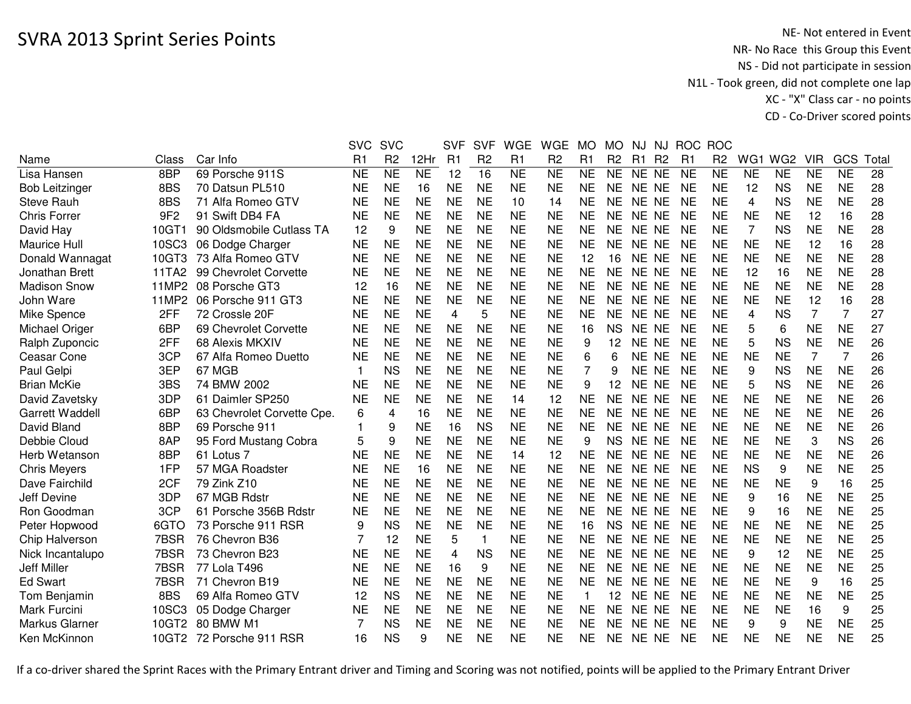|                        |                 |                            | <b>SVC</b>     | <b>SVC</b>      |                | <b>SVF</b> | <b>SVF</b>     | <b>WGE</b>     | <b>WGE</b>     | <b>MO</b> | <b>MO</b>      | NJ.       | NJ             | <b>ROC</b> | <b>ROC</b>     |                |                 |                |           |      |
|------------------------|-----------------|----------------------------|----------------|-----------------|----------------|------------|----------------|----------------|----------------|-----------|----------------|-----------|----------------|------------|----------------|----------------|-----------------|----------------|-----------|------|
| Name                   | Class           | Car Info                   | R <sub>1</sub> | R <sub>2</sub>  | 12Hr           | R1         | R <sub>2</sub> | R <sub>1</sub> | R <sub>2</sub> | R1        | R <sub>2</sub> | R1        | R <sub>2</sub> | R1         | R <sub>2</sub> | WG1            | WG <sub>2</sub> | <b>VIR</b>     | GCS       | Tota |
| Lisa Hansen            | 8BP             | 69 Porsche 911S            | <b>NE</b>      | $\overline{NE}$ | N <sub>E</sub> | 12         | 16             | N <sub>E</sub> | <b>NE</b>      | <b>NE</b> | <b>NE</b>      | NE NE     |                | <b>NE</b>  | <b>NE</b>      | <b>NE</b>      | <b>NE</b>       | <b>NE</b>      | <b>NE</b> | 28   |
| <b>Bob Leitzinger</b>  | 8BS             | 70 Datsun PL510            | <b>NE</b>      | <b>NE</b>       | 16             | <b>NE</b>  | <b>NE</b>      | <b>NE</b>      | <b>NE</b>      | <b>NE</b> | <b>NE</b>      | NE NE     |                | <b>NE</b>  | <b>NE</b>      | 12             | <b>NS</b>       | <b>NE</b>      | <b>NE</b> | 28   |
| <b>Steve Rauh</b>      | 8BS             | 71 Alfa Romeo GTV          | <b>NE</b>      | <b>NE</b>       | <b>NE</b>      | <b>NE</b>  | <b>NE</b>      | 10             | 14             | <b>NE</b> | NE.            | NE NE     |                | <b>NE</b>  | <b>NE</b>      | 4              | <b>NS</b>       | <b>NE</b>      | <b>NE</b> | 28   |
| <b>Chris Forrer</b>    | 9F <sub>2</sub> | 91 Swift DB4 FA            | <b>NE</b>      | <b>NE</b>       | <b>NE</b>      | <b>NE</b>  | <b>NE</b>      | <b>NE</b>      | <b>NE</b>      | <b>NE</b> | <b>NE</b>      | NE NE     |                | <b>NE</b>  | <b>NE</b>      | <b>NE</b>      | <b>NE</b>       | 12             | 16        | 28   |
| David Hay              | 10GT1           | 90 Oldsmobile Cutlass TA   | 12             | 9               | <b>NE</b>      | <b>NE</b>  | <b>NE</b>      | <b>NE</b>      | ΝE             | <b>NE</b> | NE.            | NE NE     |                | <b>NE</b>  | <b>NE</b>      | $\overline{7}$ | <b>NS</b>       | <b>NE</b>      | <b>NE</b> | 28   |
| Maurice Hull           | 10SC3           | 06 Dodge Charger           | <b>NE</b>      | <b>NE</b>       | <b>NE</b>      | <b>NE</b>  | <b>NE</b>      | <b>NE</b>      | <b>NE</b>      | <b>NE</b> | <b>NE</b>      | NE NE     |                | <b>NE</b>  | <b>NE</b>      | <b>NE</b>      | <b>NE</b>       | 12             | 16        | 28   |
| Donald Wannagat        | 10GT3           | 73 Alfa Romeo GTV          | <b>NE</b>      | <b>NE</b>       | <b>NE</b>      | <b>NE</b>  | <b>NE</b>      | <b>NE</b>      | <b>NE</b>      | 12        | 16             | NE NE     |                | <b>NE</b>  | <b>NE</b>      | <b>NE</b>      | <b>NE</b>       | <b>NE</b>      | <b>NE</b> | 28   |
| Jonathan Brett         | 11TA2           | 99 Chevrolet Corvette      | <b>NE</b>      | <b>NE</b>       | <b>NE</b>      | <b>NE</b>  | <b>NE</b>      | <b>NE</b>      | <b>NE</b>      | <b>NE</b> | <b>NE</b>      | NE NE     |                | <b>NE</b>  | <b>NE</b>      | 12             | 16              | <b>NE</b>      | <b>NE</b> | 28   |
| <b>Madison Snow</b>    | 11MP2           | 08 Porsche GT3             | 12             | 16              | <b>NE</b>      | <b>NE</b>  | <b>NE</b>      | <b>NE</b>      | <b>NE</b>      | <b>NE</b> | <b>NE</b>      | NE NE     |                | <b>NE</b>  | <b>NE</b>      | <b>NE</b>      | <b>NE</b>       | <b>NE</b>      | <b>NE</b> | 28   |
| John Ware              | 11MP2           | 06 Porsche 911 GT3         | <b>NE</b>      | <b>NE</b>       | <b>NE</b>      | <b>NE</b>  | <b>NE</b>      | <b>NE</b>      | <b>NE</b>      | <b>NE</b> | <b>NE</b>      | <b>NE</b> | <b>NE</b>      | <b>NE</b>  | <b>NE</b>      | <b>NE</b>      | <b>NE</b>       | 12             | 16        | 28   |
| Mike Spence            | 2FF             | 72 Crossle 20F             | <b>NE</b>      | <b>NE</b>       | <b>NE</b>      | 4          | 5              | <b>NE</b>      | <b>NE</b>      | <b>NE</b> | <b>NE</b>      | <b>NE</b> | <b>NE</b>      | <b>NE</b>  | <b>NE</b>      | 4              | <b>NS</b>       | $\overline{7}$ | 7         | 27   |
| Michael Origer         | 6BP             | 69 Chevrolet Corvette      | <b>NE</b>      | <b>NE</b>       | <b>NE</b>      | <b>NE</b>  | <b>NE</b>      | <b>NE</b>      | <b>NE</b>      | 16        | <b>NS</b>      | <b>NE</b> | <b>NE</b>      | <b>NE</b>  | <b>NE</b>      | 5              | 6               | <b>NE</b>      | <b>NE</b> | 27   |
| Ralph Zuponcic         | 2FF             | 68 Alexis MKXIV            | <b>NE</b>      | <b>NE</b>       | <b>NE</b>      | <b>NE</b>  | <b>NE</b>      | <b>NE</b>      | <b>NE</b>      | 9         | 12             | <b>NE</b> | <b>NE</b>      | <b>NE</b>  | <b>NE</b>      | 5              | <b>NS</b>       | <b>NE</b>      | <b>NE</b> | 26   |
| Ceasar Cone            | 3CP             | 67 Alfa Romeo Duetto       | <b>NE</b>      | <b>NE</b>       | <b>NE</b>      | <b>NE</b>  | <b>NE</b>      | <b>NE</b>      | <b>NE</b>      | 6         | 6              | <b>NE</b> | <b>NE</b>      | <b>NE</b>  | <b>NE</b>      | <b>NE</b>      | <b>NE</b>       | 7              | 7         | 26   |
| Paul Gelpi             | 3EP             | 67 MGB                     | $\mathbf 1$    | <b>NS</b>       | <b>NE</b>      | <b>NE</b>  | <b>NE</b>      | <b>NE</b>      | <b>NE</b>      | 7         | 9              | <b>NE</b> | <b>NE</b>      | <b>NE</b>  | <b>NE</b>      | 9              | <b>NS</b>       | <b>NE</b>      | <b>NE</b> | 26   |
| <b>Brian McKie</b>     | 3BS             | 74 BMW 2002                | <b>NE</b>      | <b>NE</b>       | <b>NE</b>      | <b>NE</b>  | <b>NE</b>      | <b>NE</b>      | <b>NE</b>      | 9         | 12             | NE NE     |                | <b>NE</b>  | <b>NE</b>      | 5              | <b>NS</b>       | <b>NE</b>      | <b>NE</b> | 26   |
| David Zavetsky         | 3DP             | 61 Daimler SP250           | <b>NE</b>      | <b>NE</b>       | <b>NE</b>      | <b>NE</b>  | <b>NE</b>      | 14             | 12             | <b>NE</b> | <b>NE</b>      | NE NE     |                | <b>NE</b>  | <b>NE</b>      | <b>NE</b>      | <b>NE</b>       | <b>NE</b>      | <b>NE</b> | 26   |
| <b>Garrett Waddell</b> | 6BP             | 63 Chevrolet Corvette Cpe. | 6              | 4               | 16             | <b>NE</b>  | <b>NE</b>      | <b>NE</b>      | <b>NE</b>      | <b>NE</b> | <b>NE</b>      | NE NE     |                | <b>NE</b>  | <b>NE</b>      | <b>NE</b>      | <b>NE</b>       | <b>NE</b>      | <b>NE</b> | 26   |
| David Bland            | 8BP             | 69 Porsche 911             |                | 9               | <b>NE</b>      | 16         | <b>NS</b>      | <b>NE</b>      | <b>NE</b>      | <b>NE</b> | <b>NE</b>      | NE NE     |                | <b>NE</b>  | <b>NE</b>      | <b>NE</b>      | <b>NE</b>       | <b>NE</b>      | <b>NE</b> | 26   |
| Debbie Cloud           | 8AP             | 95 Ford Mustang Cobra      | 5              | 9               | <b>NE</b>      | <b>NE</b>  | <b>NE</b>      | <b>NE</b>      | ΝE             | 9         | <b>NS</b>      | NE NE     |                | <b>NE</b>  | <b>NE</b>      | <b>NE</b>      | <b>NE</b>       | 3              | <b>NS</b> | 26   |
| Herb Wetanson          | 8BP             | 61 Lotus 7                 | <b>NE</b>      | <b>NE</b>       | <b>NE</b>      | <b>NE</b>  | <b>NE</b>      | 14             | 12             | <b>NE</b> | <b>NE</b>      | NE NE     |                | <b>NE</b>  | <b>NE</b>      | <b>NE</b>      | <b>NE</b>       | <b>NE</b>      | <b>NE</b> | 26   |
| <b>Chris Meyers</b>    | 1FP             | 57 MGA Roadster            | <b>NE</b>      | <b>NE</b>       | 16             | <b>NE</b>  | <b>NE</b>      | <b>NE</b>      | <b>NE</b>      | <b>NE</b> | <b>NE</b>      | NE NE     |                | <b>NE</b>  | <b>NE</b>      | <b>NS</b>      | 9               | <b>NE</b>      | <b>NE</b> | 25   |
| Dave Fairchild         | 2CF             | 79 Zink Z10                | <b>NE</b>      | <b>NE</b>       | <b>NE</b>      | <b>NE</b>  | <b>NE</b>      | <b>NE</b>      | <b>NE</b>      | <b>NE</b> | <b>NE</b>      | NE NE     |                | <b>NE</b>  | <b>NE</b>      | <b>NE</b>      | <b>NE</b>       | 9              | 16        | 25   |
| <b>Jeff Devine</b>     | 3DP             | 67 MGB Rdstr               | <b>NE</b>      | <b>NE</b>       | <b>NE</b>      | <b>NE</b>  | <b>NE</b>      | <b>NE</b>      | <b>NE</b>      | <b>NE</b> | <b>NE</b>      | NE NE     |                | <b>NE</b>  | <b>NE</b>      | 9              | 16              | <b>NE</b>      | <b>NE</b> | 25   |
| Ron Goodman            | 3CP             | 61 Porsche 356B Rdstr      | <b>NE</b>      | <b>NE</b>       | <b>NE</b>      | <b>NE</b>  | <b>NE</b>      | <b>NE</b>      | <b>NE</b>      | <b>NE</b> | <b>NE</b>      | NE NE     |                | <b>NE</b>  | <b>NE</b>      | 9              | 16              | <b>NE</b>      | <b>NE</b> | 25   |
| Peter Hopwood          | 6GTO            | 73 Porsche 911 RSR         | 9              | <b>NS</b>       | <b>NE</b>      | <b>NE</b>  | <b>NE</b>      | <b>NE</b>      | <b>NE</b>      | 16        | <b>NS</b>      | <b>NE</b> | <b>NE</b>      | <b>NE</b>  | <b>NE</b>      | <b>NE</b>      | <b>NE</b>       | <b>NE</b>      | <b>NE</b> | 25   |
| Chip Halverson         | 7BSR            | 76 Chevron B36             | 7              | 12              | <b>NE</b>      | 5          | $\mathbf{1}$   | <b>NE</b>      | <b>NE</b>      | <b>NE</b> | <b>NE</b>      | <b>NE</b> | <b>NE</b>      | <b>NE</b>  | <b>NE</b>      | <b>NE</b>      | <b>NE</b>       | <b>NE</b>      | <b>NE</b> | 25   |
| Nick Incantalupo       | 7BSR            | 73 Chevron B23             | <b>NE</b>      | <b>NE</b>       | <b>NE</b>      | 4          | <b>NS</b>      | <b>NE</b>      | <b>NE</b>      | <b>NE</b> | <b>NE</b>      | NE NE     |                | <b>NE</b>  | <b>NE</b>      | 9              | 12              | <b>NE</b>      | <b>NE</b> | 25   |
| Jeff Miller            | 7BSR            | 77 Lola T496               | <b>NE</b>      | <b>NE</b>       | <b>NE</b>      | 16         | 9              | <b>NE</b>      | <b>NE</b>      | <b>NE</b> | <b>NE</b>      | NE NE     |                | <b>NE</b>  | <b>NE</b>      | <b>NE</b>      | <b>NE</b>       | <b>NE</b>      | <b>NE</b> | 25   |
| <b>Ed Swart</b>        | 7BSR            | 71 Chevron B19             | <b>NE</b>      | <b>NE</b>       | <b>NE</b>      | <b>NE</b>  | <b>NE</b>      | <b>NE</b>      | <b>NE</b>      | <b>NE</b> | <b>NE</b>      | NE NE     |                | <b>NE</b>  | <b>NE</b>      | <b>NE</b>      | <b>NE</b>       | 9              | 16        | 25   |
| Tom Benjamin           | 8BS             | 69 Alfa Romeo GTV          | 12             | <b>NS</b>       | <b>NE</b>      | <b>NE</b>  | <b>NE</b>      | <b>NE</b>      | <b>NE</b>      |           | 12             | NE NE     |                | <b>NE</b>  | <b>NE</b>      | <b>NE</b>      | <b>NE</b>       | <b>NE</b>      | <b>NE</b> | 25   |
| Mark Furcini           | 10SC3           | 05 Dodge Charger           | <b>NE</b>      | <b>NE</b>       | <b>NE</b>      | <b>NE</b>  | <b>NE</b>      | <b>NE</b>      | <b>NE</b>      | <b>NE</b> | <b>NE</b>      | NE NE     |                | <b>NE</b>  | <b>NE</b>      | <b>NE</b>      | <b>NE</b>       | 16             | 9         | 25   |
| Markus Glarner         | 10GT2           | 80 BMW M1                  | 7              | <b>NS</b>       | <b>NE</b>      | <b>NE</b>  | <b>NE</b>      | <b>NE</b>      | <b>NE</b>      | <b>NE</b> | <b>NE</b>      | NE NE     |                | <b>NE</b>  | <b>NE</b>      | 9              | 9               | <b>NE</b>      | <b>NE</b> | 25   |
| Ken McKinnon           | 10GT2           | 72 Porsche 911 RSR         | 16             | <b>NS</b>       | 9              | ΝE         | <b>NE</b>      | <b>NE</b>      | ΝE             | NE        | NE             | NE NE     |                | <b>NE</b>  | <b>NE</b>      | <b>NE</b>      | <b>NE</b>       | <b>NE</b>      | <b>NE</b> | 25   |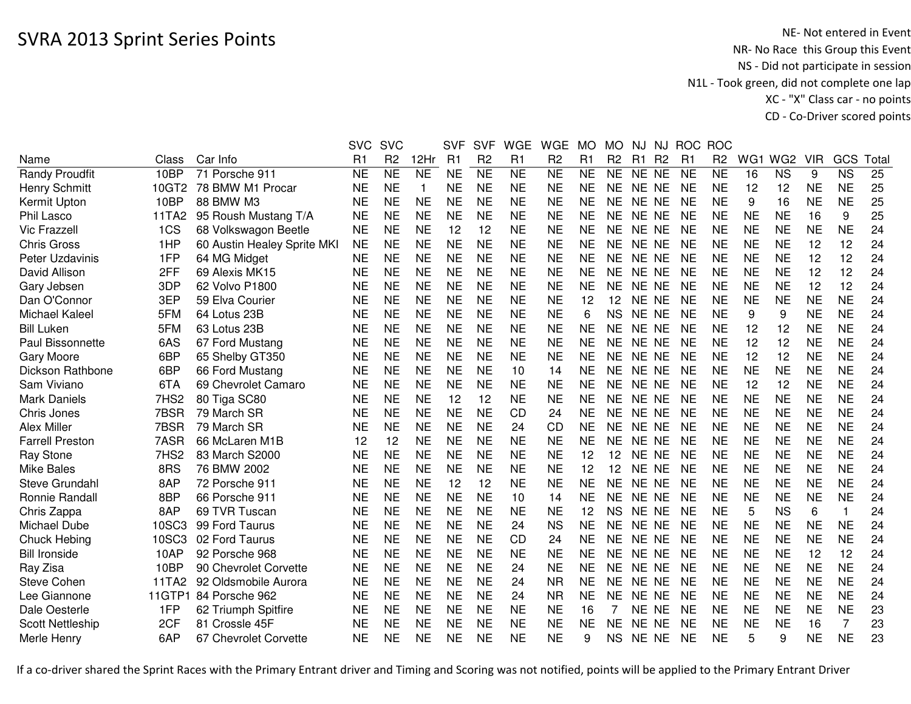|                         |        |                             | <b>SVC</b>     | <b>SVC</b>             |                | <b>SVF</b> | <b>SVF</b>     | <b>WGE</b>     | <b>WGE</b>     | <b>MO</b>      | <b>MO</b>      | NJ.            | <b>NJ</b>      | <b>ROC</b>     | <b>ROC</b>     |           |                 |            |                        |      |
|-------------------------|--------|-----------------------------|----------------|------------------------|----------------|------------|----------------|----------------|----------------|----------------|----------------|----------------|----------------|----------------|----------------|-----------|-----------------|------------|------------------------|------|
| Name                    | Class  | Car Info                    | R <sub>1</sub> | R <sub>2</sub>         | 12Hr           | R1         | R <sub>2</sub> | R <sub>1</sub> | R <sub>2</sub> | R1             | R <sub>2</sub> | R <sub>1</sub> | R <sub>2</sub> | R <sub>1</sub> | R <sub>2</sub> | WG1       | WG <sub>2</sub> | <b>VIR</b> | GCS                    | Tota |
| <b>Randy Proudfit</b>   | 10BP   | 71 Porsche 911              | <b>NE</b>      | $\overline{\text{NE}}$ | N <sub>E</sub> | <b>NE</b>  | N <sub>E</sub> | <b>NE</b>      | <b>NE</b>      | N <sub>E</sub> | <b>NE</b>      | NE NE          |                | <b>NE</b>      | N <sub>E</sub> | 16        | <b>NS</b>       | 9          | $\overline{\text{NS}}$ | 25   |
| <b>Henry Schmitt</b>    | 10GT2  | 78 BMW M1 Procar            | <b>NE</b>      | <b>NE</b>              | $\mathbf 1$    | <b>NE</b>  | <b>NE</b>      | <b>NE</b>      | <b>NE</b>      | <b>NE</b>      | <b>NE</b>      | NE NE          |                | <b>NE</b>      | <b>NE</b>      | 12        | 12              | <b>NE</b>  | <b>NE</b>              | 25   |
| Kermit Upton            | 10BP   | 88 BMW M3                   | <b>NE</b>      | <b>NE</b>              | <b>NE</b>      | <b>NE</b>  | <b>NE</b>      | <b>NE</b>      | <b>NE</b>      | <b>NE</b>      | <b>NE</b>      | NE NE          |                | <b>NE</b>      | <b>NE</b>      | 9         | 16              | <b>NE</b>  | <b>NE</b>              | 25   |
| Phil Lasco              | 11TA2  | 95 Roush Mustang T/A        | <b>NE</b>      | <b>NE</b>              | <b>NE</b>      | <b>NE</b>  | <b>NE</b>      | <b>NE</b>      | <b>NE</b>      | <b>NE</b>      | NE.            | NE NE          |                | <b>NE</b>      | <b>NE</b>      | <b>NE</b> | <b>NE</b>       | 16         | 9                      | 25   |
| <b>Vic Frazzell</b>     | 1CS    | 68 Volkswagon Beetle        | <b>NE</b>      | <b>NE</b>              | <b>NE</b>      | 12         | 12             | <b>NE</b>      | <b>NE</b>      | <b>NE</b>      | <b>NE</b>      | NE NE          |                | <b>NE</b>      | <b>NE</b>      | <b>NE</b> | <b>NE</b>       | <b>NE</b>  | <b>NE</b>              | 24   |
| <b>Chris Gross</b>      | 1HP    | 60 Austin Healey Sprite MKI | <b>NE</b>      | <b>NE</b>              | <b>NE</b>      | <b>NE</b>  | <b>NE</b>      | <b>NE</b>      | <b>NE</b>      | <b>NE</b>      | NE             | NE NE          |                | <b>NE</b>      | <b>NE</b>      | <b>NE</b> | <b>NE</b>       | 12         | 12                     | 24   |
| Peter Uzdavinis         | 1FP    | 64 MG Midget                | <b>NE</b>      | <b>NE</b>              | <b>NE</b>      | <b>NE</b>  | <b>NE</b>      | <b>NE</b>      | <b>NE</b>      | <b>NE</b>      | <b>NE</b>      | NE NE          |                | <b>NE</b>      | <b>NE</b>      | <b>NE</b> | <b>NE</b>       | 12         | 12                     | 24   |
| David Allison           | 2FF    | 69 Alexis MK15              | <b>NE</b>      | <b>NE</b>              | <b>NE</b>      | <b>NE</b>  | <b>NE</b>      | <b>NE</b>      | <b>NE</b>      | <b>NE</b>      | <b>NE</b>      | NE NE          |                | <b>NE</b>      | <b>NE</b>      | <b>NE</b> | <b>NE</b>       | 12         | 12                     | 24   |
| Gary Jebsen             | 3DP    | 62 Volvo P1800              | <b>NE</b>      | <b>NE</b>              | <b>NE</b>      | <b>NE</b>  | <b>NE</b>      | <b>NE</b>      | <b>NE</b>      | <b>NE</b>      | <b>NE</b>      | NE NE          |                | <b>NE</b>      | <b>NE</b>      | <b>NE</b> | <b>NE</b>       | 12         | 12                     | 24   |
| Dan O'Connor            | 3EP    | 59 Elva Courier             | <b>NE</b>      | <b>NE</b>              | <b>NE</b>      | <b>NE</b>  | <b>NE</b>      | <b>NE</b>      | <b>NE</b>      | 12             | 12             | NE NE          |                | <b>NE</b>      | <b>NE</b>      | <b>NE</b> | <b>NE</b>       | <b>NE</b>  | <b>NE</b>              | 24   |
| Michael Kaleel          | 5FM    | 64 Lotus 23B                | <b>NE</b>      | <b>NE</b>              | <b>NE</b>      | <b>NE</b>  | <b>NE</b>      | <b>NE</b>      | <b>NE</b>      | 6              | <b>NS</b>      | NE NE          |                | <b>NE</b>      | <b>NE</b>      | 9         | 9               | <b>NE</b>  | <b>NE</b>              | 24   |
| <b>Bill Luken</b>       | 5FM    | 63 Lotus 23B                | <b>NE</b>      | <b>NE</b>              | <b>NE</b>      | <b>NE</b>  | <b>NE</b>      | <b>NE</b>      | <b>NE</b>      | <b>NE</b>      | NE             | NE NE          |                | <b>NE</b>      | <b>NE</b>      | 12        | 12              | <b>NE</b>  | <b>NE</b>              | 24   |
| Paul Bissonnette        | 6AS    | 67 Ford Mustang             | <b>NE</b>      | <b>NE</b>              | <b>NE</b>      | <b>NE</b>  | <b>NE</b>      | <b>NE</b>      | <b>NE</b>      | <b>NE</b>      | <b>NE</b>      | NE NE          |                | <b>NE</b>      | <b>NE</b>      | 12        | 12              | <b>NE</b>  | <b>NE</b>              | 24   |
| Gary Moore              | 6BP    | 65 Shelby GT350             | <b>NE</b>      | <b>NE</b>              | <b>NE</b>      | <b>NE</b>  | <b>NE</b>      | <b>NE</b>      | <b>NE</b>      | <b>NE</b>      | NE             | NE NE          |                | <b>NE</b>      | <b>NE</b>      | 12        | 12              | <b>NE</b>  | <b>NE</b>              | 24   |
| Dickson Rathbone        | 6BP    | 66 Ford Mustang             | <b>NE</b>      | <b>NE</b>              | <b>NE</b>      | <b>NE</b>  | <b>NE</b>      | 10             | 14             | <b>NE</b>      | <b>NE</b>      | NE NE          |                | <b>NE</b>      | <b>NE</b>      | <b>NE</b> | <b>NE</b>       | <b>NE</b>  | <b>NE</b>              | 24   |
| Sam Viviano             | 6TA    | 69 Chevrolet Camaro         | <b>NE</b>      | <b>NE</b>              | <b>NE</b>      | <b>NE</b>  | <b>NE</b>      | <b>NE</b>      | <b>NE</b>      | <b>NE</b>      | NE             | NE NE          |                | <b>NE</b>      | <b>NE</b>      | 12        | 12              | <b>NE</b>  | <b>NE</b>              | 24   |
| <b>Mark Daniels</b>     | 7HS2   | 80 Tiga SC80                | <b>NE</b>      | <b>NE</b>              | <b>NE</b>      | 12         | 12             | <b>NE</b>      | <b>NE</b>      | <b>NE</b>      | <b>NE</b>      | NE NE          |                | <b>NE</b>      | <b>NE</b>      | <b>NE</b> | <b>NE</b>       | <b>NE</b>  | <b>NE</b>              | 24   |
| Chris Jones             | 7BSR   | 79 March SR                 | <b>NE</b>      | <b>NE</b>              | <b>NE</b>      | <b>NE</b>  | <b>NE</b>      | <b>CD</b>      | 24             | <b>NE</b>      | <b>NE</b>      | NE NE          |                | <b>NE</b>      | <b>NE</b>      | <b>NE</b> | <b>NE</b>       | <b>NE</b>  | <b>NE</b>              | 24   |
| <b>Alex Miller</b>      | 7BSR   | 79 March SR                 | <b>NE</b>      | <b>NE</b>              | <b>NE</b>      | <b>NE</b>  | <b>NE</b>      | 24             | <b>CD</b>      | <b>NE</b>      | <b>NE</b>      | NE NE          |                | <b>NE</b>      | <b>NE</b>      | <b>NE</b> | <b>NE</b>       | <b>NE</b>  | <b>NE</b>              | 24   |
| <b>Farrell Preston</b>  | 7ASR   | 66 McLaren M1B              | 12             | 12                     | <b>NE</b>      | <b>NE</b>  | <b>NE</b>      | <b>NE</b>      | <b>NE</b>      | <b>NE</b>      | NΕ             | NE NE          |                | <b>NE</b>      | <b>NE</b>      | <b>NE</b> | <b>NE</b>       | <b>NE</b>  | <b>NE</b>              | 24   |
| Ray Stone               | 7HS2   | 83 March S2000              | <b>NE</b>      | <b>NE</b>              | <b>NE</b>      | <b>NE</b>  | <b>NE</b>      | <b>NE</b>      | <b>NE</b>      | 12             | 12             | NE NE          |                | <b>NE</b>      | <b>NE</b>      | <b>NE</b> | <b>NE</b>       | <b>NE</b>  | <b>NE</b>              | 24   |
| <b>Mike Bales</b>       | 8RS    | 76 BMW 2002                 | <b>NE</b>      | <b>NE</b>              | <b>NE</b>      | <b>NE</b>  | <b>NE</b>      | <b>NE</b>      | <b>NE</b>      | 12             | 12             | NE NE          |                | <b>NE</b>      | <b>NE</b>      | <b>NE</b> | <b>NE</b>       | <b>NE</b>  | <b>NE</b>              | 24   |
| Steve Grundahl          | 8AP    | 72 Porsche 911              | <b>NE</b>      | <b>NE</b>              | <b>NE</b>      | 12         | 12             | <b>NE</b>      | <b>NE</b>      | <b>NE</b>      | <b>NE</b>      | NE NE          |                | <b>NE</b>      | <b>NE</b>      | <b>NE</b> | <b>NE</b>       | <b>NE</b>  | <b>NE</b>              | 24   |
| Ronnie Randall          | 8BP    | 66 Porsche 911              | <b>NE</b>      | <b>NE</b>              | <b>NE</b>      | <b>NE</b>  | <b>NE</b>      | 10             | 14             | <b>NE</b>      | <b>NE</b>      | NE NE          |                | <b>NE</b>      | <b>NE</b>      | <b>NE</b> | <b>NE</b>       | <b>NE</b>  | <b>NE</b>              | 24   |
| Chris Zappa             | 8AP    | 69 TVR Tuscan               | <b>NE</b>      | <b>NE</b>              | <b>NE</b>      | <b>NE</b>  | <b>NE</b>      | <b>NE</b>      | <b>NE</b>      | 12             | <b>NS</b>      | NE NE          |                | <b>NE</b>      | <b>NE</b>      | 5         | <b>NS</b>       | 6          | 1                      | 24   |
| Michael Dube            | 10SC3  | 99 Ford Taurus              | <b>NE</b>      | <b>NE</b>              | <b>NE</b>      | <b>NE</b>  | <b>NE</b>      | 24             | <b>NS</b>      | <b>NE</b>      | <b>NE</b>      | NE NE          |                | <b>NE</b>      | <b>NE</b>      | <b>NE</b> | <b>NE</b>       | <b>NE</b>  | <b>NE</b>              | 24   |
| <b>Chuck Hebing</b>     | 10SC3  | 02 Ford Taurus              | <b>NE</b>      | <b>NE</b>              | <b>NE</b>      | <b>NE</b>  | <b>NE</b>      | <b>CD</b>      | 24             | <b>NE</b>      | <b>NE</b>      | NE NE          |                | <b>NE</b>      | <b>NE</b>      | <b>NE</b> | <b>NE</b>       | <b>NE</b>  | <b>NE</b>              | 24   |
| <b>Bill Ironside</b>    | 10AP   | 92 Porsche 968              | <b>NE</b>      | <b>NE</b>              | <b>NE</b>      | <b>NE</b>  | <b>NE</b>      | <b>NE</b>      | <b>NE</b>      | <b>NE</b>      | <b>NE</b>      | NE NE          |                | <b>NE</b>      | <b>NE</b>      | <b>NE</b> | <b>NE</b>       | 12         | 12                     | 24   |
| Ray Zisa                | 10BP   | 90 Chevrolet Corvette       | <b>NE</b>      | <b>NE</b>              | <b>NE</b>      | <b>NE</b>  | <b>NE</b>      | 24             | <b>NE</b>      | <b>NE</b>      | <b>NE</b>      | NE NE          |                | <b>NE</b>      | <b>NE</b>      | <b>NE</b> | <b>NE</b>       | <b>NE</b>  | <b>NE</b>              | 24   |
| <b>Steve Cohen</b>      | 11TA2  | 92 Oldsmobile Aurora        | <b>NE</b>      | <b>NE</b>              | <b>NE</b>      | <b>NE</b>  | <b>NE</b>      | 24             | <b>NR</b>      | <b>NE</b>      | <b>NE</b>      | NE NE          |                | <b>NE</b>      | <b>NE</b>      | <b>NE</b> | <b>NE</b>       | <b>NE</b>  | <b>NE</b>              | 24   |
| Lee Giannone            | 11GTP1 | 84 Porsche 962              | <b>NE</b>      | <b>NE</b>              | <b>NE</b>      | <b>NE</b>  | <b>NE</b>      | 24             | <b>NR</b>      | <b>NE</b>      | <b>NE</b>      | NE NE          |                | <b>NE</b>      | <b>NE</b>      | <b>NE</b> | <b>NE</b>       | <b>NE</b>  | <b>NE</b>              | 24   |
| Dale Oesterle           | 1FP    | 62 Triumph Spitfire         | <b>NE</b>      | <b>NE</b>              | <b>NE</b>      | <b>NE</b>  | <b>NE</b>      | <b>NE</b>      | <b>NE</b>      | 16             |                | NE NE          |                | <b>NE</b>      | <b>NE</b>      | <b>NE</b> | <b>NE</b>       | <b>NE</b>  | <b>NE</b>              | 23   |
| <b>Scott Nettleship</b> | 2CF    | 81 Crossle 45F              | NE             | <b>NE</b>              | <b>NE</b>      | <b>NE</b>  | <b>NE</b>      | <b>NE</b>      | NE             | <b>NE</b>      | <b>NE</b>      | NE NE          |                | <b>NE</b>      | <b>NE</b>      | <b>NE</b> | <b>NE</b>       | 16         | 7                      | 23   |
| Merle Henry             | 6AP    | 67 Chevrolet Corvette       | <b>NE</b>      | <b>NE</b>              | <b>NE</b>      | <b>NE</b>  | <b>NE</b>      | <b>NE</b>      | <b>NE</b>      | 9              | <b>NS</b>      | NE NE          |                | <b>NE</b>      | <b>NE</b>      | 5         | 9               | <b>NE</b>  | <b>NE</b>              | 23   |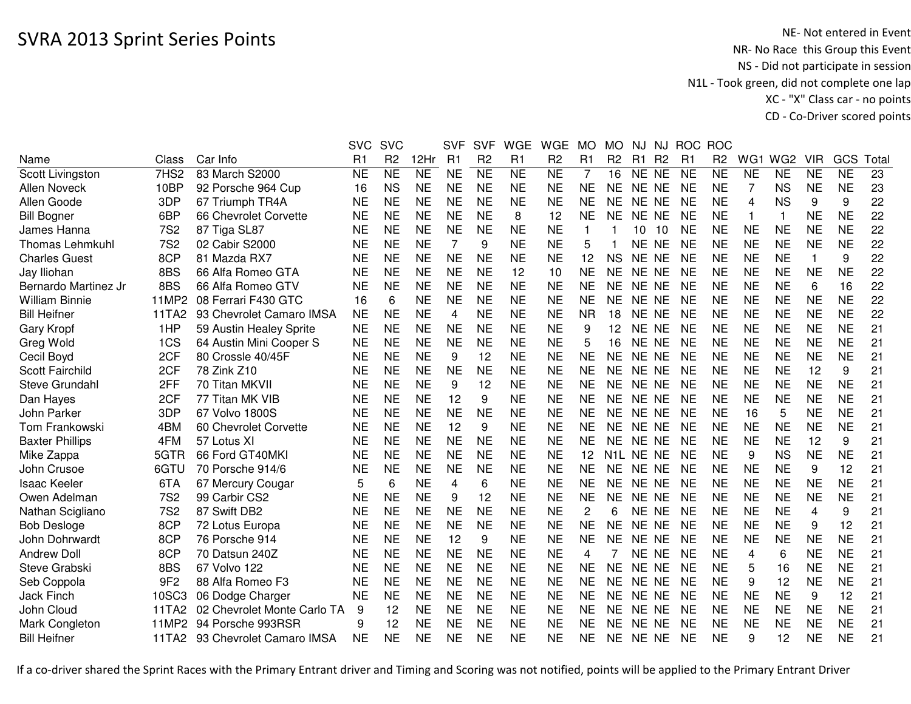|                  |                                               | <b>SVC</b>                                                             | <b>SVC</b>             |                                                               | <b>SVF</b>                                                                                                                     | <b>SVF</b>                                                                                                              | <b>WGE</b>                                                                              | <b>WGE</b>                                                                                                                     | <b>MO</b>                                        | <b>MO</b>                                                     | NJ.       |                                 |                                                                                                                                                                                                                                                                                                                                                                                            |                                                  |                                                                                       |                                                                            |                                                                                                                                            |                                                                            |                                                                                                                   |
|------------------|-----------------------------------------------|------------------------------------------------------------------------|------------------------|---------------------------------------------------------------|--------------------------------------------------------------------------------------------------------------------------------|-------------------------------------------------------------------------------------------------------------------------|-----------------------------------------------------------------------------------------|--------------------------------------------------------------------------------------------------------------------------------|--------------------------------------------------|---------------------------------------------------------------|-----------|---------------------------------|--------------------------------------------------------------------------------------------------------------------------------------------------------------------------------------------------------------------------------------------------------------------------------------------------------------------------------------------------------------------------------------------|--------------------------------------------------|---------------------------------------------------------------------------------------|----------------------------------------------------------------------------|--------------------------------------------------------------------------------------------------------------------------------------------|----------------------------------------------------------------------------|-------------------------------------------------------------------------------------------------------------------|
| Class            | Car Info                                      | R <sub>1</sub>                                                         | R <sub>2</sub>         | 12Hr                                                          | R1                                                                                                                             | R <sub>2</sub>                                                                                                          | R <sub>1</sub>                                                                          | R <sub>2</sub>                                                                                                                 | R1                                               | R <sub>2</sub>                                                | R1        |                                 | R1                                                                                                                                                                                                                                                                                                                                                                                         | R <sub>2</sub>                                   | WG1                                                                                   |                                                                            | <b>VIR</b>                                                                                                                                 | GCS                                                                        | Tota                                                                                                              |
| 7HS <sub>2</sub> | 83 March S2000                                | <b>NE</b>                                                              | <b>NE</b>              | N <sub>E</sub>                                                | <b>NE</b>                                                                                                                      | $\overline{\sf NE}$                                                                                                     | N <sub>E</sub>                                                                          | <b>NE</b>                                                                                                                      | 7                                                | 16                                                            |           |                                 | <b>NE</b>                                                                                                                                                                                                                                                                                                                                                                                  | <b>NE</b>                                        | <b>NE</b>                                                                             | <b>NE</b>                                                                  | <b>NE</b>                                                                                                                                  | <b>NE</b>                                                                  | 23                                                                                                                |
| 10BP             | 92 Porsche 964 Cup                            | 16                                                                     | <b>NS</b>              | <b>NE</b>                                                     | <b>NE</b>                                                                                                                      | <b>NE</b>                                                                                                               | <b>NE</b>                                                                               | <b>NE</b>                                                                                                                      | <b>NE</b>                                        | <b>NE</b>                                                     |           |                                 | <b>NE</b>                                                                                                                                                                                                                                                                                                                                                                                  | <b>NE</b>                                        | 7                                                                                     | <b>NS</b>                                                                  | <b>NE</b>                                                                                                                                  | <b>NE</b>                                                                  | 23                                                                                                                |
| 3DP              | 67 Triumph TR4A                               | <b>NE</b>                                                              | <b>NE</b>              | <b>NE</b>                                                     | <b>NE</b>                                                                                                                      | <b>NE</b>                                                                                                               | <b>NE</b>                                                                               | <b>NE</b>                                                                                                                      | <b>NE</b>                                        | NE.                                                           |           |                                 | <b>NE</b>                                                                                                                                                                                                                                                                                                                                                                                  | <b>NE</b>                                        | 4                                                                                     | <b>NS</b>                                                                  | 9                                                                                                                                          | 9                                                                          | 22                                                                                                                |
| 6BP              | 66 Chevrolet Corvette                         | NE                                                                     | <b>NE</b>              | <b>NE</b>                                                     | <b>NE</b>                                                                                                                      | <b>NE</b>                                                                                                               | 8                                                                                       | 12                                                                                                                             | <b>NE</b>                                        | NE.                                                           | NE.       |                                 | <b>NE</b>                                                                                                                                                                                                                                                                                                                                                                                  | <b>NE</b>                                        | -1                                                                                    | $\mathbf{1}$                                                               | <b>NE</b>                                                                                                                                  | <b>NE</b>                                                                  | 22                                                                                                                |
| <b>7S2</b>       | 87 Tiga SL87                                  | NE                                                                     | <b>NE</b>              | <b>NE</b>                                                     | <b>NE</b>                                                                                                                      | <b>NE</b>                                                                                                               | <b>NE</b>                                                                               | <b>NE</b>                                                                                                                      | 1                                                |                                                               | 10        |                                 | NE                                                                                                                                                                                                                                                                                                                                                                                         | <b>NE</b>                                        | <b>NE</b>                                                                             | <b>NE</b>                                                                  | <b>NE</b>                                                                                                                                  | <b>NE</b>                                                                  | 22                                                                                                                |
| <b>7S2</b>       | 02 Cabir S2000                                | <b>NE</b>                                                              | <b>NE</b>              | <b>NE</b>                                                     | 7                                                                                                                              | 9                                                                                                                       | <b>NE</b>                                                                               | <b>NE</b>                                                                                                                      | 5                                                |                                                               |           |                                 | <b>NE</b>                                                                                                                                                                                                                                                                                                                                                                                  | <b>NE</b>                                        | <b>NE</b>                                                                             | <b>NE</b>                                                                  | <b>NE</b>                                                                                                                                  | <b>NE</b>                                                                  | 22                                                                                                                |
| 8CP              | 81 Mazda RX7                                  | <b>NE</b>                                                              | <b>NE</b>              | <b>NE</b>                                                     | <b>NE</b>                                                                                                                      | <b>NE</b>                                                                                                               | <b>NE</b>                                                                               | <b>NE</b>                                                                                                                      | 12                                               | <b>NS</b>                                                     |           |                                 | <b>NE</b>                                                                                                                                                                                                                                                                                                                                                                                  | <b>NE</b>                                        | <b>NE</b>                                                                             | <b>NE</b>                                                                  | $\mathbf{1}$                                                                                                                               | 9                                                                          | 22                                                                                                                |
|                  | 66 Alfa Romeo GTA                             | <b>NE</b>                                                              |                        |                                                               |                                                                                                                                |                                                                                                                         | 12                                                                                      | 10                                                                                                                             |                                                  | <b>NE</b>                                                     |           |                                 |                                                                                                                                                                                                                                                                                                                                                                                            | <b>NE</b>                                        |                                                                                       |                                                                            | <b>NE</b>                                                                                                                                  |                                                                            | 22                                                                                                                |
| 8BS              | 66 Alfa Romeo GTV                             | <b>NE</b>                                                              | <b>NE</b>              | <b>NE</b>                                                     | <b>NE</b>                                                                                                                      | <b>NE</b>                                                                                                               | <b>NE</b>                                                                               | <b>NE</b>                                                                                                                      | <b>NE</b>                                        | <b>NE</b>                                                     |           |                                 | <b>NE</b>                                                                                                                                                                                                                                                                                                                                                                                  | <b>NE</b>                                        | <b>NE</b>                                                                             | <b>NE</b>                                                                  | 6                                                                                                                                          | 16                                                                         | 22                                                                                                                |
| 11MP2            | 08 Ferrari F430 GTC                           | 16                                                                     | 6                      |                                                               |                                                                                                                                |                                                                                                                         |                                                                                         | <b>NE</b>                                                                                                                      |                                                  | <b>NE</b>                                                     |           |                                 | <b>NE</b>                                                                                                                                                                                                                                                                                                                                                                                  | <b>NE</b>                                        |                                                                                       |                                                                            |                                                                                                                                            |                                                                            | 22                                                                                                                |
| 11TA2            | 93 Chevrolet Camaro IMSA                      | <b>NE</b>                                                              | <b>NE</b>              |                                                               | 4                                                                                                                              | <b>NE</b>                                                                                                               |                                                                                         | <b>NE</b>                                                                                                                      | <b>NR</b>                                        | 18                                                            | <b>NE</b> |                                 | <b>NE</b>                                                                                                                                                                                                                                                                                                                                                                                  | <b>NE</b>                                        | <b>NE</b>                                                                             |                                                                            |                                                                                                                                            |                                                                            | 22                                                                                                                |
| 1HP              | 59 Austin Healey Sprite                       | <b>NE</b>                                                              | <b>NE</b>              | <b>NE</b>                                                     | <b>NE</b>                                                                                                                      | <b>NE</b>                                                                                                               | <b>NE</b>                                                                               | <b>NE</b>                                                                                                                      | 9                                                | 12                                                            | <b>NE</b> |                                 | <b>NE</b>                                                                                                                                                                                                                                                                                                                                                                                  | <b>NE</b>                                        | <b>NE</b>                                                                             | <b>NE</b>                                                                  | <b>NE</b>                                                                                                                                  | <b>NE</b>                                                                  | 21                                                                                                                |
| 1CS              | 64 Austin Mini Cooper S                       | NE                                                                     | <b>NE</b>              | <b>NE</b>                                                     |                                                                                                                                | <b>NE</b>                                                                                                               | <b>NE</b>                                                                               | <b>NE</b>                                                                                                                      | 5                                                | 16                                                            | <b>NE</b> |                                 | <b>NE</b>                                                                                                                                                                                                                                                                                                                                                                                  | <b>NE</b>                                        | <b>NE</b>                                                                             | <b>NE</b>                                                                  | <b>NE</b>                                                                                                                                  | <b>NE</b>                                                                  | 21                                                                                                                |
| 2CF              | 80 Crossle 40/45F                             | <b>NE</b>                                                              | <b>NE</b>              | <b>NE</b>                                                     | 9                                                                                                                              | 12                                                                                                                      | <b>NE</b>                                                                               | <b>NE</b>                                                                                                                      | <b>NE</b>                                        | <b>NE</b>                                                     | <b>NE</b> |                                 | <b>NE</b>                                                                                                                                                                                                                                                                                                                                                                                  | <b>NE</b>                                        | <b>NE</b>                                                                             |                                                                            | <b>NE</b>                                                                                                                                  | <b>NE</b>                                                                  | 21                                                                                                                |
|                  | 78 Zink Z10                                   | <b>NE</b>                                                              | <b>NE</b>              | <b>NE</b>                                                     | <b>NE</b>                                                                                                                      | <b>NE</b>                                                                                                               | <b>NE</b>                                                                               | <b>NE</b>                                                                                                                      | <b>NE</b>                                        | <b>NE</b>                                                     |           |                                 | <b>NE</b>                                                                                                                                                                                                                                                                                                                                                                                  | <b>NE</b>                                        | <b>NE</b>                                                                             | <b>NE</b>                                                                  | 12                                                                                                                                         | 9                                                                          | 21                                                                                                                |
| 2FF              | 70 Titan MKVII                                | <b>NE</b>                                                              | <b>NE</b>              | <b>NE</b>                                                     | 9                                                                                                                              | 12                                                                                                                      | <b>NE</b>                                                                               | <b>NE</b>                                                                                                                      | <b>NE</b>                                        | <b>NE</b>                                                     |           |                                 | <b>NE</b>                                                                                                                                                                                                                                                                                                                                                                                  | <b>NE</b>                                        | <b>NE</b>                                                                             | <b>NE</b>                                                                  | <b>NE</b>                                                                                                                                  | <b>NE</b>                                                                  | 21                                                                                                                |
| 2CF              | 77 Titan MK VIB                               | <b>NE</b>                                                              | <b>NE</b>              | <b>NE</b>                                                     | 12                                                                                                                             | 9                                                                                                                       | <b>NE</b>                                                                               | <b>NE</b>                                                                                                                      | <b>NE</b>                                        | <b>NE</b>                                                     |           |                                 | <b>NE</b>                                                                                                                                                                                                                                                                                                                                                                                  | <b>NE</b>                                        | <b>NE</b>                                                                             | <b>NE</b>                                                                  | <b>NE</b>                                                                                                                                  | <b>NE</b>                                                                  | 21                                                                                                                |
| 3DP              | 67 Volvo 1800S                                | <b>NE</b>                                                              | <b>NE</b>              | <b>NE</b>                                                     |                                                                                                                                | <b>NE</b>                                                                                                               |                                                                                         | <b>NE</b>                                                                                                                      | <b>NE</b>                                        | <b>NE</b>                                                     |           |                                 | <b>NE</b>                                                                                                                                                                                                                                                                                                                                                                                  | <b>NE</b>                                        | 16                                                                                    | 5                                                                          | <b>NE</b>                                                                                                                                  |                                                                            | 21                                                                                                                |
| 4BM              | 60 Chevrolet Corvette                         |                                                                        |                        |                                                               |                                                                                                                                | 9                                                                                                                       |                                                                                         |                                                                                                                                | <b>NE</b>                                        | <b>NE</b>                                                     |           |                                 | <b>NE</b>                                                                                                                                                                                                                                                                                                                                                                                  |                                                  |                                                                                       |                                                                            |                                                                                                                                            |                                                                            | 21                                                                                                                |
| 4FM              | 57 Lotus XI                                   | <b>NE</b>                                                              | <b>NE</b>              | <b>NE</b>                                                     | <b>NE</b>                                                                                                                      | <b>NE</b>                                                                                                               | <b>NE</b>                                                                               | <b>NE</b>                                                                                                                      | <b>NE</b>                                        | <b>NE</b>                                                     |           |                                 | <b>NE</b>                                                                                                                                                                                                                                                                                                                                                                                  | <b>NE</b>                                        | <b>NE</b>                                                                             | <b>NE</b>                                                                  | 12                                                                                                                                         | 9                                                                          | 21                                                                                                                |
| 5GTR             | 66 Ford GT40MKI                               | <b>NE</b>                                                              | <b>NE</b>              | <b>NE</b>                                                     | <b>NE</b>                                                                                                                      | <b>NE</b>                                                                                                               | <b>NE</b>                                                                               | <b>NE</b>                                                                                                                      | 12                                               |                                                               |           |                                 | <b>NE</b>                                                                                                                                                                                                                                                                                                                                                                                  | <b>NE</b>                                        | 9                                                                                     | <b>NS</b>                                                                  | <b>NE</b>                                                                                                                                  | <b>NE</b>                                                                  | 21                                                                                                                |
| 6GTU             | 70 Porsche 914/6                              | <b>NE</b>                                                              | <b>NE</b>              | <b>NE</b>                                                     | <b>NE</b>                                                                                                                      | <b>NE</b>                                                                                                               | <b>NE</b>                                                                               | <b>NE</b>                                                                                                                      | <b>NE</b>                                        | <b>NE</b>                                                     |           |                                 | NE                                                                                                                                                                                                                                                                                                                                                                                         | <b>NE</b>                                        | <b>NE</b>                                                                             | <b>NE</b>                                                                  | 9                                                                                                                                          | 12                                                                         | 21                                                                                                                |
| 6TA              | 67 Mercury Cougar                             | 5                                                                      | 6                      | <b>NE</b>                                                     | 4                                                                                                                              | 6                                                                                                                       | <b>NE</b>                                                                               | <b>NE</b>                                                                                                                      | <b>NE</b>                                        | <b>NE</b>                                                     |           |                                 | <b>NE</b>                                                                                                                                                                                                                                                                                                                                                                                  | <b>NE</b>                                        | <b>NE</b>                                                                             | <b>NE</b>                                                                  | <b>NE</b>                                                                                                                                  | <b>NE</b>                                                                  | 21                                                                                                                |
| <b>7S2</b>       | 99 Carbir CS2                                 | NE                                                                     | <b>NE</b>              | <b>NE</b>                                                     | 9                                                                                                                              | 12                                                                                                                      | <b>NE</b>                                                                               | <b>NE</b>                                                                                                                      | <b>NE</b>                                        | <b>NE</b>                                                     |           |                                 | <b>NE</b>                                                                                                                                                                                                                                                                                                                                                                                  | <b>NE</b>                                        | <b>NE</b>                                                                             | <b>NE</b>                                                                  | <b>NE</b>                                                                                                                                  | <b>NE</b>                                                                  | 21                                                                                                                |
|                  |                                               | <b>NE</b>                                                              |                        |                                                               |                                                                                                                                |                                                                                                                         |                                                                                         |                                                                                                                                | 2                                                | 6                                                             | <b>NE</b> |                                 |                                                                                                                                                                                                                                                                                                                                                                                            | <b>NE</b>                                        |                                                                                       |                                                                            | 4                                                                                                                                          | 9                                                                          | 21                                                                                                                |
|                  | 72 Lotus Europa                               | <b>NE</b>                                                              |                        |                                                               |                                                                                                                                |                                                                                                                         |                                                                                         |                                                                                                                                |                                                  |                                                               |           |                                 |                                                                                                                                                                                                                                                                                                                                                                                            |                                                  |                                                                                       |                                                                            | 9                                                                                                                                          | 12                                                                         | 21                                                                                                                |
|                  | 76 Porsche 914                                | <b>NE</b>                                                              | <b>NE</b>              |                                                               | 12                                                                                                                             | 9                                                                                                                       |                                                                                         | <b>NE</b>                                                                                                                      |                                                  | <b>NE</b>                                                     |           |                                 |                                                                                                                                                                                                                                                                                                                                                                                            |                                                  |                                                                                       |                                                                            |                                                                                                                                            |                                                                            | 21                                                                                                                |
|                  |                                               |                                                                        |                        |                                                               |                                                                                                                                |                                                                                                                         |                                                                                         |                                                                                                                                | 4                                                |                                                               |           |                                 | <b>NE</b>                                                                                                                                                                                                                                                                                                                                                                                  |                                                  | 4                                                                                     | 6                                                                          |                                                                                                                                            |                                                                            | 21                                                                                                                |
| 8BS              | 67 Volvo 122                                  | <b>NE</b>                                                              | <b>NE</b>              |                                                               |                                                                                                                                |                                                                                                                         |                                                                                         | <b>NE</b>                                                                                                                      | <b>NE</b>                                        | <b>NE</b>                                                     | <b>NE</b> |                                 | <b>NE</b>                                                                                                                                                                                                                                                                                                                                                                                  |                                                  | 5                                                                                     | 16                                                                         | <b>NE</b>                                                                                                                                  |                                                                            | 21                                                                                                                |
| 9F <sub>2</sub>  |                                               | <b>NE</b>                                                              | <b>NE</b>              |                                                               |                                                                                                                                |                                                                                                                         |                                                                                         | <b>NE</b>                                                                                                                      |                                                  | <b>NE</b>                                                     | <b>NE</b> |                                 | <b>NE</b>                                                                                                                                                                                                                                                                                                                                                                                  |                                                  | 9                                                                                     |                                                                            |                                                                                                                                            |                                                                            | 21                                                                                                                |
| 10SC3            |                                               | NE                                                                     | <b>NE</b>              | <b>NE</b>                                                     | <b>NE</b>                                                                                                                      | <b>NE</b>                                                                                                               | <b>NE</b>                                                                               | <b>NE</b>                                                                                                                      | <b>NE</b>                                        | <b>NE</b>                                                     | NE.       |                                 | <b>NE</b>                                                                                                                                                                                                                                                                                                                                                                                  | <b>NE</b>                                        | <b>NE</b>                                                                             |                                                                            | 9                                                                                                                                          | 12                                                                         | 21                                                                                                                |
| 11TA2            | 02 Chevrolet Monte Carlo TA                   | 9                                                                      | 12                     | <b>NE</b>                                                     | <b>NE</b>                                                                                                                      | <b>NE</b>                                                                                                               | <b>NE</b>                                                                               | <b>NE</b>                                                                                                                      | <b>NE</b>                                        | <b>NE</b>                                                     | <b>NE</b> |                                 | <b>NE</b>                                                                                                                                                                                                                                                                                                                                                                                  | <b>NE</b>                                        | <b>NE</b>                                                                             | <b>NE</b>                                                                  | <b>NE</b>                                                                                                                                  | <b>NE</b>                                                                  | 21                                                                                                                |
| 11MP2            | 94 Porsche 993RSR                             | 9                                                                      | 12                     | <b>NE</b>                                                     | <b>NE</b>                                                                                                                      | <b>NE</b>                                                                                                               | <b>NE</b>                                                                               | <b>NE</b>                                                                                                                      | <b>NE</b>                                        | <b>NE</b>                                                     | <b>NE</b> |                                 | <b>NE</b>                                                                                                                                                                                                                                                                                                                                                                                  | <b>NE</b>                                        | <b>NE</b>                                                                             | <b>NE</b>                                                                  | <b>NE</b>                                                                                                                                  | <b>NE</b>                                                                  | 21                                                                                                                |
| 11TA2            | 93 Chevrolet Camaro IMSA                      | NE                                                                     | <b>NE</b>              | <b>NE</b>                                                     | <b>NE</b>                                                                                                                      | <b>NE</b>                                                                                                               | <b>NE</b>                                                                               | <b>NE</b>                                                                                                                      | <b>NE</b>                                        | <b>NE</b>                                                     |           |                                 | <b>NE</b>                                                                                                                                                                                                                                                                                                                                                                                  | <b>NE</b>                                        | 9                                                                                     | 12                                                                         | <b>NE</b>                                                                                                                                  | <b>NE</b>                                                                  | 21                                                                                                                |
|                  | 8BS<br>2CF<br><b>7S2</b><br>8CP<br>8CP<br>8CP | 87 Swift DB2<br>70 Datsun 240Z<br>88 Alfa Romeo F3<br>06 Dodge Charger | <b>NE</b><br><b>NE</b> | <b>NE</b><br><b>NE</b><br><b>NE</b><br><b>NE</b><br><b>NE</b> | <b>NE</b><br><b>NE</b><br><b>NE</b><br><b>NE</b><br><b>NE</b><br><b>NE</b><br><b>NE</b><br><b>NE</b><br><b>NE</b><br><b>NE</b> | <b>NE</b><br><b>NE</b><br><b>NE</b><br><b>NE</b><br>12<br><b>NE</b><br><b>NE</b><br><b>NE</b><br><b>NE</b><br><b>NE</b> | <b>NE</b><br><b>NE</b><br><b>NE</b><br><b>NE</b><br><b>NE</b><br><b>NE</b><br><b>NE</b> | <b>NE</b><br><b>NE</b><br><b>NE</b><br><b>NE</b><br><b>NE</b><br><b>NE</b><br><b>NE</b><br><b>NE</b><br><b>NE</b><br><b>NE</b> | <b>NE</b><br><b>NE</b><br><b>NE</b><br><b>NE</b> | <b>NE</b><br><b>NE</b><br><b>NE</b><br><b>NE</b><br><b>NE</b> | <b>NE</b> | N <sub>1</sub> L N <sub>E</sub> | <b>NJ</b><br>R <sub>2</sub><br>NE NE<br>NE NE<br>NE NE<br><b>NE</b><br>10<br>NE NE<br>NE NE<br>NE NE<br>NE NE<br>NE NE<br><b>NE</b><br><b>NE</b><br><b>NE</b><br><b>NE</b><br>NE NE<br>NE NE<br>NE NE<br>NE NE<br>NE NE<br>NE NE<br><b>NE</b><br>NE NE<br>NE NE<br>NE NE<br><b>NE</b><br>NE NE<br>NE NE<br>NE NE<br><b>NE</b><br><b>NE</b><br><b>NE</b><br><b>NE</b><br><b>NE</b><br>NE NE | <b>NE</b><br><b>NE</b><br><b>NE</b><br><b>NE</b> | ROC ROC<br><b>NE</b><br><b>NE</b><br><b>NE</b><br><b>NE</b><br><b>NE</b><br><b>NE</b> | <b>NE</b><br><b>NE</b><br><b>NE</b><br><b>NE</b><br><b>NE</b><br><b>NE</b> | WG <sub>2</sub><br><b>NE</b><br><b>NE</b><br><b>NE</b><br><b>NE</b><br><b>NE</b><br><b>NE</b><br><b>NE</b><br><b>NE</b><br>12<br><b>NE</b> | <b>NE</b><br><b>NE</b><br><b>NE</b><br><b>NE</b><br><b>NE</b><br><b>NE</b> | <b>NE</b><br><b>NE</b><br><b>NE</b><br><b>NE</b><br><b>NE</b><br><b>NE</b><br><b>NE</b><br><b>NE</b><br><b>NE</b> |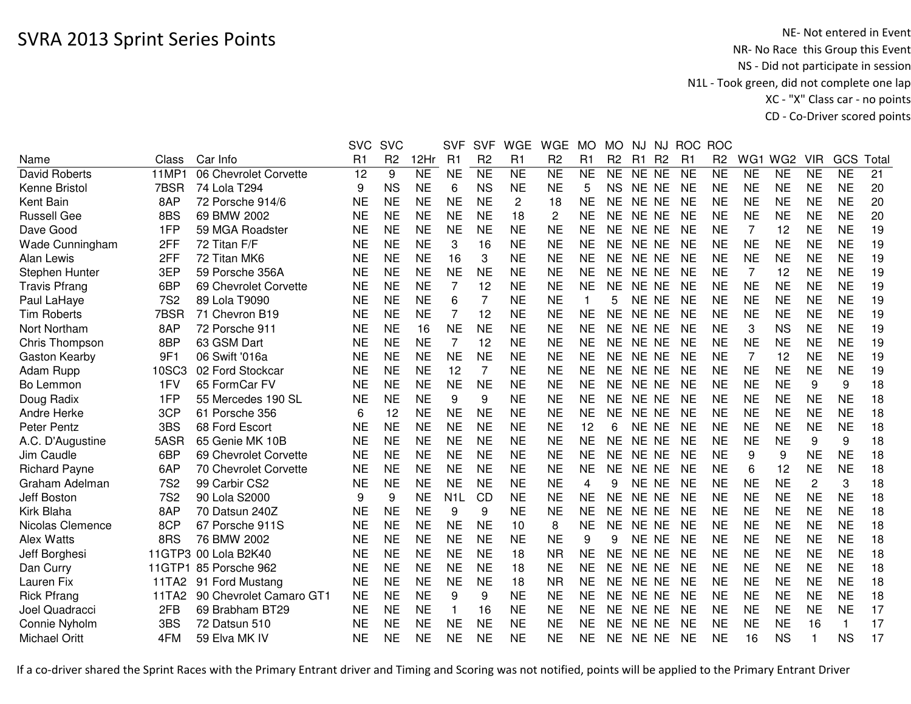|                      |            |                         | <b>SVC</b> | <b>SVC</b>     |           | <b>SVF</b>       | <b>SVF</b>     | <b>WGE</b>     | <b>WGE</b>     | <b>MO</b>    | <b>MO</b>      | NJ        | NJ             | <b>ROC</b>     | <b>ROC</b>     |                |                 |                |              |       |
|----------------------|------------|-------------------------|------------|----------------|-----------|------------------|----------------|----------------|----------------|--------------|----------------|-----------|----------------|----------------|----------------|----------------|-----------------|----------------|--------------|-------|
| Name                 | Class      | Car Info                | R1         | R <sub>2</sub> | 12Hr      | R1               | R <sub>2</sub> | R <sub>1</sub> | R <sub>2</sub> | R1           | R <sub>2</sub> | R1        | R <sub>2</sub> | R <sub>1</sub> | R <sub>2</sub> | WG1            | WG <sub>2</sub> | <b>VIR</b>     | GCS          | Total |
| David Roberts        | 11MP1      | 06 Chevrolet Corvette   | 12         | 9              | <b>NE</b> | <b>NE</b>        | <b>NE</b>      | <b>NE</b>      | <b>NE</b>      | <b>NE</b>    | <b>NE</b>      | NE NE     |                | <b>NE</b>      | <b>NE</b>      | <b>NE</b>      | <b>NE</b>       | <b>NE</b>      | <b>NE</b>    | 21    |
| Kenne Bristol        | 7BSR       | 74 Lola T294            | 9          | <b>NS</b>      | <b>NE</b> | 6                | <b>NS</b>      | <b>NE</b>      | <b>NE</b>      | 5            | <b>NS</b>      | NE NE     |                | <b>NE</b>      | <b>NE</b>      | <b>NE</b>      | <b>NE</b>       | <b>NE</b>      | <b>NE</b>    | 20    |
| Kent Bain            | 8AP        | 72 Porsche 914/6        | <b>NE</b>  | <b>NE</b>      | <b>NE</b> | <b>NE</b>        | <b>NE</b>      | $\overline{c}$ | 18             | <b>NE</b>    | <b>NE</b>      | NE NE     |                | <b>NE</b>      | <b>NE</b>      | <b>NE</b>      | <b>NE</b>       | <b>NE</b>      | <b>NE</b>    | 20    |
| <b>Russell Gee</b>   | 8BS        | 69 BMW 2002             | <b>NE</b>  | <b>NE</b>      | <b>NE</b> | <b>NE</b>        | <b>NE</b>      | 18             | 2              | <b>NE</b>    | <b>NE</b>      | NE NE     |                | <b>NE</b>      | <b>NE</b>      | <b>NE</b>      | <b>NE</b>       | <b>NE</b>      | <b>NE</b>    | 20    |
| Dave Good            | 1FP        | 59 MGA Roadster         | <b>NE</b>  | <b>NE</b>      | <b>NE</b> | <b>NE</b>        | <b>NE</b>      | <b>NE</b>      | <b>NE</b>      | <b>NE</b>    | <b>NE</b>      | NE NE     |                | <b>NE</b>      | <b>NE</b>      | 7              | 12              | <b>NE</b>      | <b>NE</b>    | 19    |
| Wade Cunningham      | 2FF        | 72 Titan F/F            | NE         | <b>NE</b>      | <b>NE</b> | 3                | 16             | <b>NE</b>      | <b>NE</b>      | <b>NE</b>    | NE.            | NE NE     |                | <b>NE</b>      | <b>NE</b>      | <b>NE</b>      | <b>NE</b>       | <b>NE</b>      | <b>NE</b>    | 19    |
| Alan Lewis           | 2FF        | 72 Titan MK6            | <b>NE</b>  | <b>NE</b>      | <b>NE</b> | 16               | 3              | <b>NE</b>      | <b>NE</b>      | <b>NE</b>    | NE.            | NE NE     |                | <b>NE</b>      | <b>NE</b>      | <b>NE</b>      | <b>NE</b>       | <b>NE</b>      | <b>NE</b>    | 19    |
| Stephen Hunter       | 3EP        | 59 Porsche 356A         | <b>NE</b>  | <b>NE</b>      | <b>NE</b> | <b>NE</b>        | <b>NE</b>      | <b>NE</b>      | <b>NE</b>      | <b>NE</b>    | <b>NE</b>      | NE NE     |                | <b>NE</b>      | <b>NE</b>      | 7              | 12              | <b>NE</b>      | <b>NE</b>    | 19    |
| <b>Travis Pfrang</b> | 6BP        | 69 Chevrolet Corvette   | <b>NE</b>  | <b>NE</b>      | <b>NE</b> | 7                | 12             | <b>NE</b>      | <b>NE</b>      | <b>NE</b>    | <b>NE</b>      | NE NE     |                | <b>NE</b>      | <b>NE</b>      | <b>NE</b>      | <b>NE</b>       | <b>NE</b>      | <b>NE</b>    | 19    |
| Paul LaHaye          | <b>7S2</b> | 89 Lola T9090           | <b>NE</b>  | <b>NE</b>      | <b>NE</b> | 6                | $\overline{7}$ | <b>NE</b>      | <b>NE</b>      | $\mathbf{1}$ | 5              | NE NE     |                | <b>NE</b>      | <b>NE</b>      | <b>NE</b>      | <b>NE</b>       | <b>NE</b>      | <b>NE</b>    | 19    |
| <b>Tim Roberts</b>   | 7BSR       | 71 Chevron B19          | <b>NE</b>  | <b>NE</b>      | <b>NE</b> | 7                | 12             | <b>NE</b>      | <b>NE</b>      | <b>NE</b>    | <b>NE</b>      | NE NE     |                | <b>NE</b>      | <b>NE</b>      | <b>NE</b>      | <b>NE</b>       | <b>NE</b>      | <b>NE</b>    | 19    |
| Nort Northam         | 8AP        | 72 Porsche 911          | <b>NE</b>  | <b>NE</b>      | 16        | <b>NE</b>        | <b>NE</b>      | <b>NE</b>      | <b>NE</b>      | <b>NE</b>    | <b>NE</b>      | NE NE     |                | <b>NE</b>      | <b>NE</b>      | 3              | <b>NS</b>       | <b>NE</b>      | <b>NE</b>    | 19    |
| Chris Thompson       | 8BP        | 63 GSM Dart             | <b>NE</b>  | <b>NE</b>      | <b>NE</b> | $\overline{7}$   | 12             | <b>NE</b>      | <b>NE</b>      | <b>NE</b>    | <b>NE</b>      | NE NE     |                | <b>NE</b>      | <b>NE</b>      | <b>NE</b>      | <b>NE</b>       | <b>NE</b>      | <b>NE</b>    | 19    |
| Gaston Kearby        | 9F1        | 06 Swift '016a          | <b>NE</b>  | <b>NE</b>      | <b>NE</b> | <b>NE</b>        | <b>NE</b>      | <b>NE</b>      | <b>NE</b>      | <b>NE</b>    | NE             | <b>NE</b> | NE             | <b>NE</b>      | <b>NE</b>      | $\overline{7}$ | 12              | <b>NE</b>      | <b>NE</b>    | 19    |
| Adam Rupp            | 10SC3      | 02 Ford Stockcar        | <b>NE</b>  | <b>NE</b>      | <b>NE</b> | 12               | $\overline{7}$ | <b>NE</b>      | <b>NE</b>      | <b>NE</b>    | <b>NE</b>      | <b>NE</b> | NE.            | <b>NE</b>      | <b>NE</b>      | <b>NE</b>      | <b>NE</b>       | <b>NE</b>      | <b>NE</b>    | 19    |
| Bo Lemmon            | 1FV        | 65 FormCar FV           | <b>NE</b>  | <b>NE</b>      | <b>NE</b> | <b>NE</b>        | <b>NE</b>      | <b>NE</b>      | <b>NE</b>      | <b>NE</b>    | <b>NE</b>      | <b>NE</b> | <b>NE</b>      | <b>NE</b>      | <b>NE</b>      | <b>NE</b>      | <b>NE</b>       | 9              | 9            | 18    |
| Doug Radix           | 1FP        | 55 Mercedes 190 SL      | <b>NE</b>  | <b>NE</b>      | <b>NE</b> | 9                | 9              | <b>NE</b>      | <b>NE</b>      | <b>NE</b>    | <b>NE</b>      | <b>NE</b> | <b>NE</b>      | <b>NE</b>      | <b>NE</b>      | <b>NE</b>      | <b>NE</b>       | <b>NE</b>      | <b>NE</b>    | 18    |
| <b>Andre Herke</b>   | 3CP        | 61 Porsche 356          | 6          | 12             | <b>NE</b> | <b>NE</b>        | <b>NE</b>      | <b>NE</b>      | <b>NE</b>      | <b>NE</b>    | <b>NE</b>      | NE NE     |                | <b>NE</b>      | <b>NE</b>      | <b>NE</b>      | <b>NE</b>       | <b>NE</b>      | <b>NE</b>    | 18    |
| <b>Peter Pentz</b>   | 3BS        | 68 Ford Escort          | <b>NE</b>  | <b>NE</b>      | <b>NE</b> | <b>NE</b>        | <b>NE</b>      | <b>NE</b>      | <b>NE</b>      | 12           | 6              | NE NE     |                | <b>NE</b>      | <b>NE</b>      | <b>NE</b>      | <b>NE</b>       | <b>NE</b>      | <b>NE</b>    | 18    |
| A.C. D'Augustine     | 5ASR       | 65 Genie MK 10B         | <b>NE</b>  | <b>NE</b>      | <b>NE</b> | <b>NE</b>        | <b>NE</b>      | <b>NE</b>      | <b>NE</b>      | <b>NE</b>    | <b>NE</b>      | NE NE     |                | <b>NE</b>      | <b>NE</b>      | <b>NE</b>      | <b>NE</b>       | 9              | 9            | 18    |
| Jim Caudle           | 6BP        | 69 Chevrolet Corvette   | <b>NE</b>  | <b>NE</b>      | <b>NE</b> | <b>NE</b>        | <b>NE</b>      | <b>NE</b>      | <b>NE</b>      | <b>NE</b>    | <b>NE</b>      | NE NE     |                | <b>NE</b>      | <b>NE</b>      | 9              | 9               | <b>NE</b>      | <b>NE</b>    | 18    |
| <b>Richard Payne</b> | 6AP        | 70 Chevrolet Corvette   | <b>NE</b>  | <b>NE</b>      | <b>NE</b> | <b>NE</b>        | <b>NE</b>      | <b>NE</b>      | <b>NE</b>      | <b>NE</b>    | NE             | NE NE     |                | <b>NE</b>      | <b>NE</b>      | 6              | 12              | <b>NE</b>      | <b>NE</b>    | 18    |
| Graham Adelman       | <b>7S2</b> | 99 Carbir CS2           | <b>NE</b>  | <b>NE</b>      | <b>NE</b> | <b>NE</b>        | <b>NE</b>      | <b>NE</b>      | <b>NE</b>      | 4            | 9              | NE NE     |                | <b>NE</b>      | <b>NE</b>      | <b>NE</b>      | <b>NE</b>       | $\overline{c}$ | 3            | 18    |
| Jeff Boston          | <b>7S2</b> | 90 Lola S2000           | 9          | 9              | <b>NE</b> | N <sub>1</sub> L | CD             | <b>NE</b>      | <b>NE</b>      | <b>NE</b>    | <b>NE</b>      | NE NE     |                | <b>NE</b>      | <b>NE</b>      | <b>NE</b>      | <b>NE</b>       | <b>NE</b>      | <b>NE</b>    | 18    |
| Kirk Blaha           | 8AP        | 70 Datsun 240Z          | <b>NE</b>  | <b>NE</b>      | <b>NE</b> | 9                | 9              | <b>NE</b>      | <b>NE</b>      | <b>NE</b>    | <b>NE</b>      | NE NE     |                | <b>NE</b>      | <b>NE</b>      | <b>NE</b>      | <b>NE</b>       | <b>NE</b>      | <b>NE</b>    | 18    |
| Nicolas Clemence     | 8CP        | 67 Porsche 911S         | <b>NE</b>  | <b>NE</b>      | <b>NE</b> | <b>NE</b>        | <b>NE</b>      | 10             | 8              | <b>NE</b>    | <b>NE</b>      | NE NE     |                | <b>NE</b>      | <b>NE</b>      | <b>NE</b>      | <b>NE</b>       | <b>NE</b>      | <b>NE</b>    | 18    |
| <b>Alex Watts</b>    | 8RS        | 76 BMW 2002             | <b>NE</b>  | <b>NE</b>      | <b>NE</b> | <b>NE</b>        | <b>NE</b>      | <b>NE</b>      | <b>NE</b>      | 9            | 9              | NE NE     |                | <b>NE</b>      | <b>NE</b>      | <b>NE</b>      | <b>NE</b>       | <b>NE</b>      | <b>NE</b>    | 18    |
| Jeff Borghesi        |            | 11GTP3 00 Lola B2K40    | <b>NE</b>  | <b>NE</b>      | <b>NE</b> | <b>NE</b>        | <b>NE</b>      | 18             | <b>NR</b>      | <b>NE</b>    | <b>NE</b>      | NE NE     |                | <b>NE</b>      | <b>NE</b>      | <b>NE</b>      | <b>NE</b>       | <b>NE</b>      | <b>NE</b>    | 18    |
| Dan Curry            | 11GTP1     | 85 Porsche 962          | <b>NE</b>  | <b>NE</b>      | <b>NE</b> | <b>NE</b>        | <b>NE</b>      | 18             | <b>NE</b>      | <b>NE</b>    | <b>NE</b>      | <b>NE</b> | NE.            | <b>NE</b>      | <b>NE</b>      | <b>NE</b>      | <b>NE</b>       | <b>NE</b>      | <b>NE</b>    | 18    |
| Lauren Fix           | 11TA2      | 91 Ford Mustang         | <b>NE</b>  | <b>NE</b>      | <b>NE</b> | <b>NE</b>        | <b>NE</b>      | 18             | <b>NR</b>      | <b>NE</b>    | <b>NE</b>      | <b>NE</b> | <b>NE</b>      | <b>NE</b>      | <b>NE</b>      | <b>NE</b>      | <b>NE</b>       | <b>NE</b>      | <b>NE</b>    | 18    |
| <b>Rick Pfrang</b>   | 11TA2      | 90 Chevrolet Camaro GT1 | <b>NE</b>  | <b>NE</b>      | <b>NE</b> | 9                | 9              | <b>NE</b>      | <b>NE</b>      | <b>NE</b>    | NE             | NE.       | NE             | <b>NE</b>      | <b>NE</b>      | <b>NE</b>      | <b>NE</b>       | <b>NE</b>      | <b>NE</b>    | 18    |
| Joel Quadracci       | 2FB        | 69 Brabham BT29         | <b>NE</b>  | <b>NE</b>      | <b>NE</b> | 1                | 16             | <b>NE</b>      | <b>NE</b>      | <b>NE</b>    | <b>NE</b>      | NE NE     |                | <b>NE</b>      | <b>NE</b>      | <b>NE</b>      | <b>NE</b>       | <b>NE</b>      | <b>NE</b>    | 17    |
| Connie Nyholm        | 3BS        | 72 Datsun 510           | <b>NE</b>  | <b>NE</b>      | <b>NE</b> | <b>NE</b>        | <b>NE</b>      | <b>NE</b>      | <b>NE</b>      | <b>NE</b>    | <b>NE</b>      | <b>NE</b> | <b>NE</b>      | <b>NE</b>      | <b>NE</b>      | <b>NE</b>      | <b>NE</b>       | 16             | $\mathbf{1}$ | 17    |
| <b>Michael Oritt</b> | 4FM        | 59 Elva MK IV           | <b>NE</b>  | <b>NE</b>      | <b>NE</b> | <b>NE</b>        | <b>NE</b>      | <b>NE</b>      | <b>NE</b>      | <b>NE</b>    | NE             | NE NE     |                | <b>NE</b>      | <b>NE</b>      | 16             | <b>NS</b>       | 1              | <b>NS</b>    | 17    |
|                      |            |                         |            |                |           |                  |                |                |                |              |                |           |                |                |                |                |                 |                |              |       |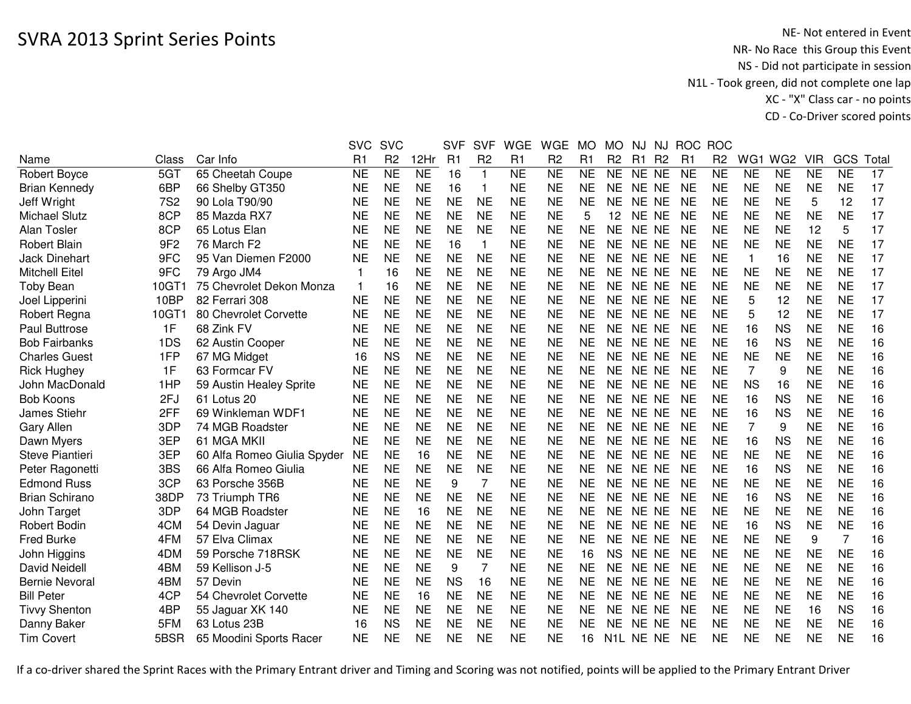|                       |                 |                             | <b>SVC</b>     | <b>SVC</b>     |                | <b>SVF</b> | <b>SVF</b>     | <b>WGE</b> | <b>WGE</b>     | <b>MO</b>      | <b>MO</b>         | NJ    | NJ             | <b>ROC</b>     | <b>ROC</b>     |                |                 |            |                |       |
|-----------------------|-----------------|-----------------------------|----------------|----------------|----------------|------------|----------------|------------|----------------|----------------|-------------------|-------|----------------|----------------|----------------|----------------|-----------------|------------|----------------|-------|
| Name                  | Class           | Car Info                    | R <sub>1</sub> | R <sub>2</sub> | 12Hr           | R1         | R <sub>2</sub> | R1         | R <sub>2</sub> | R <sub>1</sub> | R <sub>2</sub>    | R1    | R <sub>2</sub> | R <sub>1</sub> | R <sub>2</sub> | WG1            | WG <sub>2</sub> | <b>VIR</b> | GCS            | Total |
| <b>Robert Boyce</b>   | 5GT             | 65 Cheetah Coupe            | NE             | <b>NE</b>      | N <sub>E</sub> | 16         | $\mathbf{1}$   | <b>NE</b>  | <b>NE</b>      | <b>NE</b>      | <b>NE</b>         | NE NE |                | <b>NE</b>      | <b>NE</b>      | <b>NE</b>      | <b>NE</b>       | <b>NE</b>  | <b>NE</b>      | 17    |
| <b>Brian Kennedy</b>  | 6BP             | 66 Shelby GT350             | <b>NE</b>      | <b>NE</b>      | <b>NE</b>      | 16         | 1              | <b>NE</b>  | <b>NE</b>      | <b>NE</b>      | <b>NE</b>         | NE NE |                | <b>NE</b>      | <b>NE</b>      | <b>NE</b>      | <b>NE</b>       | <b>NE</b>  | <b>NE</b>      | 17    |
| Jeff Wright           | <b>7S2</b>      | 90 Lola T90/90              | <b>NE</b>      | <b>NE</b>      | <b>NE</b>      | <b>NE</b>  | <b>NE</b>      | <b>NE</b>  | <b>NE</b>      | <b>NE</b>      | <b>NE</b>         | NE NE |                | <b>NE</b>      | <b>NE</b>      | <b>NE</b>      | <b>NE</b>       | 5          | 12             | 17    |
| <b>Michael Slutz</b>  | 8CP             | 85 Mazda RX7                | <b>NE</b>      | <b>NE</b>      | <b>NE</b>      | <b>NE</b>  | <b>NE</b>      | <b>NE</b>  | <b>NE</b>      | 5              | $12 \overline{ }$ | NE NE |                | <b>NE</b>      | <b>NE</b>      | <b>NE</b>      | <b>NE</b>       | <b>NE</b>  | <b>NE</b>      | 17    |
| Alan Tosler           | 8CP             | 65 Lotus Elan               | <b>NE</b>      | <b>NE</b>      | <b>NE</b>      | <b>NE</b>  | <b>NE</b>      | <b>NE</b>  | <b>NE</b>      | <b>NE</b>      | <b>NE</b>         | NE NE |                | <b>NE</b>      | <b>NE</b>      | <b>NE</b>      | <b>NE</b>       | 12         | 5              | 17    |
| <b>Robert Blain</b>   | 9F <sub>2</sub> | 76 March F2                 | NE             | <b>NE</b>      | <b>NE</b>      | 16         | -1             | <b>NE</b>  | <b>NE</b>      | <b>NE</b>      | <b>NE</b>         | NE NE |                | <b>NE</b>      | <b>NE</b>      | <b>NE</b>      | <b>NE</b>       | <b>NE</b>  | <b>NE</b>      | 17    |
| <b>Jack Dinehart</b>  | 9FC             | 95 Van Diemen F2000         | <b>NE</b>      | <b>NE</b>      | <b>NE</b>      | <b>NE</b>  | <b>NE</b>      | <b>NE</b>  | <b>NE</b>      | <b>NE</b>      | <b>NE</b>         | NE NE |                | <b>NE</b>      | <b>NE</b>      | $\mathbf 1$    | 16              | <b>NE</b>  | <b>NE</b>      | 17    |
| <b>Mitchell Eitel</b> | 9FC             | 79 Argo JM4                 | $\mathbf 1$    | 16             | <b>NE</b>      | <b>NE</b>  | <b>NE</b>      | <b>NE</b>  | <b>NE</b>      | <b>NE</b>      | <b>NE</b>         | NE NE |                | <b>NE</b>      | <b>NE</b>      | <b>NE</b>      | <b>NE</b>       | <b>NE</b>  | <b>NE</b>      | 17    |
| Toby Bean             | 10GT1           | 75 Chevrolet Dekon Monza    | $\mathbf{1}$   | 16             | <b>NE</b>      | <b>NE</b>  | <b>NE</b>      | <b>NE</b>  | <b>NE</b>      | <b>NE</b>      | <b>NE</b>         | NE NE |                | <b>NE</b>      | <b>NE</b>      | <b>NE</b>      | <b>NE</b>       | <b>NE</b>  | <b>NE</b>      | 17    |
| Joel Lipperini        | 10BP            | 82 Ferrari 308              | <b>NE</b>      | <b>NE</b>      | <b>NE</b>      | <b>NE</b>  | <b>NE</b>      | <b>NE</b>  | <b>NE</b>      | <b>NE</b>      | <b>NE</b>         | NE NE |                | <b>NE</b>      | <b>NE</b>      | 5              | 12              | <b>NE</b>  | <b>NE</b>      | 17    |
| Robert Regna          | 10GT1           | 80 Chevrolet Corvette       | <b>NE</b>      | <b>NE</b>      | <b>NE</b>      | <b>NE</b>  | <b>NE</b>      | <b>NE</b>  | <b>NE</b>      | <b>NE</b>      | <b>NE</b>         | NE NE |                | <b>NE</b>      | <b>NE</b>      | 5              | 12              | <b>NE</b>  | <b>NE</b>      | 17    |
| <b>Paul Buttrose</b>  | 1F              | 68 Zink FV                  | <b>NE</b>      | <b>NE</b>      | <b>NE</b>      | <b>NE</b>  | <b>NE</b>      | <b>NE</b>  | <b>NE</b>      | <b>NE</b>      | <b>NE</b>         | NE NE |                | <b>NE</b>      | <b>NE</b>      | 16             | <b>NS</b>       | <b>NE</b>  | <b>NE</b>      | 16    |
| <b>Bob Fairbanks</b>  | 1DS             | 62 Austin Cooper            | <b>NE</b>      | <b>NE</b>      | <b>NE</b>      | <b>NE</b>  | <b>NE</b>      | <b>NE</b>  | <b>NE</b>      | <b>NE</b>      | <b>NE</b>         | NE NE |                | <b>NE</b>      | <b>NE</b>      | 16             | <b>NS</b>       | <b>NE</b>  | <b>NE</b>      | 16    |
| <b>Charles Guest</b>  | 1FP             | 67 MG Midget                | 16             | <b>NS</b>      | <b>NE</b>      | <b>NE</b>  | <b>NE</b>      | <b>NE</b>  | <b>NE</b>      | <b>NE</b>      | <b>NE</b>         | NE NE |                | <b>NE</b>      | <b>NE</b>      | <b>NE</b>      | <b>NE</b>       | <b>NE</b>  | <b>NE</b>      | 16    |
| <b>Rick Hughey</b>    | 1F              | 63 Formcar FV               | NE             | <b>NE</b>      | <b>NE</b>      | <b>NE</b>  | <b>NE</b>      | <b>NE</b>  | <b>NE</b>      | <b>NE</b>      | <b>NE</b>         | NE NE |                | <b>NE</b>      | <b>NE</b>      | $\overline{7}$ | 9               | <b>NE</b>  | <b>NE</b>      | 16    |
| John MacDonald        | 1HP             | 59 Austin Healey Sprite     | <b>NE</b>      | <b>NE</b>      | <b>NE</b>      | <b>NE</b>  | <b>NE</b>      | <b>NE</b>  | <b>NE</b>      | <b>NE</b>      | <b>NE</b>         | NE NE |                | <b>NE</b>      | <b>NE</b>      | <b>NS</b>      | 16              | <b>NE</b>  | <b>NE</b>      | 16    |
| <b>Bob Koons</b>      | 2FJ             | 61 Lotus 20                 | <b>NE</b>      | <b>NE</b>      | <b>NE</b>      | <b>NE</b>  | <b>NE</b>      | <b>NE</b>  | <b>NE</b>      | <b>NE</b>      | <b>NE</b>         | NE NE |                | <b>NE</b>      | <b>NE</b>      | 16             | <b>NS</b>       | <b>NE</b>  | <b>NE</b>      | 16    |
| James Stiehr          | 2FF             | 69 Winkleman WDF1           | NE             | <b>NE</b>      | <b>NE</b>      | <b>NE</b>  | <b>NE</b>      | <b>NE</b>  | <b>NE</b>      | <b>NE</b>      | <b>NE</b>         | NE NE |                | <b>NE</b>      | <b>NE</b>      | 16             | <b>NS</b>       | <b>NE</b>  | <b>NE</b>      | 16    |
| Gary Allen            | 3DP             | 74 MGB Roadster             | <b>NE</b>      | <b>NE</b>      | <b>NE</b>      | <b>NE</b>  | <b>NE</b>      | <b>NE</b>  | <b>NE</b>      | <b>NE</b>      | <b>NE</b>         | NE NE |                | <b>NE</b>      | <b>NE</b>      | 7              | 9               | <b>NE</b>  | <b>NE</b>      | 16    |
| Dawn Myers            | 3EP             | 61 MGA MKII                 | <b>NE</b>      | <b>NE</b>      | <b>NE</b>      | <b>NE</b>  | <b>NE</b>      | <b>NE</b>  | <b>NE</b>      | <b>NE</b>      | <b>NE</b>         | NE NE |                | <b>NE</b>      | <b>NE</b>      | 16             | <b>NS</b>       | <b>NE</b>  | <b>NE</b>      | 16    |
| Steve Piantieri       | 3EP             | 60 Alfa Romeo Giulia Spyder | NE             | <b>NE</b>      | 16             | <b>NE</b>  | <b>NE</b>      | <b>NE</b>  | <b>NE</b>      | <b>NE</b>      | <b>NE</b>         | NE NE |                | <b>NE</b>      | <b>NE</b>      | <b>NE</b>      | <b>NE</b>       | NE         | <b>NE</b>      | 16    |
| Peter Ragonetti       | 3BS             | 66 Alfa Romeo Giulia        | <b>NE</b>      | <b>NE</b>      | <b>NE</b>      | <b>NE</b>  | <b>NE</b>      | <b>NE</b>  | <b>NE</b>      | <b>NE</b>      | <b>NE</b>         | NE NE |                | <b>NE</b>      | <b>NE</b>      | 16             | <b>NS</b>       | <b>NE</b>  | <b>NE</b>      | 16    |
| <b>Edmond Russ</b>    | 3CP             | 63 Porsche 356B             | <b>NE</b>      | <b>NE</b>      | <b>NE</b>      | 9          | 7              | <b>NE</b>  | <b>NE</b>      | <b>NE</b>      | <b>NE</b>         | NE NE |                | <b>NE</b>      | <b>NE</b>      | <b>NE</b>      | <b>NE</b>       | <b>NE</b>  | <b>NE</b>      | 16    |
| <b>Brian Schirano</b> | 38DP            | 73 Triumph TR6              | <b>NE</b>      | <b>NE</b>      | <b>NE</b>      | <b>NE</b>  | <b>NE</b>      | <b>NE</b>  | <b>NE</b>      | <b>NE</b>      | <b>NE</b>         | NE NE |                | <b>NE</b>      | <b>NE</b>      | 16             | <b>NS</b>       | <b>NE</b>  | <b>NE</b>      | 16    |
| John Target           | 3DP             | 64 MGB Roadster             | <b>NE</b>      | <b>NE</b>      | 16             | <b>NE</b>  | <b>NE</b>      | <b>NE</b>  | <b>NE</b>      | <b>NE</b>      | <b>NE</b>         | NE NE |                | <b>NE</b>      | <b>NE</b>      | <b>NE</b>      | <b>NE</b>       | <b>NE</b>  | <b>NE</b>      | 16    |
| Robert Bodin          | 4CM             | 54 Devin Jaguar             | <b>NE</b>      | <b>NE</b>      | <b>NE</b>      | <b>NE</b>  | <b>NE</b>      | <b>NE</b>  | <b>NE</b>      | <b>NE</b>      | <b>NE</b>         | NE NE |                | <b>NE</b>      | <b>NE</b>      | 16             | <b>NS</b>       | <b>NE</b>  | <b>NE</b>      | 16    |
| Fred Burke            | 4FM             | 57 Elva Climax              | <b>NE</b>      | <b>NE</b>      | <b>NE</b>      | <b>NE</b>  | <b>NE</b>      | <b>NE</b>  | <b>NE</b>      | <b>NE</b>      | <b>NE</b>         | NE NE |                | <b>NE</b>      | <b>NE</b>      | <b>NE</b>      | <b>NE</b>       | 9          | $\overline{7}$ | 16    |
| John Higgins          | 4DM             | 59 Porsche 718RSK           | <b>NE</b>      | <b>NE</b>      | <b>NE</b>      | <b>NE</b>  | <b>NE</b>      | <b>NE</b>  | <b>NE</b>      | 16             | <b>NS</b>         | NE NE |                | <b>NE</b>      | <b>NE</b>      | <b>NE</b>      | <b>NE</b>       | <b>NE</b>  | <b>NE</b>      | 16    |
| David Neidell         | 4BM             | 59 Kellison J-5             | <b>NE</b>      | <b>NE</b>      | <b>NE</b>      | 9          | $\overline{7}$ | <b>NE</b>  | <b>NE</b>      | <b>NE</b>      | <b>NE</b>         | NE NE |                | <b>NE</b>      | <b>NE</b>      | <b>NE</b>      | <b>NE</b>       | <b>NE</b>  | <b>NE</b>      | 16    |
| <b>Bernie Nevoral</b> | 4BM             | 57 Devin                    | <b>NE</b>      | <b>NE</b>      | <b>NE</b>      | <b>NS</b>  | 16             | <b>NE</b>  | <b>NE</b>      | <b>NE</b>      | <b>NE</b>         | NE NE |                | <b>NE</b>      | <b>NE</b>      | <b>NE</b>      | <b>NE</b>       | <b>NE</b>  | <b>NE</b>      | 16    |
| <b>Bill Peter</b>     | 4CP             | 54 Chevrolet Corvette       | <b>NE</b>      | <b>NE</b>      | 16             | <b>NE</b>  | <b>NE</b>      | <b>NE</b>  | <b>NE</b>      | <b>NE</b>      | <b>NE</b>         | NE NE |                | <b>NE</b>      | <b>NE</b>      | <b>NE</b>      | <b>NE</b>       | <b>NE</b>  | <b>NE</b>      | 16    |
| <b>Tivvy Shenton</b>  | 4BP             | 55 Jaguar XK 140            | <b>NE</b>      | <b>NE</b>      | <b>NE</b>      | <b>NE</b>  | <b>NE</b>      | <b>NE</b>  | <b>NE</b>      | <b>NE</b>      | <b>NE</b>         | NE NE |                | <b>NE</b>      | <b>NE</b>      | <b>NE</b>      | <b>NE</b>       | 16         | <b>NS</b>      | 16    |
| Danny Baker           | 5FM             | 63 Lotus 23B                | 16             | <b>NS</b>      | <b>NE</b>      | <b>NE</b>  | <b>NE</b>      | <b>NE</b>  | <b>NE</b>      | <b>NE</b>      | <b>NE</b>         | NE NE |                | <b>NE</b>      | <b>NE</b>      | <b>NE</b>      | <b>NE</b>       | <b>NE</b>  | <b>NE</b>      | 16    |
| <b>Tim Covert</b>     | 5BSR            | 65 Moodini Sports Racer     | <b>NE</b>      | <b>NE</b>      | <b>NE</b>      | <b>NE</b>  | <b>NE</b>      | <b>NE</b>  | <b>NE</b>      | 16             | N1L NE NE         |       |                | <b>NE</b>      | <b>NE</b>      | <b>NE</b>      | <b>NE</b>       | <b>NE</b>  | <b>NE</b>      | 16    |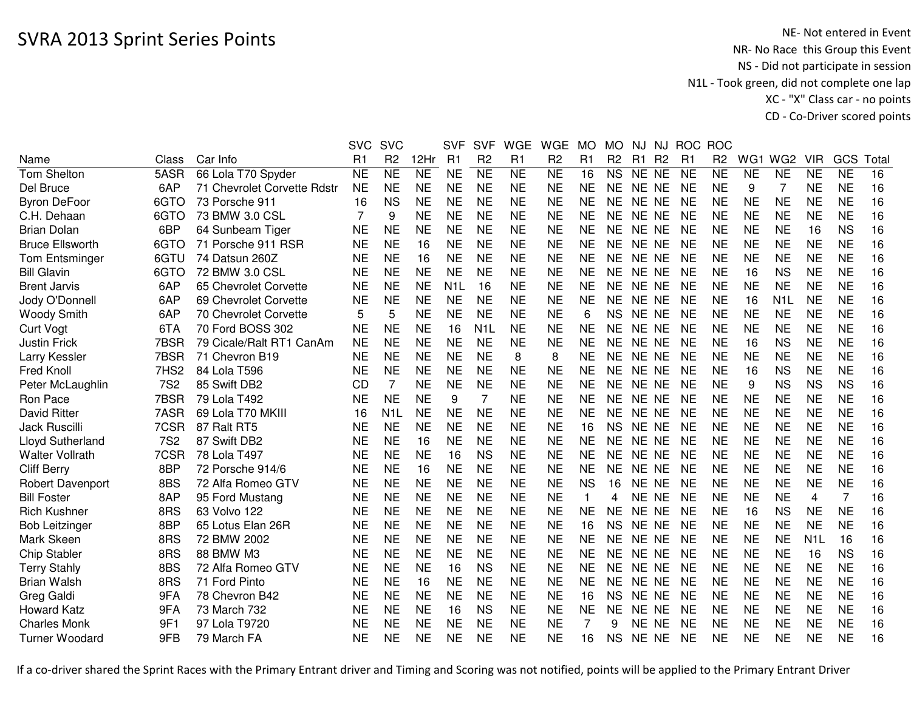|                         |                  |                             | <b>SVC</b>     | <b>SVC</b>       |                | <b>SVF</b>       | <b>SVF</b>       | <b>WGE</b>      | <b>WGE</b>     | <b>MO</b>      | <b>MO</b>      | NJ        | <b>NJ</b>      | <b>ROC</b> | <b>ROC</b>     |           |                  |                  |                |       |
|-------------------------|------------------|-----------------------------|----------------|------------------|----------------|------------------|------------------|-----------------|----------------|----------------|----------------|-----------|----------------|------------|----------------|-----------|------------------|------------------|----------------|-------|
| Name                    | Class            | Car Info                    | R <sub>1</sub> | R <sub>2</sub>   | 12Hr           | R <sub>1</sub>   | R <sub>2</sub>   | R <sub>1</sub>  | R <sub>2</sub> | R <sub>1</sub> | R <sub>2</sub> | R1        | R <sub>2</sub> | R1         | R <sub>2</sub> | WG1       | WG <sub>2</sub>  | <b>VIR</b>       | GCS            | Total |
| <b>Tom Shelton</b>      | 5ASR             | 66 Lola T70 Spyder          | <b>NE</b>      | N <sub>E</sub>   | N <sub>E</sub> | <b>NE</b>        | N <sub>E</sub>   | $\overline{NE}$ | N <sub>E</sub> | 16             | <b>NS</b>      | NE NE     |                | <b>NE</b>  | <b>NE</b>      | <b>NE</b> | <b>NE</b>        | <b>NE</b>        | <b>NE</b>      | 16    |
| Del Bruce               | 6AP              | 71 Chevrolet Corvette Rdstr | <b>NE</b>      | <b>NE</b>        | <b>NE</b>      | <b>NE</b>        | <b>NE</b>        | <b>NE</b>       | <b>NE</b>      | <b>NE</b>      | <b>NE</b>      | NE NE     |                | <b>NE</b>  | <b>NE</b>      | 9         | 7                | <b>NE</b>        | <b>NE</b>      | 16    |
| <b>Byron DeFoor</b>     | 6GTO             | 73 Porsche 911              | 16             | <b>NS</b>        | <b>NE</b>      | <b>NE</b>        | <b>NE</b>        | <b>NE</b>       | <b>NE</b>      | <b>NE</b>      | <b>NE</b>      | NE NE     |                | NE         | <b>NE</b>      | <b>NE</b> | <b>NE</b>        | <b>NE</b>        | <b>NE</b>      | 16    |
| C.H. Dehaan             | 6GTO             | 73 BMW 3.0 CSL              | 7              | 9                | <b>NE</b>      | <b>NE</b>        | <b>NE</b>        | <b>NE</b>       | <b>NE</b>      | <b>NE</b>      | <b>NE</b>      | NE NE     |                | NE         | <b>NE</b>      | <b>NE</b> | <b>NE</b>        | <b>NE</b>        | <b>NE</b>      | 16    |
| <b>Brian Dolan</b>      | 6BP              | 64 Sunbeam Tiger            | NE             | <b>NE</b>        | <b>NE</b>      | <b>NE</b>        | <b>NE</b>        | <b>NE</b>       | NE             | <b>NE</b>      | <b>NE</b>      | NE NE     |                | <b>NE</b>  | NE             | NE        | <b>NE</b>        | 16               | <b>NS</b>      | 16    |
| <b>Bruce Ellsworth</b>  | 6GTO             | 71 Porsche 911 RSR          | <b>NE</b>      | <b>NE</b>        | 16             | <b>NE</b>        | <b>NE</b>        | <b>NE</b>       | <b>NE</b>      | <b>NE</b>      | <b>NE</b>      | NE NE     |                | NE         | <b>NE</b>      | <b>NE</b> | <b>NE</b>        | <b>NE</b>        | <b>NE</b>      | 16    |
| <b>Tom Entsminger</b>   | 6GTU             | 74 Datsun 260Z              | <b>NE</b>      | <b>NE</b>        | 16             | <b>NE</b>        | <b>NE</b>        | <b>NE</b>       | <b>NE</b>      | <b>NE</b>      | <b>NE</b>      | NE NE     |                | NE         | <b>NE</b>      | <b>NE</b> | <b>NE</b>        | NE               | <b>NE</b>      | 16    |
| <b>Bill Glavin</b>      | 6GTO             | 72 BMW 3.0 CSL              | <b>NE</b>      | <b>NE</b>        | <b>NE</b>      | <b>NE</b>        | <b>NE</b>        | <b>NE</b>       | <b>NE</b>      | <b>NE</b>      | <b>NE</b>      | NE NE     |                | <b>NE</b>  | <b>NE</b>      | 16        | <b>NS</b>        | <b>NE</b>        | <b>NE</b>      | 16    |
| <b>Brent Jarvis</b>     | 6AP              | 65 Chevrolet Corvette       | <b>NE</b>      | <b>NE</b>        | <b>NE</b>      | N <sub>1</sub> L | 16               | <b>NE</b>       | <b>NE</b>      | <b>NE</b>      | <b>NE</b>      | NE NE     |                | <b>NE</b>  | <b>NE</b>      | <b>NE</b> | <b>NE</b>        | <b>NE</b>        | <b>NE</b>      | 16    |
| Jody O'Donnell          | 6AP              | 69 Chevrolet Corvette       | <b>NE</b>      | <b>NE</b>        | <b>NE</b>      | <b>NE</b>        | <b>NE</b>        | <b>NE</b>       | <b>NE</b>      | <b>NE</b>      | <b>NE</b>      | NE NE     |                | <b>NE</b>  | <b>NE</b>      | 16        | N <sub>1</sub> L | <b>NE</b>        | <b>NE</b>      | 16    |
| <b>Woody Smith</b>      | 6AP              | 70 Chevrolet Corvette       | 5              | 5                | <b>NE</b>      | <b>NE</b>        | <b>NE</b>        | <b>NE</b>       | <b>NE</b>      | 6              | <b>NS</b>      | NE NE     |                | <b>NE</b>  | <b>NE</b>      | <b>NE</b> | <b>NE</b>        | <b>NE</b>        | <b>NE</b>      | 16    |
| <b>Curt Vogt</b>        | 6TA              | 70 Ford BOSS 302            | <b>NE</b>      | <b>NE</b>        | <b>NE</b>      | 16               | N <sub>1</sub> L | <b>NE</b>       | <b>NE</b>      | <b>NE</b>      | <b>NE</b>      | NE NE     |                | <b>NE</b>  | <b>NE</b>      | <b>NE</b> | <b>NE</b>        | <b>NE</b>        | <b>NE</b>      | 16    |
| <b>Justin Frick</b>     | 7BSR             | 79 Cicale/Ralt RT1 CanAm    | NE             | <b>NE</b>        | <b>NE</b>      | <b>NE</b>        | <b>NE</b>        | <b>NE</b>       | <b>NE</b>      | <b>NE</b>      | <b>NE</b>      | NE NE     |                | <b>NE</b>  | <b>NE</b>      | 16        | <b>NS</b>        | <b>NE</b>        | <b>NE</b>      | 16    |
| Larry Kessler           | 7BSR             | 71 Chevron B19              | <b>NE</b>      | <b>NE</b>        | <b>NE</b>      | <b>NE</b>        | <b>NE</b>        | 8               | 8              | <b>NE</b>      | <b>NE</b>      | NE NE     |                | NE         | <b>NE</b>      | <b>NE</b> | <b>NE</b>        | <b>NE</b>        | <b>NE</b>      | 16    |
| Fred Knoll              | 7HS <sub>2</sub> | 84 Lola T596                | <b>NE</b>      | <b>NE</b>        | <b>NE</b>      | <b>NE</b>        | <b>NE</b>        | <b>NE</b>       | <b>NE</b>      | <b>NE</b>      | <b>NE</b>      | NE NE     |                | NE         | <b>NE</b>      | 16        | <b>NS</b>        | <b>NE</b>        | <b>NE</b>      | 16    |
| Peter McLaughlin        | <b>7S2</b>       | 85 Swift DB2                | CD             |                  | <b>NE</b>      | <b>NE</b>        | <b>NE</b>        | <b>NE</b>       | <b>NE</b>      | <b>NE</b>      | <b>NE</b>      | NE NE     |                | <b>NE</b>  | <b>NE</b>      | 9         | <b>NS</b>        | <b>NS</b>        | <b>NS</b>      | 16    |
| Ron Pace                | 7BSR             | 79 Lola T492                | <b>NE</b>      | <b>NE</b>        | <b>NE</b>      | 9                | 7                | <b>NE</b>       | <b>NE</b>      | <b>NE</b>      | <b>NE</b>      | NE NE     |                | <b>NE</b>  | <b>NE</b>      | <b>NE</b> | <b>NE</b>        | <b>NE</b>        | <b>NE</b>      | 16    |
| <b>David Ritter</b>     | 7ASR             | 69 Lola T70 MKIII           | 16             | N <sub>1</sub> L | <b>NE</b>      | <b>NE</b>        | <b>NE</b>        | <b>NE</b>       | <b>NE</b>      | <b>NE</b>      | <b>NE</b>      | NE NE     |                | <b>NE</b>  | <b>NE</b>      | <b>NE</b> | <b>NE</b>        | <b>NE</b>        | <b>NE</b>      | 16    |
| <b>Jack Ruscilli</b>    | 7CSR             | 87 Ralt RT5                 | <b>NE</b>      | <b>NE</b>        | <b>NE</b>      | <b>NE</b>        | <b>NE</b>        | <b>NE</b>       | <b>NE</b>      | 16             | <b>NS</b>      | NE NE     |                | NE         | <b>NE</b>      | <b>NE</b> | <b>NE</b>        | <b>NE</b>        | <b>NE</b>      | 16    |
| <b>Lloyd Sutherland</b> | <b>7S2</b>       | 87 Swift DB2                | <b>NE</b>      | <b>NE</b>        | 16             | <b>NE</b>        | <b>NE</b>        | <b>NE</b>       | <b>NE</b>      | <b>NE</b>      | <b>NE</b>      | NE NE     |                | NE         | NE             | NE        | <b>NE</b>        | NE               | <b>NE</b>      | 16    |
| <b>Walter Vollrath</b>  | 7CSR             | 78 Lola T497                | <b>NE</b>      | <b>NE</b>        | <b>NE</b>      | 16               | <b>NS</b>        | <b>NE</b>       | <b>NE</b>      | <b>NE</b>      | <b>NE</b>      | NE NE     |                | <b>NE</b>  | <b>NE</b>      | <b>NE</b> | <b>NE</b>        | <b>NE</b>        | <b>NE</b>      | 16    |
| <b>Cliff Berry</b>      | 8BP              | 72 Porsche 914/6            | <b>NE</b>      | <b>NE</b>        | 16             | <b>NE</b>        | <b>NE</b>        | <b>NE</b>       | <b>NE</b>      | <b>NE</b>      | <b>NE</b>      | NE NE     |                | NE         | <b>NE</b>      | <b>NE</b> | <b>NE</b>        | NE               | <b>NE</b>      | 16    |
| <b>Robert Davenport</b> | 8BS              | 72 Alfa Romeo GTV           | <b>NE</b>      | <b>NE</b>        | <b>NE</b>      | <b>NE</b>        | <b>NE</b>        | <b>NE</b>       | <b>NE</b>      | <b>NS</b>      | 16             | NE NE     |                | <b>NE</b>  | <b>NE</b>      | <b>NE</b> | <b>NE</b>        | <b>NE</b>        | <b>NE</b>      | 16    |
| <b>Bill Foster</b>      | 8AP              | 95 Ford Mustang             | <b>NE</b>      | <b>NE</b>        | <b>NE</b>      | <b>NE</b>        | <b>NE</b>        | <b>NE</b>       | <b>NE</b>      | 1              | 4              | NE NE     |                | <b>NE</b>  | <b>NE</b>      | <b>NE</b> | <b>NE</b>        | 4                | $\overline{7}$ | 16    |
| <b>Rich Kushner</b>     | 8RS              | 63 Volvo 122                | <b>NE</b>      | <b>NE</b>        | <b>NE</b>      | <b>NE</b>        | <b>NE</b>        | <b>NE</b>       | <b>NE</b>      | <b>NE</b>      | <b>NE</b>      | <b>NE</b> | <b>NE</b>      | <b>NE</b>  | <b>NE</b>      | 16        | <b>NS</b>        | <b>NE</b>        | <b>NE</b>      | 16    |
| <b>Bob Leitzinger</b>   | 8BP              | 65 Lotus Elan 26R           | <b>NE</b>      | <b>NE</b>        | <b>NE</b>      | <b>NE</b>        | <b>NE</b>        | <b>NE</b>       | <b>NE</b>      | 16             | <b>NS</b>      | NE NE     |                | <b>NE</b>  | <b>NE</b>      | <b>NE</b> | <b>NE</b>        | <b>NE</b>        | <b>NE</b>      | 16    |
| Mark Skeen              | 8RS              | 72 BMW 2002                 | <b>NE</b>      | <b>NE</b>        | <b>NE</b>      | <b>NE</b>        | <b>NE</b>        | <b>NE</b>       | <b>NE</b>      | <b>NE</b>      | <b>NE</b>      | NE NE     |                | <b>NE</b>  | <b>NE</b>      | <b>NE</b> | <b>NE</b>        | N <sub>1</sub> L | 16             | 16    |
| <b>Chip Stabler</b>     | 8RS              | 88 BMW M3                   | NE             | <b>NE</b>        | <b>NE</b>      | <b>NE</b>        | <b>NE</b>        | <b>NE</b>       | <b>NE</b>      | <b>NE</b>      | <b>NE</b>      | NE NE     |                | <b>NE</b>  | <b>NE</b>      | <b>NE</b> | <b>NE</b>        | 16               | <b>NS</b>      | 16    |
| <b>Terry Stahly</b>     | 8BS              | 72 Alfa Romeo GTV           | <b>NE</b>      | <b>NE</b>        | <b>NE</b>      | 16               | <b>NS</b>        | <b>NE</b>       | <b>NE</b>      | <b>NE</b>      | <b>NE</b>      | NE NE     |                | <b>NE</b>  | <b>NE</b>      | <b>NE</b> | <b>NE</b>        | <b>NE</b>        | <b>NE</b>      | 16    |
| <b>Brian Walsh</b>      | 8RS              | 71 Ford Pinto               | <b>NE</b>      | <b>NE</b>        | 16             | <b>NE</b>        | <b>NE</b>        | <b>NE</b>       | <b>NE</b>      | <b>NE</b>      | <b>NE</b>      | NE NE     |                | <b>NE</b>  | <b>NE</b>      | <b>NE</b> | <b>NE</b>        | <b>NE</b>        | <b>NE</b>      | 16    |
| Greg Galdi              | 9FA              | 78 Chevron B42              | <b>NE</b>      | <b>NE</b>        | <b>NE</b>      | <b>NE</b>        | <b>NE</b>        | <b>NE</b>       | <b>NE</b>      | 16             | <b>NS</b>      | NE NE     |                | <b>NE</b>  | <b>NE</b>      | <b>NE</b> | <b>NE</b>        | <b>NE</b>        | <b>NE</b>      | 16    |
| <b>Howard Katz</b>      | 9FA              | 73 March 732                | <b>NE</b>      | <b>NE</b>        | <b>NE</b>      | 16               | <b>NS</b>        | <b>NE</b>       | <b>NE</b>      | <b>NE</b>      | <b>NE</b>      | NE NE     |                | <b>NE</b>  | <b>NE</b>      | <b>NE</b> | <b>NE</b>        | <b>NE</b>        | <b>NE</b>      | 16    |
| <b>Charles Monk</b>     | 9F1              | 97 Lola T9720               | <b>NE</b>      | <b>NE</b>        | <b>NE</b>      | <b>NE</b>        | <b>NE</b>        | <b>NE</b>       | <b>NE</b>      | $\overline{7}$ | 9              | NE NE     |                | <b>NE</b>  | <b>NE</b>      | <b>NE</b> | <b>NE</b>        | <b>NE</b>        | <b>NE</b>      | 16    |
| <b>Turner Woodard</b>   | 9FB              | 79 March FA                 | NE             | <b>NE</b>        | <b>NE</b>      | <b>NE</b>        | <b>NE</b>        | <b>NE</b>       | NE             | 16             | <b>NS</b>      | NE NE     |                | NE         | NE             | NE        | <b>NE</b>        | NE               | NE             | 16    |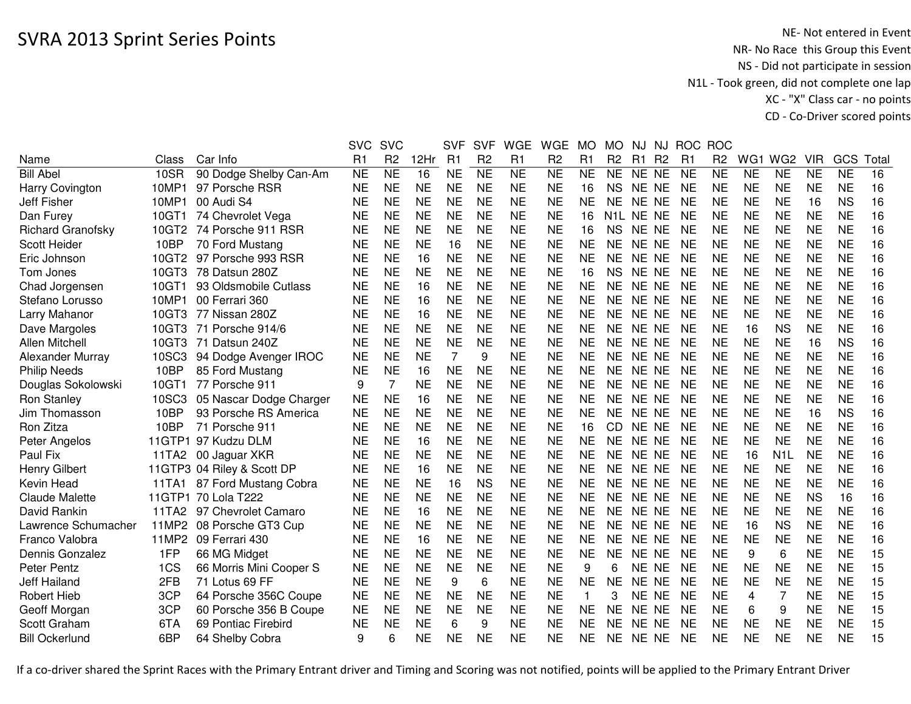|                          |             |                             | <b>SVC</b> | <b>SVC</b>     |           | <b>SVF</b> | <b>SVF</b>      | <b>WGE</b> | <b>WGE</b>     | MO             | MO             | NJ                     | NJ.            | <b>ROC</b> | <b>ROC</b>     |           |                  |            |           |       |
|--------------------------|-------------|-----------------------------|------------|----------------|-----------|------------|-----------------|------------|----------------|----------------|----------------|------------------------|----------------|------------|----------------|-----------|------------------|------------|-----------|-------|
| Name                     | Class       | Car Info                    | R1         | R <sub>2</sub> | 12Hr      | R1         | R <sub>2</sub>  | R1         | R <sub>2</sub> | R <sub>1</sub> | R <sub>2</sub> | R <sub>1</sub>         | R <sub>2</sub> | R1         | R <sub>2</sub> | WG1       | WG <sub>2</sub>  | <b>VIR</b> | GCS       | Total |
| <b>Bill Abel</b>         | <b>10SR</b> | 90 Dodge Shelby Can-Am      | <b>NE</b>  | <b>NE</b>      | 16        | <b>NE</b>  | $\overline{NE}$ | <b>NE</b>  | <b>NE</b>      | <b>NE</b>      | <b>NE</b>      | NE NE                  |                | <b>NE</b>  | <b>NE</b>      | <b>NE</b> | <b>NE</b>        | <b>NE</b>  | <b>NE</b> | 16    |
| Harry Covington          | 10MP1       | 97 Porsche RSR              | <b>NE</b>  | <b>NE</b>      | <b>NE</b> | <b>NE</b>  | <b>NE</b>       | <b>NE</b>  | <b>NE</b>      | 16             | <b>NS</b>      | NE NE                  |                | <b>NE</b>  | <b>NE</b>      | <b>NE</b> | <b>NE</b>        | <b>NE</b>  | <b>NE</b> | 16    |
| Jeff Fisher              | 10MP1       | 00 Audi S4                  | <b>NE</b>  | <b>NE</b>      | <b>NE</b> | <b>NE</b>  | <b>NE</b>       | <b>NE</b>  | <b>NE</b>      | <b>NE</b>      | <b>NE</b>      | NE NE                  |                | <b>NE</b>  | <b>NE</b>      | <b>NE</b> | <b>NE</b>        | 16         | <b>NS</b> | 16    |
| Dan Furey                | 10GT1       | 74 Chevrolet Vega           | <b>NE</b>  | <b>NE</b>      | <b>NE</b> | <b>NE</b>  | <b>NE</b>       | <b>NE</b>  | <b>NE</b>      | 16             |                | N <sub>1</sub> L NE NE |                | <b>NE</b>  | <b>NE</b>      | <b>NE</b> | <b>NE</b>        | <b>NE</b>  | <b>NE</b> | 16    |
| <b>Richard Granofsky</b> | 10GT2       | 74 Porsche 911 RSR          | <b>NE</b>  | <b>NE</b>      | <b>NE</b> | <b>NE</b>  | <b>NE</b>       | <b>NE</b>  | <b>NE</b>      | 16             | <b>NS</b>      | NE NE                  |                | <b>NE</b>  | <b>NE</b>      | <b>NE</b> | <b>NE</b>        | <b>NE</b>  | <b>NE</b> | 16    |
| Scott Heider             | 10BP        | 70 Ford Mustang             | <b>NE</b>  | <b>NE</b>      | <b>NE</b> | 16         | <b>NE</b>       | <b>NE</b>  | <b>NE</b>      | <b>NE</b>      | NE.            | NE NE                  |                | <b>NE</b>  | <b>NE</b>      | <b>NE</b> | <b>NE</b>        | <b>NE</b>  | <b>NE</b> | 16    |
| Eric Johnson             | 10GT2       | 97 Porsche 993 RSR          | <b>NE</b>  | <b>NE</b>      | 16        | <b>NE</b>  | <b>NE</b>       | <b>NE</b>  | <b>NE</b>      | <b>NE</b>      | <b>NE</b>      | NE NE                  |                | <b>NE</b>  | <b>NE</b>      | <b>NE</b> | <b>NE</b>        | <b>NE</b>  | <b>NE</b> | 16    |
| Tom Jones                | 10GT3       | 78 Datsun 280Z              | <b>NE</b>  | <b>NE</b>      | <b>NE</b> | <b>NE</b>  | <b>NE</b>       | <b>NE</b>  | <b>NE</b>      | 16             | <b>NS</b>      | NE NE                  |                | <b>NE</b>  | <b>NE</b>      | <b>NE</b> | <b>NE</b>        | <b>NE</b>  | <b>NE</b> | 16    |
| Chad Jorgensen           | 10GT1       | 93 Oldsmobile Cutlass       | <b>NE</b>  | <b>NE</b>      | 16        | <b>NE</b>  | <b>NE</b>       | <b>NE</b>  | <b>NE</b>      | <b>NE</b>      | <b>NE</b>      | NE NE                  |                | <b>NE</b>  | <b>NE</b>      | <b>NE</b> | <b>NE</b>        | <b>NE</b>  | <b>NE</b> | 16    |
| Stefano Lorusso          | 10MP1       | 00 Ferrari 360              | <b>NE</b>  | <b>NE</b>      | 16        | <b>NE</b>  | <b>NE</b>       | <b>NE</b>  | <b>NE</b>      | <b>NE</b>      | <b>NE</b>      | NE NE                  |                | <b>NE</b>  | <b>NE</b>      | <b>NE</b> | <b>NE</b>        | <b>NE</b>  | <b>NE</b> | 16    |
| Larry Mahanor            | 10GT3       | 77 Nissan 280Z              | <b>NE</b>  | <b>NE</b>      | 16        | <b>NE</b>  | <b>NE</b>       | <b>NE</b>  | <b>NE</b>      | <b>NE</b>      | <b>NE</b>      | NE NE                  |                | <b>NE</b>  | <b>NE</b>      | <b>NE</b> | <b>NE</b>        | <b>NE</b>  | <b>NE</b> | 16    |
| Dave Margoles            | 10GT3       | 71 Porsche 914/6            | <b>NE</b>  | <b>NE</b>      | <b>NE</b> | <b>NE</b>  | <b>NE</b>       | <b>NE</b>  | <b>NE</b>      | <b>NE</b>      | <b>NE</b>      | NE NE                  |                | <b>NE</b>  | <b>NE</b>      | 16        | <b>NS</b>        | <b>NE</b>  | <b>NE</b> | 16    |
| Allen Mitchell           | 10GT3       | 71 Datsun 240Z              | <b>NE</b>  | <b>NE</b>      | <b>NE</b> | <b>NE</b>  | <b>NE</b>       | <b>NE</b>  | <b>NE</b>      | <b>NE</b>      | <b>NE</b>      | NE NE                  |                | <b>NE</b>  | <b>NE</b>      | <b>NE</b> | <b>NE</b>        | 16         | <b>NS</b> | 16    |
| Alexander Murray         | 10SC3       | 94 Dodge Avenger IROC       | <b>NE</b>  | <b>NE</b>      | <b>NE</b> | 7          | 9               | <b>NE</b>  | <b>NE</b>      | <b>NE</b>      | <b>NE</b>      | <b>NE</b>              | NE             | <b>NE</b>  | <b>NE</b>      | <b>NE</b> | <b>NE</b>        | <b>NE</b>  | <b>NE</b> | 16    |
| <b>Philip Needs</b>      | 10BP        | 85 Ford Mustang             | <b>NE</b>  | <b>NE</b>      | 16        | <b>NE</b>  | <b>NE</b>       | <b>NE</b>  | <b>NE</b>      | <b>NE</b>      | <b>NE</b>      | NE.                    | <b>NE</b>      | <b>NE</b>  | <b>NE</b>      | <b>NE</b> | <b>NE</b>        | <b>NE</b>  | <b>NE</b> | 16    |
| Douglas Sokolowski       | 10GT1       | 77 Porsche 911              | 9          | 7              | <b>NE</b> | <b>NE</b>  | <b>NE</b>       | <b>NE</b>  | <b>NE</b>      | <b>NE</b>      | <b>NE</b>      | NE NE                  |                | <b>NE</b>  | <b>NE</b>      | <b>NE</b> | <b>NE</b>        | <b>NE</b>  | <b>NE</b> | 16    |
| <b>Ron Stanley</b>       | 10SC3       | 05 Nascar Dodge Charger     | <b>NE</b>  | <b>NE</b>      | 16        | <b>NE</b>  | <b>NE</b>       | <b>NE</b>  | <b>NE</b>      | <b>NE</b>      | <b>NE</b>      | NE NE                  |                | <b>NE</b>  | <b>NE</b>      | <b>NE</b> | <b>NE</b>        | <b>NE</b>  | <b>NE</b> | 16    |
| Jim Thomasson            | 10BP        | 93 Porsche RS America       | <b>NE</b>  | <b>NE</b>      | <b>NE</b> | <b>NE</b>  | <b>NE</b>       | <b>NE</b>  | <b>NE</b>      | <b>NE</b>      | <b>NE</b>      | NE NE                  |                | <b>NE</b>  | <b>NE</b>      | <b>NE</b> | <b>NE</b>        | 16         | <b>NS</b> | 16    |
| Ron Zitza                | 10BP        | 71 Porsche 911              | <b>NE</b>  | <b>NE</b>      | <b>NE</b> | <b>NE</b>  | <b>NE</b>       | <b>NE</b>  | <b>NE</b>      | 16             | CD             | NE NE                  |                | <b>NE</b>  | <b>NE</b>      | <b>NE</b> | <b>NE</b>        | <b>NE</b>  | <b>NE</b> | 16    |
| Peter Angelos            |             | 11GTP1 97 Kudzu DLM         | <b>NE</b>  | <b>NE</b>      | 16        | <b>NE</b>  | <b>NE</b>       | <b>NE</b>  | <b>NE</b>      | <b>NE</b>      | <b>NE</b>      | NE NE                  |                | <b>NE</b>  | <b>NE</b>      | <b>NE</b> | <b>NE</b>        | <b>NE</b>  | <b>NE</b> | 16    |
| Paul Fix                 |             | 11TA2 00 Jaguar XKR         | <b>NE</b>  | <b>NE</b>      | <b>NE</b> | <b>NE</b>  | <b>NE</b>       | <b>NE</b>  | <b>NE</b>      | <b>NE</b>      | <b>NE</b>      | NE NE                  |                | <b>NE</b>  | <b>NE</b>      | 16        | N <sub>1</sub> L | <b>NE</b>  | <b>NE</b> | 16    |
| <b>Henry Gilbert</b>     |             | 11GTP3 04 Riley & Scott DP  | NE         | <b>NE</b>      | 16        | <b>NE</b>  | <b>NE</b>       | <b>NE</b>  | <b>NE</b>      | <b>NE</b>      | <b>NE</b>      | NE NE                  |                | <b>NE</b>  | <b>NE</b>      | <b>NE</b> | <b>NE</b>        | <b>NE</b>  | <b>NE</b> | 16    |
| Kevin Head               |             | 11TA1 87 Ford Mustang Cobra | <b>NE</b>  | <b>NE</b>      | <b>NE</b> | 16         | <b>NS</b>       | <b>NE</b>  | <b>NE</b>      | <b>NE</b>      | <b>NE</b>      | NE NE                  |                | <b>NE</b>  | <b>NE</b>      | <b>NE</b> | <b>NE</b>        | <b>NE</b>  | <b>NE</b> | 16    |
| Claude Malette           |             | 11GTP1 70 Lola T222         | <b>NE</b>  | <b>NE</b>      | <b>NE</b> | <b>NE</b>  | <b>NE</b>       | <b>NE</b>  | <b>NE</b>      | <b>NE</b>      | <b>NE</b>      | NE NE                  |                | <b>NE</b>  | <b>NE</b>      | <b>NE</b> | <b>NE</b>        | <b>NS</b>  | 16        | 16    |
| David Rankin             | 11TA2       | 97 Chevrolet Camaro         | <b>NE</b>  | <b>NE</b>      | 16        | <b>NE</b>  | <b>NE</b>       | <b>NE</b>  | <b>NE</b>      | <b>NE</b>      | <b>NE</b>      | NE NE                  |                | <b>NE</b>  | <b>NE</b>      | <b>NE</b> | <b>NE</b>        | <b>NE</b>  | <b>NE</b> | 16    |
| Lawrence Schumacher      | 11MP2       | 08 Porsche GT3 Cup          | <b>NE</b>  | <b>NE</b>      | <b>NE</b> | <b>NE</b>  | <b>NE</b>       | <b>NE</b>  | <b>NE</b>      | <b>NE</b>      | <b>NE</b>      | NE NE                  |                | <b>NE</b>  | <b>NE</b>      | 16        | <b>NS</b>        | <b>NE</b>  | <b>NE</b> | 16    |
| Franco Valobra           | 11MP2       | 09 Ferrari 430              | <b>NE</b>  | <b>NE</b>      | 16        | <b>NE</b>  | <b>NE</b>       | <b>NE</b>  | <b>NE</b>      | <b>NE</b>      | <b>NE</b>      | <b>NE</b>              | <b>NE</b>      | <b>NE</b>  | <b>NE</b>      | <b>NE</b> | <b>NE</b>        | <b>NE</b>  | <b>NE</b> | 16    |
| Dennis Gonzalez          | 1FP         | 66 MG Midget                | <b>NE</b>  | <b>NE</b>      | <b>NE</b> | <b>NE</b>  | <b>NE</b>       | <b>NE</b>  | <b>NE</b>      | <b>NE</b>      | <b>NE</b>      | NE NE                  |                | <b>NE</b>  | <b>NE</b>      | 9         | 6                | <b>NE</b>  | <b>NE</b> | 15    |
| Peter Pentz              | 1CS         | 66 Morris Mini Cooper S     | <b>NE</b>  | <b>NE</b>      | <b>NE</b> | <b>NE</b>  | <b>NE</b>       | <b>NE</b>  | <b>NE</b>      | 9              | 6              | <b>NE</b>              | <b>NE</b>      | <b>NE</b>  | <b>NE</b>      | <b>NE</b> | <b>NE</b>        | <b>NE</b>  | <b>NE</b> | 15    |
| Jeff Hailand             | 2FB         | 71 Lotus 69 FF              | <b>NE</b>  | <b>NE</b>      | <b>NE</b> | 9          | 6               | <b>NE</b>  | <b>NE</b>      | <b>NE</b>      | <b>NE</b>      | <b>NE</b>              | <b>NE</b>      | <b>NE</b>  | <b>NE</b>      | <b>NE</b> | <b>NE</b>        | <b>NE</b>  | <b>NE</b> | 15    |
| <b>Robert Hieb</b>       | 3CP         | 64 Porsche 356C Coupe       | <b>NE</b>  | <b>NE</b>      | <b>NE</b> | <b>NE</b>  | <b>NE</b>       | <b>NE</b>  | <b>NE</b>      | $\mathbf{1}$   | 3              | NE NE                  |                | <b>NE</b>  | <b>NE</b>      | 4         | 7                | <b>NE</b>  | <b>NE</b> | 15    |
| Geoff Morgan             | 3CP         | 60 Porsche 356 B Coupe      | <b>NE</b>  | <b>NE</b>      | <b>NE</b> | <b>NE</b>  | <b>NE</b>       | <b>NE</b>  | <b>NE</b>      | <b>NE</b>      | <b>NE</b>      | NE NE                  |                | <b>NE</b>  | <b>NE</b>      | 6         | 9                | <b>NE</b>  | <b>NE</b> | 15    |
| Scott Graham             | 6TA         | 69 Pontiac Firebird         | <b>NE</b>  | <b>NE</b>      | <b>NE</b> | 6          | 9               | <b>NE</b>  | <b>NE</b>      | <b>NE</b>      | <b>NE</b>      | NE NE                  |                | <b>NE</b>  | <b>NE</b>      | <b>NE</b> | <b>NE</b>        | <b>NE</b>  | <b>NE</b> | 15    |
| <b>Bill Ockerlund</b>    | 6BP         | 64 Shelby Cobra             | 9          | 6              | <b>NE</b> | <b>NE</b>  | <b>NE</b>       | <b>NE</b>  | <b>NE</b>      | <b>NE</b>      | NE.            | NE NE                  |                | <b>NE</b>  | <b>NE</b>      | <b>NE</b> | <b>NE</b>        | <b>NE</b>  | <b>NE</b> | 15    |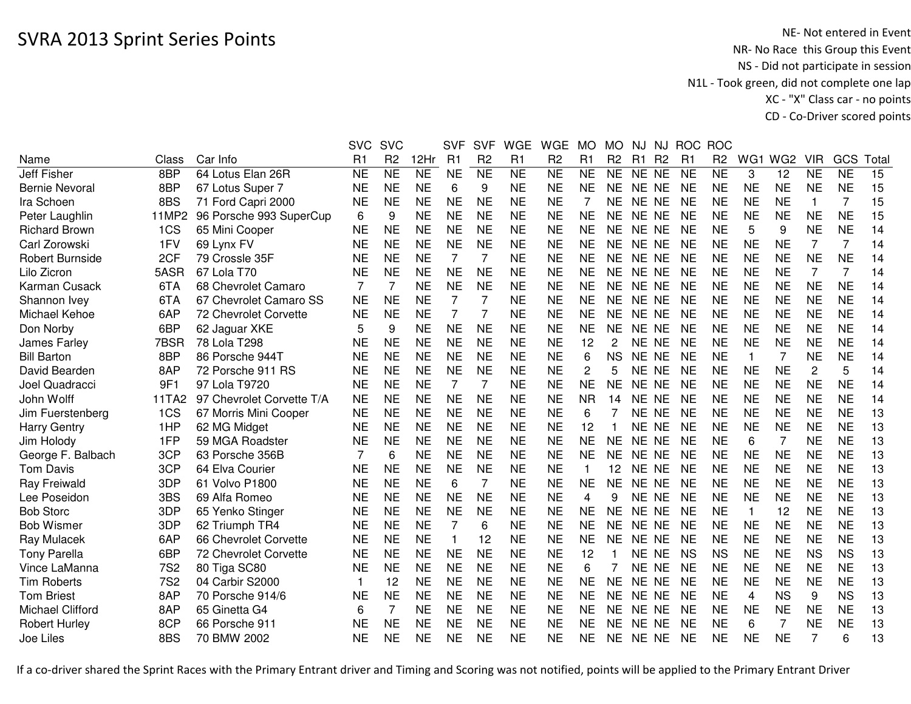|                         |            |                           | <b>SVC</b>     | <b>SVC</b>     |           | <b>SVF</b>     | <b>SVF</b>     | <b>WGE</b>     | <b>WGE</b>     | <b>MO</b>      | <b>MO</b>      | <b>NJ</b> | NJ             |                | ROC ROC        |                |                 |                |                |       |
|-------------------------|------------|---------------------------|----------------|----------------|-----------|----------------|----------------|----------------|----------------|----------------|----------------|-----------|----------------|----------------|----------------|----------------|-----------------|----------------|----------------|-------|
| Name                    | Class      | Car Info                  | R <sub>1</sub> | R <sub>2</sub> | 12Hr      | R1             | R <sub>2</sub> | R <sub>1</sub> | R <sub>2</sub> | R <sub>1</sub> | R <sub>2</sub> | R1        | R <sub>2</sub> | R <sub>1</sub> | R <sub>2</sub> | WG1            | WG <sub>2</sub> | <b>VIR</b>     | GCS            | Total |
| <b>Jeff Fisher</b>      | 8BP        | 64 Lotus Elan 26R         | NE             | <b>NE</b>      | <b>NE</b> | <b>NE</b>      | <b>NE</b>      | <b>NE</b>      | <b>NE</b>      | <b>NE</b>      | <b>NE</b>      | NE NE     |                | <b>NE</b>      | <b>NE</b>      | 3              | 12              | <b>NE</b>      | <b>NE</b>      | 15    |
| <b>Bernie Nevoral</b>   | 8BP        | 67 Lotus Super 7          | <b>NE</b>      | <b>NE</b>      | <b>NE</b> | 6              | 9              | <b>NE</b>      | <b>NE</b>      | <b>NE</b>      | <b>NE</b>      | NE NE     |                | <b>NE</b>      | <b>NE</b>      | <b>NE</b>      | <b>NE</b>       | <b>NE</b>      | <b>NE</b>      | 15    |
| Ira Schoen              | 8BS        | 71 Ford Capri 2000        | <b>NE</b>      | <b>NE</b>      | <b>NE</b> | <b>NE</b>      | <b>NE</b>      | <b>NE</b>      | <b>NE</b>      | 7              | <b>NE</b>      | NE NE     |                | <b>NE</b>      | <b>NE</b>      | <b>NE</b>      | <b>NE</b>       | 1              | $\overline{7}$ | 15    |
| Peter Laughlin          | 11MP2      | 96 Porsche 993 SuperCup   | 6              | 9              | <b>NE</b> | <b>NE</b>      | <b>NE</b>      | <b>NE</b>      | <b>NE</b>      | <b>NE</b>      | <b>NE</b>      | NE NE     |                | <b>NE</b>      | <b>NE</b>      | <b>NE</b>      | <b>NE</b>       | <b>NE</b>      | <b>NE</b>      | 15    |
| <b>Richard Brown</b>    | 1CS        | 65 Mini Cooper            | <b>NE</b>      | <b>NE</b>      | <b>NE</b> | <b>NE</b>      | <b>NE</b>      | <b>NE</b>      | <b>NE</b>      | <b>NE</b>      | <b>NE</b>      | NE NE     |                | <b>NE</b>      | <b>NE</b>      | 5              | 9               | <b>NE</b>      | <b>NE</b>      | 14    |
| Carl Zorowski           | 1FV        | 69 Lynx FV                | NE             | <b>NE</b>      | <b>NE</b> | <b>NE</b>      | <b>NE</b>      | <b>NE</b>      | <b>NE</b>      | <b>NE</b>      | <b>NE</b>      | NE NE     |                | <b>NE</b>      | <b>NE</b>      | <b>NE</b>      | <b>NE</b>       | 7              | $\overline{7}$ | 14    |
| <b>Robert Burnside</b>  | 2CF        | 79 Crossle 35F            | NE             | <b>NE</b>      | <b>NE</b> | 7              | 7              | <b>NE</b>      | NE             | NE             | <b>NE</b>      | NE NE     |                | <b>NE</b>      | NE             | <b>NE</b>      | <b>NE</b>       | <b>NE</b>      | <b>NE</b>      | 14    |
| Lilo Zicron             | 5ASR       | 67 Lola T70               | <b>NE</b>      | <b>NE</b>      | <b>NE</b> | <b>NE</b>      | <b>NE</b>      | <b>NE</b>      | <b>NE</b>      | <b>NE</b>      | <b>NE</b>      | NE NE     |                | <b>NE</b>      | <b>NE</b>      | <b>NE</b>      | <b>NE</b>       | 7              | $\overline{7}$ | 14    |
| Karman Cusack           | 6TA        | 68 Chevrolet Camaro       | $\overline{7}$ | $\overline{7}$ | <b>NE</b> | <b>NE</b>      | <b>NE</b>      | <b>NE</b>      | <b>NE</b>      | <b>NE</b>      | <b>NE</b>      | NE NE     |                | <b>NE</b>      | <b>NE</b>      | <b>NE</b>      | <b>NE</b>       | <b>NE</b>      | <b>NE</b>      | 14    |
| Shannon Ivey            | 6TA        | 67 Chevrolet Camaro SS    | <b>NE</b>      | <b>NE</b>      | <b>NE</b> | $\overline{7}$ | 7              | <b>NE</b>      | <b>NE</b>      | <b>NE</b>      | <b>NE</b>      | NE NE     |                | <b>NE</b>      | <b>NE</b>      | <b>NE</b>      | <b>NE</b>       | <b>NE</b>      | <b>NE</b>      | 14    |
| Michael Kehoe           | 6AP        | 72 Chevrolet Corvette     | <b>NE</b>      | <b>NE</b>      | <b>NE</b> | $\overline{7}$ | 7              | <b>NE</b>      | <b>NE</b>      | <b>NE</b>      | <b>NE</b>      | NE NE     |                | <b>NE</b>      | <b>NE</b>      | <b>NE</b>      | <b>NE</b>       | <b>NE</b>      | <b>NE</b>      | 14    |
| Don Norby               | 6BP        | 62 Jaguar XKE             | 5              | 9              | <b>NE</b> | <b>NE</b>      | <b>NE</b>      | <b>NE</b>      | <b>NE</b>      | <b>NE</b>      | <b>NE</b>      | NE NE     |                | <b>NE</b>      | <b>NE</b>      | <b>NE</b>      | <b>NE</b>       | <b>NE</b>      | <b>NE</b>      | 14    |
| James Farley            | 7BSR       | 78 Lola T298              | <b>NE</b>      | <b>NE</b>      | <b>NE</b> | <b>NE</b>      | <b>NE</b>      | <b>NE</b>      | <b>NE</b>      | 12             | $\overline{c}$ | <b>NE</b> | <b>NE</b>      | <b>NE</b>      | <b>NE</b>      | <b>NE</b>      | <b>NE</b>       | <b>NE</b>      | <b>NE</b>      | 14    |
| <b>Bill Barton</b>      | 8BP        | 86 Porsche 944T           | <b>NE</b>      | <b>NE</b>      | <b>NE</b> | <b>NE</b>      | <b>NE</b>      | <b>NE</b>      | <b>NE</b>      | 6              | <b>NS</b>      | <b>NE</b> | <b>NE</b>      | <b>NE</b>      | <b>NE</b>      | $\mathbf{1}$   | 7               | <b>NE</b>      | <b>NE</b>      | 14    |
| David Bearden           | 8AP        | 72 Porsche 911 RS         | ΝE             | <b>NE</b>      | <b>NE</b> | <b>NE</b>      | <b>NE</b>      | <b>NE</b>      | <b>NE</b>      | 2              | 5              | NE.       | <b>NE</b>      | <b>NE</b>      | <b>NE</b>      | <b>NE</b>      | <b>NE</b>       | $\overline{c}$ | 5              | 14    |
| Joel Quadracci          | 9F1        | 97 Lola T9720             | <b>NE</b>      | <b>NE</b>      | <b>NE</b> | $\overline{7}$ | 7              | <b>NE</b>      | <b>NE</b>      | <b>NE</b>      | <b>NE</b>      | NE        | <b>NE</b>      | <b>NE</b>      | <b>NE</b>      | <b>NE</b>      | <b>NE</b>       | <b>NE</b>      | <b>NE</b>      | 14    |
| John Wolff              | 11TA2      | 97 Chevrolet Corvette T/A | <b>NE</b>      | <b>NE</b>      | <b>NE</b> | <b>NE</b>      | <b>NE</b>      | <b>NE</b>      | <b>NE</b>      | <b>NR</b>      | 14             | <b>NE</b> | <b>NE</b>      | <b>NE</b>      | <b>NE</b>      | <b>NE</b>      | <b>NE</b>       | <b>NE</b>      | <b>NE</b>      | 14    |
| Jim Fuerstenberg        | 1CS        | 67 Morris Mini Cooper     | <b>NE</b>      | <b>NE</b>      | <b>NE</b> | <b>NE</b>      | <b>NE</b>      | <b>NE</b>      | <b>NE</b>      | 6              |                | NE NE     |                | <b>NE</b>      | <b>NE</b>      | <b>NE</b>      | <b>NE</b>       | <b>NE</b>      | <b>NE</b>      | 13    |
| <b>Harry Gentry</b>     | 1HP        | 62 MG Midget              | <b>NE</b>      | <b>NE</b>      | <b>NE</b> | <b>NE</b>      | <b>NE</b>      | <b>NE</b>      | <b>NE</b>      | 12             |                | NE NE     |                | <b>NE</b>      | <b>NE</b>      | <b>NE</b>      | <b>NE</b>       | <b>NE</b>      | <b>NE</b>      | 13    |
| Jim Holody              | 1FP        | 59 MGA Roadster           | <b>NE</b>      | <b>NE</b>      | <b>NE</b> | <b>NE</b>      | <b>NE</b>      | <b>NE</b>      | <b>NE</b>      | <b>NE</b>      | <b>NE</b>      | NE NE     |                | <b>NE</b>      | <b>NE</b>      | 6              | 7               | <b>NE</b>      | <b>NE</b>      | 13    |
| George F. Balbach       | 3CP        | 63 Porsche 356B           |                | 6              | <b>NE</b> | <b>NE</b>      | <b>NE</b>      | <b>NE</b>      | <b>NE</b>      | <b>NE</b>      | <b>NE</b>      | NE NE     |                | <b>NE</b>      | <b>NE</b>      | NE             | <b>NE</b>       | <b>NE</b>      | <b>NE</b>      | 13    |
| <b>Tom Davis</b>        | 3CP        | 64 Elva Courier           | NE             | <b>NE</b>      | <b>NE</b> | <b>NE</b>      | <b>NE</b>      | <b>NE</b>      | <b>NE</b>      | 1              | 12             | NE NE     |                | <b>NE</b>      | <b>NE</b>      | <b>NE</b>      | <b>NE</b>       | <b>NE</b>      | <b>NE</b>      | 13    |
| Ray Freiwald            | 3DP        | 61 Volvo P1800            | NE             | <b>NE</b>      | <b>NE</b> | 6              | 7              | <b>NE</b>      | <b>NE</b>      | <b>NE</b>      | <b>NE</b>      | NE NE     |                | <b>NE</b>      | <b>NE</b>      | <b>NE</b>      | <b>NE</b>       | <b>NE</b>      | <b>NE</b>      | 13    |
| Lee Poseidon            | 3BS        | 69 Alfa Romeo             | <b>NE</b>      | <b>NE</b>      | <b>NE</b> | <b>NE</b>      | <b>NE</b>      | <b>NE</b>      | <b>NE</b>      | 4              | 9              | NE NE     |                | <b>NE</b>      | <b>NE</b>      | <b>NE</b>      | <b>NE</b>       | <b>NE</b>      | <b>NE</b>      | 13    |
| <b>Bob Storc</b>        | 3DP        | 65 Yenko Stinger          | <b>NE</b>      | <b>NE</b>      | <b>NE</b> | <b>NE</b>      | <b>NE</b>      | <b>NE</b>      | <b>NE</b>      | <b>NE</b>      | <b>NE</b>      | NE NE     |                | <b>NE</b>      | <b>NE</b>      | $\mathbf{1}$   | 12              | <b>NE</b>      | <b>NE</b>      | 13    |
| <b>Bob Wismer</b>       | 3DP        | 62 Triumph TR4            | <b>NE</b>      | <b>NE</b>      | <b>NE</b> | $\overline{7}$ | 6              | <b>NE</b>      | <b>NE</b>      | <b>NE</b>      | <b>NE</b>      | NE NE     |                | <b>NE</b>      | <b>NE</b>      | <b>NE</b>      | <b>NE</b>       | <b>NE</b>      | <b>NE</b>      | 13    |
| Ray Mulacek             | 6AP        | 66 Chevrolet Corvette     | <b>NE</b>      | <b>NE</b>      | <b>NE</b> | $\mathbf{1}$   | 12             | <b>NE</b>      | <b>NE</b>      | <b>NE</b>      | <b>NE</b>      | NE NE     |                | <b>NE</b>      | <b>NE</b>      | <b>NE</b>      | <b>NE</b>       | <b>NE</b>      | <b>NE</b>      | 13    |
| <b>Tony Parella</b>     | 6BP        | 72 Chevrolet Corvette     | <b>NE</b>      | <b>NE</b>      | <b>NE</b> | <b>NE</b>      | <b>NE</b>      | <b>NE</b>      | <b>NE</b>      | 12             |                | NE NE     |                | <b>NS</b>      | <b>NS</b>      | <b>NE</b>      | <b>NE</b>       | <b>NS</b>      | <b>NS</b>      | 13    |
| Vince LaManna           | <b>7S2</b> | 80 Tiga SC80              | <b>NE</b>      | <b>NE</b>      | <b>NE</b> | <b>NE</b>      | <b>NE</b>      | <b>NE</b>      | <b>NE</b>      | 6              | 7              | <b>NE</b> | <b>NE</b>      | <b>NE</b>      | <b>NE</b>      | <b>NE</b>      | <b>NE</b>       | <b>NE</b>      | <b>NE</b>      | 13    |
| <b>Tim Roberts</b>      | <b>7S2</b> | 04 Carbir S2000           |                | 12             | <b>NE</b> | <b>NE</b>      | <b>NE</b>      | <b>NE</b>      | <b>NE</b>      | <b>NE</b>      | <b>NE</b>      | <b>NE</b> | <b>NE</b>      | <b>NE</b>      | <b>NE</b>      | <b>NE</b>      | <b>NE</b>       | <b>NE</b>      | <b>NE</b>      | 13    |
| <b>Tom Briest</b>       | 8AP        | 70 Porsche 914/6          | ΝE             | <b>NE</b>      | <b>NE</b> | <b>NE</b>      | <b>NE</b>      | <b>NE</b>      | <b>NE</b>      | <b>NE</b>      | <b>NE</b>      | NE NE     |                | <b>NE</b>      | <b>NE</b>      | $\overline{4}$ | <b>NS</b>       | 9              | <b>NS</b>      | 13    |
| <b>Michael Clifford</b> | 8AP        | 65 Ginetta G4             | 6              | $\overline{7}$ | <b>NE</b> | <b>NE</b>      | <b>NE</b>      | <b>NE</b>      | <b>NE</b>      | <b>NE</b>      | <b>NE</b>      | NE NE     |                | <b>NE</b>      | <b>NE</b>      | <b>NE</b>      | <b>NE</b>       | <b>NE</b>      | <b>NE</b>      | 13    |
| <b>Robert Hurley</b>    | 8CP        | 66 Porsche 911            | NE             | <b>NE</b>      | <b>NE</b> | <b>NE</b>      | <b>NE</b>      | <b>NE</b>      | <b>NE</b>      | <b>NE</b>      | <b>NE</b>      | NE        | <b>NE</b>      | <b>NE</b>      | <b>NE</b>      | 6              | 7               | <b>NE</b>      | <b>NE</b>      | 13    |
| Joe Liles               | 8BS        | 70 BMW 2002               | <b>NE</b>      | <b>NE</b>      | <b>NE</b> | <b>NE</b>      | <b>NE</b>      | <b>NE</b>      | <b>NE</b>      | <b>NE</b>      | <b>NE</b>      | NE NE     |                | <b>NE</b>      | <b>NE</b>      | <b>NE</b>      | <b>NE</b>       | 7              | 6              | 13    |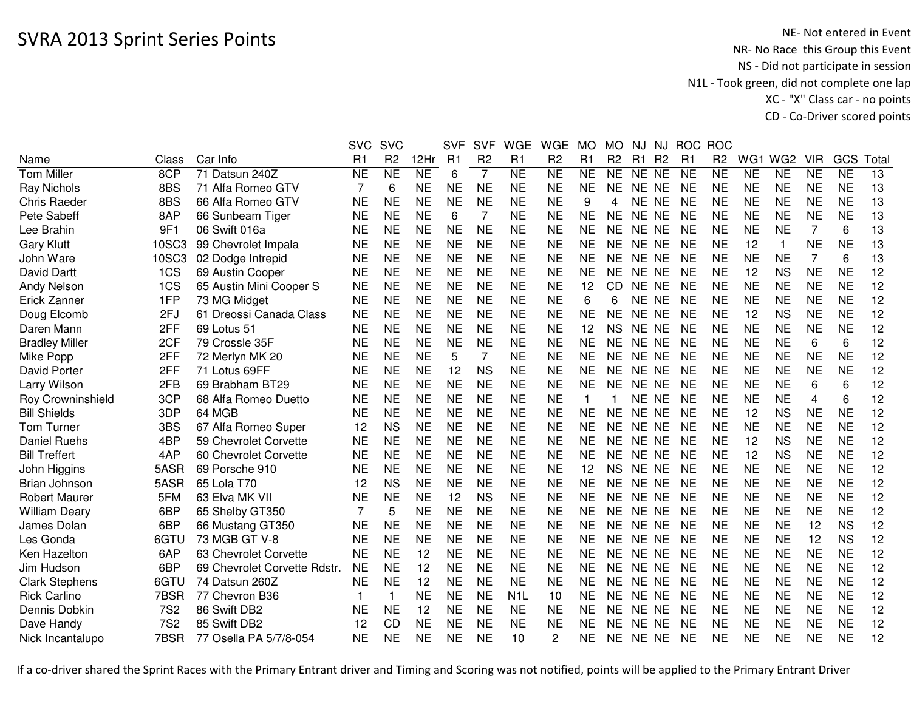|                       |            |                              | <b>SVC</b>     | <b>SVC</b>     |           | <b>SVF</b> | <b>SVF</b>     | <b>WGE</b>       | <b>WGE</b>     | <b>MO</b>    | <b>MO</b>      | NJ.       |                |           | NJ ROC ROC     |           |                 |            |           |       |
|-----------------------|------------|------------------------------|----------------|----------------|-----------|------------|----------------|------------------|----------------|--------------|----------------|-----------|----------------|-----------|----------------|-----------|-----------------|------------|-----------|-------|
| Name                  | Class      | Car Info                     | R <sub>1</sub> | R <sub>2</sub> | 12Hr      | R1         | R <sub>2</sub> | R <sub>1</sub>   | R <sub>2</sub> | R1           | R <sub>2</sub> | R1        | R <sub>2</sub> | R1        | R <sub>2</sub> | WG1       | WG <sub>2</sub> | <b>VIR</b> | GCS       | Total |
| <b>Tom Miller</b>     | 8CP        | 71 Datsun 240Z               | NE             | <b>NE</b>      | <b>NE</b> | 6          | $\overline{7}$ | <b>NE</b>        | <b>NE</b>      | <b>NE</b>    | <b>NE</b>      | NE NE     |                | <b>NE</b> | <b>NE</b>      | <b>NE</b> | <b>NE</b>       | <b>NE</b>  | <b>NE</b> | 13    |
| Ray Nichols           | 8BS        | 71 Alfa Romeo GTV            | 7              | 6              | <b>NE</b> | <b>NE</b>  | <b>NE</b>      | <b>NE</b>        | <b>NE</b>      | <b>NE</b>    | <b>NE</b>      | NE NE     |                | NE        | <b>NE</b>      | <b>NE</b> | <b>NE</b>       | <b>NE</b>  | <b>NE</b> | 13    |
| <b>Chris Raeder</b>   | 8BS        | 66 Alfa Romeo GTV            | <b>NE</b>      | <b>NE</b>      | <b>NE</b> | <b>NE</b>  | <b>NE</b>      | <b>NE</b>        | <b>NE</b>      | 9            | 4              | NE NE     |                | NE        | <b>NE</b>      | <b>NE</b> | <b>NE</b>       | <b>NE</b>  | <b>NE</b> | 13    |
| Pete Sabeff           | 8AP        | 66 Sunbeam Tiger             | <b>NE</b>      | <b>NE</b>      | <b>NE</b> | 6          | 7              | <b>NE</b>        | <b>NE</b>      | <b>NE</b>    | <b>NE</b>      | NE NE     |                | <b>NE</b> | <b>NE</b>      | <b>NE</b> | <b>NE</b>       | <b>NE</b>  | <b>NE</b> | 13    |
| Lee Brahin            | 9F1        | 06 Swift 016a                | <b>NE</b>      | <b>NE</b>      | <b>NE</b> | <b>NE</b>  | <b>NE</b>      | <b>NE</b>        | <b>NE</b>      | <b>NE</b>    | <b>NE</b>      | <b>NE</b> | <b>NE</b>      | <b>NE</b> | <b>NE</b>      | <b>NE</b> | <b>NE</b>       | 7          | 6         | 13    |
| <b>Gary Klutt</b>     | 10SC3      | 99 Chevrolet Impala          | <b>NE</b>      | <b>NE</b>      | <b>NE</b> | <b>NE</b>  | <b>NE</b>      | <b>NE</b>        | <b>NE</b>      | <b>NE</b>    | <b>NE</b>      | NE.       | <b>NE</b>      | <b>NE</b> | <b>NE</b>      | 12        | $\mathbf{1}$    | <b>NE</b>  | <b>NE</b> | 13    |
| John Ware             | 10SC3      | 02 Dodge Intrepid            | <b>NE</b>      | <b>NE</b>      | <b>NE</b> | <b>NE</b>  | <b>NE</b>      | <b>NE</b>        | <b>NE</b>      | <b>NE</b>    | <b>NE</b>      | <b>NE</b> | <b>NE</b>      | <b>NE</b> | <b>NE</b>      | <b>NE</b> | <b>NE</b>       | 7          | 6         | 13    |
| David Dartt           | 1CS        | 69 Austin Cooper             | <b>NE</b>      | <b>NE</b>      | <b>NE</b> | <b>NE</b>  | <b>NE</b>      | <b>NE</b>        | <b>NE</b>      | <b>NE</b>    | <b>NE</b>      | <b>NE</b> | <b>NE</b>      | <b>NE</b> | <b>NE</b>      | 12        | <b>NS</b>       | <b>NE</b>  | <b>NE</b> | 12    |
| <b>Andy Nelson</b>    | 1CS        | 65 Austin Mini Cooper S      | <b>NE</b>      | <b>NE</b>      | <b>NE</b> | <b>NE</b>  | <b>NE</b>      | <b>NE</b>        | <b>NE</b>      | 12           | CD             | NE        | <b>NE</b>      | <b>NE</b> | <b>NE</b>      | <b>NE</b> | <b>NE</b>       | <b>NE</b>  | <b>NE</b> | 12    |
| Erick Zanner          | 1FP        | 73 MG Midget                 | <b>NE</b>      | <b>NE</b>      | <b>NE</b> | <b>NE</b>  | <b>NE</b>      | <b>NE</b>        | <b>NE</b>      | 6            | 6              | NE.       | <b>NE</b>      | NE        | <b>NE</b>      | <b>NE</b> | <b>NE</b>       | <b>NE</b>  | <b>NE</b> | 12    |
| Doug Elcomb           | 2FJ        | 61 Dreossi Canada Class      | <b>NE</b>      | <b>NE</b>      | <b>NE</b> | <b>NE</b>  | <b>NE</b>      | <b>NE</b>        | <b>NE</b>      | <b>NE</b>    | <b>NE</b>      | NE.       | <b>NE</b>      | NE        | <b>NE</b>      | 12        | <b>NS</b>       | <b>NE</b>  | <b>NE</b> | 12    |
| Daren Mann            | 2FF        | 69 Lotus 51                  | <b>NE</b>      | <b>NE</b>      | <b>NE</b> | <b>NE</b>  | <b>NE</b>      | <b>NE</b>        | <b>NE</b>      | 12           | <b>NS</b>      | <b>NE</b> | <b>NE</b>      | <b>NE</b> | <b>NE</b>      | <b>NE</b> | <b>NE</b>       | <b>NE</b>  | <b>NE</b> | 12    |
| <b>Bradley Miller</b> | 2CF        | 79 Crossle 35F               | <b>NE</b>      | <b>NE</b>      | <b>NE</b> | <b>NE</b>  | <b>NE</b>      | <b>NE</b>        | <b>NE</b>      | <b>NE</b>    | <b>NE</b>      | <b>NE</b> | <b>NE</b>      | NE        | <b>NE</b>      | <b>NE</b> | <b>NE</b>       | 6          | 6         | 12    |
| Mike Popp             | 2FF        | 72 Merlyn MK 20              | <b>NE</b>      | <b>NE</b>      | <b>NE</b> | 5          | $\overline{7}$ | <b>NE</b>        | <b>NE</b>      | <b>NE</b>    | <b>NE</b>      | NE.       | <b>NE</b>      | <b>NE</b> | <b>NE</b>      | <b>NE</b> | <b>NE</b>       | <b>NE</b>  | <b>NE</b> | 12    |
| David Porter          | 2FF        | 71 Lotus 69FF                | <b>NE</b>      | <b>NE</b>      | <b>NE</b> | 12         | <b>NS</b>      | <b>NE</b>        | <b>NE</b>      | <b>NE</b>    | <b>NE</b>      | <b>NE</b> | <b>NE</b>      | <b>NE</b> | <b>NE</b>      | <b>NE</b> | <b>NE</b>       | <b>NE</b>  | <b>NE</b> | 12    |
| Larry Wilson          | 2FB        | 69 Brabham BT29              | <b>NE</b>      | <b>NE</b>      | <b>NE</b> | <b>NE</b>  | <b>NE</b>      | <b>NE</b>        | <b>NE</b>      | <b>NE</b>    | <b>NE</b>      | <b>NE</b> | <b>NE</b>      | <b>NE</b> | <b>NE</b>      | <b>NE</b> | <b>NE</b>       | 6          | 6         | 12    |
| Roy Crowninshield     | 3CP        | 68 Alfa Romeo Duetto         | <b>NE</b>      | <b>NE</b>      | <b>NE</b> | <b>NE</b>  | <b>NE</b>      | <b>NE</b>        | <b>NE</b>      | $\mathbf{1}$ |                | NE NE     |                | <b>NE</b> | <b>NE</b>      | <b>NE</b> | <b>NE</b>       | 4          | 6         | 12    |
| <b>Bill Shields</b>   | 3DP        | 64 MGB                       | <b>NE</b>      | <b>NE</b>      | <b>NE</b> | <b>NE</b>  | <b>NE</b>      | <b>NE</b>        | <b>NE</b>      | <b>NE</b>    | <b>NE</b>      | <b>NE</b> | <b>NE</b>      | <b>NE</b> | <b>NE</b>      | 12        | <b>NS</b>       | <b>NE</b>  | <b>NE</b> | 12    |
| <b>Tom Turner</b>     | 3BS        | 67 Alfa Romeo Super          | 12             | <b>NS</b>      | <b>NE</b> | <b>NE</b>  | <b>NE</b>      | <b>NE</b>        | <b>NE</b>      | <b>NE</b>    | <b>NE</b>      | NE NE     |                | <b>NE</b> | NE             | <b>NE</b> | <b>NE</b>       | <b>NE</b>  | <b>NE</b> | 12    |
| <b>Daniel Ruehs</b>   | 4BP        | 59 Chevrolet Corvette        | <b>NE</b>      | <b>NE</b>      | <b>NE</b> | <b>NE</b>  | <b>NE</b>      | <b>NE</b>        | <b>NE</b>      | <b>NE</b>    | <b>NE</b>      | <b>NE</b> | <b>NE</b>      | <b>NE</b> | <b>NE</b>      | 12        | <b>NS</b>       | <b>NE</b>  | <b>NE</b> | 12    |
| <b>Bill Treffert</b>  | 4AP        | 60 Chevrolet Corvette        | <b>NE</b>      | <b>NE</b>      | <b>NE</b> | <b>NE</b>  | <b>NE</b>      | <b>NE</b>        | <b>NE</b>      | <b>NE</b>    | <b>NE</b>      | <b>NE</b> | <b>NE</b>      | <b>NE</b> | <b>NE</b>      | 12        | <b>NS</b>       | <b>NE</b>  | <b>NE</b> | 12    |
| John Higgins          | 5ASR       | 69 Porsche 910               | <b>NE</b>      | <b>NE</b>      | <b>NE</b> | <b>NE</b>  | <b>NE</b>      | <b>NE</b>        | <b>NE</b>      | 12           | <b>NS</b>      | <b>NE</b> | <b>NE</b>      | <b>NE</b> | <b>NE</b>      | <b>NE</b> | <b>NE</b>       | <b>NE</b>  | <b>NE</b> | 12    |
| Brian Johnson         | 5ASR       | 65 Lola T70                  | 12             | <b>NS</b>      | <b>NE</b> | <b>NE</b>  | <b>NE</b>      | <b>NE</b>        | <b>NE</b>      | <b>NE</b>    | <b>NE</b>      | <b>NE</b> | <b>NE</b>      | <b>NE</b> | <b>NE</b>      | <b>NE</b> | <b>NE</b>       | <b>NE</b>  | <b>NE</b> | 12    |
| <b>Robert Maurer</b>  | 5FM        | 63 Elva MK VII               | <b>NE</b>      | <b>NE</b>      | <b>NE</b> | 12         | <b>NS</b>      | <b>NE</b>        | <b>NE</b>      | <b>NE</b>    | <b>NE</b>      | <b>NE</b> | <b>NE</b>      | <b>NE</b> | <b>NE</b>      | <b>NE</b> | <b>NE</b>       | <b>NE</b>  | <b>NE</b> | 12    |
| <b>William Deary</b>  | 6BP        | 65 Shelby GT350              | 7              | 5              | <b>NE</b> | <b>NE</b>  | <b>NE</b>      | <b>NE</b>        | <b>NE</b>      | <b>NE</b>    | <b>NE</b>      | <b>NE</b> | <b>NE</b>      | <b>NE</b> | <b>NE</b>      | <b>NE</b> | <b>NE</b>       | <b>NE</b>  | <b>NE</b> | 12    |
| James Dolan           | 6BP        | 66 Mustang GT350             | <b>NE</b>      | <b>NE</b>      | <b>NE</b> | <b>NE</b>  | <b>NE</b>      | <b>NE</b>        | <b>NE</b>      | <b>NE</b>    | <b>NE</b>      | <b>NE</b> | <b>NE</b>      | <b>NE</b> | <b>NE</b>      | <b>NE</b> | <b>NE</b>       | 12         | <b>NS</b> | 12    |
| Les Gonda             | 6GTU       | 73 MGB GT V-8                | <b>NE</b>      | <b>NE</b>      | <b>NE</b> | NE         | <b>NE</b>      | <b>NE</b>        | <b>NE</b>      | <b>NE</b>    | <b>NE</b>      | NE.       | <b>NE</b>      | <b>NE</b> | <b>NE</b>      | <b>NE</b> | <b>NE</b>       | 12         | <b>NS</b> | 12    |
| Ken Hazelton          | 6AP        | 63 Chevrolet Corvette        | <b>NE</b>      | <b>NE</b>      | 12        | <b>NE</b>  | <b>NE</b>      | <b>NE</b>        | <b>NE</b>      | <b>NE</b>    | <b>NE</b>      | <b>NE</b> | <b>NE</b>      | <b>NE</b> | <b>NE</b>      | <b>NE</b> | <b>NE</b>       | <b>NE</b>  | <b>NE</b> | 12    |
| Jim Hudson            | 6BP        | 69 Chevrolet Corvette Rdstr. | <b>NE</b>      | <b>NE</b>      | 12        | <b>NE</b>  | <b>NE</b>      | <b>NE</b>        | <b>NE</b>      | <b>NE</b>    | <b>NE</b>      | NE.       | <b>NE</b>      | <b>NE</b> | <b>NE</b>      | <b>NE</b> | <b>NE</b>       | <b>NE</b>  | <b>NE</b> | 12    |
| <b>Clark Stephens</b> | 6GTU       | 74 Datsun 260Z               | <b>NE</b>      | <b>NE</b>      | 12        | <b>NE</b>  | <b>NE</b>      | <b>NE</b>        | <b>NE</b>      | <b>NE</b>    | <b>NE</b>      | <b>NE</b> | <b>NE</b>      | <b>NE</b> | <b>NE</b>      | <b>NE</b> | <b>NE</b>       | <b>NE</b>  | <b>NE</b> | 12    |
| <b>Rick Carlino</b>   | 7BSR       | 77 Chevron B36               |                |                | <b>NE</b> | <b>NE</b>  | <b>NE</b>      | N <sub>1</sub> L | 10             | <b>NE</b>    | <b>NE</b>      | NE NE     |                | <b>NE</b> | <b>NE</b>      | <b>NE</b> | <b>NE</b>       | <b>NE</b>  | <b>NE</b> | 12    |
| Dennis Dobkin         | 7S2        | 86 Swift DB2                 | <b>NE</b>      | <b>NE</b>      | 12        | <b>NE</b>  | <b>NE</b>      | <b>NE</b>        | <b>NE</b>      | <b>NE</b>    | <b>NE</b>      | NE NE     |                | <b>NE</b> | <b>NE</b>      | <b>NE</b> | <b>NE</b>       | <b>NE</b>  | <b>NE</b> | 12    |
| Dave Handy            | <b>7S2</b> | 85 Swift DB2                 | 12             | <b>CD</b>      | <b>NE</b> | <b>NE</b>  | <b>NE</b>      | <b>NE</b>        | <b>NE</b>      | <b>NE</b>    | <b>NE</b>      | NE.       | <b>NE</b>      | <b>NE</b> | <b>NE</b>      | <b>NE</b> | <b>NE</b>       | <b>NE</b>  | <b>NE</b> | 12    |
| Nick Incantalupo      | 7BSR       | 77 Osella PA 5/7/8-054       | NE             | <b>NE</b>      | <b>NE</b> | ΝE         | <b>NE</b>      | 10               | 2              | NE.          | <b>NE</b>      | NE NE     |                | NE        | NE             | NE        | <b>NE</b>       | NE         | <b>NE</b> | 12    |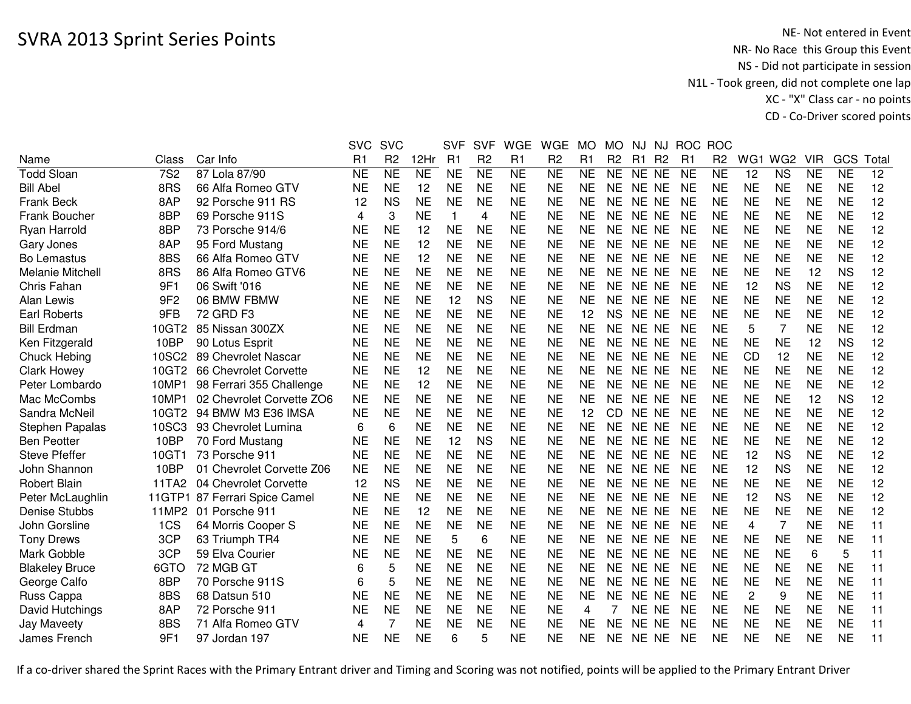|                         |                 |                           | <b>SVC</b>     | <b>SVC</b>      |                | <b>SVF</b> | <b>SVF</b>      | <b>WGE</b>     | <b>WGE</b>             | <b>MO</b> | <b>MO</b>      | NJ             | NJ             | <b>ROC</b>     | <b>ROC</b>     |           |                 |            |           |       |
|-------------------------|-----------------|---------------------------|----------------|-----------------|----------------|------------|-----------------|----------------|------------------------|-----------|----------------|----------------|----------------|----------------|----------------|-----------|-----------------|------------|-----------|-------|
| Name                    | Class           | Car Info                  | R <sub>1</sub> | R <sub>2</sub>  | 12Hr           | R1         | R <sub>2</sub>  | R <sub>1</sub> | R <sub>2</sub>         | R1        | R <sub>2</sub> | R <sub>1</sub> | R <sub>2</sub> | R <sub>1</sub> | R <sub>2</sub> | WG1       | WG <sub>2</sub> | <b>VIR</b> | GCS       | Total |
| <b>Todd Sloan</b>       | <b>7S2</b>      | 87 Lola 87/90             | <b>NE</b>      | $\overline{NE}$ | N <sub>E</sub> | <b>NE</b>  | $\overline{NE}$ | N <sub>E</sub> | $\overline{\text{NE}}$ | <b>NE</b> | <b>NE</b>      | NE NE          |                | <b>NE</b>      | <b>NE</b>      | 12        | <b>NS</b>       | <b>NE</b>  | <b>NE</b> | 12    |
| <b>Bill Abel</b>        | 8RS             | 66 Alfa Romeo GTV         | <b>NE</b>      | <b>NE</b>       | 12             | <b>NE</b>  | <b>NE</b>       | <b>NE</b>      | <b>NE</b>              | <b>NE</b> | <b>NE</b>      | NE NE          |                | <b>NE</b>      | <b>NE</b>      | <b>NE</b> | <b>NE</b>       | <b>NE</b>  | <b>NE</b> | 12    |
| <b>Frank Beck</b>       | 8AP             | 92 Porsche 911 RS         | 12             | <b>NS</b>       | <b>NE</b>      | <b>NE</b>  | <b>NE</b>       | <b>NE</b>      | <b>NE</b>              | <b>NE</b> | <b>NE</b>      | NE NE          |                | <b>NE</b>      | <b>NE</b>      | <b>NE</b> | <b>NE</b>       | <b>NE</b>  | <b>NE</b> | 12    |
| Frank Boucher           | 8BP             | 69 Porsche 911S           | 4              | 3               | <b>NE</b>      | 1          | 4               | <b>NE</b>      | <b>NE</b>              | <b>NE</b> | NE.            | NE NE          |                | <b>NE</b>      | <b>NE</b>      | <b>NE</b> | <b>NE</b>       | <b>NE</b>  | <b>NE</b> | 12    |
| Ryan Harrold            | 8BP             | 73 Porsche 914/6          | <b>NE</b>      | <b>NE</b>       | 12             | <b>NE</b>  | <b>NE</b>       | <b>NE</b>      | <b>NE</b>              | <b>NE</b> | NE.            | NE NE          |                | <b>NE</b>      | <b>NE</b>      | <b>NE</b> | <b>NE</b>       | <b>NE</b>  | <b>NE</b> | 12    |
| Gary Jones              | 8AP             | 95 Ford Mustang           | <b>NE</b>      | <b>NE</b>       | 12             | <b>NE</b>  | <b>NE</b>       | <b>NE</b>      | <b>NE</b>              | <b>NE</b> | <b>NE</b>      | NE NE          |                | <b>NE</b>      | <b>NE</b>      | <b>NE</b> | <b>NE</b>       | <b>NE</b>  | <b>NE</b> | 12    |
| <b>Bo Lemastus</b>      | 8BS             | 66 Alfa Romeo GTV         | <b>NE</b>      | <b>NE</b>       | 12             | <b>NE</b>  | <b>NE</b>       | <b>NE</b>      | <b>NE</b>              | <b>NE</b> | <b>NE</b>      | NE NE          |                | <b>NE</b>      | <b>NE</b>      | <b>NE</b> | <b>NE</b>       | <b>NE</b>  | <b>NE</b> | 12    |
| <b>Melanie Mitchell</b> | 8RS             | 86 Alfa Romeo GTV6        | <b>NE</b>      | <b>NE</b>       | <b>NE</b>      | <b>NE</b>  | <b>NE</b>       | <b>NE</b>      | <b>NE</b>              | <b>NE</b> | <b>NE</b>      | NE NE          |                | <b>NE</b>      | <b>NE</b>      | <b>NE</b> | <b>NE</b>       | 12         | <b>NS</b> | 12    |
| Chris Fahan             | 9F1             | 06 Swift '016             | <b>NE</b>      | <b>NE</b>       | <b>NE</b>      | <b>NE</b>  | <b>NE</b>       | <b>NE</b>      | <b>NE</b>              | <b>NE</b> | <b>NE</b>      | NE NE          |                | <b>NE</b>      | <b>NE</b>      | 12        | <b>NS</b>       | <b>NE</b>  | <b>NE</b> | 12    |
| Alan Lewis              | 9F <sub>2</sub> | 06 BMW FBMW               | <b>NE</b>      | <b>NE</b>       | <b>NE</b>      | 12         | <b>NS</b>       | <b>NE</b>      | <b>NE</b>              | <b>NE</b> | <b>NE</b>      | <b>NE</b>      | <b>NE</b>      | <b>NE</b>      | <b>NE</b>      | <b>NE</b> | <b>NE</b>       | <b>NE</b>  | <b>NE</b> | 12    |
| <b>Earl Roberts</b>     | 9FB             | 72 GRD F3                 | <b>NE</b>      | <b>NE</b>       | <b>NE</b>      | <b>NE</b>  | <b>NE</b>       | <b>NE</b>      | <b>NE</b>              | 12        | <b>NS</b>      | <b>NE</b>      | NE             | <b>NE</b>      | <b>NE</b>      | <b>NE</b> | <b>NE</b>       | <b>NE</b>  | <b>NE</b> | 12    |
| <b>Bill Erdman</b>      | 10GT2           | 85 Nissan 300ZX           | <b>NE</b>      | <b>NE</b>       | <b>NE</b>      | <b>NE</b>  | <b>NE</b>       | <b>NE</b>      | <b>NE</b>              | <b>NE</b> | <b>NE</b>      | <b>NE</b>      | <b>NE</b>      | <b>NE</b>      | <b>NE</b>      | 5         | $\overline{7}$  | <b>NE</b>  | <b>NE</b> | 12    |
| Ken Fitzgerald          | 10BP            | 90 Lotus Esprit           | <b>NE</b>      | <b>NE</b>       | <b>NE</b>      | <b>NE</b>  | <b>NE</b>       | <b>NE</b>      | <b>NE</b>              | <b>NE</b> | <b>NE</b>      | <b>NE</b>      | <b>NE</b>      | <b>NE</b>      | <b>NE</b>      | <b>NE</b> | <b>NE</b>       | 12         | <b>NS</b> | 12    |
| Chuck Hebing            | 10SC2           | 89 Chevrolet Nascar       | <b>NE</b>      | <b>NE</b>       | <b>NE</b>      | <b>NE</b>  | <b>NE</b>       | <b>NE</b>      | <b>NE</b>              | <b>NE</b> | <b>NE</b>      | NE NE          |                | <b>NE</b>      | <b>NE</b>      | <b>CD</b> | 12              | <b>NE</b>  | <b>NE</b> | 12    |
| <b>Clark Howey</b>      | 10GT2           | 66 Chevrolet Corvette     | <b>NE</b>      | <b>NE</b>       | 12             | <b>NE</b>  | <b>NE</b>       | <b>NE</b>      | <b>NE</b>              | <b>NE</b> | <b>NE</b>      | NE NE          |                | <b>NE</b>      | <b>NE</b>      | <b>NE</b> | <b>NE</b>       | <b>NE</b>  | <b>NE</b> | 12    |
| Peter Lombardo          | 10MP1           | 98 Ferrari 355 Challenge  | <b>NE</b>      | <b>NE</b>       | 12             | <b>NE</b>  | <b>NE</b>       | <b>NE</b>      | <b>NE</b>              | <b>NE</b> | <b>NE</b>      | NE NE          |                | <b>NE</b>      | <b>NE</b>      | <b>NE</b> | <b>NE</b>       | <b>NE</b>  | <b>NE</b> | 12    |
| Mac McCombs             | 10MP1           | 02 Chevrolet Corvette ZO6 | <b>NE</b>      | <b>NE</b>       | <b>NE</b>      | <b>NE</b>  | <b>NE</b>       | <b>NE</b>      | <b>NE</b>              | <b>NE</b> | <b>NE</b>      | NE NE          |                | <b>NE</b>      | <b>NE</b>      | <b>NE</b> | <b>NE</b>       | 12         | <b>NS</b> | 12    |
| Sandra McNeil           | 10GT2           | 94 BMW M3 E36 IMSA        | <b>NE</b>      | <b>NE</b>       | <b>NE</b>      | <b>NE</b>  | <b>NE</b>       | <b>NE</b>      | <b>NE</b>              | 12        | CD.            | NE NE          |                | <b>NE</b>      | <b>NE</b>      | <b>NE</b> | <b>NE</b>       | <b>NE</b>  | <b>NE</b> | 12    |
| Stephen Papalas         | 10SC3           | 93 Chevrolet Lumina       | 6              | 6               | <b>NE</b>      | <b>NE</b>  | <b>NE</b>       | <b>NE</b>      | <b>NE</b>              | <b>NE</b> | NE             | NE NE          |                | <b>NE</b>      | <b>NE</b>      | <b>NE</b> | <b>NE</b>       | <b>NE</b>  | <b>NE</b> | 12    |
| <b>Ben Peotter</b>      | 10BP            | 70 Ford Mustang           | <b>NE</b>      | <b>NE</b>       | <b>NE</b>      | 12         | <b>NS</b>       | <b>NE</b>      | <b>NE</b>              | <b>NE</b> | <b>NE</b>      | NE NE          |                | <b>NE</b>      | <b>NE</b>      | <b>NE</b> | <b>NE</b>       | <b>NE</b>  | <b>NE</b> | 12    |
| <b>Steve Pfeffer</b>    | 10GT1           | 73 Porsche 911            | <b>NE</b>      | <b>NE</b>       | <b>NE</b>      | <b>NE</b>  | <b>NE</b>       | <b>NE</b>      | <b>NE</b>              | <b>NE</b> | <b>NE</b>      | NE NE          |                | <b>NE</b>      | <b>NE</b>      | 12        | <b>NS</b>       | <b>NE</b>  | <b>NE</b> | 12    |
| John Shannon            | 10BP            | 01 Chevrolet Corvette Z06 | <b>NE</b>      | <b>NE</b>       | <b>NE</b>      | <b>NE</b>  | <b>NE</b>       | <b>NE</b>      | <b>NE</b>              | <b>NE</b> | <b>NE</b>      | NE NE          |                | <b>NE</b>      | <b>NE</b>      | 12        | <b>NS</b>       | <b>NE</b>  | <b>NE</b> | 12    |
| <b>Robert Blain</b>     | 11TA2           | 04 Chevrolet Corvette     | 12             | <b>NS</b>       | <b>NE</b>      | <b>NE</b>  | <b>NE</b>       | <b>NE</b>      | <b>NE</b>              | <b>NE</b> | <b>NE</b>      | NE NE          |                | <b>NE</b>      | <b>NE</b>      | <b>NE</b> | <b>NE</b>       | <b>NE</b>  | <b>NE</b> | 12    |
| Peter McLaughlin        | 11GTP1          | 87 Ferrari Spice Camel    | <b>NE</b>      | <b>NE</b>       | <b>NE</b>      | <b>NE</b>  | <b>NE</b>       | <b>NE</b>      | <b>NE</b>              | <b>NE</b> | <b>NE</b>      | <b>NE</b>      | <b>NE</b>      | <b>NE</b>      | <b>NE</b>      | 12        | <b>NS</b>       | <b>NE</b>  | <b>NE</b> | 12    |
| Denise Stubbs           | 11MP2           | 01 Porsche 911            | <b>NE</b>      | <b>NE</b>       | 12             | <b>NE</b>  | <b>NE</b>       | <b>NE</b>      | <b>NE</b>              | <b>NE</b> | <b>NE</b>      | <b>NE</b>      | <b>NE</b>      | <b>NE</b>      | <b>NE</b>      | <b>NE</b> | <b>NE</b>       | <b>NE</b>  | <b>NE</b> | 12    |
| John Gorsline           | 1CS             | 64 Morris Cooper S        | <b>NE</b>      | <b>NE</b>       | <b>NE</b>      | <b>NE</b>  | <b>NE</b>       | <b>NE</b>      | <b>NE</b>              | <b>NE</b> | <b>NE</b>      | NE NE          |                | <b>NE</b>      | <b>NE</b>      | 4         | $\overline{7}$  | <b>NE</b>  | <b>NE</b> | 11    |
| <b>Tony Drews</b>       | 3CP             | 63 Triumph TR4            | <b>NE</b>      | <b>NE</b>       | <b>NE</b>      | 5          | 6               | <b>NE</b>      | <b>NE</b>              | <b>NE</b> | <b>NE</b>      | NE NE          |                | <b>NE</b>      | <b>NE</b>      | <b>NE</b> | <b>NE</b>       | <b>NE</b>  | <b>NE</b> | 11    |
| Mark Gobble             | 3CP             | 59 Elva Courier           | <b>NE</b>      | <b>NE</b>       | <b>NE</b>      | <b>NE</b>  | <b>NE</b>       | <b>NE</b>      | <b>NE</b>              | <b>NE</b> | <b>NE</b>      | NE NE          |                | <b>NE</b>      | <b>NE</b>      | <b>NE</b> | <b>NE</b>       | 6          | 5         | 11    |
| <b>Blakeley Bruce</b>   | 6GTO            | 72 MGB GT                 | 6              | 5               | <b>NE</b>      | <b>NE</b>  | <b>NE</b>       | <b>NE</b>      | <b>NE</b>              | <b>NE</b> | <b>NE</b>      | NE NE          |                | <b>NE</b>      | <b>NE</b>      | <b>NE</b> | <b>NE</b>       | <b>NE</b>  | <b>NE</b> | 11    |
| George Calfo            | 8BP             | 70 Porsche 911S           | 6              | 5               | <b>NE</b>      | <b>NE</b>  | <b>NE</b>       | <b>NE</b>      | <b>NE</b>              | <b>NE</b> | <b>NE</b>      | NE NE          |                | <b>NE</b>      | <b>NE</b>      | <b>NE</b> | <b>NE</b>       | <b>NE</b>  | <b>NE</b> | 11    |
| Russ Cappa              | 8BS             | 68 Datsun 510             | <b>NE</b>      | <b>NE</b>       | <b>NE</b>      | <b>NE</b>  | <b>NE</b>       | <b>NE</b>      | <b>NE</b>              | <b>NE</b> | NE             | NE NE          |                | <b>NE</b>      | <b>NE</b>      | 2         | 9               | <b>NE</b>  | <b>NE</b> | 11    |
| David Hutchings         | 8AP             | 72 Porsche 911            | <b>NE</b>      | <b>NE</b>       | <b>NE</b>      | <b>NE</b>  | <b>NE</b>       | <b>NE</b>      | <b>NE</b>              | 4         |                | NE NE          |                | <b>NE</b>      | <b>NE</b>      | <b>NE</b> | <b>NE</b>       | <b>NE</b>  | <b>NE</b> | 11    |
| <b>Jay Maveety</b>      | 8BS             | 71 Alfa Romeo GTV         | 4              | 7               | <b>NE</b>      | <b>NE</b>  | <b>NE</b>       | <b>NE</b>      | ΝE                     | NE        | NE             | NE.            | <b>NE</b>      | <b>NE</b>      | NE             | <b>NE</b> | <b>NE</b>       | <b>NE</b>  | <b>NE</b> | 11    |
| James French            | 9F1             | 97 Jordan 197             | <b>NE</b>      | <b>NE</b>       | <b>NE</b>      | 6          | 5               | <b>NE</b>      | <b>NE</b>              | <b>NE</b> | <b>NE</b>      | NE NE          |                | <b>NE</b>      | <b>NE</b>      | <b>NE</b> | <b>NE</b>       | <b>NE</b>  | <b>NE</b> | 11    |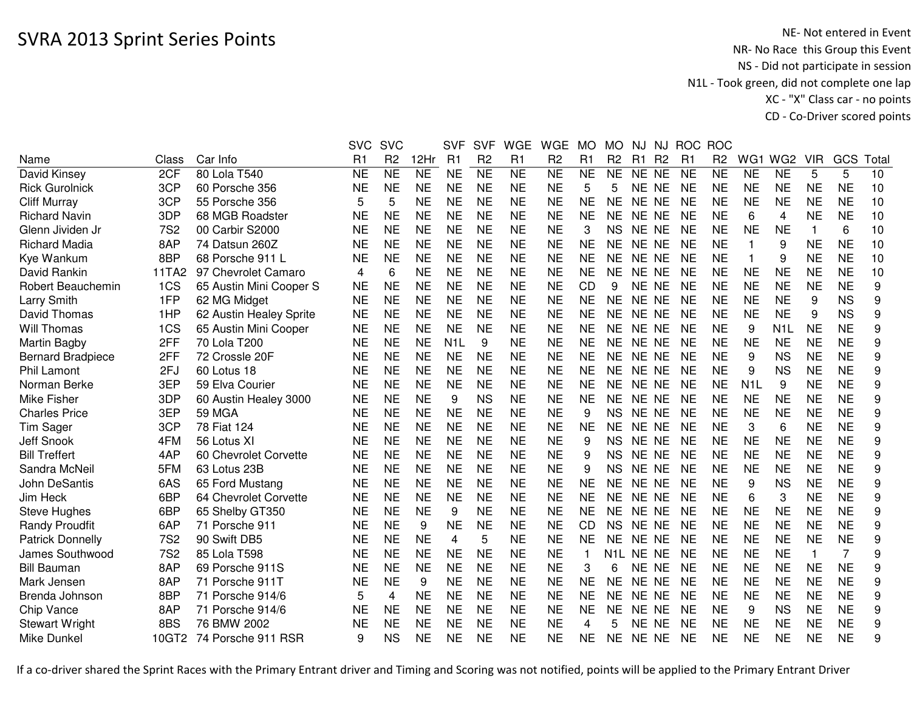|                          |            |                         | <b>SVC</b>     | <b>SVC</b>     |           | <b>SVF</b>       | <b>SVF</b>     | <b>WGE</b> | <b>WGE</b>     | <b>MO</b> | <b>MO</b>        | NJ        | NJ             | <b>ROC</b>     | <b>ROC</b>     |                  |                  |            |                |       |
|--------------------------|------------|-------------------------|----------------|----------------|-----------|------------------|----------------|------------|----------------|-----------|------------------|-----------|----------------|----------------|----------------|------------------|------------------|------------|----------------|-------|
| Name                     | Class      | Car Info                | R <sub>1</sub> | R <sub>2</sub> | 12Hr      | R1               | R <sub>2</sub> | R1         | R <sub>2</sub> | R1        | R <sub>2</sub>   | R1        | R <sub>2</sub> | R <sub>1</sub> | R <sub>2</sub> | WG1              | WG <sub>2</sub>  | <b>VIR</b> | GCS            | Total |
| David Kinsey             | 2CF        | 80 Lola T540            | <b>NE</b>      | <b>NE</b>      | <b>NE</b> | <b>NE</b>        | <b>NE</b>      | <b>NE</b>  | <b>NE</b>      | <b>NE</b> | <b>NE</b>        | NE NE     |                | <b>NE</b>      | <b>NE</b>      | <b>NE</b>        | <b>NE</b>        | 5          | 5              | 10    |
| <b>Rick Gurolnick</b>    | 3CP        | 60 Porsche 356          | <b>NE</b>      | <b>NE</b>      | <b>NE</b> | <b>NE</b>        | <b>NE</b>      | <b>NE</b>  | <b>NE</b>      | 5         | 5                | NE NE     |                | <b>NE</b>      | <b>NE</b>      | <b>NE</b>        | <b>NE</b>        | <b>NE</b>  | <b>NE</b>      | 10    |
| <b>Cliff Murray</b>      | 3CP        | 55 Porsche 356          | 5              | 5              | <b>NE</b> | <b>NE</b>        | <b>NE</b>      | <b>NE</b>  | <b>NE</b>      | <b>NE</b> | <b>NE</b>        | NE NE     |                | <b>NE</b>      | <b>NE</b>      | <b>NE</b>        | <b>NE</b>        | <b>NE</b>  | <b>NE</b>      | 10    |
| <b>Richard Navin</b>     | 3DP        | 68 MGB Roadster         | <b>NE</b>      | <b>NE</b>      | <b>NE</b> | <b>NE</b>        | <b>NE</b>      | <b>NE</b>  | <b>NE</b>      | <b>NE</b> | <b>NE</b>        | NE NE     |                | <b>NE</b>      | <b>NE</b>      | 6                | 4                | <b>NE</b>  | <b>NE</b>      | 10    |
| Glenn Jividen Jr         | <b>7S2</b> | 00 Carbir S2000         | <b>NE</b>      | <b>NE</b>      | <b>NE</b> | <b>NE</b>        | <b>NE</b>      | <b>NE</b>  | <b>NE</b>      | 3         | <b>NS</b>        | NE NE     |                | <b>NE</b>      | <b>NE</b>      | <b>NE</b>        | <b>NE</b>        | 1          | 6              | 10    |
| <b>Richard Madia</b>     | 8AP        | 74 Datsun 260Z          | <b>NE</b>      | <b>NE</b>      | <b>NE</b> | <b>NE</b>        | <b>NE</b>      | <b>NE</b>  | <b>NE</b>      | <b>NE</b> | <b>NE</b>        | NE NE     |                | <b>NE</b>      | <b>NE</b>      |                  | 9                | <b>NE</b>  | <b>NE</b>      | 10    |
| Kye Wankum               | 8BP        | 68 Porsche 911 L        | <b>NE</b>      | <b>NE</b>      | <b>NE</b> | <b>NE</b>        | <b>NE</b>      | <b>NE</b>  | <b>NE</b>      | <b>NE</b> | <b>NE</b>        | NE NE     |                | <b>NE</b>      | <b>NE</b>      |                  | 9                | <b>NE</b>  | <b>NE</b>      | 10    |
| David Rankin             | 11TA2      | 97 Chevrolet Camaro     | 4              | 6              | <b>NE</b> | <b>NE</b>        | <b>NE</b>      | <b>NE</b>  | <b>NE</b>      | <b>NE</b> | NE.              | NE NE     |                | <b>NE</b>      | <b>NE</b>      | <b>NE</b>        | <b>NE</b>        | NE         | <b>NE</b>      | 10    |
| Robert Beauchemin        | 1CS        | 65 Austin Mini Cooper S | <b>NE</b>      | <b>NE</b>      | <b>NE</b> | <b>NE</b>        | <b>NE</b>      | <b>NE</b>  | <b>NE</b>      | <b>CD</b> | 9                | NE NE     |                | <b>NE</b>      | <b>NE</b>      | <b>NE</b>        | <b>NE</b>        | <b>NE</b>  | <b>NE</b>      | 9     |
| Larry Smith              | 1FP        | 62 MG Midget            | <b>NE</b>      | <b>NE</b>      | <b>NE</b> | <b>NE</b>        | <b>NE</b>      | <b>NE</b>  | <b>NE</b>      | <b>NE</b> | <b>NE</b>        | NE NE     |                | <b>NE</b>      | <b>NE</b>      | <b>NE</b>        | <b>NE</b>        | 9          | <b>NS</b>      | 9     |
| David Thomas             | 1HP        | 62 Austin Healey Sprite | <b>NE</b>      | <b>NE</b>      | <b>NE</b> | <b>NE</b>        | <b>NE</b>      | <b>NE</b>  | <b>NE</b>      | <b>NE</b> | <b>NE</b>        | NE NE     |                | <b>NE</b>      | <b>NE</b>      | <b>NE</b>        | <b>NE</b>        | 9          | <b>NS</b>      | 9     |
| Will Thomas              | 1CS        | 65 Austin Mini Cooper   | <b>NE</b>      | <b>NE</b>      | <b>NE</b> | <b>NE</b>        | <b>NE</b>      | <b>NE</b>  | <b>NE</b>      | <b>NE</b> | <b>NE</b>        | NE NE     |                | <b>NE</b>      | <b>NE</b>      | 9                | N <sub>1</sub> L | <b>NE</b>  | <b>NE</b>      | 9     |
| Martin Bagby             | 2FF        | 70 Lola T200            | <b>NE</b>      | <b>NE</b>      | <b>NE</b> | N <sub>1</sub> L | 9              | <b>NE</b>  | <b>NE</b>      | <b>NE</b> | <b>NE</b>        | NE NE     |                | <b>NE</b>      | <b>NE</b>      | <b>NE</b>        | <b>NE</b>        | <b>NE</b>  | <b>NE</b>      | 9     |
| <b>Bernard Bradpiece</b> | 2FF        | 72 Crossle 20F          | <b>NE</b>      | <b>NE</b>      | <b>NE</b> | <b>NE</b>        | <b>NE</b>      | <b>NE</b>  | <b>NE</b>      | <b>NE</b> | <b>NE</b>        | NE.       | <b>NE</b>      | <b>NE</b>      | <b>NE</b>      | 9                | <b>NS</b>        | <b>NE</b>  | <b>NE</b>      | 9     |
| Phil Lamont              | 2FJ        | 60 Lotus 18             | <b>NE</b>      | <b>NE</b>      | <b>NE</b> | <b>NE</b>        | <b>NE</b>      | <b>NE</b>  | <b>NE</b>      | <b>NE</b> | <b>NE</b>        | NE.       | <b>NE</b>      | <b>NE</b>      | <b>NE</b>      | 9                | <b>NS</b>        | <b>NE</b>  | <b>NE</b>      | 9     |
| Norman Berke             | 3EP        | 59 Elva Courier         | <b>NE</b>      | <b>NE</b>      | <b>NE</b> | <b>NE</b>        | <b>NE</b>      | <b>NE</b>  | <b>NE</b>      | <b>NE</b> | <b>NE</b>        | NE NE     |                | <b>NE</b>      | <b>NE</b>      | N <sub>1</sub> L | 9                | <b>NE</b>  | <b>NE</b>      | 9     |
| Mike Fisher              | 3DP        | 60 Austin Healey 3000   | <b>NE</b>      | <b>NE</b>      | <b>NE</b> | 9                | <b>NS</b>      | <b>NE</b>  | <b>NE</b>      | <b>NE</b> | <b>NE</b>        | NE NE     |                | <b>NE</b>      | <b>NE</b>      | <b>NE</b>        | <b>NE</b>        | <b>NE</b>  | <b>NE</b>      | 9     |
| <b>Charles Price</b>     | 3EP        | <b>59 MGA</b>           | <b>NE</b>      | <b>NE</b>      | <b>NE</b> | <b>NE</b>        | <b>NE</b>      | <b>NE</b>  | <b>NE</b>      | 9         | <b>NS</b>        | NE NE     |                | <b>NE</b>      | <b>NE</b>      | <b>NE</b>        | <b>NE</b>        | <b>NE</b>  | <b>NE</b>      | 9     |
| Tim Sager                | 3CP        | 78 Fiat 124             | <b>NE</b>      | <b>NE</b>      | <b>NE</b> | <b>NE</b>        | <b>NE</b>      | <b>NE</b>  | <b>NE</b>      | <b>NE</b> | <b>NE</b>        | NE NE     |                | <b>NE</b>      | <b>NE</b>      | 3                | 6                | <b>NE</b>  | <b>NE</b>      | 9     |
| <b>Jeff Snook</b>        | 4FM        | 56 Lotus XI             | <b>NE</b>      | <b>NE</b>      | <b>NE</b> | <b>NE</b>        | <b>NE</b>      | <b>NE</b>  | <b>NE</b>      | 9         | <b>NS</b>        | NE NE     |                | <b>NE</b>      | <b>NE</b>      | <b>NE</b>        | <b>NE</b>        | <b>NE</b>  | <b>NE</b>      | 9     |
| <b>Bill Treffert</b>     | 4AP        | 60 Chevrolet Corvette   | <b>NE</b>      | <b>NE</b>      | <b>NE</b> | <b>NE</b>        | <b>NE</b>      | <b>NE</b>  | <b>NE</b>      | 9         | <b>NS</b>        | NE NE     |                | <b>NE</b>      | <b>NE</b>      | <b>NE</b>        | <b>NE</b>        | <b>NE</b>  | <b>NE</b>      | 9     |
| Sandra McNeil            | 5FM        | 63 Lotus 23B            | <b>NE</b>      | <b>NE</b>      | <b>NE</b> | <b>NE</b>        | <b>NE</b>      | <b>NE</b>  | <b>NE</b>      | 9         | <b>NS</b>        | NE NE     |                | <b>NE</b>      | NE             | <b>NE</b>        | <b>NE</b>        | <b>NE</b>  | <b>NE</b>      | 9     |
| <b>John DeSantis</b>     | 6AS        | 65 Ford Mustang         | <b>NE</b>      | <b>NE</b>      | <b>NE</b> | <b>NE</b>        | <b>NE</b>      | <b>NE</b>  | <b>NE</b>      | <b>NE</b> | <b>NE</b>        | NE NE     |                | <b>NE</b>      | <b>NE</b>      | 9                | <b>NS</b>        | <b>NE</b>  | <b>NE</b>      | 9     |
| Jim Heck                 | 6BP        | 64 Chevrolet Corvette   | <b>NE</b>      | <b>NE</b>      | <b>NE</b> | <b>NE</b>        | <b>NE</b>      | <b>NE</b>  | <b>NE</b>      | <b>NE</b> | <b>NE</b>        | NE NE     |                | <b>NE</b>      | <b>NE</b>      | 6                | 3                | <b>NE</b>  | <b>NE</b>      | 9     |
| <b>Steve Hughes</b>      | 6BP        | 65 Shelby GT350         | <b>NE</b>      | <b>NE</b>      | <b>NE</b> | 9                | <b>NE</b>      | <b>NE</b>  | <b>NE</b>      | <b>NE</b> | <b>NE</b>        | NE NE     |                | <b>NE</b>      | <b>NE</b>      | <b>NE</b>        | <b>NE</b>        | <b>NE</b>  | <b>NE</b>      | 9     |
| <b>Randy Proudfit</b>    | 6AP        | 71 Porsche 911          | <b>NE</b>      | <b>NE</b>      | 9         | <b>NE</b>        | <b>NE</b>      | <b>NE</b>  | <b>NE</b>      | CD        | <b>NS</b>        | NE NE     |                | <b>NE</b>      | <b>NE</b>      | <b>NE</b>        | <b>NE</b>        | <b>NE</b>  | <b>NE</b>      | 9     |
| <b>Patrick Donnelly</b>  | <b>7S2</b> | 90 Swift DB5            | <b>NE</b>      | <b>NE</b>      | <b>NE</b> | 4                | 5              | <b>NE</b>  | <b>NE</b>      | <b>NE</b> | <b>NE</b>        | NE NE     |                | <b>NE</b>      | <b>NE</b>      | <b>NE</b>        | <b>NE</b>        | <b>NE</b>  | <b>NE</b>      | 9     |
| James Southwood          | <b>7S2</b> | 85 Lola T598            | <b>NE</b>      | <b>NE</b>      | <b>NE</b> | <b>NE</b>        | <b>NE</b>      | <b>NE</b>  | <b>NE</b>      | 1         | N <sub>1</sub> L | NE NE     |                | <b>NE</b>      | <b>NE</b>      | <b>NE</b>        | <b>NE</b>        | 1          | $\overline{7}$ | 9     |
| <b>Bill Bauman</b>       | 8AP        | 69 Porsche 911S         | <b>NE</b>      | <b>NE</b>      | <b>NE</b> | <b>NE</b>        | <b>NE</b>      | <b>NE</b>  | <b>NE</b>      | 3         | 6                | NE NE     |                | <b>NE</b>      | <b>NE</b>      | <b>NE</b>        | <b>NE</b>        | <b>NE</b>  | <b>NE</b>      | 9     |
| Mark Jensen              | 8AP        | 71 Porsche 911T         | <b>NE</b>      | <b>NE</b>      | 9         | <b>NE</b>        | <b>NE</b>      | <b>NE</b>  | <b>NE</b>      | <b>NE</b> | <b>NE</b>        | <b>NE</b> | <b>NE</b>      | <b>NE</b>      | <b>NE</b>      | <b>NE</b>        | <b>NE</b>        | <b>NE</b>  | <b>NE</b>      | 9     |
| Brenda Johnson           | 8BP        | 71 Porsche 914/6        | 5              | $\overline{4}$ | <b>NE</b> | <b>NE</b>        | <b>NE</b>      | <b>NE</b>  | <b>NE</b>      | <b>NE</b> | <b>NE</b>        | NE NE     |                | <b>NE</b>      | <b>NE</b>      | <b>NE</b>        | <b>NE</b>        | <b>NE</b>  | <b>NE</b>      | 9     |
| Chip Vance               | 8AP        | 71 Porsche 914/6        | <b>NE</b>      | <b>NE</b>      | <b>NE</b> | <b>NE</b>        | <b>NE</b>      | <b>NE</b>  | <b>NE</b>      | <b>NE</b> | <b>NE</b>        | NE NE     |                | <b>NE</b>      | <b>NE</b>      | 9                | <b>NS</b>        | <b>NE</b>  | <b>NE</b>      | 9     |
| <b>Stewart Wright</b>    | 8BS        | 76 BMW 2002             | <b>NE</b>      | <b>NE</b>      | <b>NE</b> | <b>NE</b>        | <b>NE</b>      | <b>NE</b>  | <b>NE</b>      | 4         | 5                | <b>NE</b> | <b>NE</b>      | <b>NE</b>      | <b>NE</b>      | <b>NE</b>        | <b>NE</b>        | <b>NE</b>  | <b>NE</b>      | 9     |
| Mike Dunkel              | 10GT2      | 74 Porsche 911 RSR      | 9              | <b>NS</b>      | <b>NE</b> | <b>NE</b>        | <b>NE</b>      | <b>NE</b>  | <b>NE</b>      | <b>NE</b> | <b>NE</b>        | NE NE     |                | <b>NE</b>      | <b>NE</b>      | <b>NE</b>        | <b>NE</b>        | <b>NE</b>  | <b>NE</b>      | 9     |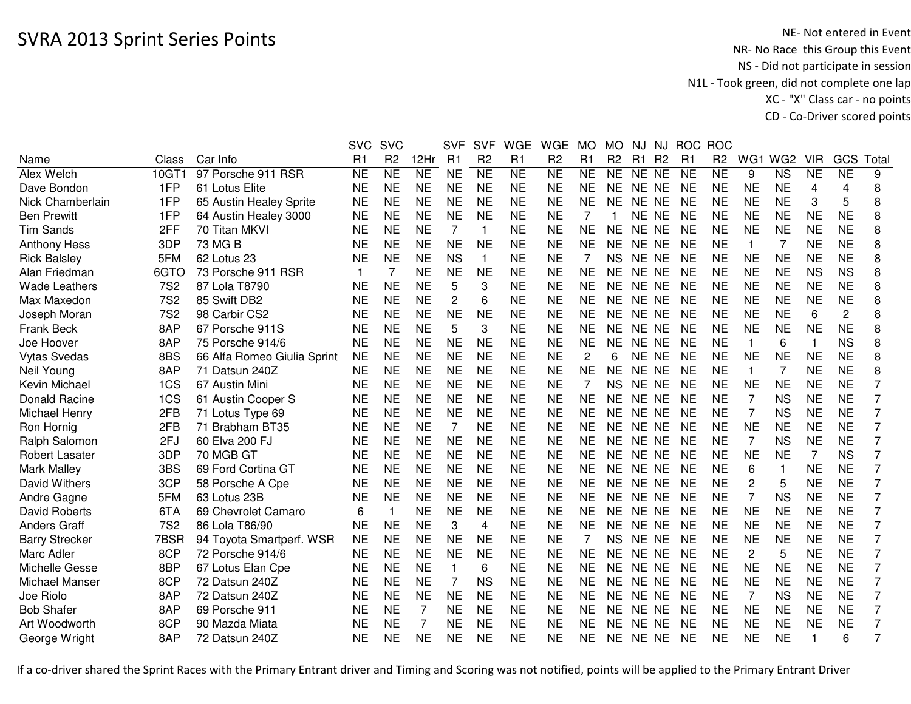|                       |            |                             | <b>SVC</b>     | <b>SVC</b>      |                 | <b>SVF</b>     | <b>SVF</b>      | <b>WGE</b>          | <b>WGE</b>          | <b>MO</b> | <b>MO</b>      | NJ        | NJ             | <b>ROC</b> | <b>ROC</b>     |                |                 |            |                |                |
|-----------------------|------------|-----------------------------|----------------|-----------------|-----------------|----------------|-----------------|---------------------|---------------------|-----------|----------------|-----------|----------------|------------|----------------|----------------|-----------------|------------|----------------|----------------|
| Name                  | Class      | Car Info                    | R <sub>1</sub> | R <sub>2</sub>  | 12Hr            | R1             | R <sub>2</sub>  | R1                  | R <sub>2</sub>      | R1        | R <sub>2</sub> | R1        | R <sub>2</sub> | R1         | R <sub>2</sub> | WG1            | WG <sub>2</sub> | <b>VIR</b> | GCS            | Total          |
| Alex Welch            | 10GT1      | 97 Porsche 911 RSR          | <b>NE</b>      | $\overline{NE}$ | $\overline{NE}$ | <b>NE</b>      | $\overline{NE}$ | $\overline{\sf NE}$ | $\overline{\sf NE}$ | <b>NE</b> | <b>NE</b>      | NE NE     |                | <b>NE</b>  | <b>NE</b>      | 9              | <b>NS</b>       | <b>NE</b>  | N <sub>E</sub> | 9              |
| Dave Bondon           | 1FP        | 61 Lotus Elite              | <b>NE</b>      | <b>NE</b>       | <b>NE</b>       | <b>NE</b>      | <b>NE</b>       | <b>NE</b>           | <b>NE</b>           | <b>NE</b> | <b>NE</b>      | NE NE     |                | <b>NE</b>  | <b>NE</b>      | <b>NE</b>      | <b>NE</b>       | 4          | 4              | 8              |
| Nick Chamberlain      | 1FP        | 65 Austin Healey Sprite     | <b>NE</b>      | <b>NE</b>       | <b>NE</b>       | <b>NE</b>      | <b>NE</b>       | <b>NE</b>           | <b>NE</b>           | <b>NE</b> | <b>NE</b>      | NE NE     |                | <b>NE</b>  | <b>NE</b>      | <b>NE</b>      | <b>NE</b>       | 3          | 5              | 8              |
| <b>Ben Prewitt</b>    | 1FP        | 64 Austin Healey 3000       | NE             | <b>NE</b>       | <b>NE</b>       | <b>NE</b>      | <b>NE</b>       | <b>NE</b>           | <b>NE</b>           | 7         |                | NE NE     |                | <b>NE</b>  | <b>NE</b>      | <b>NE</b>      | <b>NE</b>       | <b>NE</b>  | <b>NE</b>      | 8              |
| <b>Tim Sands</b>      | 2FF        | 70 Titan MKVI               | <b>NE</b>      | <b>NE</b>       | <b>NE</b>       | 7              | 1               | <b>NE</b>           | <b>NE</b>           | <b>NE</b> | NE.            | NE NE     |                | <b>NE</b>  | <b>NE</b>      | <b>NE</b>      | <b>NE</b>       | <b>NE</b>  | <b>NE</b>      | 8              |
| <b>Anthony Hess</b>   | 3DP        | 73 MG B                     | <b>NE</b>      | <b>NE</b>       | <b>NE</b>       | <b>NE</b>      | <b>NE</b>       | <b>NE</b>           | <b>NE</b>           | <b>NE</b> | NE.            | NE NE     |                | <b>NE</b>  | <b>NE</b>      | $\overline{1}$ | 7               | <b>NE</b>  | <b>NE</b>      | 8              |
| <b>Rick Balsley</b>   | 5FM        | 62 Lotus 23                 | <b>NE</b>      | <b>NE</b>       | <b>NE</b>       | <b>NS</b>      | $\mathbf{1}$    | <b>NE</b>           | <b>NE</b>           | 7         | <b>NS</b>      | NE NE     |                | <b>NE</b>  | <b>NE</b>      | <b>NE</b>      | <b>NE</b>       | <b>NE</b>  | <b>NE</b>      | 8              |
| Alan Friedman         | 6GTO       | 73 Porsche 911 RSR          | $\mathbf 1$    | $\overline{7}$  | <b>NE</b>       | <b>NE</b>      | <b>NE</b>       | <b>NE</b>           | <b>NE</b>           | <b>NE</b> | <b>NE</b>      | NE NE     |                | <b>NE</b>  | <b>NE</b>      | <b>NE</b>      | <b>NE</b>       | <b>NS</b>  | <b>NS</b>      | 8              |
| <b>Wade Leathers</b>  | <b>7S2</b> | 87 Lola T8790               | <b>NE</b>      | <b>NE</b>       | <b>NE</b>       | 5              | 3               | <b>NE</b>           | <b>NE</b>           | <b>NE</b> | <b>NE</b>      | NE NE     |                | <b>NE</b>  | <b>NE</b>      | <b>NE</b>      | <b>NE</b>       | <b>NE</b>  | <b>NE</b>      | 8              |
| Max Maxedon           | <b>7S2</b> | 85 Swift DB2                | <b>NE</b>      | <b>NE</b>       | <b>NE</b>       | $\overline{c}$ | 6               | <b>NE</b>           | <b>NE</b>           | <b>NE</b> | <b>NE</b>      | NE NE     |                | <b>NE</b>  | <b>NE</b>      | <b>NE</b>      | <b>NE</b>       | <b>NE</b>  | <b>NE</b>      | 8              |
| Joseph Moran          | <b>7S2</b> | 98 Carbir CS2               | <b>NE</b>      | <b>NE</b>       | <b>NE</b>       | <b>NE</b>      | <b>NE</b>       | <b>NE</b>           | <b>NE</b>           | <b>NE</b> | <b>NE</b>      | NE        | <b>NE</b>      | <b>NE</b>  | <b>NE</b>      | <b>NE</b>      | <b>NE</b>       | 6          | 2              | 8              |
| <b>Frank Beck</b>     | 8AP        | 67 Porsche 911S             | <b>NE</b>      | <b>NE</b>       | <b>NE</b>       | 5              | 3               | <b>NE</b>           | <b>NE</b>           | <b>NE</b> | NE             | <b>NE</b> | <b>NE</b>      | <b>NE</b>  | <b>NE</b>      | <b>NE</b>      | <b>NE</b>       | <b>NE</b>  | <b>NE</b>      | 8              |
| Joe Hoover            | 8AP        | 75 Porsche 914/6            | <b>NE</b>      | <b>NE</b>       | <b>NE</b>       | <b>NE</b>      | <b>NE</b>       | <b>NE</b>           | <b>NE</b>           | <b>NE</b> | <b>NE</b>      | <b>NE</b> | <b>NE</b>      | <b>NE</b>  | <b>NE</b>      | $\mathbf{1}$   | 6               | 1          | <b>NS</b>      | 8              |
| <b>Vytas Svedas</b>   | 8BS        | 66 Alfa Romeo Giulia Sprint | <b>NE</b>      | <b>NE</b>       | <b>NE</b>       | <b>NE</b>      | <b>NE</b>       | <b>NE</b>           | <b>NE</b>           | 2         | 6              | NE NE     |                | <b>NE</b>  | <b>NE</b>      | <b>NE</b>      | <b>NE</b>       | <b>NE</b>  | <b>NE</b>      | 8              |
| Neil Young            | 8AP        | 71 Datsun 240Z              | NE             | <b>NE</b>       | <b>NE</b>       | <b>NE</b>      | <b>NE</b>       | <b>NE</b>           | <b>NE</b>           | <b>NE</b> | <b>NE</b>      | NE NE     |                | <b>NE</b>  | <b>NE</b>      | $\overline{1}$ | 7               | <b>NE</b>  | <b>NE</b>      | 8              |
| Kevin Michael         | 1CS        | 67 Austin Mini              | <b>NE</b>      | <b>NE</b>       | <b>NE</b>       | <b>NE</b>      | <b>NE</b>       | <b>NE</b>           | <b>NE</b>           | 7         | <b>NS</b>      | NE NE     |                | <b>NE</b>  | <b>NE</b>      | <b>NE</b>      | <b>NE</b>       | <b>NE</b>  | <b>NE</b>      | $\overline{7}$ |
| <b>Donald Racine</b>  | 1CS        | 61 Austin Cooper S          | <b>NE</b>      | <b>NE</b>       | <b>NE</b>       | <b>NE</b>      | <b>NE</b>       | <b>NE</b>           | <b>NE</b>           | <b>NE</b> | <b>NE</b>      | NE NE     |                | <b>NE</b>  | <b>NE</b>      |                | <b>NS</b>       | <b>NE</b>  | <b>NE</b>      | $\overline{7}$ |
| Michael Henry         | 2FB        | 71 Lotus Type 69            | <b>NE</b>      | <b>NE</b>       | <b>NE</b>       | <b>NE</b>      | <b>NE</b>       | <b>NE</b>           | <b>NE</b>           | <b>NE</b> | NE.            | NE NE     |                | <b>NE</b>  | <b>NE</b>      | 7              | <b>NS</b>       | <b>NE</b>  | <b>NE</b>      | 7              |
| Ron Hornig            | 2FB        | 71 Brabham BT35             | <b>NE</b>      | <b>NE</b>       | <b>NE</b>       | 7              | <b>NE</b>       | <b>NE</b>           | <b>NE</b>           | <b>NE</b> | <b>NE</b>      | NE NE     |                | <b>NE</b>  | <b>NE</b>      | <b>NE</b>      | <b>NE</b>       | <b>NE</b>  | <b>NE</b>      | $\overline{7}$ |
| Ralph Salomon         | 2FJ        | 60 Elva 200 FJ              | <b>NE</b>      | <b>NE</b>       | <b>NE</b>       | <b>NE</b>      | <b>NE</b>       | <b>NE</b>           | <b>NE</b>           | <b>NE</b> | <b>NE</b>      | NE NE     |                | <b>NE</b>  | <b>NE</b>      | 7              | <b>NS</b>       | <b>NE</b>  | <b>NE</b>      | 7              |
| <b>Robert Lasater</b> | 3DP        | 70 MGB GT                   | <b>NE</b>      | <b>NE</b>       | <b>NE</b>       | <b>NE</b>      | <b>NE</b>       | <b>NE</b>           | <b>NE</b>           | <b>NE</b> | <b>NE</b>      | NE NE     |                | <b>NE</b>  | <b>NE</b>      | <b>NE</b>      | <b>NE</b>       | 7          | <b>NS</b>      | $\overline{7}$ |
| <b>Mark Malley</b>    | 3BS        | 69 Ford Cortina GT          | <b>NE</b>      | <b>NE</b>       | <b>NE</b>       | <b>NE</b>      | <b>NE</b>       | <b>NE</b>           | <b>NE</b>           | <b>NE</b> | <b>NE</b>      | NE NE     |                | <b>NE</b>  | <b>NE</b>      | 6              | $\mathbf{1}$    | <b>NE</b>  | <b>NE</b>      | 7              |
| David Withers         | 3CP        | 58 Porsche A Cpe            | <b>NE</b>      | <b>NE</b>       | <b>NE</b>       | <b>NE</b>      | <b>NE</b>       | <b>NE</b>           | <b>NE</b>           | <b>NE</b> | <b>NE</b>      | NE NE     |                | <b>NE</b>  | <b>NE</b>      | $\overline{c}$ | 5               | <b>NE</b>  | <b>NE</b>      | 7              |
| Andre Gagne           | 5FM        | 63 Lotus 23B                | <b>NE</b>      | <b>NE</b>       | <b>NE</b>       | <b>NE</b>      | <b>NE</b>       | <b>NE</b>           | <b>NE</b>           | <b>NE</b> | <b>NE</b>      | <b>NE</b> | <b>NE</b>      | <b>NE</b>  | <b>NE</b>      | 7              | <b>NS</b>       | <b>NE</b>  | <b>NE</b>      | 7              |
| <b>David Roberts</b>  | 6TA        | 69 Chevrolet Camaro         | 6              | $\mathbf 1$     | <b>NE</b>       | <b>NE</b>      | <b>NE</b>       | <b>NE</b>           | <b>NE</b>           | <b>NE</b> | NE             | <b>NE</b> | <b>NE</b>      | <b>NE</b>  | <b>NE</b>      | <b>NE</b>      | <b>NE</b>       | <b>NE</b>  | <b>NE</b>      | $\overline{7}$ |
| <b>Anders Graff</b>   | <b>7S2</b> | 86 Lola T86/90              | <b>NE</b>      | <b>NE</b>       | <b>NE</b>       | 3              | 4               | <b>NE</b>           | <b>NE</b>           | <b>NE</b> | <b>NE</b>      | <b>NE</b> | <b>NE</b>      | <b>NE</b>  | <b>NE</b>      | <b>NE</b>      | <b>NE</b>       | <b>NE</b>  | <b>NE</b>      | $\overline{7}$ |
| <b>Barry Strecker</b> | 7BSR       | 94 Toyota Smartperf. WSR    | <b>NE</b>      | <b>NE</b>       | <b>NE</b>       | <b>NE</b>      | <b>NE</b>       | <b>NE</b>           | <b>NE</b>           | 7         | <b>NS</b>      | NE NE     |                | <b>NE</b>  | <b>NE</b>      | <b>NE</b>      | <b>NE</b>       | <b>NE</b>  | <b>NE</b>      | 7              |
| Marc Adler            | 8CP        | 72 Porsche 914/6            | <b>NE</b>      | <b>NE</b>       | <b>NE</b>       | <b>NE</b>      | <b>NE</b>       | <b>NE</b>           | <b>NE</b>           | <b>NE</b> | <b>NE</b>      | NE NE     |                | <b>NE</b>  | <b>NE</b>      | $\overline{c}$ | 5               | <b>NE</b>  | <b>NE</b>      | $\overline{7}$ |
| Michelle Gesse        | 8BP        | 67 Lotus Elan Cpe           | <b>NE</b>      | <b>NE</b>       | <b>NE</b>       | $\mathbf{1}$   | 6               | <b>NE</b>           | <b>NE</b>           | <b>NE</b> | <b>NE</b>      | NE NE     |                | <b>NE</b>  | <b>NE</b>      | <b>NE</b>      | <b>NE</b>       | <b>NE</b>  | <b>NE</b>      | $\overline{7}$ |
| Michael Manser        | 8CP        | 72 Datsun 240Z              | <b>NE</b>      | <b>NE</b>       | <b>NE</b>       | 7              | <b>NS</b>       | <b>NE</b>           | <b>NE</b>           | <b>NE</b> | <b>NE</b>      | NE NE     |                | <b>NE</b>  | <b>NE</b>      | <b>NE</b>      | <b>NE</b>       | <b>NE</b>  | <b>NE</b>      | 7              |
| Joe Riolo             | 8AP        | 72 Datsun 240Z              | NE             | <b>NE</b>       | <b>NE</b>       | <b>NE</b>      | <b>NE</b>       | <b>NE</b>           | <b>NE</b>           | <b>NE</b> | NE.            | NE NE     |                | <b>NE</b>  | <b>NE</b>      |                | <b>NS</b>       | <b>NE</b>  | <b>NE</b>      | 7              |
| <b>Bob Shafer</b>     | 8AP        | 69 Porsche 911              | <b>NE</b>      | <b>NE</b>       | 7               | <b>NE</b>      | <b>NE</b>       | <b>NE</b>           | <b>NE</b>           | <b>NE</b> | NE.            | NE NE     |                | <b>NE</b>  | <b>NE</b>      | <b>NE</b>      | <b>NE</b>       | <b>NE</b>  | <b>NE</b>      | 7              |
| Art Woodworth         | 8CP        | 90 Mazda Miata              | NE             | <b>NE</b>       | 7               | <b>NE</b>      | <b>NE</b>       | <b>NE</b>           | NE                  | NE        | NE.            | NE.       | <b>NE</b>      | <b>NE</b>  | <b>NE</b>      | NE             | <b>NE</b>       | <b>NE</b>  | <b>NE</b>      | 7              |
| George Wright         | 8AP        | 72 Datsun 240Z              | <b>NE</b>      | <b>NE</b>       | <b>NE</b>       | <b>NE</b>      | <b>NE</b>       | <b>NE</b>           | <b>NE</b>           | <b>NE</b> | <b>NE</b>      | NE NE     |                | <b>NE</b>  | <b>NE</b>      | <b>NE</b>      | <b>NE</b>       |            | 6              | 7              |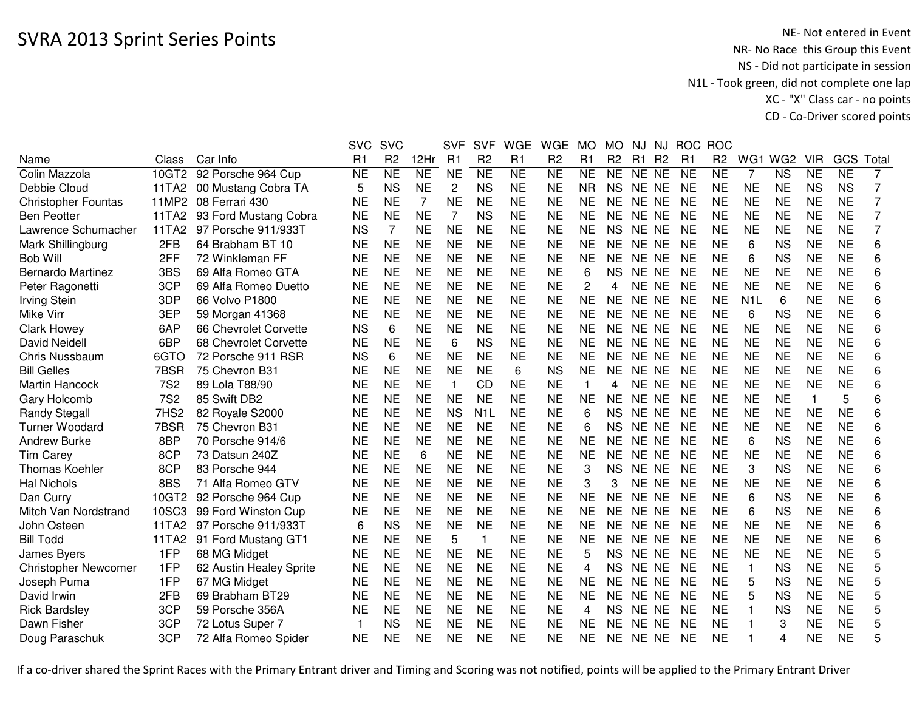|                             |                  |                          | <b>SVC</b>  | <b>SVC</b>     |           | <b>SVF</b>     | <b>SVF</b>       | <b>WGE</b> | <b>WGE</b>     | <b>MO</b>    | <b>MO</b>      | NJ        | NJ             | <b>ROC</b>     | <b>ROC</b>     |                  |                 |            |           |                |
|-----------------------------|------------------|--------------------------|-------------|----------------|-----------|----------------|------------------|------------|----------------|--------------|----------------|-----------|----------------|----------------|----------------|------------------|-----------------|------------|-----------|----------------|
| Name                        | Class            | Car Info                 | R1          | R <sub>2</sub> | 12Hr      | R1             | R <sub>2</sub>   | R1         | R <sub>2</sub> | R1           | R <sub>2</sub> | R1        | R <sub>2</sub> | R <sub>1</sub> | R <sub>2</sub> | WG1              | WG <sub>2</sub> | <b>VIR</b> | GCS       | Total          |
| Colin Mazzola               |                  | 10GT2 92 Porsche 964 Cup | <b>NE</b>   | <b>NE</b>      | <b>NE</b> | <b>NE</b>      | <b>NE</b>        | <b>NE</b>  | <b>NE</b>      | <b>NE</b>    | <b>NE</b>      | NE NE     |                | <b>NE</b>      | <b>NE</b>      | 7                | <b>NS</b>       | <b>NE</b>  | <b>NE</b> | 7              |
| Debbie Cloud                | 11TA2            | 00 Mustang Cobra TA      | 5           | <b>NS</b>      | <b>NE</b> | $\overline{c}$ | <b>NS</b>        | <b>NE</b>  | <b>NE</b>      | <b>NR</b>    | <b>NS</b>      | NE NE     |                | <b>NE</b>      | <b>NE</b>      | <b>NE</b>        | <b>NE</b>       | <b>NS</b>  | <b>NS</b> | 7              |
| <b>Christopher Fountas</b>  | 11MP2            | 08 Ferrari 430           | <b>NE</b>   | <b>NE</b>      | 7         | <b>NE</b>      | <b>NE</b>        | <b>NE</b>  | <b>NE</b>      | <b>NE</b>    | <b>NE</b>      | NE NE     |                | <b>NE</b>      | <b>NE</b>      | <b>NE</b>        | <b>NE</b>       | <b>NE</b>  | <b>NE</b> | $\overline{7}$ |
| <b>Ben Peotter</b>          | 11TA2            | 93 Ford Mustang Cobra    | <b>NE</b>   | <b>NE</b>      | <b>NE</b> | 7              | <b>NS</b>        | <b>NE</b>  | <b>NE</b>      | <b>NE</b>    | <b>NE</b>      | NE NE     |                | <b>NE</b>      | <b>NE</b>      | <b>NE</b>        | <b>NE</b>       | <b>NE</b>  | <b>NE</b> | $\overline{7}$ |
| Lawrence Schumacher         | 11TA2            | 97 Porsche 911/933T      | <b>NS</b>   | 7              | <b>NE</b> | <b>NE</b>      | <b>NE</b>        | <b>NE</b>  | <b>NE</b>      | <b>NE</b>    | <b>NS</b>      | NE NE     |                | <b>NE</b>      | <b>NE</b>      | <b>NE</b>        | <b>NE</b>       | <b>NE</b>  | <b>NE</b> | $\overline{7}$ |
| Mark Shillingburg           | 2FB              | 64 Brabham BT 10         | <b>NE</b>   | <b>NE</b>      | <b>NE</b> | <b>NE</b>      | <b>NE</b>        | <b>NE</b>  | <b>NE</b>      | <b>NE</b>    | NE.            | NE NE     |                | <b>NE</b>      | <b>NE</b>      | 6                | <b>NS</b>       | <b>NE</b>  | <b>NE</b> | 6              |
| <b>Bob Will</b>             | 2FF              | 72 Winkleman FF          | <b>NE</b>   | <b>NE</b>      | <b>NE</b> | <b>NE</b>      | <b>NE</b>        | <b>NE</b>  | <b>NE</b>      | <b>NE</b>    | <b>NE</b>      | NE NE     |                | <b>NE</b>      | <b>NE</b>      | 6                | <b>NS</b>       | <b>NE</b>  | <b>NE</b> | 6              |
| Bernardo Martinez           | 3BS              | 69 Alfa Romeo GTA        | <b>NE</b>   | <b>NE</b>      | <b>NE</b> | <b>NE</b>      | <b>NE</b>        | <b>NE</b>  | <b>NE</b>      | 6            | <b>NS</b>      | NE NE     |                | <b>NE</b>      | <b>NE</b>      | <b>NE</b>        | <b>NE</b>       | <b>NE</b>  | <b>NE</b> | 6              |
| Peter Ragonetti             | 3CP              | 69 Alfa Romeo Duetto     | <b>NE</b>   | <b>NE</b>      | <b>NE</b> | <b>NE</b>      | <b>NE</b>        | <b>NE</b>  | <b>NE</b>      | 2            | 4              | NE NE     |                | <b>NE</b>      | <b>NE</b>      | <b>NE</b>        | <b>NE</b>       | <b>NE</b>  | <b>NE</b> | 6              |
| <b>Irving Stein</b>         | 3DP              | 66 Volvo P1800           | <b>NE</b>   | <b>NE</b>      | <b>NE</b> | <b>NE</b>      | <b>NE</b>        | <b>NE</b>  | <b>NE</b>      | <b>NE</b>    | <b>NE</b>      | NE NE     |                | <b>NE</b>      | <b>NE</b>      | N <sub>1</sub> L | 6               | <b>NE</b>  | <b>NE</b> | 6              |
| <b>Mike Virr</b>            | 3EP              | 59 Morgan 41368          | <b>NE</b>   | <b>NE</b>      | <b>NE</b> | <b>NE</b>      | <b>NE</b>        | <b>NE</b>  | <b>NE</b>      | <b>NE</b>    | <b>NE</b>      | NE NE     |                | <b>NE</b>      | <b>NE</b>      | 6                | <b>NS</b>       | <b>NE</b>  | <b>NE</b> | 6              |
| <b>Clark Howey</b>          | 6AP              | 66 Chevrolet Corvette    | <b>NS</b>   | 6              | <b>NE</b> | <b>NE</b>      | <b>NE</b>        | <b>NE</b>  | <b>NE</b>      | <b>NE</b>    | <b>NE</b>      | NE NE     |                | <b>NE</b>      | <b>NE</b>      | <b>NE</b>        | <b>NE</b>       | <b>NE</b>  | <b>NE</b> | 6              |
| <b>David Neidell</b>        | 6BP              | 68 Chevrolet Corvette    | <b>NE</b>   | <b>NE</b>      | <b>NE</b> | 6              | <b>NS</b>        | <b>NE</b>  | <b>NE</b>      | <b>NE</b>    | <b>NE</b>      | NE NE     |                | <b>NE</b>      | <b>NE</b>      | <b>NE</b>        | <b>NE</b>       | <b>NE</b>  | <b>NE</b> | 6              |
| <b>Chris Nussbaum</b>       | 6GTO             | 72 Porsche 911 RSR       | <b>NS</b>   | 6              | <b>NE</b> | <b>NE</b>      | <b>NE</b>        | <b>NE</b>  | <b>NE</b>      | <b>NE</b>    | <b>NE</b>      | NE NE     |                | <b>NE</b>      | <b>NE</b>      | <b>NE</b>        | <b>NE</b>       | <b>NE</b>  | <b>NE</b> | 6              |
| <b>Bill Gelles</b>          | 7BSR             | 75 Chevron B31           | <b>NE</b>   | <b>NE</b>      | <b>NE</b> | <b>NE</b>      | <b>NE</b>        | 6          | <b>NS</b>      | <b>NE</b>    | <b>NE</b>      | <b>NE</b> | <b>NE</b>      | <b>NE</b>      | <b>NE</b>      | <b>NE</b>        | <b>NE</b>       | <b>NE</b>  | <b>NE</b> | 6              |
| <b>Martin Hancock</b>       | <b>7S2</b>       | 89 Lola T88/90           | <b>NE</b>   | <b>NE</b>      | <b>NE</b> | 1              | CD               | <b>NE</b>  | <b>NE</b>      | $\mathbf{1}$ | 4              | NE.       | <b>NE</b>      | <b>NE</b>      | <b>NE</b>      | <b>NE</b>        | <b>NE</b>       | <b>NE</b>  | <b>NE</b> | 6              |
| Gary Holcomb                | <b>7S2</b>       | 85 Swift DB2             | <b>NE</b>   | <b>NE</b>      | <b>NE</b> | <b>NE</b>      | <b>NE</b>        | <b>NE</b>  | <b>NE</b>      | <b>NE</b>    | <b>NE</b>      | <b>NE</b> | <b>NE</b>      | <b>NE</b>      | <b>NE</b>      | <b>NE</b>        | <b>NE</b>       | 1          | 5         | 6              |
| <b>Randy Stegall</b>        | 7HS <sub>2</sub> | 82 Royale S2000          | <b>NE</b>   | <b>NE</b>      | <b>NE</b> | <b>NS</b>      | N <sub>1</sub> L | <b>NE</b>  | <b>NE</b>      | 6            | <b>NS</b>      | NE NE     |                | <b>NE</b>      | <b>NE</b>      | <b>NE</b>        | <b>NE</b>       | <b>NE</b>  | <b>NE</b> | 6              |
| <b>Turner Woodard</b>       | 7BSR             | 75 Chevron B31           | <b>NE</b>   | <b>NE</b>      | <b>NE</b> | <b>NE</b>      | <b>NE</b>        | <b>NE</b>  | <b>NE</b>      | 6            | <b>NS</b>      | NE NE     |                | <b>NE</b>      | <b>NE</b>      | <b>NE</b>        | <b>NE</b>       | <b>NE</b>  | <b>NE</b> | 6              |
| <b>Andrew Burke</b>         | 8BP              | 70 Porsche 914/6         | <b>NE</b>   | <b>NE</b>      | <b>NE</b> | <b>NE</b>      | <b>NE</b>        | <b>NE</b>  | <b>NE</b>      | <b>NE</b>    | <b>NE</b>      | NE NE     |                | <b>NE</b>      | <b>NE</b>      | 6                | <b>NS</b>       | <b>NE</b>  | <b>NE</b> | 6              |
| <b>Tim Carey</b>            | 8CP              | 73 Datsun 240Z           | <b>NE</b>   | <b>NE</b>      | 6         | <b>NE</b>      | <b>NE</b>        | <b>NE</b>  | <b>NE</b>      | <b>NE</b>    | <b>NE</b>      | NE NE     |                | <b>NE</b>      | <b>NE</b>      | <b>NE</b>        | <b>NE</b>       | <b>NE</b>  | <b>NE</b> | 6              |
| <b>Thomas Koehler</b>       | 8CP              | 83 Porsche 944           | <b>NE</b>   | <b>NE</b>      | <b>NE</b> | <b>NE</b>      | <b>NE</b>        | <b>NE</b>  | <b>NE</b>      | 3            | NS.            | NE NE     |                | <b>NE</b>      | <b>NE</b>      | 3                | <b>NS</b>       | <b>NE</b>  | <b>NE</b> | 6              |
| <b>Hal Nichols</b>          | 8BS              | 71 Alfa Romeo GTV        | <b>NE</b>   | <b>NE</b>      | <b>NE</b> | <b>NE</b>      | <b>NE</b>        | <b>NE</b>  | <b>NE</b>      | 3            | 3              | NE NE     |                | <b>NE</b>      | <b>NE</b>      | <b>NE</b>        | <b>NE</b>       | <b>NE</b>  | <b>NE</b> | 6              |
| Dan Curry                   | 10GT2            | 92 Porsche 964 Cup       | <b>NE</b>   | <b>NE</b>      | <b>NE</b> | <b>NE</b>      | <b>NE</b>        | <b>NE</b>  | <b>NE</b>      | <b>NE</b>    | <b>NE</b>      | NE NE     |                | <b>NE</b>      | <b>NE</b>      | 6                | <b>NS</b>       | <b>NE</b>  | <b>NE</b> | 6              |
| Mitch Van Nordstrand        | 10SC3            | 99 Ford Winston Cup      | <b>NE</b>   | <b>NE</b>      | <b>NE</b> | <b>NE</b>      | <b>NE</b>        | <b>NE</b>  | <b>NE</b>      | <b>NE</b>    | <b>NE</b>      | NE NE     |                | <b>NE</b>      | <b>NE</b>      | 6                | <b>NS</b>       | <b>NE</b>  | <b>NE</b> | 6              |
| John Osteen                 | 11TA2            | 97 Porsche 911/933T      | 6           | <b>NS</b>      | <b>NE</b> | <b>NE</b>      | <b>NE</b>        | <b>NE</b>  | <b>NE</b>      | <b>NE</b>    | <b>NE</b>      | NE NE     |                | <b>NE</b>      | <b>NE</b>      | <b>NE</b>        | <b>NE</b>       | <b>NE</b>  | <b>NE</b> | 6              |
| <b>Bill Todd</b>            | 11TA2            | 91 Ford Mustang GT1      | <b>NE</b>   | <b>NE</b>      | <b>NE</b> | 5              | $\mathbf 1$      | <b>NE</b>  | <b>NE</b>      | <b>NE</b>    | <b>NE</b>      | NE NE     |                | <b>NE</b>      | <b>NE</b>      | <b>NE</b>        | <b>NE</b>       | <b>NE</b>  | <b>NE</b> | 6              |
| James Byers                 | 1FP              | 68 MG Midget             | <b>NE</b>   | <b>NE</b>      | <b>NE</b> | <b>NE</b>      | <b>NE</b>        | <b>NE</b>  | <b>NE</b>      | 5            | <b>NS</b>      | NE NE     |                | <b>NE</b>      | <b>NE</b>      | <b>NE</b>        | <b>NE</b>       | <b>NE</b>  | <b>NE</b> | 5              |
| <b>Christopher Newcomer</b> | 1FP              | 62 Austin Healey Sprite  | <b>NE</b>   | <b>NE</b>      | <b>NE</b> | <b>NE</b>      | <b>NE</b>        | <b>NE</b>  | <b>NE</b>      | 4            | <b>NS</b>      | NE NE     |                | <b>NE</b>      | <b>NE</b>      | $\mathbf{1}$     | <b>NS</b>       | <b>NE</b>  | <b>NE</b> | 5              |
| Joseph Puma                 | 1FP              | 67 MG Midget             | <b>NE</b>   | <b>NE</b>      | <b>NE</b> | <b>NE</b>      | <b>NE</b>        | <b>NE</b>  | <b>NE</b>      | <b>NE</b>    | <b>NE</b>      | NE NE     |                | <b>NE</b>      | <b>NE</b>      | 5                | <b>NS</b>       | <b>NE</b>  | <b>NE</b> | 5              |
| David Irwin                 | 2FB              | 69 Brabham BT29          | <b>NE</b>   | <b>NE</b>      | <b>NE</b> | <b>NE</b>      | <b>NE</b>        | <b>NE</b>  | <b>NE</b>      | <b>NE</b>    | <b>NE</b>      | NE NE     |                | <b>NE</b>      | <b>NE</b>      | 5                | <b>NS</b>       | <b>NE</b>  | <b>NE</b> | 5              |
| <b>Rick Bardsley</b>        | 3CP              | 59 Porsche 356A          | <b>NE</b>   | <b>NE</b>      | <b>NE</b> | <b>NE</b>      | <b>NE</b>        | <b>NE</b>  | <b>NE</b>      | 4            | <b>NS</b>      | NE NE     |                | <b>NE</b>      | <b>NE</b>      |                  | <b>NS</b>       | <b>NE</b>  | <b>NE</b> | 5              |
| Dawn Fisher                 | 3CP              | 72 Lotus Super 7         | $\mathbf 1$ | <b>NS</b>      | <b>NE</b> | <b>NE</b>      | <b>NE</b>        | <b>NE</b>  | <b>NE</b>      | <b>NE</b>    | <b>NE</b>      | <b>NE</b> | <b>NE</b>      | <b>NE</b>      | <b>NE</b>      |                  | 3               | <b>NE</b>  | <b>NE</b> | 5              |
| Doug Paraschuk              | 3CP              | 72 Alfa Romeo Spider     | NE          | NE             | <b>NE</b> | <b>NE</b>      | <b>NE</b>        | <b>NE</b>  | <b>NE</b>      | <b>NE</b>    | <b>NE</b>      | NE NE     |                | <b>NE</b>      | <b>NE</b>      |                  | 4               | <b>NE</b>  | <b>NE</b> | 5              |
|                             |                  |                          |             |                |           |                |                  |            |                |              |                |           |                |                |                |                  |                 |            |           |                |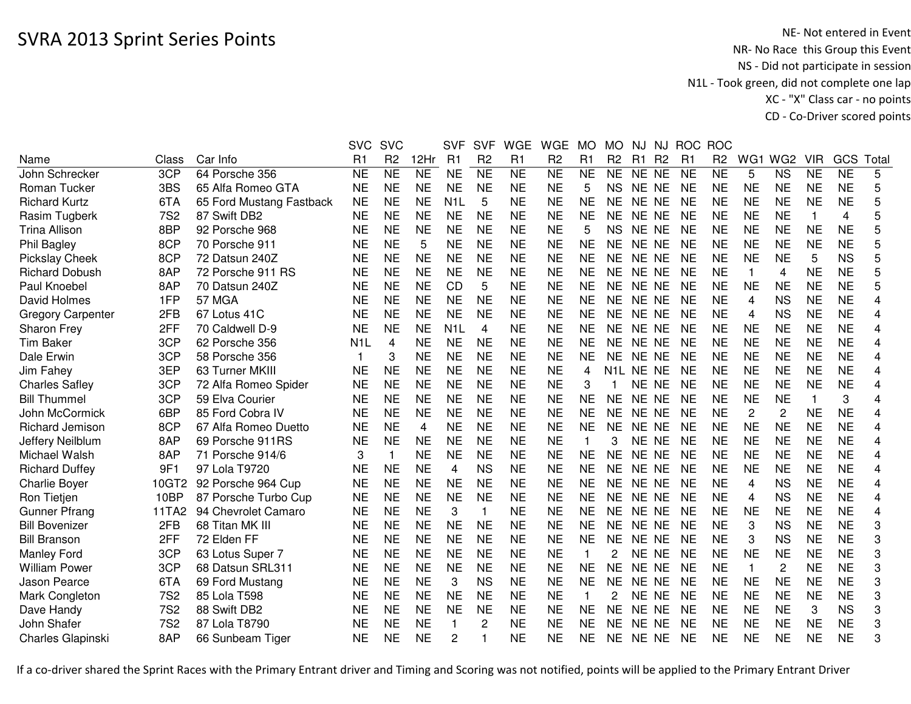|                          |            |                          | <b>SVC</b>     | <b>SVC</b>          |                | <b>SVF</b>       | <b>SVF</b>     | <b>WGE</b>     | <b>WGE</b>      | <b>MO</b>              | MO.            | NJ             | <b>NJ</b>      | <b>ROC</b>     | <b>ROC</b>     |                |                 |              |                |                |
|--------------------------|------------|--------------------------|----------------|---------------------|----------------|------------------|----------------|----------------|-----------------|------------------------|----------------|----------------|----------------|----------------|----------------|----------------|-----------------|--------------|----------------|----------------|
| Name                     | Class      | Car Info                 | R <sub>1</sub> | R <sub>2</sub>      | 12Hr           | R <sub>1</sub>   | R <sub>2</sub> | R1             | R <sub>2</sub>  | R <sub>1</sub>         | R <sub>2</sub> | R <sub>1</sub> | R <sub>2</sub> | R <sub>1</sub> | R <sub>2</sub> | WG1            | WG <sub>2</sub> | <b>VIR</b>   | GCS            | Tota           |
| John Schrecker           | 3CP        | 64 Porsche 356           | <b>NE</b>      | $\overline{\sf NE}$ | N <sub>E</sub> | <b>NE</b>        | N <sub>E</sub> | N <sub>E</sub> | $\overline{NE}$ | $\overline{\text{NE}}$ | <b>NE</b>      | NE NE          |                | <b>NE</b>      | N <sub>E</sub> | 5              | <b>NS</b>       | <b>NE</b>    | N <sub>E</sub> | 5              |
| <b>Roman Tucker</b>      | 3BS        | 65 Alfa Romeo GTA        | <b>NE</b>      | <b>NE</b>           | <b>NE</b>      | <b>NE</b>        | <b>NE</b>      | <b>NE</b>      | <b>NE</b>       | 5                      | <b>NS</b>      | NE NE          |                | <b>NE</b>      | <b>NE</b>      | <b>NE</b>      | <b>NE</b>       | <b>NE</b>    | <b>NE</b>      | 5              |
| <b>Richard Kurtz</b>     | 6TA        | 65 Ford Mustang Fastback | <b>NE</b>      | <b>NE</b>           | <b>NE</b>      | N <sub>1</sub> L | 5              | <b>NE</b>      | <b>NE</b>       | <b>NE</b>              | <b>NE</b>      | NE NE          |                | <b>NE</b>      | <b>NE</b>      | <b>NE</b>      | <b>NE</b>       | <b>NE</b>    | <b>NE</b>      | 5              |
| Rasim Tugberk            | <b>7S2</b> | 87 Swift DB2             | <b>NE</b>      | <b>NE</b>           | <b>NE</b>      | <b>NE</b>        | <b>NE</b>      | <b>NE</b>      | <b>NE</b>       | <b>NE</b>              | <b>NE</b>      | NE NE          |                | <b>NE</b>      | <b>NE</b>      | <b>NE</b>      | <b>NE</b>       | 1            | 4              | 5              |
| <b>Trina Allison</b>     | 8BP        | 92 Porsche 968           | <b>NE</b>      | <b>NE</b>           | <b>NE</b>      | <b>NE</b>        | <b>NE</b>      | <b>NE</b>      | <b>NE</b>       | 5                      | <b>NS</b>      | NE NE          |                | <b>NE</b>      | <b>NE</b>      | <b>NE</b>      | <b>NE</b>       | <b>NE</b>    | <b>NE</b>      | 5              |
| Phil Bagley              | 8CP        | 70 Porsche 911           | NE             | NE                  | 5              | <b>NE</b>        | <b>NE</b>      | <b>NE</b>      | <b>NE</b>       | <b>NE</b>              | NE.            | NE NE          |                | NE             | <b>NE</b>      | <b>NE</b>      | <b>NE</b>       | <b>NE</b>    | <b>NE</b>      | 5              |
| <b>Pickslay Cheek</b>    | 8CP        | 72 Datsun 240Z           | <b>NE</b>      | <b>NE</b>           | <b>NE</b>      | <b>NE</b>        | <b>NE</b>      | <b>NE</b>      | <b>NE</b>       | <b>NE</b>              | <b>NE</b>      | NE NE          |                | <b>NE</b>      | <b>NE</b>      | <b>NE</b>      | <b>NE</b>       | 5            | <b>NS</b>      | 5              |
| <b>Richard Dobush</b>    | 8AP        | 72 Porsche 911 RS        | <b>NE</b>      | <b>NE</b>           | <b>NE</b>      | <b>NE</b>        | <b>NE</b>      | <b>NE</b>      | <b>NE</b>       | <b>NE</b>              | <b>NE</b>      | NE NE          |                | <b>NE</b>      | <b>NE</b>      | $\mathbf{1}$   | 4               | <b>NE</b>    | <b>NE</b>      | 5              |
| Paul Knoebel             | 8AP        | 70 Datsun 240Z           | <b>NE</b>      | <b>NE</b>           | <b>NE</b>      | <b>CD</b>        | 5              | <b>NE</b>      | <b>NE</b>       | <b>NE</b>              | <b>NE</b>      | NE NE          |                | <b>NE</b>      | <b>NE</b>      | <b>NE</b>      | <b>NE</b>       | <b>NE</b>    | <b>NE</b>      | 5              |
| David Holmes             | 1FP        | <b>57 MGA</b>            | <b>NE</b>      | <b>NE</b>           | <b>NE</b>      | <b>NE</b>        | <b>NE</b>      | <b>NE</b>      | <b>NE</b>       | <b>NE</b>              | <b>NE</b>      | NE NE          |                | <b>NE</b>      | <b>NE</b>      | 4              | <b>NS</b>       | <b>NE</b>    | <b>NE</b>      | 4              |
| <b>Gregory Carpenter</b> | 2FB        | 67 Lotus 41C             | <b>NE</b>      | <b>NE</b>           | <b>NE</b>      | <b>NE</b>        | <b>NE</b>      | <b>NE</b>      | <b>NE</b>       | <b>NE</b>              | <b>NE</b>      | NE NE          |                | <b>NE</b>      | <b>NE</b>      | 4              | <b>NS</b>       | <b>NE</b>    | <b>NE</b>      | 4              |
| <b>Sharon Frey</b>       | 2FF        | 70 Caldwell D-9          | <b>NE</b>      | <b>NE</b>           | <b>NE</b>      | N <sub>1</sub> L | 4              | <b>NE</b>      | <b>NE</b>       | <b>NE</b>              | <b>NE</b>      | NE NE          |                | <b>NE</b>      | <b>NE</b>      | <b>NE</b>      | <b>NE</b>       | <b>NE</b>    | <b>NE</b>      | 4              |
| <b>Tim Baker</b>         | 3CP        | 62 Porsche 356           | N1L            | 4                   | <b>NE</b>      | <b>NE</b>        | <b>NE</b>      | <b>NE</b>      | <b>NE</b>       | <b>NE</b>              | NE             | NE NE          |                | <b>NE</b>      | <b>NE</b>      | <b>NE</b>      | <b>NE</b>       | <b>NE</b>    | <b>NE</b>      | $\overline{4}$ |
| Dale Erwin               | 3CP        | 58 Porsche 356           |                | 3                   | <b>NE</b>      | <b>NE</b>        | <b>NE</b>      | <b>NE</b>      | <b>NE</b>       | <b>NE</b>              | <b>NE</b>      | NE NE          |                | <b>NE</b>      | <b>NE</b>      | <b>NE</b>      | <b>NE</b>       | <b>NE</b>    | <b>NE</b>      | 4              |
| Jim Fahey                | 3EP        | 63 Turner MKIII          | <b>NE</b>      | <b>NE</b>           | <b>NE</b>      | <b>NE</b>        | <b>NE</b>      | <b>NE</b>      | <b>NE</b>       | 4                      |                | N1L NE NE      |                | <b>NE</b>      | <b>NE</b>      | <b>NE</b>      | <b>NE</b>       | <b>NE</b>    | <b>NE</b>      | 4              |
| <b>Charles Safley</b>    | 3CP        | 72 Alfa Romeo Spider     | <b>NE</b>      | <b>NE</b>           | <b>NE</b>      | <b>NE</b>        | <b>NE</b>      | <b>NE</b>      | <b>NE</b>       | 3                      |                | NE NE          |                | <b>NE</b>      | <b>NE</b>      | <b>NE</b>      | <b>NE</b>       | <b>NE</b>    | <b>NE</b>      | 4              |
| <b>Bill Thummel</b>      | 3CP        | 59 Elva Courier          | <b>NE</b>      | <b>NE</b>           | <b>NE</b>      | <b>NE</b>        | <b>NE</b>      | <b>NE</b>      | <b>NE</b>       | <b>NE</b>              | <b>NE</b>      | NE NE          |                | <b>NE</b>      | <b>NE</b>      | <b>NE</b>      | <b>NE</b>       | $\mathbf{1}$ | 3              | 4              |
| John McCormick           | 6BP        | 85 Ford Cobra IV         | <b>NE</b>      | <b>NE</b>           | <b>NE</b>      | <b>NE</b>        | <b>NE</b>      | <b>NE</b>      | <b>NE</b>       | <b>NE</b>              | <b>NE</b>      | NE NE          |                | <b>NE</b>      | <b>NE</b>      | $\overline{c}$ | $\overline{c}$  | <b>NE</b>    | <b>NE</b>      | 4              |
| Richard Jemison          | 8CP        | 67 Alfa Romeo Duetto     | <b>NE</b>      | <b>NE</b>           | 4              | <b>NE</b>        | <b>NE</b>      | <b>NE</b>      | <b>NE</b>       | <b>NE</b>              | <b>NE</b>      | NE NE          |                | <b>NE</b>      | <b>NE</b>      | <b>NE</b>      | <b>NE</b>       | <b>NE</b>    | <b>NE</b>      | 4              |
| Jeffery Neilblum         | 8AP        | 69 Porsche 911RS         | <b>NE</b>      | <b>NE</b>           | <b>NE</b>      | <b>NE</b>        | <b>NE</b>      | <b>NE</b>      | <b>NE</b>       |                        | 3              | NE NE          |                | <b>NE</b>      | <b>NE</b>      | <b>NE</b>      | <b>NE</b>       | <b>NE</b>    | <b>NE</b>      | 4              |
| Michael Walsh            | 8AP        | 71 Porsche 914/6         | 3              | -1                  | <b>NE</b>      | <b>NE</b>        | <b>NE</b>      | <b>NE</b>      | <b>NE</b>       | <b>NE</b>              | <b>NE</b>      | NE NE          |                | <b>NE</b>      | <b>NE</b>      | <b>NE</b>      | <b>NE</b>       | <b>NE</b>    | <b>NE</b>      | 4              |
| <b>Richard Duffey</b>    | 9F1        | 97 Lola T9720            | <b>NE</b>      | <b>NE</b>           | <b>NE</b>      | 4                | <b>NS</b>      | <b>NE</b>      | <b>NE</b>       | <b>NE</b>              | <b>NE</b>      | NE NE          |                | <b>NE</b>      | <b>NE</b>      | <b>NE</b>      | <b>NE</b>       | <b>NE</b>    | <b>NE</b>      | 4              |
| <b>Charlie Boyer</b>     | 10GT2      | 92 Porsche 964 Cup       | <b>NE</b>      | <b>NE</b>           | <b>NE</b>      | <b>NE</b>        | <b>NE</b>      | <b>NE</b>      | <b>NE</b>       | <b>NE</b>              | <b>NE</b>      | NE NE          |                | <b>NE</b>      | <b>NE</b>      | 4              | <b>NS</b>       | <b>NE</b>    | <b>NE</b>      | 4              |
| Ron Tietjen              | 10BP       | 87 Porsche Turbo Cup     | <b>NE</b>      | <b>NE</b>           | <b>NE</b>      | <b>NE</b>        | <b>NE</b>      | <b>NE</b>      | <b>NE</b>       | <b>NE</b>              | <b>NE</b>      | NE NE          |                | <b>NE</b>      | <b>NE</b>      | 4              | <b>NS</b>       | <b>NE</b>    | <b>NE</b>      | 4              |
| <b>Gunner Pfrang</b>     | 11TA2      | 94 Chevrolet Camaro      | <b>NE</b>      | <b>NE</b>           | <b>NE</b>      | 3                | $\mathbf{1}$   | <b>NE</b>      | <b>NE</b>       | <b>NE</b>              | <b>NE</b>      | NE NE          |                | <b>NE</b>      | <b>NE</b>      | <b>NE</b>      | <b>NE</b>       | <b>NE</b>    | <b>NE</b>      | 4              |
| <b>Bill Bovenizer</b>    | 2FB        | 68 Titan MK III          | <b>NE</b>      | <b>NE</b>           | <b>NE</b>      | <b>NE</b>        | <b>NE</b>      | <b>NE</b>      | <b>NE</b>       | <b>NE</b>              | <b>NE</b>      | NE NE          |                | <b>NE</b>      | <b>NE</b>      | 3              | <b>NS</b>       | <b>NE</b>    | <b>NE</b>      | 3              |
| <b>Bill Branson</b>      | 2FF        | 72 Elden FF              | NE             | <b>NE</b>           | <b>NE</b>      | <b>NE</b>        | <b>NE</b>      | <b>NE</b>      | <b>NE</b>       | <b>NE</b>              | <b>NE</b>      | NE NE          |                | <b>NE</b>      | <b>NE</b>      | 3              | <b>NS</b>       | <b>NE</b>    | <b>NE</b>      | 3              |
| Manley Ford              | 3CP        | 63 Lotus Super 7         | <b>NE</b>      | <b>NE</b>           | <b>NE</b>      | <b>NE</b>        | <b>NE</b>      | <b>NE</b>      | <b>NE</b>       | $\mathbf 1$            | 2              | NE NE          |                | <b>NE</b>      | <b>NE</b>      | <b>NE</b>      | <b>NE</b>       | <b>NE</b>    | <b>NE</b>      | 3              |
| <b>William Power</b>     | 3CP        | 68 Datsun SRL311         | <b>NE</b>      | <b>NE</b>           | <b>NE</b>      | <b>NE</b>        | <b>NE</b>      | <b>NE</b>      | <b>NE</b>       | <b>NE</b>              | <b>NE</b>      | NE NE          |                | <b>NE</b>      | <b>NE</b>      | $\overline{1}$ | 2               | <b>NE</b>    | <b>NE</b>      | 3              |
| Jason Pearce             | 6TA        | 69 Ford Mustang          | <b>NE</b>      | <b>NE</b>           | <b>NE</b>      | 3                | <b>NS</b>      | <b>NE</b>      | <b>NE</b>       | <b>NE</b>              | <b>NE</b>      | NE NE          |                | <b>NE</b>      | <b>NE</b>      | <b>NE</b>      | <b>NE</b>       | <b>NE</b>    | <b>NE</b>      | 3              |
| Mark Congleton           | <b>7S2</b> | 85 Lola T598             | <b>NE</b>      | <b>NE</b>           | <b>NE</b>      | <b>NE</b>        | <b>NE</b>      | <b>NE</b>      | <b>NE</b>       |                        | 2              | NE NE          |                | <b>NE</b>      | <b>NE</b>      | <b>NE</b>      | <b>NE</b>       | <b>NE</b>    | <b>NE</b>      | 3              |
| Dave Handy               | <b>7S2</b> | 88 Swift DB2             | <b>NE</b>      | <b>NE</b>           | <b>NE</b>      | <b>NE</b>        | <b>NE</b>      | <b>NE</b>      | <b>NE</b>       | <b>NE</b>              | <b>NE</b>      | NE NE          |                | <b>NE</b>      | <b>NE</b>      | <b>NE</b>      | <b>NE</b>       | 3            | <b>NS</b>      | 3              |
| John Shafer              | 7S2        | 87 Lola T8790            | NE             | NE                  | NE             | 1                | 2              | <b>NE</b>      | NE              | <b>NE</b>              | NE.            | NE NE          |                | NE             | NE             | NE             | <b>NE</b>       | <b>NE</b>    | <b>NE</b>      | 3              |
| Charles Glapinski        | 8AP        | 66 Sunbeam Tiger         | <b>NE</b>      | <b>NE</b>           | <b>NE</b>      | 2                |                | <b>NE</b>      | <b>NE</b>       | <b>NE</b>              | <b>NE</b>      | NE NE          |                | <b>NE</b>      | <b>NE</b>      | <b>NE</b>      | <b>NE</b>       | <b>NE</b>    | <b>NE</b>      | 3              |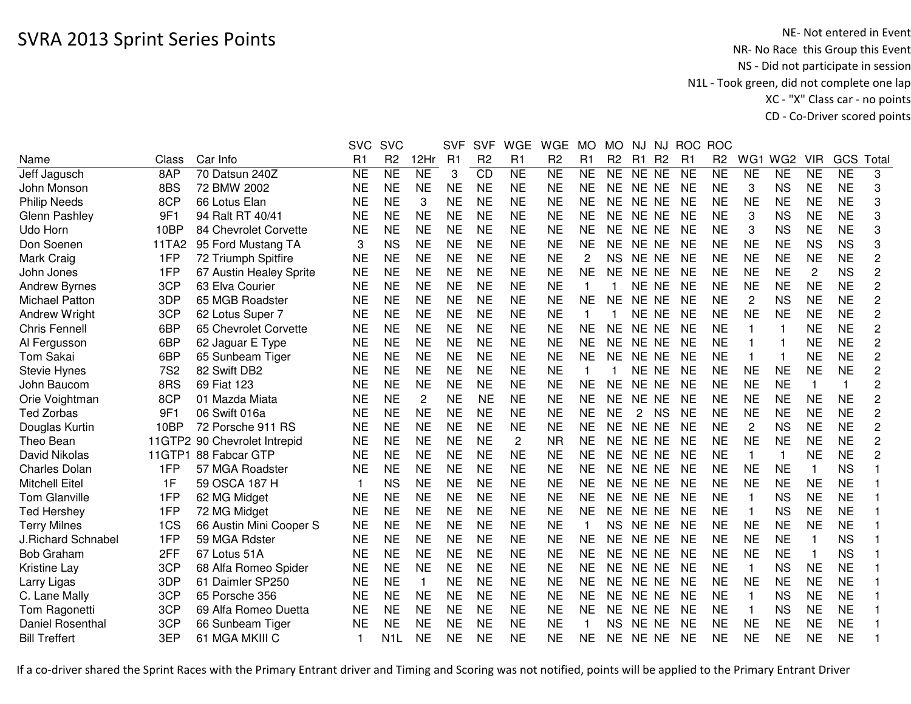|                       |            |                              | <b>SVC</b>     | <b>SVC</b>          |                | <b>SVF</b>     | <b>SVF</b>      | <b>WGE</b>     | <b>WGE</b>     | <b>MO</b>    | <b>MO</b>      | NJ.            | NJ             | <b>ROC</b>     | <b>ROC</b>     |                         |                 |            |           |                         |
|-----------------------|------------|------------------------------|----------------|---------------------|----------------|----------------|-----------------|----------------|----------------|--------------|----------------|----------------|----------------|----------------|----------------|-------------------------|-----------------|------------|-----------|-------------------------|
| Name                  | Class      | Car Info                     | R <sub>1</sub> | R <sub>2</sub>      | 12Hr           | R <sub>1</sub> | R <sub>2</sub>  | R1             | R <sub>2</sub> | R1           | R <sub>2</sub> | R1             | R <sub>2</sub> | R <sub>1</sub> | R <sub>2</sub> | WG1                     | WG <sub>2</sub> | <b>VIR</b> | GCS       | Tota                    |
| Jeff Jagusch          | 8AP        | 70 Datsun 240Z               | <b>NE</b>      | $\overline{\sf NE}$ | <b>NE</b>      | 3              | $\overline{CD}$ | N <sub>E</sub> | <b>NE</b>      | <b>NE</b>    | <b>NE</b>      | NE NE          |                | <b>NE</b>      | <b>NE</b>      | <b>NE</b>               | <b>NE</b>       | <b>NE</b>  | <b>NE</b> | 3                       |
| John Monson           | 8BS        | 72 BMW 2002                  | <b>NE</b>      | <b>NE</b>           | <b>NE</b>      | <b>NE</b>      | <b>NE</b>       | <b>NE</b>      | <b>NE</b>      | <b>NE</b>    | <b>NE</b>      | NE NE          |                | <b>NE</b>      | <b>NE</b>      | 3                       | <b>NS</b>       | <b>NE</b>  | <b>NE</b> | 3                       |
| <b>Philip Needs</b>   | 8CP        | 66 Lotus Elan                | <b>NE</b>      | <b>NE</b>           | 3              | <b>NE</b>      | <b>NE</b>       | <b>NE</b>      | <b>NE</b>      | <b>NE</b>    | <b>NE</b>      | NE NE          |                | <b>NE</b>      | <b>NE</b>      | <b>NE</b>               | <b>NE</b>       | <b>NE</b>  | <b>NE</b> | 3                       |
| Glenn Pashley         | 9F1        | 94 Ralt RT 40/41             | <b>NE</b>      | <b>NE</b>           | <b>NE</b>      | <b>NE</b>      | <b>NE</b>       | <b>NE</b>      | <b>NE</b>      | <b>NE</b>    | <b>NE</b>      | NE NE          |                | <b>NE</b>      | <b>NE</b>      | 3                       | <b>NS</b>       | <b>NE</b>  | <b>NE</b> | 3                       |
| Udo Horn              | 10BP       | 84 Chevrolet Corvette        | <b>NE</b>      | <b>NE</b>           | <b>NE</b>      | <b>NE</b>      | <b>NE</b>       | <b>NE</b>      | <b>NE</b>      | <b>NE</b>    | <b>NE</b>      | NE NE          |                | <b>NE</b>      | <b>NE</b>      | 3                       | <b>NS</b>       | <b>NE</b>  | <b>NE</b> | 3                       |
| Don Soenen            | 11TA2      | 95 Ford Mustang TA           | 3              | <b>NS</b>           | <b>NE</b>      | <b>NE</b>      | <b>NE</b>       | <b>NE</b>      | <b>NE</b>      | <b>NE</b>    | <b>NE</b>      | NE NE          |                | <b>NE</b>      | <b>NE</b>      | <b>NE</b>               | <b>NE</b>       | <b>NS</b>  | <b>NS</b> | 3                       |
| Mark Craig            | 1FP        | 72 Triumph Spitfire          | <b>NE</b>      | <b>NE</b>           | <b>NE</b>      | <b>NE</b>      | <b>NE</b>       | <b>NE</b>      | <b>NE</b>      | $\mathbf{2}$ | <b>NS</b>      | NE NE          |                | <b>NE</b>      | <b>NE</b>      | <b>NE</b>               | <b>NE</b>       | <b>NE</b>  | <b>NE</b> | $\overline{c}$          |
| John Jones            | 1FP        | 67 Austin Healey Sprite      | <b>NE</b>      | <b>NE</b>           | <b>NE</b>      | <b>NE</b>      | <b>NE</b>       | <b>NE</b>      | <b>NE</b>      | <b>NE</b>    | <b>NE</b>      | NE NE          |                | <b>NE</b>      | <b>NE</b>      | <b>NE</b>               | <b>NE</b>       | 2          | <b>NS</b> | 2                       |
| <b>Andrew Byrnes</b>  | 3CP        | 63 Elva Courier              | <b>NE</b>      | <b>NE</b>           | <b>NE</b>      | <b>NE</b>      | <b>NE</b>       | <b>NE</b>      | <b>NE</b>      |              | 1              | NE NE          |                | <b>NE</b>      | <b>NE</b>      | <b>NE</b>               | <b>NE</b>       | <b>NE</b>  | <b>NE</b> | 2                       |
| <b>Michael Patton</b> | 3DP        | 65 MGB Roadster              | <b>NE</b>      | <b>NE</b>           | <b>NE</b>      | <b>NE</b>      | <b>NE</b>       | <b>NE</b>      | <b>NE</b>      | <b>NE</b>    | <b>NE</b>      | NE NE          |                | <b>NE</b>      | <b>NE</b>      | $\overline{2}$          | <b>NS</b>       | <b>NE</b>  | <b>NE</b> | 2                       |
| Andrew Wright         | 3CP        | 62 Lotus Super 7             | <b>NE</b>      | <b>NE</b>           | <b>NE</b>      | <b>NE</b>      | <b>NE</b>       | <b>NE</b>      | <b>NE</b>      | $\mathbf{1}$ | 1              | NE NE          |                | <b>NE</b>      | <b>NE</b>      | <b>NE</b>               | <b>NE</b>       | <b>NE</b>  | <b>NE</b> | $\overline{c}$          |
| <b>Chris Fennell</b>  | 6BP        | 65 Chevrolet Corvette        | <b>NE</b>      | <b>NE</b>           | <b>NE</b>      | <b>NE</b>      | <b>NE</b>       | <b>NE</b>      | <b>NE</b>      | <b>NE</b>    | <b>NE</b>      | NE NE          |                | <b>NE</b>      | <b>NE</b>      | $\overline{1}$          | 1               | <b>NE</b>  | <b>NE</b> | 2                       |
| Al Fergusson          | 6BP        | 62 Jaguar E Type             | <b>NE</b>      | <b>NE</b>           | <b>NE</b>      | <b>NE</b>      | <b>NE</b>       | <b>NE</b>      | <b>NE</b>      | <b>NE</b>    | <b>NE</b>      | <b>NE</b>      | <b>NE</b>      | <b>NE</b>      | <b>NE</b>      | $\overline{1}$          |                 | <b>NE</b>  | <b>NE</b> | $\overline{c}$          |
| Tom Sakai             | 6BP        | 65 Sunbeam Tiger             | <b>NE</b>      | <b>NE</b>           | <b>NE</b>      | <b>NE</b>      | <b>NE</b>       | <b>NE</b>      | <b>NE</b>      | <b>NE</b>    | <b>NE</b>      | <b>NE</b>      | <b>NE</b>      | NE             | <b>NE</b>      | $\overline{\mathbf{1}}$ |                 | <b>NE</b>  | <b>NE</b> | $\overline{\mathbf{c}}$ |
| <b>Stevie Hynes</b>   | <b>7S2</b> | 82 Swift DB2                 | <b>NE</b>      | <b>NE</b>           | <b>NE</b>      | <b>NE</b>      | <b>NE</b>       | <b>NE</b>      | <b>NE</b>      |              |                | <b>NE</b>      | <b>NE</b>      | <b>NE</b>      | <b>NE</b>      | <b>NE</b>               | <b>NE</b>       | <b>NE</b>  | <b>NE</b> | $\overline{\mathbf{c}}$ |
| John Baucom           | 8RS        | 69 Fiat 123                  | <b>NE</b>      | <b>NE</b>           | <b>NE</b>      | <b>NE</b>      | <b>NE</b>       | <b>NE</b>      | <b>NE</b>      | <b>NE</b>    | <b>NE</b>      | <b>NE</b>      | <b>NE</b>      | <b>NE</b>      | <b>NE</b>      | <b>NE</b>               | <b>NE</b>       | 1          | 1         | 2                       |
| Orie Voightman        | 8CP        | 01 Mazda Miata               | <b>NE</b>      | <b>NE</b>           | $\overline{2}$ | <b>NE</b>      | <b>NE</b>       | <b>NE</b>      | <b>NE</b>      | <b>NE</b>    | <b>NE</b>      | NE NE          |                | <b>NE</b>      | <b>NE</b>      | <b>NE</b>               | <b>NE</b>       | <b>NE</b>  | <b>NE</b> | 2                       |
| <b>Ted Zorbas</b>     | 9F1        | 06 Swift 016a                | <b>NE</b>      | <b>NE</b>           | <b>NE</b>      | <b>NE</b>      | <b>NE</b>       | <b>NE</b>      | <b>NE</b>      | <b>NE</b>    | <b>NE</b>      | $\overline{2}$ | <b>NS</b>      | <b>NE</b>      | <b>NE</b>      | <b>NE</b>               | <b>NE</b>       | <b>NE</b>  | <b>NE</b> | 2                       |
| Douglas Kurtin        | 10BP       | 72 Porsche 911 RS            | <b>NE</b>      | <b>NE</b>           | <b>NE</b>      | <b>NE</b>      | <b>NE</b>       | <b>NE</b>      | <b>NE</b>      | <b>NE</b>    | <b>NE</b>      | NE NE          |                | <b>NE</b>      | <b>NE</b>      | $\overline{2}$          | <b>NS</b>       | <b>NE</b>  | <b>NE</b> | $\overline{c}$          |
| Theo Bean             |            | 11GTP2 90 Chevrolet Intrepid | <b>NE</b>      | <b>NE</b>           | <b>NE</b>      | <b>NE</b>      | <b>NE</b>       | $\mathbf{2}$   | <b>NR</b>      | <b>NE</b>    | <b>NE</b>      | NE NE          |                | <b>NE</b>      | <b>NE</b>      | <b>NE</b>               | <b>NE</b>       | <b>NE</b>  | <b>NE</b> | 2                       |
| David Nikolas         |            | 11GTP1 88 Fabcar GTP         | <b>NE</b>      | <b>NE</b>           | <b>NE</b>      | <b>NE</b>      | <b>NE</b>       | <b>NE</b>      | <b>NE</b>      | <b>NE</b>    | <b>NE</b>      | NE NE          |                | <b>NE</b>      | <b>NE</b>      | $\mathbf 1$             | $\mathbf{1}$    | <b>NE</b>  | <b>NE</b> | $\overline{c}$          |
| <b>Charles Dolan</b>  | 1FP        | 57 MGA Roadster              | <b>NE</b>      | <b>NE</b>           | <b>NE</b>      | <b>NE</b>      | <b>NE</b>       | <b>NE</b>      | <b>NE</b>      | <b>NE</b>    | <b>NE</b>      | NE NE          |                | <b>NE</b>      | <b>NE</b>      | <b>NE</b>               | <b>NE</b>       | 1          | <b>NS</b> |                         |
| <b>Mitchell Eitel</b> | 1F         | 59 OSCA 187 H                | 1              | <b>NS</b>           | <b>NE</b>      | <b>NE</b>      | <b>NE</b>       | <b>NE</b>      | <b>NE</b>      | <b>NE</b>    | <b>NE</b>      | NE NE          |                | <b>NE</b>      | <b>NE</b>      | <b>NE</b>               | <b>NE</b>       | <b>NE</b>  | <b>NE</b> |                         |
| <b>Tom Glanville</b>  | 1FP        | 62 MG Midget                 | <b>NE</b>      | <b>NE</b>           | <b>NE</b>      | <b>NE</b>      | <b>NE</b>       | <b>NE</b>      | <b>NE</b>      | <b>NE</b>    | <b>NE</b>      | NE NE          |                | <b>NE</b>      | <b>NE</b>      | 1                       | <b>NS</b>       | <b>NE</b>  | <b>NE</b> |                         |
| <b>Ted Hershey</b>    | 1FP        | 72 MG Midget                 | <b>NE</b>      | <b>NE</b>           | <b>NE</b>      | <b>NE</b>      | <b>NE</b>       | <b>NE</b>      | <b>NE</b>      | <b>NE</b>    | <b>NE</b>      | NE NE          |                | <b>NE</b>      | <b>NE</b>      | $\overline{1}$          | <b>NS</b>       | <b>NE</b>  | <b>NE</b> |                         |
| <b>Terry Milnes</b>   | 1CS        | 66 Austin Mini Cooper S      | <b>NE</b>      | <b>NE</b>           | <b>NE</b>      | <b>NE</b>      | <b>NE</b>       | <b>NE</b>      | <b>NE</b>      | $\mathbf{1}$ | <b>NS</b>      | NE NE          |                | <b>NE</b>      | <b>NE</b>      | <b>NE</b>               | <b>NE</b>       | <b>NE</b>  | <b>NE</b> |                         |
| J.Richard Schnabel    | 1FP        | 59 MGA Rdster                | <b>NE</b>      | <b>NE</b>           | <b>NE</b>      | <b>NE</b>      | <b>NE</b>       | <b>NE</b>      | <b>NE</b>      | <b>NE</b>    | NE.            | NE.            | <b>NE</b>      | <b>NE</b>      | <b>NE</b>      | <b>NE</b>               | <b>NE</b>       | 1          | <b>NS</b> |                         |
| <b>Bob Graham</b>     | 2FF        | 67 Lotus 51A                 | <b>NE</b>      | <b>NE</b>           | <b>NE</b>      | <b>NE</b>      | <b>NE</b>       | <b>NE</b>      | <b>NE</b>      | <b>NE</b>    | <b>NE</b>      | NE.            | <b>NE</b>      | <b>NE</b>      | <b>NE</b>      | <b>NE</b>               | <b>NE</b>       | 1          | <b>NS</b> |                         |
| Kristine Lay          | 3CP        | 68 Alfa Romeo Spider         | NE             | <b>NE</b>           | <b>NE</b>      | <b>NE</b>      | <b>NE</b>       | <b>NE</b>      | <b>NE</b>      | <b>NE</b>    | NE.            | NE NE          |                | <b>NE</b>      | <b>NE</b>      | $\mathbf 1$             | <b>NS</b>       | <b>NE</b>  | <b>NE</b> |                         |
| Larry Ligas           | 3DP        | 61 Daimler SP250             | <b>NE</b>      | <b>NE</b>           | $\mathbf{1}$   | <b>NE</b>      | <b>NE</b>       | <b>NE</b>      | <b>NE</b>      | <b>NE</b>    | <b>NE</b>      | NE NE          |                | <b>NE</b>      | <b>NE</b>      | <b>NE</b>               | <b>NE</b>       | <b>NE</b>  | <b>NE</b> |                         |
| C. Lane Mally         | 3CP        | 65 Porsche 356               | <b>NE</b>      | <b>NE</b>           | <b>NE</b>      | <b>NE</b>      | <b>NE</b>       | <b>NE</b>      | <b>NE</b>      | <b>NE</b>    | <b>NE</b>      | NE NE          |                | <b>NE</b>      | <b>NE</b>      | -1                      | <b>NS</b>       | <b>NE</b>  | <b>NE</b> |                         |
| Tom Ragonetti         | 3CP        | 69 Alfa Romeo Duetta         | <b>NE</b>      | <b>NE</b>           | <b>NE</b>      | <b>NE</b>      | <b>NE</b>       | <b>NE</b>      | <b>NE</b>      | <b>NE</b>    | <b>NE</b>      | NE NE          |                | <b>NE</b>      | <b>NE</b>      | 1                       | <b>NS</b>       | <b>NE</b>  | <b>NE</b> |                         |
| Daniel Rosenthal      | 3CP        | 66 Sunbeam Tiger             | <b>NE</b>      | <b>NE</b>           | <b>NE</b>      | <b>NE</b>      | <b>NE</b>       | <b>NE</b>      | <b>NE</b>      |              | NS.            | NE NE          |                | <b>NE</b>      | <b>NE</b>      | <b>NE</b>               | <b>NE</b>       | <b>NE</b>  | <b>NE</b> |                         |
| <b>Bill Treffert</b>  | 3EP        | 61 MGA MKIII C               |                | N1L                 | NE             | <b>NE</b>      | <b>NE</b>       | <b>NE</b>      | <b>NE</b>      | NE           | <b>NE</b>      | NE NE          |                | <b>NE</b>      | <b>NE</b>      | <b>NE</b>               | <b>NE</b>       | <b>NE</b>  | <b>NE</b> |                         |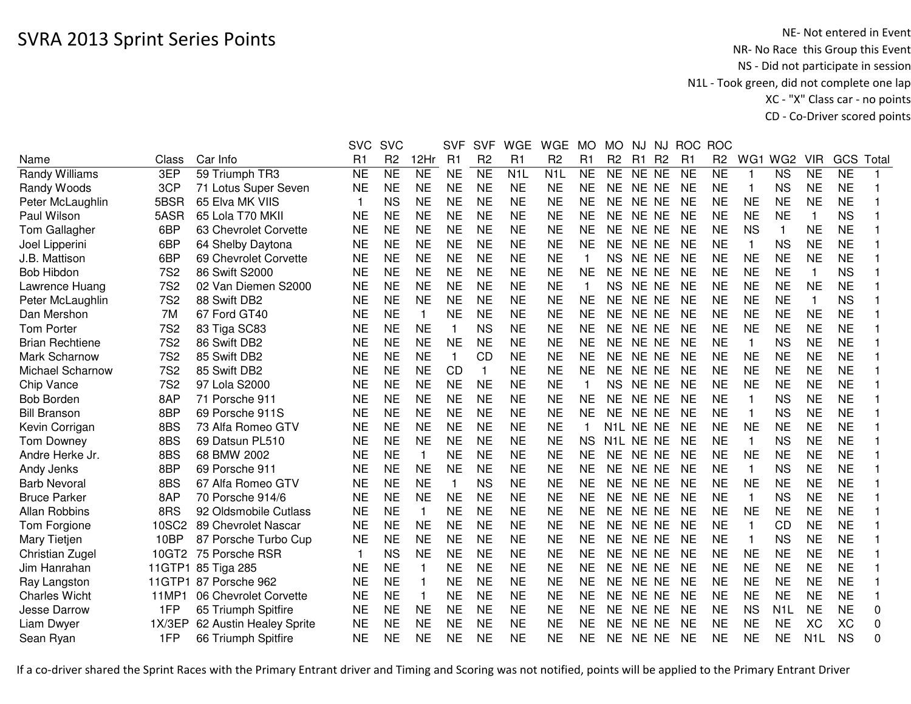|                        |            |                         | <b>SVC</b>   | <b>SVC</b>     |                         | <b>SVF</b>   | <b>SVF</b>      | <b>WGE</b>       | <b>WGE</b>       | MO        | MO             | NJ.       | NJ.            | <b>ROC</b>     | <b>ROC</b>     |                 |                  |                  |           |          |
|------------------------|------------|-------------------------|--------------|----------------|-------------------------|--------------|-----------------|------------------|------------------|-----------|----------------|-----------|----------------|----------------|----------------|-----------------|------------------|------------------|-----------|----------|
| Name                   | Class      | Car Info                | R1           | R <sub>2</sub> | 12Hr                    | R1           | R <sub>2</sub>  | R1               | R <sub>2</sub>   | R1        | R <sub>2</sub> | R1        | R <sub>2</sub> | R <sub>1</sub> | R <sub>2</sub> | WG <sub>1</sub> | WG <sub>2</sub>  | <b>VIR</b>       | GCS       | Total    |
| <b>Randy Williams</b>  | 3EP        | 59 Triumph TR3          | <b>NE</b>    | <b>NE</b>      | N <sub>E</sub>          | <b>NE</b>    | $\overline{NE}$ | N <sub>1</sub> L | N <sub>1</sub> L | <b>NE</b> | <b>NE</b>      | NE NE     |                | <b>NE</b>      | <b>NE</b>      | $\mathbf{1}$    | <b>NS</b>        | <b>NE</b>        | <b>NE</b> |          |
| Randy Woods            | 3CP        | 71 Lotus Super Seven    | <b>NE</b>    | <b>NE</b>      | <b>NE</b>               | <b>NE</b>    | <b>NE</b>       | <b>NE</b>        | <b>NE</b>        | <b>NE</b> | <b>NE</b>      | NE NE     |                | <b>NE</b>      | <b>NE</b>      | -1              | <b>NS</b>        | <b>NE</b>        | <b>NE</b> |          |
| Peter McLaughlin       | 5BSR       | 65 Elva MK VIIS         | $\mathbf{1}$ | <b>NS</b>      | <b>NE</b>               | <b>NE</b>    | <b>NE</b>       | <b>NE</b>        | <b>NE</b>        | <b>NE</b> | <b>NE</b>      | NE NE     |                | <b>NE</b>      | <b>NE</b>      | <b>NE</b>       | <b>NE</b>        | <b>NE</b>        | <b>NE</b> |          |
| Paul Wilson            | 5ASR       | 65 Lola T70 MKII        | <b>NE</b>    | <b>NE</b>      | <b>NE</b>               | <b>NE</b>    | <b>NE</b>       | <b>NE</b>        | <b>NE</b>        | <b>NE</b> | <b>NE</b>      | NE NE     |                | <b>NE</b>      | <b>NE</b>      | <b>NE</b>       | <b>NE</b>        | $\mathbf{1}$     | <b>NS</b> |          |
| Tom Gallagher          | 6BP        | 63 Chevrolet Corvette   | <b>NE</b>    | <b>NE</b>      | <b>NE</b>               | <b>NE</b>    | <b>NE</b>       | <b>NE</b>        | <b>NE</b>        | <b>NE</b> | <b>NE</b>      | NE NE     |                | <b>NE</b>      | <b>NE</b>      | <b>NS</b>       | 1                | <b>NE</b>        | <b>NE</b> |          |
| Joel Lipperini         | 6BP        | 64 Shelby Daytona       | <b>NE</b>    | <b>NE</b>      | <b>NE</b>               | <b>NE</b>    | <b>NE</b>       | <b>NE</b>        | <b>NE</b>        | <b>NE</b> | <b>NE</b>      | NE NE     |                | <b>NE</b>      | <b>NE</b>      | -1              | <b>NS</b>        | <b>NE</b>        | <b>NE</b> |          |
| J.B. Mattison          | 6BP        | 69 Chevrolet Corvette   | <b>NE</b>    | <b>NE</b>      | <b>NE</b>               | <b>NE</b>    | <b>NE</b>       | <b>NE</b>        | <b>NE</b>        |           | <b>NS</b>      | NE NE     |                | <b>NE</b>      | <b>NE</b>      | <b>NE</b>       | <b>NE</b>        | <b>NE</b>        | <b>NE</b> |          |
| <b>Bob Hibdon</b>      | <b>7S2</b> | 86 Swift S2000          | <b>NE</b>    | <b>NE</b>      | <b>NE</b>               | <b>NE</b>    | <b>NE</b>       | <b>NE</b>        | <b>NE</b>        | NE        | NE.            | NE NE     |                | <b>NE</b>      | <b>NE</b>      | <b>NE</b>       | <b>NE</b>        | 1                | <b>NS</b> |          |
| Lawrence Huang         | <b>7S2</b> | 02 Van Diemen S2000     | <b>NE</b>    | <b>NE</b>      | <b>NE</b>               | <b>NE</b>    | <b>NE</b>       | <b>NE</b>        | <b>NE</b>        | 1         | <b>NS</b>      | NE NE     |                | <b>NE</b>      | <b>NE</b>      | <b>NE</b>       | <b>NE</b>        | <b>NE</b>        | <b>NE</b> |          |
| Peter McLaughlin       | <b>7S2</b> | 88 Swift DB2            | <b>NE</b>    | <b>NE</b>      | <b>NE</b>               | <b>NE</b>    | <b>NE</b>       | <b>NE</b>        | <b>NE</b>        | <b>NE</b> | <b>NE</b>      | NE NE     |                | <b>NE</b>      | <b>NE</b>      | <b>NE</b>       | <b>NE</b>        | $\mathbf{1}$     | <b>NS</b> |          |
| Dan Mershon            | 7M         | 67 Ford GT40            | <b>NE</b>    | <b>NE</b>      | $\mathbf 1$             | <b>NE</b>    | <b>NE</b>       | <b>NE</b>        | <b>NE</b>        | <b>NE</b> | <b>NE</b>      | NE NE     |                | <b>NE</b>      | <b>NE</b>      | <b>NE</b>       | <b>NE</b>        | <b>NE</b>        | <b>NE</b> |          |
| <b>Tom Porter</b>      | <b>7S2</b> | 83 Tiga SC83            | <b>NE</b>    | <b>NE</b>      | <b>NE</b>               | $\mathbf{1}$ | <b>NS</b>       | <b>NE</b>        | <b>NE</b>        | <b>NE</b> | <b>NE</b>      | NE NE     |                | <b>NE</b>      | <b>NE</b>      | <b>NE</b>       | <b>NE</b>        | <b>NE</b>        | <b>NE</b> |          |
| <b>Brian Rechtiene</b> | <b>7S2</b> | 86 Swift DB2            | <b>NE</b>    | <b>NE</b>      | <b>NE</b>               | <b>NE</b>    | <b>NE</b>       | <b>NE</b>        | <b>NE</b>        | <b>NE</b> | <b>NE</b>      | NE NE     |                | <b>NE</b>      | <b>NE</b>      | $\mathbf{1}$    | <b>NS</b>        | <b>NE</b>        | <b>NE</b> |          |
| Mark Scharnow          | <b>7S2</b> | 85 Swift DB2            | <b>NE</b>    | <b>NE</b>      | <b>NE</b>               | $\mathbf{1}$ | <b>CD</b>       | <b>NE</b>        | <b>NE</b>        | <b>NE</b> | <b>NE</b>      | NE NE     |                | <b>NE</b>      | <b>NE</b>      | <b>NE</b>       | <b>NE</b>        | <b>NE</b>        | <b>NE</b> |          |
| Michael Scharnow       | <b>7S2</b> | 85 Swift DB2            | <b>NE</b>    | <b>NE</b>      | <b>NE</b>               | <b>CD</b>    | 1               | <b>NE</b>        | <b>NE</b>        | <b>NE</b> | NE             | <b>NE</b> | NE             | <b>NE</b>      | <b>NE</b>      | <b>NE</b>       | <b>NE</b>        | <b>NE</b>        | <b>NE</b> |          |
| Chip Vance             | <b>7S2</b> | 97 Lola S2000           | <b>NE</b>    | <b>NE</b>      | <b>NE</b>               | <b>NE</b>    | <b>NE</b>       | <b>NE</b>        | <b>NE</b>        |           | <b>NS</b>      | <b>NE</b> | NE.            | <b>NE</b>      | <b>NE</b>      | <b>NE</b>       | <b>NE</b>        | <b>NE</b>        | <b>NE</b> |          |
| <b>Bob Borden</b>      | 8AP        | 71 Porsche 911          | <b>NE</b>    | <b>NE</b>      | <b>NE</b>               | <b>NE</b>    | <b>NE</b>       | <b>NE</b>        | <b>NE</b>        | <b>NE</b> | <b>NE</b>      | <b>NE</b> | <b>NE</b>      | <b>NE</b>      | <b>NE</b>      | $\mathbf{1}$    | <b>NS</b>        | <b>NE</b>        | <b>NE</b> |          |
| <b>Bill Branson</b>    | 8BP        | 69 Porsche 911S         | NE           | <b>NE</b>      | <b>NE</b>               | <b>NE</b>    | <b>NE</b>       | <b>NE</b>        | <b>NE</b>        | <b>NE</b> | <b>NE</b>      | NE NE     |                | <b>NE</b>      | <b>NE</b>      | -1              | <b>NS</b>        | <b>NE</b>        | <b>NE</b> |          |
| Kevin Corrigan         | 8BS        | 73 Alfa Romeo GTV       | <b>NE</b>    | <b>NE</b>      | <b>NE</b>               | <b>NE</b>    | <b>NE</b>       | <b>NE</b>        | <b>NE</b>        | 1         | N1L.           | NE NE     |                | <b>NE</b>      | <b>NE</b>      | <b>NE</b>       | <b>NE</b>        | <b>NE</b>        | <b>NE</b> |          |
| <b>Tom Downey</b>      | 8BS        | 69 Datsun PL510         | <b>NE</b>    | <b>NE</b>      | <b>NE</b>               | <b>NE</b>    | <b>NE</b>       | <b>NE</b>        | <b>NE</b>        | <b>NS</b> | N1L            | NE NE     |                | <b>NE</b>      | <b>NE</b>      | $\mathbf{1}$    | <b>NS</b>        | <b>NE</b>        | <b>NE</b> |          |
| Andre Herke Jr.        | 8BS        | 68 BMW 2002             | <b>NE</b>    | <b>NE</b>      | $\overline{\mathbf{1}}$ | <b>NE</b>    | <b>NE</b>       | <b>NE</b>        | <b>NE</b>        | <b>NE</b> | <b>NE</b>      | NE NE     |                | <b>NE</b>      | <b>NE</b>      | <b>NE</b>       | <b>NE</b>        | <b>NE</b>        | <b>NE</b> |          |
| Andy Jenks             | 8BP        | 69 Porsche 911          | <b>NE</b>    | <b>NE</b>      | <b>NE</b>               | <b>NE</b>    | <b>NE</b>       | <b>NE</b>        | <b>NE</b>        | <b>NE</b> | NE             | NE NE     |                | <b>NE</b>      | <b>NE</b>      | -1              | <b>NS</b>        | <b>NE</b>        | <b>NE</b> |          |
| <b>Barb Nevoral</b>    | 8BS        | 67 Alfa Romeo GTV       | NE           | NE             | NE                      | 1            | <b>NS</b>       | <b>NE</b>        | ΝE               | NE        | NE.            | NE NE     |                | <b>NE</b>      | NE             | <b>NE</b>       | <b>NE</b>        | <b>NE</b>        | <b>NE</b> |          |
| <b>Bruce Parker</b>    | 8AP        | 70 Porsche 914/6        | <b>NE</b>    | <b>NE</b>      | <b>NE</b>               | <b>NE</b>    | <b>NE</b>       | <b>NE</b>        | <b>NE</b>        | <b>NE</b> | <b>NE</b>      | NE NE     |                | <b>NE</b>      | <b>NE</b>      | -1              | <b>NS</b>        | <b>NE</b>        | <b>NE</b> |          |
| <b>Allan Robbins</b>   | 8RS        | 92 Oldsmobile Cutlass   | <b>NE</b>    | <b>NE</b>      | $\mathbf 1$             | <b>NE</b>    | <b>NE</b>       | <b>NE</b>        | <b>NE</b>        | <b>NE</b> | <b>NE</b>      | NE NE     |                | <b>NE</b>      | <b>NE</b>      | <b>NE</b>       | <b>NE</b>        | <b>NE</b>        | <b>NE</b> |          |
| Tom Forgione           | 10SC2      | 89 Chevrolet Nascar     | <b>NE</b>    | <b>NE</b>      | <b>NE</b>               | <b>NE</b>    | <b>NE</b>       | <b>NE</b>        | <b>NE</b>        | <b>NE</b> | <b>NE</b>      | NE NE     |                | <b>NE</b>      | <b>NE</b>      | $\mathbf{1}$    | <b>CD</b>        | <b>NE</b>        | <b>NE</b> |          |
| Mary Tietjen           | 10BP       | 87 Porsche Turbo Cup    | <b>NE</b>    | <b>NE</b>      | <b>NE</b>               | <b>NE</b>    | <b>NE</b>       | <b>NE</b>        | <b>NE</b>        | <b>NE</b> | <b>NE</b>      | NE NE     |                | <b>NE</b>      | <b>NE</b>      | $\mathbf{1}$    | <b>NS</b>        | <b>NE</b>        | <b>NE</b> |          |
| Christian Zugel        | 10GT2      | 75 Porsche RSR          | $\mathbf{1}$ | <b>NS</b>      | <b>NE</b>               | <b>NE</b>    | <b>NE</b>       | <b>NE</b>        | <b>NE</b>        | <b>NE</b> | <b>NE</b>      | NE NE     |                | <b>NE</b>      | <b>NE</b>      | <b>NE</b>       | <b>NE</b>        | <b>NE</b>        | <b>NE</b> |          |
| Jim Hanrahan           | 11GTP1     | 85 Tiga 285             | <b>NE</b>    | <b>NE</b>      | $\mathbf 1$             | <b>NE</b>    | <b>NE</b>       | <b>NE</b>        | <b>NE</b>        | <b>NE</b> | <b>NE</b>      | NE.       | NE.            | <b>NE</b>      | <b>NE</b>      | <b>NE</b>       | <b>NE</b>        | <b>NE</b>        | <b>NE</b> |          |
| Ray Langston           | 11GTP1     | 87 Porsche 962          | <b>NE</b>    | <b>NE</b>      | $\overline{\mathbf{1}}$ | <b>NE</b>    | <b>NE</b>       | <b>NE</b>        | <b>NE</b>        | <b>NE</b> | <b>NE</b>      | <b>NE</b> | NE.            | <b>NE</b>      | <b>NE</b>      | <b>NE</b>       | <b>NE</b>        | <b>NE</b>        | <b>NE</b> |          |
| <b>Charles Wicht</b>   | 11MP1      | 06 Chevrolet Corvette   | <b>NE</b>    | <b>NE</b>      | -1                      | <b>NE</b>    | <b>NE</b>       | <b>NE</b>        | <b>NE</b>        | <b>NE</b> | NE             | NE.       | <b>NE</b>      | <b>NE</b>      | <b>NE</b>      | <b>NE</b>       | <b>NE</b>        | <b>NE</b>        | <b>NE</b> |          |
| Jesse Darrow           | 1FP        | 65 Triumph Spitfire     | <b>NE</b>    | <b>NE</b>      | <b>NE</b>               | <b>NE</b>    | <b>NE</b>       | <b>NE</b>        | <b>NE</b>        | <b>NE</b> | <b>NE</b>      | NE NE     |                | <b>NE</b>      | <b>NE</b>      | <b>NS</b>       | N <sub>1</sub> L | <b>NE</b>        | <b>NE</b> | 0        |
| Liam Dwyer             | 1X/3EP     | 62 Austin Healey Sprite | <b>NE</b>    | <b>NE</b>      | <b>NE</b>               | <b>NE</b>    | <b>NE</b>       | <b>NE</b>        | <b>NE</b>        | <b>NE</b> | <b>NE</b>      | <b>NE</b> | <b>NE</b>      | <b>NE</b>      | <b>NE</b>      | <b>NE</b>       | <b>NE</b>        | XC               | <b>XC</b> | 0        |
| Sean Ryan              | 1FP        | 66 Triumph Spitfire     | <b>NE</b>    | <b>NE</b>      | <b>NE</b>               | <b>NE</b>    | <b>NE</b>       | <b>NE</b>        | <b>NE</b>        | <b>NE</b> | <b>NE</b>      | NE NE     |                | <b>NE</b>      | <b>NE</b>      | <b>NE</b>       | <b>NE</b>        | N <sub>1</sub> L | <b>NS</b> | $\Omega$ |